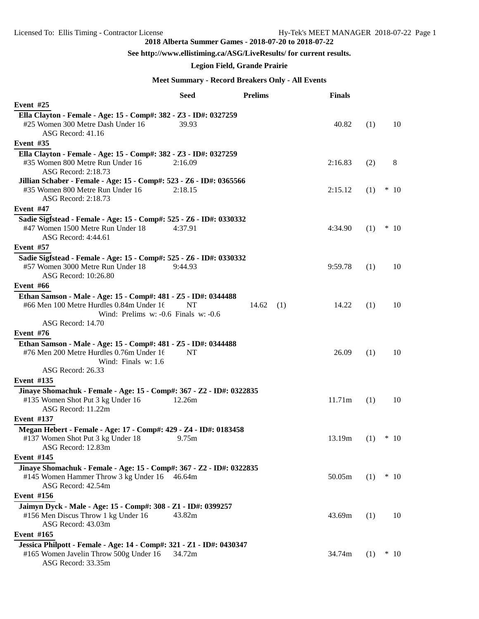#### **See http://www.ellistiming.ca/ASG/LiveResults/ for current results.**

#### **Legion Field, Grande Prairie**

#### **Meet Summary - Record Breakers Only - All Events**

|                                                                                                                                                                             | <b>Seed</b> | <b>Prelims</b> | <b>Finals</b> |     |            |
|-----------------------------------------------------------------------------------------------------------------------------------------------------------------------------|-------------|----------------|---------------|-----|------------|
| Event #25                                                                                                                                                                   |             |                |               |     |            |
| Ella Clayton - Female - Age: 15 - Comp#: 382 - Z3 - ID#: 0327259<br>#25 Women 300 Metre Dash Under 16<br>ASG Record: 41.16                                                  | 39.93       |                | 40.82         | (1) | 10         |
| Event $#35$                                                                                                                                                                 |             |                |               |     |            |
| Ella Clayton - Female - Age: 15 - Comp#: 382 - Z3 - ID#: 0327259<br>#35 Women 800 Metre Run Under 16<br>ASG Record: 2:18.73                                                 | 2:16.09     |                | 2:16.83       | (2) | 8          |
| Jillian Schaber - Female - Age: 15 - Comp#: 523 - Z6 - ID#: 0365566<br>#35 Women 800 Metre Run Under 16<br>ASG Record: 2:18.73                                              | 2:18.15     |                | 2:15.12       | (1) | $*10$      |
| Event #47                                                                                                                                                                   |             |                |               |     |            |
| Sadie Sigfstead - Female - Age: 15 - Comp#: 525 - Z6 - ID#: 0330332<br>#47 Women 1500 Metre Run Under 18<br>ASG Record: 4:44.61                                             | 4:37.91     |                | 4:34.90       | (1) | $*10$      |
| <b>Event</b> #57                                                                                                                                                            |             |                |               |     |            |
| Sadie Sigfstead - Female - Age: 15 - Comp#: 525 - Z6 - ID#: 0330332<br>#57 Women 3000 Metre Run Under 18<br>ASG Record: 10:26.80                                            | 9:44.93     |                | 9:59.78       | (1) | 10         |
| Event #66                                                                                                                                                                   |             |                |               |     |            |
| Ethan Samson - Male - Age: 15 - Comp#: 481 - Z5 - ID#: 0344488<br>#66 Men 100 Metre Hurdles 0.84m Under 16<br>Wind: Prelims $w: -0.6$ Finals $w: -0.6$<br>ASG Record: 14.70 | NT          | 14.62<br>(1)   | 14.22         | (1) | 10         |
| Event #76                                                                                                                                                                   |             |                |               |     |            |
| Ethan Samson - Male - Age: 15 - Comp#: 481 - Z5 - ID#: 0344488<br>#76 Men 200 Metre Hurdles 0.76m Under 16<br>Wind: Finals w: 1.6<br>ASG Record: 26.33                      | NT          |                | 26.09         | (1) | 10         |
| <b>Event #135</b>                                                                                                                                                           |             |                |               |     |            |
| Jinaye Shomachuk - Female - Age: 15 - Comp#: 367 - Z2 - ID#: 0322835                                                                                                        |             |                |               |     |            |
| #135 Women Shot Put 3 kg Under 16<br>ASG Record: 11.22m                                                                                                                     | 12.26m      |                | 11.71m        | (1) | 10         |
| <b>Event #137</b>                                                                                                                                                           |             |                |               |     |            |
| Megan Hebert - Female - Age: 17 - Comp#: 429 - Z4 - ID#: 0183458<br>#137 Women Shot Put 3 kg Under 18<br>ASG Record: 12.83m                                                 | 9.75m       |                | 13.19m        |     | $(1)$ * 10 |
| <b>Event</b> #145                                                                                                                                                           |             |                |               |     |            |
| Jinaye Shomachuk - Female - Age: 15 - Comp#: 367 - Z2 - ID#: 0322835<br>#145 Women Hammer Throw 3 kg Under 16 46.64m<br>ASG Record: 42.54m                                  |             |                | 50.05m        | (1) | $*10$      |
| <b>Event #156</b>                                                                                                                                                           |             |                |               |     |            |
| Jaimyn Dyck - Male - Age: 15 - Comp#: 308 - Z1 - ID#: 0399257<br>#156 Men Discus Throw 1 kg Under 16<br>ASG Record: 43.03m                                                  | 43.82m      |                | 43.69m        | (1) | 10         |
| Event #165                                                                                                                                                                  |             |                |               |     |            |
| Jessica Philpott - Female - Age: 14 - Comp#: 321 - Z1 - ID#: 0430347<br>#165 Women Javelin Throw 500g Under 16<br>ASG Record: 33.35m                                        | 34.72m      |                | 34.74m        | (1) | $*10$      |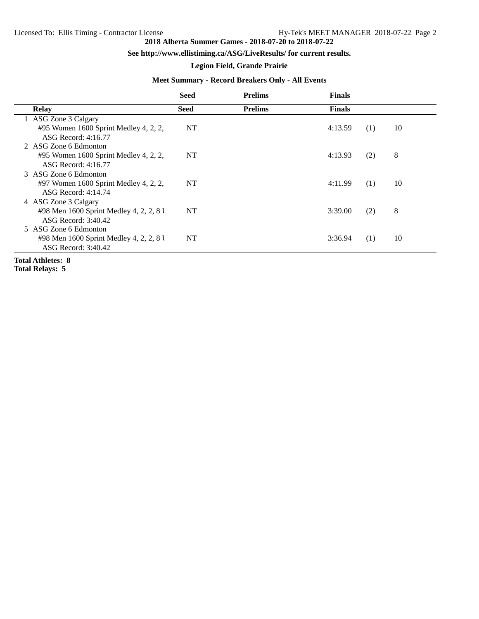#### **See http://www.ellistiming.ca/ASG/LiveResults/ for current results.**

#### **Legion Field, Grande Prairie**

#### **Meet Summary - Record Breakers Only - All Events**

|                                                                                         | <b>Seed</b> | <b>Prelims</b> | <b>Finals</b> |     |    |  |
|-----------------------------------------------------------------------------------------|-------------|----------------|---------------|-----|----|--|
| <b>Relay</b>                                                                            | <b>Seed</b> | <b>Prelims</b> | <b>Finals</b> |     |    |  |
| 1 ASG Zone 3 Calgary<br>#95 Women 1600 Sprint Medley 4, 2, 2,<br>ASG Record: 4:16.77    | NT          |                | 4:13.59       | (1) | 10 |  |
| 2 ASG Zone 6 Edmonton<br>#95 Women 1600 Sprint Medley 4, 2, 2,<br>ASG Record: 4:16.77   | NT          |                | 4:13.93       | (2) | 8  |  |
| 3 ASG Zone 6 Edmonton<br>#97 Women 1600 Sprint Medley 4, 2, 2,<br>ASG Record: 4:14.74   | NT          |                | 4:11.99       | (1) | 10 |  |
| 4 ASG Zone 3 Calgary<br>#98 Men 1600 Sprint Medley 4, 2, 2, 8 U<br>ASG Record: 3:40.42  | NT          |                | 3:39.00       | (2) | 8  |  |
| 5 ASG Zone 6 Edmonton<br>#98 Men 1600 Sprint Medley 4, 2, 2, 8 U<br>ASG Record: 3:40.42 | NT          |                | 3:36.94       | (1) | 10 |  |
| Total Athletes: 8                                                                       |             |                |               |     |    |  |

**Total Relays: 5**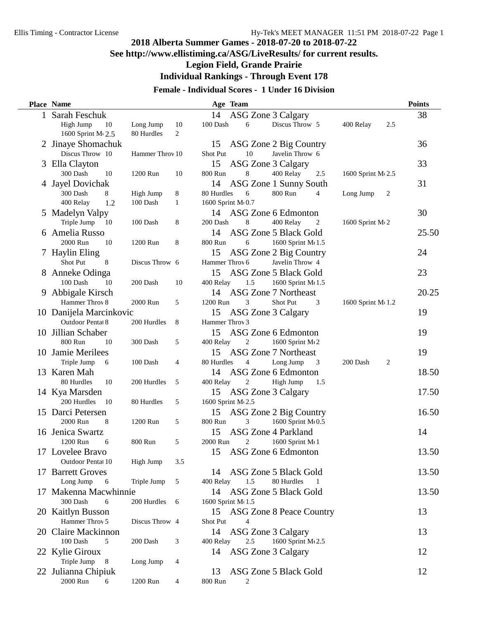### **See http://www.ellistiming.ca/ASG/LiveResults/ for current results.**

**Legion Field, Grande Prairie**

**Individual Rankings - Through Event 178**

#### **Female - Individual Scores - 1 Under 16 Division**

|   | Place Name                           |                 |              |                    | Age Team |     |                                         |     |                    |     | <b>Points</b> |
|---|--------------------------------------|-----------------|--------------|--------------------|----------|-----|-----------------------------------------|-----|--------------------|-----|---------------|
| 1 | Sarah Feschuk                        |                 |              | 14                 |          |     | ASG Zone 3 Calgary                      |     |                    |     | 38            |
|   | High Jump<br>10                      | Long Jump       | 10           | 100 Dash           | 6        |     | Discus Throw 5                          |     | 400 Relay          | 2.5 |               |
|   | 1600 Sprint M <sub>2.5</sub>         | 80 Hurdles      | 2            |                    |          |     |                                         |     |                    |     |               |
|   | 2 Jinaye Shomachuk                   |                 |              | 15                 |          |     | ASG Zone 2 Big Country                  |     |                    |     | 36            |
|   | Discus Throw 10                      | Hammer Throv 10 |              | Shot Put           |          | 10  | Javelin Throw 6                         |     |                    |     |               |
|   | 3 Ella Clayton                       |                 |              | 15                 |          |     | ASG Zone 3 Calgary                      |     |                    |     | 33            |
|   | 300 Dash<br>10                       | 1200 Run        | 10           | 800 Run            | 8        |     | 400 Relay                               | 2.5 | 1600 Sprint M 2.5  |     |               |
|   | 4 Jayel Dovichak                     |                 |              | 14                 |          |     | ASG Zone 1 Sunny South                  |     |                    |     | 31            |
|   | 300 Dash<br>8                        | High Jump       | 8            | 80 Hurdles         | 6        |     | 800 Run                                 | 4   | Long Jump          | 2   |               |
|   | 400 Relay<br>1.2                     | 100 Dash        | $\mathbf{1}$ | 1600 Sprint M 0.7  |          |     |                                         |     |                    |     |               |
|   | 5 Madelyn Valpy                      |                 |              | 14                 |          |     | ASG Zone 6 Edmonton                     |     |                    |     | 30            |
|   | Triple Jump<br>-10                   | 100 Dash        | 8            | 200 Dash           | 8        |     | 400 Relay                               | 2   | 1600 Sprint M(2)   |     |               |
|   | 6 Amelia Russo                       |                 |              | 14                 |          |     | ASG Zone 5 Black Gold                   |     |                    |     | 25.50         |
|   | 2000 Run<br>10                       | 1200 Run        | 8            | 800 Run            | 6        |     | 1600 Sprint M 1.5                       |     |                    |     |               |
|   | 7 Haylin Eling                       |                 |              | 15                 |          |     | ASG Zone 2 Big Country                  |     |                    |     | 24            |
|   | Shot Put<br>8                        | Discus Throw 6  |              | Hammer Throv 6     |          |     | Javelin Throw 4                         |     |                    |     |               |
| 8 | Anneke Odinga                        |                 |              | 15                 |          |     | ASG Zone 5 Black Gold                   |     |                    |     | 23            |
|   | 100 Dash<br>10                       | 200 Dash        | 10           | 400 Relay          |          | 1.5 | 1600 Sprint M 1.5                       |     |                    |     |               |
| 9 | Abbigale Kirsch                      |                 |              | 14                 |          |     | <b>ASG Zone 7 Northeast</b>             |     |                    |     | 20.25         |
|   | Hammer Throv 8                       | 2000 Run        | 5            | 1200 Run           | 3        |     | <b>Shot Put</b>                         | 3   | 1600 Sprint M(1.2) |     |               |
|   | 10 Danijela Marcinkovic              |                 |              | 15                 |          |     | ASG Zone 3 Calgary                      |     |                    |     | 19            |
|   | Outdoor Pentat 8                     | 200 Hurdles     | 8            | Hammer Throv 3     |          |     |                                         |     |                    |     |               |
|   | 10 Jillian Schaber                   |                 |              | 15                 |          |     | ASG Zone 6 Edmonton                     |     |                    |     | 19            |
|   | 800 Run<br>10                        | 300 Dash        | 5            | 400 Relay          | 2        |     | 1600 Sprint M(2                         |     |                    |     |               |
|   | 10 Jamie Merilees                    |                 |              | 15                 |          |     | <b>ASG Zone 7 Northeast</b>             |     |                    |     | 19            |
|   | Triple Jump<br>6                     | 100 Dash        | 4            | 80 Hurdles         | 4        |     | Long Jump                               | 3   | 200 Dash           | 2   |               |
|   | 13 Karen Mah                         |                 |              | 14                 |          |     | ASG Zone 6 Edmonton                     |     |                    |     | 18.50         |
|   | 80 Hurdles<br>10                     | 200 Hurdles     | 5            | 400 Relay          | 2        |     | High Jump                               | 1.5 |                    |     |               |
|   | 14 Kya Marsden                       |                 |              | 15                 |          |     | ASG Zone 3 Calgary                      |     |                    |     | 17.50         |
|   | 200 Hurdles<br>10                    | 80 Hurdles      | 5            | 1600 Sprint M(2.5  |          |     |                                         |     |                    |     |               |
|   | 15 Darci Petersen                    |                 |              | 15                 |          |     | ASG Zone 2 Big Country                  |     |                    |     | 16.50         |
|   | 2000 Run<br>8                        | 1200 Run        | 5            | 800 Run            | 3        |     | 1600 Sprint M 0.5                       |     |                    |     |               |
|   | 16 Jenica Swartz                     |                 |              | 15                 |          |     | ASG Zone 4 Parkland                     |     |                    |     | 14            |
|   | 1200 Run<br>6                        | 800 Run         | 5            | 2000 Run           | 2        |     | 1600 Sprint M(1                         |     |                    |     |               |
|   | 17 Lovelee Bravo                     |                 |              | 15                 |          |     | ASG Zone 6 Edmonton                     |     |                    |     | 13.50         |
|   | Outdoor Pentat 10                    | High Jump       | 3.5          |                    |          |     |                                         |     |                    |     |               |
|   | 17 Barrett Groves                    |                 |              | 14                 |          |     | ASG Zone 5 Black Gold                   |     |                    |     | 13.50         |
|   | Long Jump<br>6                       | Triple Jump     | 5            | 400 Relay          |          | 1.5 | 80 Hurdles                              | 1   |                    |     |               |
|   | 17 Makenna Macwhinnie                |                 |              | 14                 |          |     | ASG Zone 5 Black Gold                   |     |                    |     | 13.50         |
|   | 300 Dash<br>6                        | 200 Hurdles     | 6            | 1600 Sprint M(1.5) |          |     |                                         |     |                    |     |               |
|   | 20 Kaitlyn Busson<br>Hammer Throv 5  |                 |              | 15                 |          |     | <b>ASG Zone 8 Peace Country</b>         |     |                    |     | 13            |
|   |                                      | Discus Throw 4  |              | Shot Put           |          |     |                                         |     |                    |     |               |
|   | 20 Claire Mackinnon<br>100 Dash<br>5 | 200 Dash        |              | 14                 |          | 2.5 | ASG Zone 3 Calgary<br>1600 Sprint M 2.5 |     |                    |     | 13            |
|   |                                      |                 | 3            | 400 Relay          |          |     |                                         |     |                    |     |               |
|   | 22 Kylie Giroux<br>Triple Jump<br>8  | Long Jump       | 4            | 14                 |          |     | ASG Zone 3 Calgary                      |     |                    |     | 12            |
|   |                                      |                 |              | 13                 |          |     | ASG Zone 5 Black Gold                   |     |                    |     | 12            |
|   | 22 Julianna Chipiuk<br>2000 Run<br>6 | 1200 Run        | 4            | 800 Run            | 2        |     |                                         |     |                    |     |               |
|   |                                      |                 |              |                    |          |     |                                         |     |                    |     |               |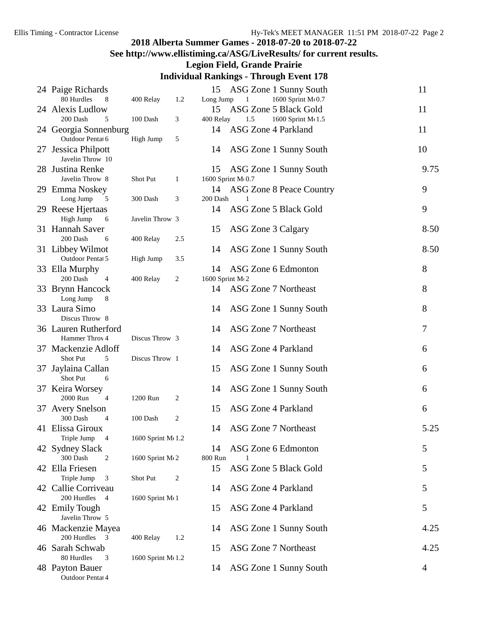### **See http://www.ellistiming.ca/ASG/LiveResults/ for current results.**

#### **Legion Field, Grande Prairie**

| 24 Paige Richards                       |                    |                | 15              |                     | ASG Zone 1 Sunny South      | 11   |
|-----------------------------------------|--------------------|----------------|-----------------|---------------------|-----------------------------|------|
| 80 Hurdles<br>8                         | 400 Relay          | 1.2            | Long Jump       |                     | 1600 Sprint M(0.7           |      |
| 24 Alexis Ludlow                        |                    |                | 15              |                     | ASG Zone 5 Black Gold       | 11   |
| 200 Dash<br>5                           | 100 Dash           | 3              | 400 Relay       | 1.5                 | 1600 Sprint M 1.5           |      |
| 24 Georgia Sonnenburg                   |                    |                | 14              |                     | ASG Zone 4 Parkland         | 11   |
| Outdoor Pental 6                        | High Jump          | 5              |                 |                     |                             |      |
| 27 Jessica Philpott<br>Javelin Throw 10 |                    |                | 14              |                     | ASG Zone 1 Sunny South      | 10   |
| 28 Justina Renke                        |                    |                | 15              |                     | ASG Zone 1 Sunny South      | 9.75 |
| Javelin Throw 8                         | Shot Put           | $\mathbf{1}$   |                 | 1600 Sprint M(0.7   |                             |      |
| 29 Emma Noskey                          |                    |                | 14              |                     | ASG Zone 8 Peace Country    | 9    |
| Long Jump<br>5                          | 300 Dash           | 3              | 200 Dash        | $\mathbf{1}$        |                             |      |
| 29 Reese Hjertaas                       |                    |                | 14              |                     | ASG Zone 5 Black Gold       | 9    |
| High Jump<br>6                          | Javelin Throw 3    |                |                 |                     |                             |      |
| 31 Hannah Saver                         |                    |                | 15              | ASG Zone 3 Calgary  |                             | 8.50 |
| 200 Dash<br>6                           | 400 Relay          | 2.5            |                 |                     |                             |      |
| 31 Libbey Wilmot                        |                    |                | 14              |                     | ASG Zone 1 Sunny South      | 8.50 |
| Outdoor Pentat 5                        | High Jump          | 3.5            |                 |                     |                             |      |
| 33 Ella Murphy                          |                    |                | 14              |                     | ASG Zone 6 Edmonton         | 8    |
| 200 Dash<br>4                           | 400 Relay          | $\overline{c}$ | 1600 Sprint M(2 |                     |                             |      |
| 33 Brynn Hancock                        |                    |                | 14              |                     | <b>ASG Zone 7 Northeast</b> | 8    |
| Long Jump<br>8                          |                    |                |                 |                     |                             |      |
| 33 Laura Simo                           |                    |                | 14              |                     | ASG Zone 1 Sunny South      | 8    |
| Discus Throw 8                          |                    |                |                 |                     |                             |      |
| 36 Lauren Rutherford                    |                    |                | 14              |                     | <b>ASG Zone 7 Northeast</b> | 7    |
| Hammer Throv 4                          | Discus Throw 3     |                |                 |                     |                             |      |
| 37 Mackenzie Adloff                     |                    |                | 14              | ASG Zone 4 Parkland |                             | 6    |
| Shot Put<br>5                           | Discus Throw 1     |                |                 |                     |                             |      |
| 37 Jaylaina Callan                      |                    |                | 15              |                     | ASG Zone 1 Sunny South      | 6    |
| Shot Put<br>6                           |                    |                |                 |                     |                             |      |
| 37 Keira Worsey                         |                    |                | 14              |                     | ASG Zone 1 Sunny South      | 6    |
| 2000 Run<br>4                           | 1200 Run           | $\overline{c}$ |                 |                     |                             |      |
| 37 Avery Snelson                        |                    |                | 15              |                     | <b>ASG Zone 4 Parkland</b>  | 6    |
| 300 Dash<br>4                           | 100 Dash           | $\overline{c}$ |                 |                     |                             |      |
| 41 Elissa Giroux                        |                    |                | 14              |                     | <b>ASG Zone 7 Northeast</b> | 5.25 |
| Triple Jump<br>$\overline{4}$           | 1600 Sprint M(1.2) |                |                 |                     |                             |      |
| 42 Sydney Slack                         |                    |                | 14              |                     | ASG Zone 6 Edmonton         | 5    |
| 300 Dash<br>2                           | 1600 Sprint M 2    |                | 800 Run         | $\mathbf{1}$        |                             |      |
| 42 Ella Friesen                         |                    |                | 15              |                     | ASG Zone 5 Black Gold       | 5    |
| Triple Jump<br>3                        | Shot Put           | $\overline{c}$ |                 |                     |                             |      |
| 42 Callie Corriveau                     |                    |                | 14              |                     | ASG Zone 4 Parkland         | 5    |
| 200 Hurdles 4                           | 1600 Sprint M(1    |                |                 |                     |                             |      |
| 42 Emily Tough                          |                    |                | 15              | ASG Zone 4 Parkland |                             | 5    |
| Javelin Throw 5                         |                    |                |                 |                     |                             |      |
| 46 Mackenzie Mayea                      |                    |                | 14              |                     | ASG Zone 1 Sunny South      | 4.25 |
| 200 Hurdles 3                           | 400 Relay          | 1.2            |                 |                     |                             |      |
| 46 Sarah Schwab                         |                    |                | 15              |                     | <b>ASG Zone 7 Northeast</b> | 4.25 |
| 80 Hurdles<br>3                         | 1600 Sprint M(1.2) |                |                 |                     |                             |      |
| 48 Payton Bauer                         |                    |                | 14              |                     | ASG Zone 1 Sunny South      | 4    |
| Outdoor Pentat 4                        |                    |                |                 |                     |                             |      |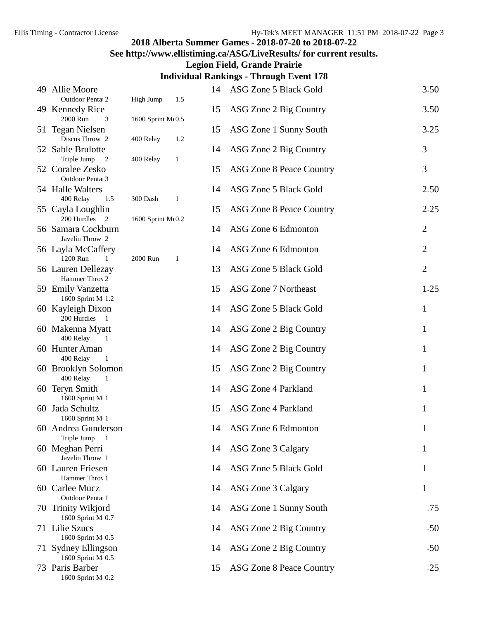## **See http://www.ellistiming.ca/ASG/LiveResults/ for current results.**

**Legion Field, Grande Prairie**

|    | 49 Allie Moore                                   |                   |              | 14 | ASG Zone 5 Black Gold           | 3.50           |
|----|--------------------------------------------------|-------------------|--------------|----|---------------------------------|----------------|
|    | Outdoor Pental 2<br>49 Kennedy Rice              | High Jump         | 1.5          | 15 | ASG Zone 2 Big Country          | 3.50           |
|    | 2000 Run<br>3                                    | 1600 Sprint M(0.5 |              |    |                                 |                |
|    | 51 Tegan Nielsen<br>Discus Throw 2               | 400 Relay         | 1.2          | 15 | ASG Zone 1 Sunny South          | 3.25           |
|    | 52 Sable Brulotte<br>Triple Jump<br>2            | 400 Relay         | $\mathbf{1}$ | 14 | ASG Zone 2 Big Country          | 3              |
|    | 52 Coralee Zesko<br>Outdoor Pentat 3             |                   |              | 15 | <b>ASG Zone 8 Peace Country</b> | 3              |
|    | 54 Halle Walters                                 |                   |              | 14 | ASG Zone 5 Black Gold           | 2.50           |
|    | 400 Relay<br>1.5<br>55 Cayla Loughlin            | 300 Dash          | 1            | 15 | <b>ASG Zone 8 Peace Country</b> | 2.25           |
|    | 200 Hurdles 2<br>56 Samara Cockburn              | 1600 Sprint M(0.2 |              | 14 | ASG Zone 6 Edmonton             | $\overline{2}$ |
|    | Javelin Throw 2<br>56 Layla McCaffery            |                   |              | 14 | ASG Zone 6 Edmonton             | $\overline{2}$ |
|    | 1200 Run<br>1<br>56 Lauren Dellezay              | 2000 Run          | $\mathbf{1}$ | 13 | ASG Zone 5 Black Gold           | $\overline{2}$ |
|    | Hammer Throv 2                                   |                   |              |    |                                 |                |
|    | 59 Emily Vanzetta<br>1600 Sprint M(1.2)          |                   |              | 15 | ASG Zone 7 Northeast            | 1.25           |
|    | 60 Kayleigh Dixon<br>200 Hurdles 1               |                   |              | 14 | ASG Zone 5 Black Gold           | 1              |
|    | 60 Makenna Myatt<br>400 Relay<br>$\overline{1}$  |                   |              | 14 | ASG Zone 2 Big Country          | 1              |
|    | 60 Hunter Aman                                   |                   |              | 14 | ASG Zone 2 Big Country          | 1              |
|    | 400 Relay<br>$\mathbf{1}$<br>60 Brooklyn Solomon |                   |              | 15 | ASG Zone 2 Big Country          | 1              |
|    | 400 Relay<br>$\mathbf{1}$<br>60 Teryn Smith      |                   |              | 14 | ASG Zone 4 Parkland             | 1              |
|    | 1600 Sprint M(1<br>60 Jada Schultz               |                   |              | 15 | ASG Zone 4 Parkland             | 1              |
|    | 1600 Sprint M(1<br>60 Andrea Gunderson           |                   |              | 14 | ASG Zone 6 Edmonton             | 1              |
|    | Triple Jump 1<br>60 Meghan Perri                 |                   |              | 14 | ASG Zone 3 Calgary              | 1              |
|    | Javelin Throw 1                                  |                   |              |    |                                 |                |
|    | 60 Lauren Friesen<br>Hammer Throv 1              |                   |              | 14 | ASG Zone 5 Black Gold           | 1              |
|    | 60 Carlee Mucz<br>Outdoor Pentat 1               |                   |              | 14 | ASG Zone 3 Calgary              | 1              |
|    | 70 Trinity Wikjord<br>1600 Sprint M(0.7          |                   |              | 14 | ASG Zone 1 Sunny South          | .75            |
|    | 71 Lilie Szucs                                   |                   |              | 14 | ASG Zone 2 Big Country          | .50            |
| 71 | 1600 Sprint M(0.5<br><b>Sydney Ellingson</b>     |                   |              | 14 | ASG Zone 2 Big Country          | .50            |
|    | 1600 Sprint M(0.5                                |                   |              |    |                                 |                |
|    | 73 Paris Barber<br>1600 Sprint M(0.2             |                   |              | 15 | ASG Zone 8 Peace Country        | .25            |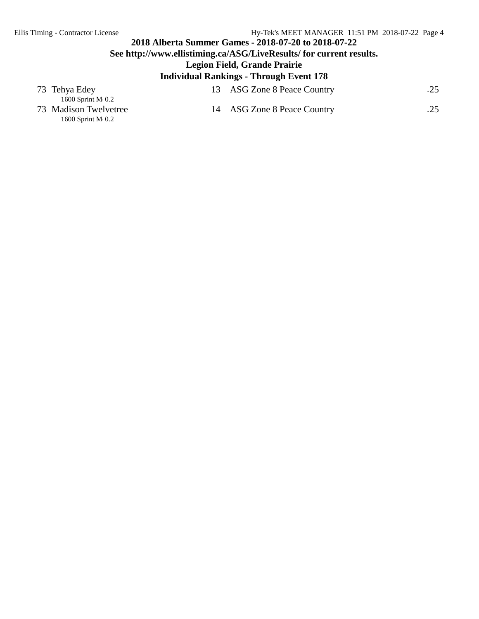#### **2018 Alberta Summer Games - 2018-07-20 to 2018-07-22 See http://www.ellistiming.ca/ASG/LiveResults/ for current results. Legion Field, Grande Prairie Individual Rankings - Through Event 178**

|                                              | Individual Kankings - Through Event 178 |     |
|----------------------------------------------|-----------------------------------------|-----|
| 73 Tehya Edey<br>$1600$ Sprint M $\cdot$ 0.2 | 13 ASG Zone 8 Peace Country             | .25 |

- 1600 Sprint Me 0.2
- 73 Madison Twelvetree 14 ASG Zone 8 Peace Country .25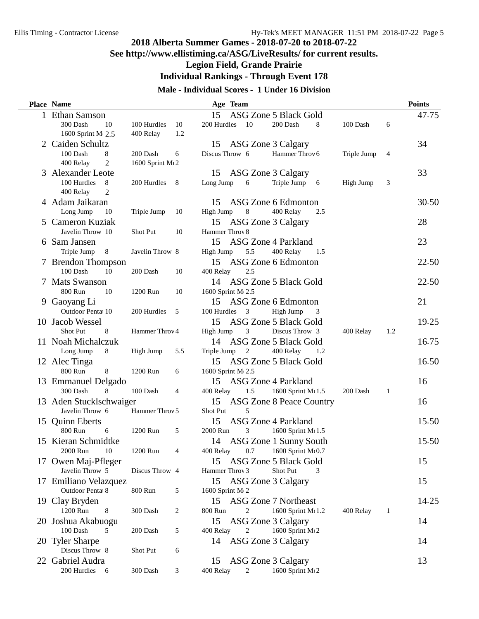### **See http://www.ellistiming.ca/ASG/LiveResults/ for current results.**

**Legion Field, Grande Prairie**

**Individual Rankings - Through Event 178**

#### **Male - Individual Scores - 1 Under 16 Division**

| <b>Place Name</b>                    |                  |                | Age Team          |                         |                             |     |             |     | <b>Points</b> |
|--------------------------------------|------------------|----------------|-------------------|-------------------------|-----------------------------|-----|-------------|-----|---------------|
| 1 Ethan Samson                       |                  |                | 15                |                         | ASG Zone 5 Black Gold       |     |             |     | 47.75         |
| 300 Dash<br>10                       | 100 Hurdles      | 10             | 200 Hurdles       | 10                      | 200 Dash                    | 8   | 100 Dash    | 6   |               |
| 1600 Sprint M <sub>2.5</sub>         | 400 Relay        | 1.2            |                   |                         |                             |     |             |     |               |
| 2 Caiden Schultz                     |                  |                | 15                |                         | ASG Zone 3 Calgary          |     |             |     | 34            |
| 100 Dash<br>8                        | 200 Dash         | 6              | Discus Throw 6    |                         | Hammer Throv 6              |     | Triple Jump | 4   |               |
| 400 Relay<br>2                       | 1600 Sprint M(2) |                |                   |                         |                             |     |             |     |               |
| 3 Alexander Leote                    |                  |                | 15                |                         | ASG Zone 3 Calgary          |     |             |     | 33            |
| 100 Hurdles<br>- 8                   | 200 Hurdles      | - 8            | Long Jump         | 6                       | Triple Jump 6               |     | High Jump   | 3   |               |
| 400 Relay<br>2                       |                  |                |                   |                         |                             |     |             |     |               |
| 4 Adam Jaikaran                      |                  |                | 15                |                         | ASG Zone 6 Edmonton         |     |             |     | 30.50         |
| Long Jump<br>10                      | Triple Jump      | 10             | High Jump         | 8                       | 400 Relay                   | 2.5 |             |     |               |
| 5 Cameron Kuziak                     |                  |                | 15                |                         | ASG Zone 3 Calgary          |     |             |     | 28            |
| Javelin Throw 10                     | Shot Put         | 10             | Hammer Throv 8    |                         |                             |     |             |     |               |
| 6 Sam Jansen                         |                  |                | 15                |                         | ASG Zone 4 Parkland         |     |             |     | 23            |
| Triple Jump<br>8                     | Javelin Throw 8  |                | High Jump         | 5.5                     | 400 Relay                   | 1.5 |             |     |               |
|                                      |                  |                |                   |                         | ASG Zone 6 Edmonton         |     |             |     | 22.50         |
| 7 Brendon Thompson<br>100 Dash<br>10 | 200 Dash         |                | 15                | 2.5                     |                             |     |             |     |               |
|                                      |                  | 10             | 400 Relay         |                         |                             |     |             |     |               |
| 7 Mats Swanson                       |                  |                |                   |                         | 14 ASG Zone 5 Black Gold    |     |             |     | 22.50         |
| 800 Run<br>10                        | 1200 Run         | 10             | 1600 Sprint M(2.5 |                         |                             |     |             |     |               |
| 9 Gaoyang Li                         |                  |                |                   |                         | 15 ASG Zone 6 Edmonton      |     |             |     | 21            |
| Outdoor Pentat 10                    | 200 Hurdles      | 5              | 100 Hurdles       | $\overline{\mathbf{3}}$ | High Jump                   | 3   |             |     |               |
| 10 Jacob Wessel                      |                  |                | 15                |                         | ASG Zone 5 Black Gold       |     |             |     | 19.25         |
| <b>Shot Put</b><br>8                 | Hammer Throv 4   |                | High Jump         | 3                       | Discus Throw 3              |     | 400 Relay   | 1.2 |               |
| 11 Noah Michalczuk                   |                  |                | 14                |                         | ASG Zone 5 Black Gold       |     |             |     | 16.75         |
| Long Jump<br>8                       | High Jump        | 5.5            | Triple Jump       | 2                       | 400 Relay                   | 1.2 |             |     |               |
| 12 Alec Tinga                        |                  |                | 15                |                         | ASG Zone 5 Black Gold       |     |             |     | 16.50         |
| 800 Run<br>8                         | 1200 Run         | 6              | 1600 Sprint M(2.5 |                         |                             |     |             |     |               |
| 13 Emmanuel Delgado                  |                  |                | 15                |                         | ASG Zone 4 Parkland         |     |             |     | 16            |
| 300 Dash<br>8                        | 100 Dash         | 4              | 400 Relay         | 1.5                     | 1600 Sprint M 1.5           |     | 200 Dash    | 1   |               |
| 13 Aden Stucklschwaiger              |                  |                |                   |                         | 15 ASG Zone 8 Peace Country |     |             |     | 16            |
| Javelin Throw 6                      | Hammer Throv 5   |                | Shot Put          | 5                       |                             |     |             |     |               |
| 15 Quinn Eberts                      |                  |                | 15                |                         | <b>ASG Zone 4 Parkland</b>  |     |             |     | 15.50         |
| 800 Run<br>6                         | 1200 Run         | 5              | 2000 Run          | 3                       | 1600 Sprint M(1.5)          |     |             |     |               |
| 15 Kieran Schmidtke                  |                  |                |                   |                         | 14 ASG Zone 1 Sunny South   |     |             |     | 15.50         |
| 2000 Run<br>- 10                     | 1200 Run         |                | 400 Relay         |                         | 0.7 1600 Sprint M $(0.7)$   |     |             |     |               |
| 17 Owen Maj-Pfleger                  |                  |                | 15                |                         | ASG Zone 5 Black Gold       |     |             |     | 15            |
| Javelin Throw 5                      | Discus Throw 4   |                | Hammer Throv 3    |                         | <b>Shot Put</b>             | 3   |             |     |               |
| 17 Emiliano Velazquez                |                  |                | 15                |                         | ASG Zone 3 Calgary          |     |             |     | 15            |
| Outdoor Pentat 8                     | 800 Run          | 5              | 1600 Sprint M(2   |                         |                             |     |             |     |               |
| 19 Clay Bryden                       |                  |                | 15                |                         | <b>ASG Zone 7 Northeast</b> |     |             |     | 14.25         |
| 1200 Run<br>8                        | 300 Dash         | $\overline{c}$ | 800 Run           | 2                       | 1600 Sprint M(1.2           |     | 400 Relay   | 1   |               |
|                                      |                  |                |                   |                         |                             |     |             |     |               |
| 20 Joshua Akabuogu                   |                  |                | 15                |                         | ASG Zone 3 Calgary          |     |             |     | 14            |
| 100 Dash<br>5                        | 200 Dash         | 5              | 400 Relay         | 2                       | 1600 Sprint M(2             |     |             |     |               |
| 20 Tyler Sharpe                      |                  |                | 14                |                         | ASG Zone 3 Calgary          |     |             |     | 14            |
| Discus Throw 8                       | Shot Put         | 6              |                   |                         |                             |     |             |     |               |
| 22 Gabriel Audra                     |                  |                | 15                |                         | ASG Zone 3 Calgary          |     |             |     | 13            |
| 200 Hurdles<br>6                     | 300 Dash         | 3              | 400 Relay         | $\overline{2}$          | 1600 Sprint M(2)            |     |             |     |               |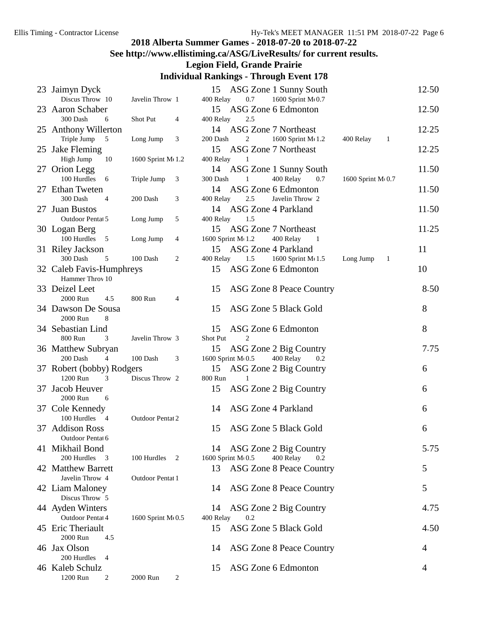## **See http://www.ellistiming.ca/ASG/LiveResults/ for current results.**

#### **Legion Field, Grande Prairie**

|     | 23 Jaimyn Dyck                          |                         |   | 15                 |     | ASG Zone 1 Sunny South      |                   |    | 12.50 |
|-----|-----------------------------------------|-------------------------|---|--------------------|-----|-----------------------------|-------------------|----|-------|
|     | Discus Throw 10                         | Javelin Throw 1         |   | 400 Relay          | 0.7 | 1600 Sprint M 0.7           |                   |    |       |
|     | 23 Aaron Schaber                        |                         |   | 15                 |     | ASG Zone 6 Edmonton         |                   |    | 12.50 |
|     | 300 Dash<br>6                           | Shot Put                | 4 | 400 Relay          | 2.5 |                             |                   |    |       |
|     | 25 Anthony Willerton                    |                         |   |                    |     | 14 ASG Zone 7 Northeast     |                   |    | 12.25 |
|     | Triple Jump<br>$\overline{\phantom{0}}$ | Long Jump               | 3 | 200 Dash           | 2   | 1600 Sprint M(1.2)          | 400 Relay         | -1 |       |
|     | 25 Jake Fleming                         |                         |   | 15                 |     | <b>ASG Zone 7 Northeast</b> |                   |    | 12.25 |
|     | High Jump<br>10                         | 1600 Sprint M 1.2       |   | 400 Relay          | 1   |                             |                   |    |       |
|     | 27 Orion Legg                           |                         |   |                    |     | 14 ASG Zone 1 Sunny South   |                   |    | 11.50 |
|     | 100 Hurdles<br>6                        | Triple Jump             | 3 | 300 Dash           | 1   | 400 Relay<br>0.7            | 1600 Sprint M(0.7 |    |       |
|     | 27 Ethan Tweten                         |                         |   | 14                 |     | ASG Zone 6 Edmonton         |                   |    | 11.50 |
|     | 300 Dash<br>4                           | 200 Dash                | 3 | 400 Relay          | 2.5 | Javelin Throw 2             |                   |    |       |
|     | 27 Juan Bustos                          |                         |   |                    |     | 14 ASG Zone 4 Parkland      |                   |    | 11.50 |
|     | Outdoor Pentat 5                        | Long Jump               | 5 | 400 Relay          | 1.5 |                             |                   |    |       |
|     | 30 Logan Berg                           |                         |   | 15                 |     | <b>ASG Zone 7 Northeast</b> |                   |    | 11.25 |
|     | 100 Hurdles 5                           | Long Jump               | 4 | 1600 Sprint M 1.2  |     | 400 Relay<br>- 1            |                   |    |       |
|     | 31 Riley Jackson                        |                         |   | 15                 |     | <b>ASG Zone 4 Parkland</b>  |                   |    | 11    |
|     | 300 Dash<br>5                           | 100 Dash                | 2 | 400 Relay          | 1.5 | 1600 Sprint M(1.5)          | Long Jump         | 1  |       |
|     | 32 Caleb Favis-Humphreys                |                         |   | 15                 |     | ASG Zone 6 Edmonton         |                   |    | 10    |
|     | Hammer Throv 10                         |                         |   |                    |     |                             |                   |    |       |
|     | 33 Deizel Leet                          |                         |   | 15                 |     | ASG Zone 8 Peace Country    |                   |    | 8.50  |
|     | 2000 Run<br>4.5                         | 800 Run                 | 4 |                    |     |                             |                   |    |       |
|     | 34 Dawson De Sousa                      |                         |   | 15                 |     | ASG Zone 5 Black Gold       |                   |    | 8     |
|     | 2000 Run<br>8                           |                         |   |                    |     |                             |                   |    |       |
|     |                                         |                         |   |                    |     |                             |                   |    |       |
|     | 34 Sebastian Lind                       |                         |   | 15                 |     | ASG Zone 6 Edmonton         |                   |    | 8     |
|     | 800 Run<br>3                            | Javelin Throw 3         |   | Shot Put           | 2   |                             |                   |    |       |
|     | 36 Matthew Subryan                      |                         |   | 15                 |     | ASG Zone 2 Big Country      |                   |    | 7.75  |
|     | 200 Dash<br>$\overline{4}$              | 100 Dash                | 3 | 1600 Sprint M(0.5) |     | 400 Relay<br>0.2            |                   |    |       |
|     | 37 Robert (bobby) Rodgers               |                         |   | 15                 |     | ASG Zone 2 Big Country      |                   |    | 6     |
|     | 1200 Run<br>3                           | Discus Throw 2          |   | 800 Run            |     |                             |                   |    |       |
| 37. | Jacob Heuver                            |                         |   | 15                 |     | ASG Zone 2 Big Country      |                   |    | 6     |
|     | 2000 Run<br>6                           |                         |   |                    |     |                             |                   |    |       |
|     | 37 Cole Kennedy                         |                         |   | 14                 |     | ASG Zone 4 Parkland         |                   |    | 6     |
|     | 100 Hurdles 4                           | <b>Outdoor Pentat 2</b> |   |                    |     |                             |                   |    |       |
|     | 37 Addison Ross                         |                         |   | 15                 |     | ASG Zone 5 Black Gold       |                   |    | 6     |
|     | Outdoor Pentat 6                        |                         |   |                    |     |                             |                   |    |       |
|     | 41 Mikhail Bond                         |                         |   | 14                 |     | ASG Zone 2 Big Country      |                   |    | 5.75  |
|     | 200 Hurdles<br>$\overline{\mathbf{3}}$  | 100 Hurdles             | 2 | 1600 Sprint M(0.5  |     | 400 Relay<br>0.2            |                   |    |       |
|     | 42 Matthew Barrett                      |                         |   | 13                 |     | ASG Zone 8 Peace Country    |                   |    | 5     |
|     | Javelin Throw 4                         | Outdoor Pentat 1        |   |                    |     |                             |                   |    |       |
|     | 42 Liam Maloney                         |                         |   | 14                 |     | ASG Zone 8 Peace Country    |                   |    | 5     |
|     | Discus Throw 5                          |                         |   |                    |     |                             |                   |    |       |
|     | 44 Ayden Winters                        |                         |   | 14                 |     | ASG Zone 2 Big Country      |                   |    | 4.75  |
|     | Outdoor Pentat 4                        | 1600 Sprint M(0.5)      |   | 400 Relay          | 0.2 |                             |                   |    |       |
|     | 45 Eric Theriault                       |                         |   | 15                 |     | ASG Zone 5 Black Gold       |                   |    | 4.50  |
|     | 2000 Run<br>4.5                         |                         |   |                    |     |                             |                   |    |       |
|     | 46 Jax Olson                            |                         |   | 14                 |     | ASG Zone 8 Peace Country    |                   |    | 4     |
|     | 200 Hurdles<br>$\overline{4}$           |                         |   |                    |     |                             |                   |    |       |
|     | 46 Kaleb Schulz                         |                         |   | 15                 |     | ASG Zone 6 Edmonton         |                   |    | 4     |
|     | 1200 Run<br>2                           | 2000 Run                | 2 |                    |     |                             |                   |    |       |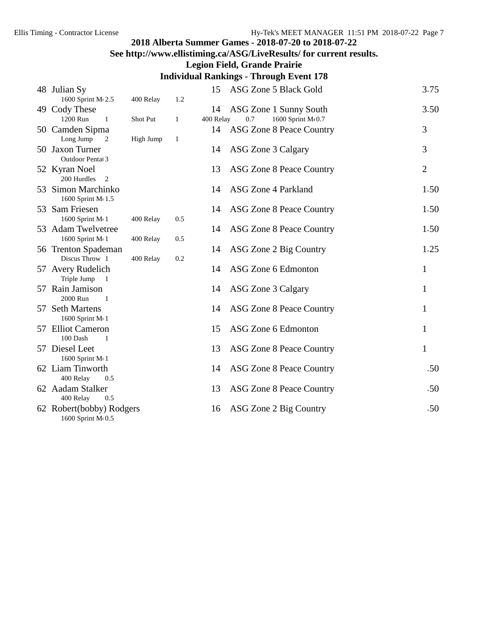### **See http://www.ellistiming.ca/ASG/LiveResults/ for current results.**

#### **Legion Field, Grande Prairie**

| 48 Julian Sy                                   |           |     | 15        | ASG Zone 5 Black Gold           | 3.75           |
|------------------------------------------------|-----------|-----|-----------|---------------------------------|----------------|
| 1600 Sprint M 2.5                              | 400 Relay | 1.2 |           |                                 |                |
| 49 Cody These                                  |           |     | 14        | ASG Zone 1 Sunny South          | 3.50           |
| 1200 Run<br>$\mathbf{1}$                       | Shot Put  | 1   | 400 Relay | 1600 Sprint M(0.7<br>0.7        |                |
| 50 Camden Sipma                                |           |     | 14        | <b>ASG Zone 8 Peace Country</b> | 3              |
| Long Jump<br>2                                 | High Jump | 1   |           |                                 |                |
| 50 Jaxon Turner                                |           |     | 14        | ASG Zone 3 Calgary              | 3              |
| <b>Outdoor Pental 3</b>                        |           |     |           |                                 | $\overline{2}$ |
| 52 Kyran Noel<br>200 Hurdles<br>$\overline{2}$ |           |     | 13        | ASG Zone 8 Peace Country        |                |
| 53 Simon Marchinko                             |           |     | 14        | ASG Zone 4 Parkland             | 1.50           |
| 1600 Sprint M(1.5)                             |           |     |           |                                 |                |
| 53 Sam Friesen                                 |           |     | 14        | ASG Zone 8 Peace Country        | 1.50           |
| 1600 Sprint M(1                                | 400 Relay | 0.5 |           |                                 |                |
| 53 Adam Twelvetree                             |           |     | 14        | ASG Zone 8 Peace Country        | 1.50           |
| 1600 Sprint M(1                                | 400 Relay | 0.5 |           |                                 |                |
| 56 Trenton Spademan                            |           |     | 14        | ASG Zone 2 Big Country          | 1.25           |
| Discus Throw 1                                 | 400 Relay | 0.2 |           |                                 |                |
| 57 Avery Rudelich                              |           |     | 14        | ASG Zone 6 Edmonton             | 1              |
| Triple Jump 1                                  |           |     |           |                                 |                |
| 57 Rain Jamison                                |           |     | 14        | ASG Zone 3 Calgary              | 1              |
| 2000 Run<br>$\overline{1}$<br>57 Seth Martens  |           |     | 14        |                                 | 1              |
| 1600 Sprint M(1                                |           |     |           | ASG Zone 8 Peace Country        |                |
| 57 Elliot Cameron                              |           |     | 15        | ASG Zone 6 Edmonton             | 1              |
| 100 Dash<br>1                                  |           |     |           |                                 |                |
| 57 Diesel Leet                                 |           |     | 13        | ASG Zone 8 Peace Country        | $\mathbf{1}$   |
| 1600 Sprint M(1                                |           |     |           |                                 |                |
| 62 Liam Tinworth                               |           |     | 14        | ASG Zone 8 Peace Country        | .50            |
| 400 Relay<br>0.5                               |           |     |           |                                 |                |
| 62 Aadam Stalker                               |           |     | 13        | ASG Zone 8 Peace Country        | .50            |
| 400 Relay<br>0.5                               |           |     |           |                                 |                |
| 62 Robert(bobby) Rodgers                       |           |     | 16        | ASG Zone 2 Big Country          | .50            |
| 1600 Sprint M 0.5                              |           |     |           |                                 |                |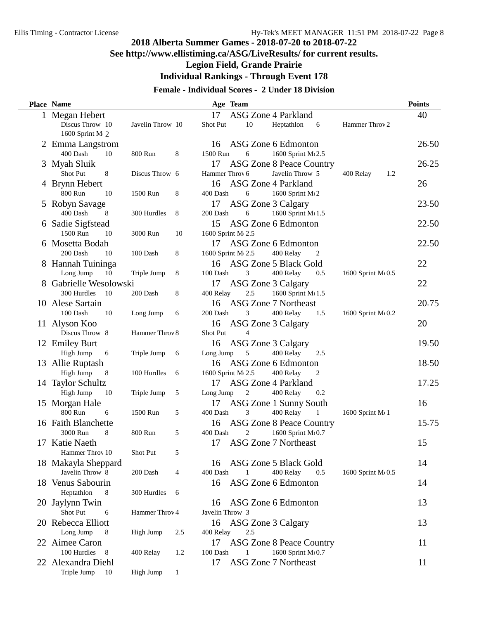### **See http://www.ellistiming.ca/ASG/LiveResults/ for current results.**

**Legion Field, Grande Prairie**

**Individual Rankings - Through Event 178**

#### **Female - Individual Scores - 2 Under 18 Division**

|    | Place Name             |                  |     |                    | Age Team       |                                 |     |                    | <b>Points</b> |
|----|------------------------|------------------|-----|--------------------|----------------|---------------------------------|-----|--------------------|---------------|
|    | 1 Megan Hebert         |                  |     | 17                 |                | ASG Zone 4 Parkland             |     |                    | 40            |
|    | Discus Throw 10        | Javelin Throw 10 |     | Shot Put           | 10             | Heptathlon                      | 6   | Hammer Throv 2     |               |
|    | 1600 Sprint M(2)       |                  |     |                    |                |                                 |     |                    |               |
|    | 2 Emma Langstrom       |                  |     | 16                 |                | ASG Zone 6 Edmonton             |     |                    | 26.50         |
|    | 400 Dash<br>10         | 800 Run          | 8   | 1500 Run           | 6              | 1600 Sprint M 2.5               |     |                    |               |
|    | 3 Myah Sluik           |                  |     | 17                 |                | ASG Zone 8 Peace Country        |     |                    | 26.25         |
|    | Shot Put<br>8          | Discus Throw 6   |     | Hammer Throy 6     |                | Javelin Throw 5                 |     | 400 Relay<br>1.2   |               |
|    | 4 Brynn Hebert         |                  |     | 16                 |                | ASG Zone 4 Parkland             |     |                    | 26            |
|    | 800 Run<br>10          | 1500 Run         | 8   | 400 Dash           | 6              | 1600 Sprint M(2)                |     |                    |               |
|    | 5 Robyn Savage         |                  |     | 17                 |                | ASG Zone 3 Calgary              |     |                    | 23.50         |
|    | 400 Dash<br>8          | 300 Hurdles      | 8   | 200 Dash           | 6              | 1600 Sprint M(1.5               |     |                    |               |
|    | 6 Sadie Sigfstead      |                  |     | 15                 |                | ASG Zone 6 Edmonton             |     |                    | 22.50         |
|    | 1500 Run<br>10         | 3000 Run         | 10  | 1600 Sprint M 2.5  |                |                                 |     |                    |               |
|    | 6 Mosetta Bodah        |                  |     | 17                 |                | ASG Zone 6 Edmonton             |     |                    | 22.50         |
|    | 200 Dash<br>10         | 100 Dash         | 8   | 1600 Sprint M(2.5) |                | 400 Relay                       | 2   |                    |               |
|    | 8 Hannah Tuininga      |                  |     | 16                 |                | ASG Zone 5 Black Gold           |     |                    | 22            |
|    | Long Jump<br>10        | Triple Jump      | 8   | 100 Dash           | 3              | 400 Relay                       | 0.5 | 1600 Sprint M(0.5) |               |
|    | 8 Gabrielle Wesolowski |                  |     | 17                 |                | ASG Zone 3 Calgary              |     |                    | 22            |
|    | 300 Hurdles<br>10      | 200 Dash         | 8   | 400 Relay          | 2.5            | 1600 Sprint M 1.5               |     |                    |               |
|    | 10 Alese Sartain       |                  |     | 16                 |                | <b>ASG Zone 7 Northeast</b>     |     |                    | 20.75         |
|    | 100 Dash<br>10         | Long Jump        | 6   | 200 Dash           | 3              | 400 Relay                       | 1.5 | 1600 Sprint M(0.2) |               |
|    | 11 Alyson Koo          |                  |     | 16                 |                | ASG Zone 3 Calgary              |     |                    | 20            |
|    | Discus Throw 8         | Hammer Throv 8   |     | Shot Put           | $\overline{4}$ |                                 |     |                    |               |
|    | 12 Emiley Burt         |                  |     | 16                 |                | ASG Zone 3 Calgary              |     |                    | 19.50         |
|    | High Jump<br>6         | Triple Jump      | 6   | Long Jump          | 5              | 400 Relay                       | 2.5 |                    |               |
|    | 13 Allie Ruptash       |                  |     | 16                 |                | ASG Zone 6 Edmonton             |     |                    | 18.50         |
|    | High Jump<br>8         | 100 Hurdles      | 6   | 1600 Sprint M(2.5) |                | 400 Relay                       | 2   |                    |               |
|    | 14 Taylor Schultz      |                  |     | 17                 |                | ASG Zone 4 Parkland             |     |                    | 17.25         |
|    | High Jump<br>10        | Triple Jump      | 5   | Long Jump          | 2              | 400 Relay                       | 0.2 |                    |               |
|    | 15 Morgan Hale         |                  |     | 17                 |                | ASG Zone 1 Sunny South          |     |                    | 16            |
|    | 800 Run<br>6           | 1500 Run         | 5   | 400 Dash           | 3              | 400 Relay                       | -1  | 1600 Sprint M 1    |               |
|    | 16 Faith Blanchette    |                  |     | 16                 |                | ASG Zone 8 Peace Country        |     |                    | 15.75         |
|    | 3000 Run<br>8          | 800 Run          | 5   | 400 Dash           | 2              | 1600 Sprint M 0.7               |     |                    |               |
|    | 17 Katie Naeth         |                  |     | 17                 |                | <b>ASG Zone 7 Northeast</b>     |     |                    | 15            |
|    | Hammer Throv 10        | Shot Put         | 5   |                    |                |                                 |     |                    |               |
|    | 18 Makayla Sheppard    |                  |     | 16                 |                | ASG Zone 5 Black Gold           |     |                    | 14            |
|    | Javelin Throw 8        | 200 Dash         | 4   | 400 Dash           | 1              | 400 Relay                       | 0.5 | 1600 Sprint M(0.5  |               |
|    | 18 Venus Sabourin      |                  |     | 16                 |                | ASG Zone 6 Edmonton             |     |                    | 14            |
|    | Heptathlon<br>8        | 300 Hurdles      | 6   |                    |                |                                 |     |                    |               |
| 20 | Jaylynn Twin           |                  |     | 16                 |                | ASG Zone 6 Edmonton             |     |                    | 13            |
|    | Shot Put<br>6          | Hammer Throv 4   |     | Javelin Throw 3    |                |                                 |     |                    |               |
|    | 20 Rebecca Elliott     |                  |     | 16                 |                | ASG Zone 3 Calgary              |     |                    | 13            |
|    | Long Jump<br>8         | High Jump        | 2.5 | 400 Relay          | 2.5            |                                 |     |                    |               |
|    | 22 Aimee Caron         |                  |     | 17                 |                | <b>ASG Zone 8 Peace Country</b> |     |                    | 11            |
|    | 100 Hurdles<br>- 8     | 400 Relay        | 1.2 | 100 Dash           | 1              | 1600 Sprint M 0.7               |     |                    |               |
|    | 22 Alexandra Diehl     |                  |     | 17                 |                | <b>ASG Zone 7 Northeast</b>     |     |                    | 11            |
|    | Triple Jump<br>10      | High Jump        | 1   |                    |                |                                 |     |                    |               |
|    |                        |                  |     |                    |                |                                 |     |                    |               |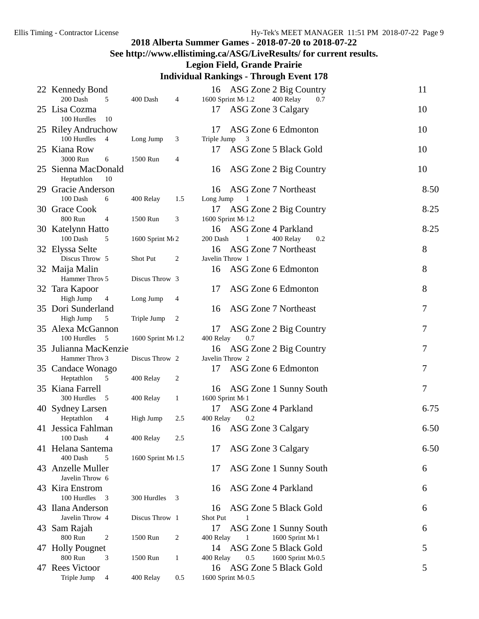### **See http://www.ellistiming.ca/ASG/LiveResults/ for current results.**

#### **Legion Field, Grande Prairie**

|    | 22 Kennedy Bond                         |                    |              | 16              |                     | ASG Zone 2 Big Country     | 11   |
|----|-----------------------------------------|--------------------|--------------|-----------------|---------------------|----------------------------|------|
|    | 200 Dash<br>5                           | 400 Dash           | 4            |                 | 1600 Sprint M(1.2)  | 400 Relay<br>0.7           |      |
|    | 25 Lisa Cozma<br>100 Hurdles<br>10      |                    |              | 17              | ASG Zone 3 Calgary  |                            | 10   |
|    | 25 Riley Andruchow                      |                    |              | 17              |                     | ASG Zone 6 Edmonton        | 10   |
|    | 100 Hurdles 4                           | Long Jump          | 3            | Triple Jump     | 3                   |                            |      |
|    | 25 Kiana Row                            |                    |              | 17              |                     | ASG Zone 5 Black Gold      | 10   |
|    | 3000 Run<br>6                           | 1500 Run           | 4            |                 |                     |                            |      |
|    | 25 Sienna MacDonald<br>Heptathlon<br>10 |                    |              | 16              |                     | ASG Zone 2 Big Country     | 10   |
|    | 29 Gracie Anderson                      |                    |              | 16              |                     | ASG Zone 7 Northeast       | 8.50 |
|    | 100 Dash<br>6                           | 400 Relay          | 1.5          | Long Jump       |                     |                            |      |
|    | 30 Grace Cook                           |                    |              | 17              |                     | ASG Zone 2 Big Country     | 8.25 |
|    | 800 Run<br>$\overline{4}$               | 1500 Run           | 3            |                 | 1600 Sprint M(1.2   |                            |      |
|    | 30 Katelynn Hatto                       |                    |              | 16              | ASG Zone 4 Parkland |                            | 8.25 |
|    | 100 Dash<br>5                           | 1600 Sprint M(2)   |              | 200 Dash        | 1                   | 400 Relay<br>0.2           |      |
|    | 32 Elyssa Selte                         |                    |              | 16              |                     | ASG Zone 7 Northeast       | 8    |
|    | Discus Throw 5                          | Shot Put           | 2            | Javelin Throw 1 |                     |                            |      |
|    | 32 Maija Malin                          |                    |              | 16              |                     | ASG Zone 6 Edmonton        | 8    |
|    | Hammer Throv 5                          | Discus Throw 3     |              |                 |                     |                            |      |
|    | 32 Tara Kapoor                          |                    |              | 17              |                     | ASG Zone 6 Edmonton        | 8    |
|    | High Jump<br>$\overline{4}$             | Long Jump          | 4            |                 |                     |                            |      |
|    | 35 Dori Sunderland                      |                    |              | 16              |                     | ASG Zone 7 Northeast       | 7    |
|    | High Jump<br>5                          | Triple Jump        | 2            |                 |                     |                            |      |
|    | 35 Alexa McGannon                       |                    |              | 17              |                     | ASG Zone 2 Big Country     | 7    |
|    | 100 Hurdles<br>5                        | 1600 Sprint M(1.2) |              | 400 Relay       | 0.7                 |                            |      |
|    | 35 Julianna MacKenzie                   |                    |              | 16              |                     | ASG Zone 2 Big Country     | 7    |
|    | Hammer Throv 3                          | Discus Throw 2     |              | Javelin Throw 2 |                     |                            |      |
|    | 35 Candace Wonago                       |                    |              | 17              |                     | ASG Zone 6 Edmonton        | 7    |
|    | Heptathlon<br>5                         | 400 Relay          | 2            |                 |                     |                            |      |
|    | 35 Kiana Farrell                        |                    |              | 16              |                     | ASG Zone 1 Sunny South     | 7    |
|    | 300 Hurdles 5                           | 400 Relay          | 1            | 1600 Sprint M(1 |                     |                            |      |
|    | 40 Sydney Larsen                        |                    |              | 17              | ASG Zone 4 Parkland |                            | 6.75 |
|    | Heptathlon<br>4                         | High Jump          | 2.5          | 400 Relay       | 0.2                 |                            |      |
|    | 41 Jessica Fahlman                      |                    |              | 16              | ASG Zone 3 Calgary  |                            | 6.50 |
|    | 100 Dash<br>$\overline{\mathbf{4}}$     | 400 Relay          | 2.5          |                 |                     |                            |      |
|    | 41 Helana Santema<br>400 Dash<br>5      | 1600 Sprint M(1.5) |              | 17              | ASG Zone 3 Calgary  |                            | 6.50 |
|    | 43 Anzelle Muller<br>Javelin Throw 6    |                    |              | 17              |                     | ASG Zone 1 Sunny South     | 6    |
|    | 43 Kira Enstrom                         |                    |              | 16              |                     | <b>ASG Zone 4 Parkland</b> | 6    |
|    | 100 Hurdles<br>- 3                      | 300 Hurdles        | 3            |                 |                     |                            |      |
|    | 43 Ilana Anderson                       |                    |              | 16              |                     | ASG Zone 5 Black Gold      | 6    |
|    | Javelin Throw 4                         | Discus Throw 1     |              | Shot Put        |                     |                            |      |
| 43 | Sam Rajah                               |                    |              | 17              |                     | ASG Zone 1 Sunny South     | 6    |
|    | 800 Run<br>$\overline{c}$               | 1500 Run           | 2            | 400 Relay       | 1                   | 1600 Sprint M 1            |      |
|    | 47 Holly Pougnet                        |                    |              | 14              |                     | ASG Zone 5 Black Gold      | 5    |
|    | 800 Run<br>3                            | 1500 Run           | $\mathbf{1}$ | 400 Relay       | 0.5                 | 1600 Sprint M 0.5          |      |
|    | 47 Rees Victoor                         |                    |              | 16              |                     | ASG Zone 5 Black Gold      | 5    |
|    | Triple Jump<br>$\overline{4}$           | 400 Relay          | 0.5          |                 | 1600 Sprint M(0.5   |                            |      |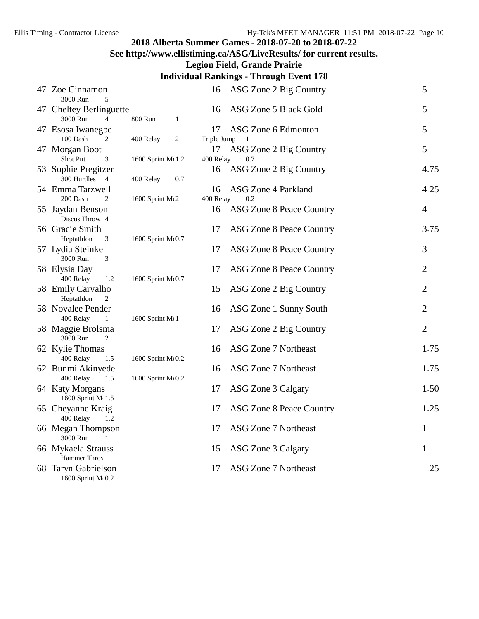### **See http://www.ellistiming.ca/ASG/LiveResults/ for current results.**

**Legion Field, Grande Prairie**

| 47 Zoe Cinnamon<br>3000 Run           |                   | 16          | ASG Zone 2 Big Country          | 5              |
|---------------------------------------|-------------------|-------------|---------------------------------|----------------|
| 5<br>47 Cheltey Berlinguette          |                   | 16          | ASG Zone 5 Black Gold           | 5              |
| 3000 Run<br>$\overline{4}$            | 800 Run<br>1      |             |                                 |                |
| 47 Esosa Iwanegbe                     |                   | 17          | ASG Zone 6 Edmonton             | 5              |
| 100 Dash<br>2                         | 400 Relay<br>2    | Triple Jump |                                 |                |
| 47 Morgan Boot                        |                   | 17          | ASG Zone 2 Big Country          | 5              |
| <b>Shot Put</b><br>3                  | 1600 Sprint M(1.2 | 400 Relay   | 0.7                             |                |
| 53 Sophie Pregitzer                   |                   | 16          | ASG Zone 2 Big Country          | 4.75           |
| 300 Hurdles 4                         | 400 Relay         | 0.7         |                                 |                |
| 54 Emma Tarzwell                      |                   | 16          | ASG Zone 4 Parkland             | 4.25           |
| 200 Dash<br>2                         | 1600 Sprint M(2)  | 400 Relay   | 0.2                             |                |
| 55 Jaydan Benson<br>Discus Throw 4    |                   | 16          | <b>ASG Zone 8 Peace Country</b> | $\overline{4}$ |
| 56 Gracie Smith                       |                   | 17          | <b>ASG Zone 8 Peace Country</b> | 3.75           |
| Heptathlon<br>3                       | 1600 Sprint M(0.7 |             |                                 |                |
| 57 Lydia Steinke                      |                   | 17          | ASG Zone 8 Peace Country        | 3              |
| 3000 Run<br>3                         |                   |             |                                 |                |
| 58 Elysia Day                         |                   | 17          | ASG Zone 8 Peace Country        | $\mathbf{2}$   |
| 400 Relay<br>1.2                      | 1600 Sprint M(0.7 |             |                                 |                |
| 58 Emily Carvalho                     |                   | 15          | ASG Zone 2 Big Country          | $\mathbf{2}$   |
| Heptathlon<br>2                       |                   |             |                                 |                |
| 58 Novalee Pender                     |                   | 16          | ASG Zone 1 Sunny South          | 2              |
| 400 Relay<br>$\mathbf{1}$             | 1600 Sprint M(1   |             |                                 |                |
| 58 Maggie Brolsma                     |                   | 17          | ASG Zone 2 Big Country          | $\overline{2}$ |
| 3000 Run<br>2                         |                   |             |                                 |                |
| 62 Kylie Thomas                       |                   | 16          | ASG Zone 7 Northeast            | 1.75           |
| 400 Relay<br>1.5                      | 1600 Sprint M(0.2 |             |                                 |                |
| 62 Bunmi Akinyede                     |                   | 16          | ASG Zone 7 Northeast            | 1.75           |
| 400 Relay<br>1.5                      | 1600 Sprint M(0.2 |             |                                 |                |
| 64 Katy Morgans<br>1600 Sprint M(1.5) |                   | 17          | ASG Zone 3 Calgary              | 1.50           |
| 65 Cheyanne Kraig                     |                   | 17          | <b>ASG Zone 8 Peace Country</b> | 1.25           |
| 400 Relay<br>1.2                      |                   |             |                                 |                |
| 66 Megan Thompson                     |                   | 17          | <b>ASG Zone 7 Northeast</b>     | 1              |
| 3000 Run<br>$\mathbf{1}$              |                   |             |                                 |                |
| 66 Mykaela Strauss                    |                   | 15          | ASG Zone 3 Calgary              | 1              |
| Hammer Throv 1                        |                   |             |                                 |                |
| 68 Taryn Gabrielson                   |                   | 17          | <b>ASG Zone 7 Northeast</b>     | .25            |
| 1600 Sprint M(0.2                     |                   |             |                                 |                |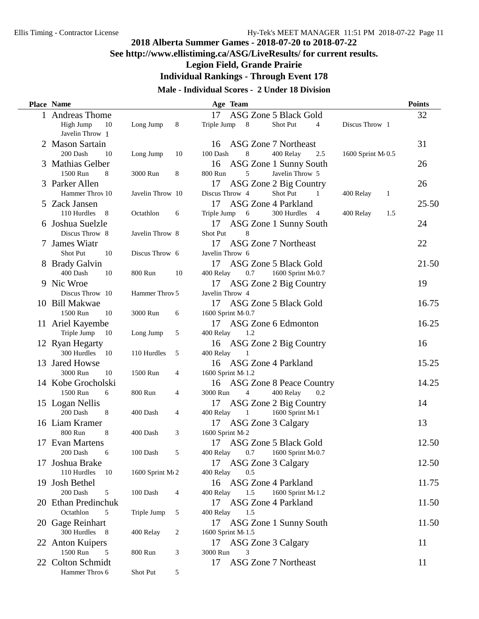### **See http://www.ellistiming.ca/ASG/LiveResults/ for current results.**

**Legion Field, Grande Prairie**

**Individual Rankings - Through Event 178**

#### **Male - Individual Scores - 2 Under 18 Division**

| <b>Place Name</b>                |                  |                | Age Team                                                              | <b>Points</b> |
|----------------------------------|------------------|----------------|-----------------------------------------------------------------------|---------------|
| 1 Andreas Thome                  |                  |                | ASG Zone 5 Black Gold<br>17                                           | 32            |
| High Jump<br>10                  | Long Jump        | 8              | Triple Jump<br>8<br>Shot Put<br>Discus Throw 1<br>4                   |               |
| Javelin Throw 1                  |                  |                |                                                                       |               |
| 2 Mason Sartain                  |                  |                | ASG Zone 7 Northeast<br>16                                            | 31            |
| 200 Dash<br>10                   | Long Jump        | 10             | 100 Dash<br>8<br>400 Relay<br>2.5<br>1600 Sprint M 0.5                |               |
| 3 Mathias Gelber                 |                  |                | ASG Zone 1 Sunny South<br>16                                          | 26            |
| 1500 Run<br>8                    | 3000 Run         | 8              | Javelin Throw 5<br>800 Run<br>5                                       |               |
| 3 Parker Allen                   |                  |                | ASG Zone 2 Big Country<br>17                                          | 26            |
| Hammer Throv 10                  | Javelin Throw 10 |                | Discus Throw 4<br>Shot Put<br>1<br>400 Relay<br>1                     |               |
| 5 Zack Jansen                    |                  |                | <b>ASG Zone 4 Parkland</b><br>17                                      | 25.50         |
| 110 Hurdles<br>8                 | Octathlon        | 6              | Triple Jump<br>6<br>300 Hurdles<br>400 Relay<br>1.5<br>$\overline{4}$ |               |
| 6 Joshua Suelzle                 |                  |                | ASG Zone 1 Sunny South<br>17                                          | 24            |
| Discus Throw 8                   | Javelin Throw 8  |                | Shot Put<br>8                                                         |               |
| 7 James Wiatr                    |                  |                | 17<br><b>ASG Zone 7 Northeast</b>                                     | 22            |
| Shot Put<br>10                   | Discus Throw 6   |                | Javelin Throw 6                                                       |               |
|                                  |                  |                | 17                                                                    |               |
| 8 Brady Galvin<br>400 Dash<br>10 | 800 Run          |                | ASG Zone 5 Black Gold<br>0.7<br>1600 Sprint M(0.7<br>400 Relay        | 21.50         |
|                                  |                  | 10             |                                                                       |               |
| 9 Nic Wroe                       |                  |                | 17<br>ASG Zone 2 Big Country                                          | 19            |
| Discus Throw 10                  | Hammer Throv 5   |                | Javelin Throw 4                                                       |               |
| 10 Bill Makwae                   |                  |                | 17<br>ASG Zone 5 Black Gold                                           | 16.75         |
| 1500 Run<br>10                   | 3000 Run         | 6              | 1600 Sprint M(0.7                                                     |               |
| 11 Ariel Kayembe                 |                  |                | 17<br>ASG Zone 6 Edmonton                                             | 16.25         |
| Triple Jump<br>- 10              | Long Jump        | 5              | 400 Relay<br>1.2                                                      |               |
| 12 Ryan Hegarty                  |                  |                | ASG Zone 2 Big Country<br>16                                          | 16            |
| 300 Hurdles 10                   | 110 Hurdles      | 5              | 400 Relay                                                             |               |
| 13 Jared Howse                   |                  |                | ASG Zone 4 Parkland<br>16                                             | 15.25         |
| 3000 Run<br>10                   | 1500 Run         | 4              | 1600 Sprint M 1.2                                                     |               |
| 14 Kobe Grocholski               |                  |                | ASG Zone 8 Peace Country<br>16                                        | 14.25         |
| 1500 Run<br>6                    | 800 Run          | $\overline{4}$ | 3000 Run<br>400 Relay<br>$\overline{4}$<br>0.2                        |               |
| 15 Logan Nellis                  |                  |                | ASG Zone 2 Big Country<br>17                                          | 14            |
| 200 Dash<br>8                    | 400 Dash         | 4              | 1600 Sprint M(1<br>400 Relay<br>1                                     |               |
| 16 Liam Kramer                   |                  |                | ASG Zone 3 Calgary<br>17                                              | 13            |
| 800 Run<br>8                     | 400 Dash         | 3              | 1600 Sprint M(2                                                       |               |
| 17 Evan Martens                  |                  |                | ASG Zone 5 Black Gold<br>17                                           | 12.50         |
| 200 Dash<br>6                    | 100 Dash         | 5              | 400 Relay<br>0.7<br>1600 Sprint M $(0.7)$                             |               |
| 17 Joshua Brake                  |                  |                | ASG Zone 3 Calgary<br>17                                              | 12.50         |
| 110 Hurdles<br>10                | 1600 Sprint M(2  |                | 400 Relay<br>0.5                                                      |               |
| 19 Josh Bethel                   |                  |                | <b>ASG Zone 4 Parkland</b><br>16                                      | 11.75         |
| 200 Dash<br>5                    | 100 Dash         | 4              | 1600 Sprint M(1.2<br>400 Relay<br>1.5                                 |               |
| 20 Ethan Predinchuk              |                  |                | ASG Zone 4 Parkland<br>17                                             | 11.50         |
| Octathlon<br>5                   | Triple Jump      | 5              | 400 Relay<br>1.5                                                      |               |
| 20 Gage Reinhart                 |                  |                | ASG Zone 1 Sunny South<br>17                                          | 11.50         |
| 300 Hurdles<br>- 8               | 400 Relay        | 2              | 1600 Sprint M(1.5)                                                    |               |
| 22 Anton Kuipers                 |                  |                | ASG Zone 3 Calgary<br>17                                              | 11            |
| 1500 Run<br>5                    | 800 Run          | 3              | 3000 Run<br>3                                                         |               |
| 22 Colton Schmidt                |                  |                | 17<br><b>ASG Zone 7 Northeast</b>                                     | 11            |
| Hammer Throv 6                   | Shot Put         | $\sqrt{5}$     |                                                                       |               |
|                                  |                  |                |                                                                       |               |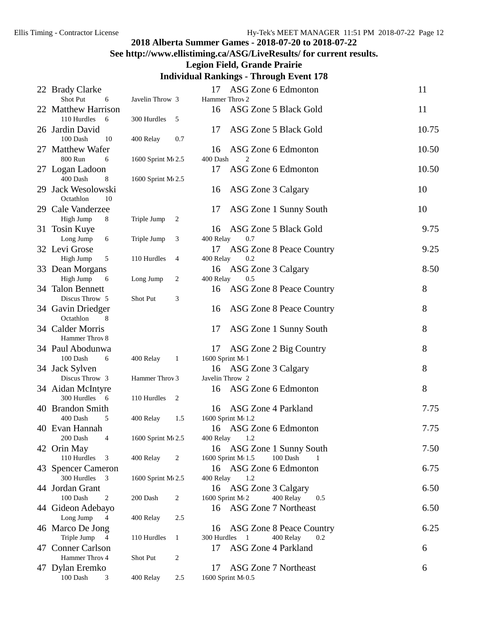### **See http://www.ellistiming.ca/ASG/LiveResults/ for current results. Legion Field, Grande Prairie**

| 22 Brady Clarke                        |                            | 17          | ASG Zone 6 Edmonton                  | 11    |
|----------------------------------------|----------------------------|-------------|--------------------------------------|-------|
| Shot Put<br>6                          | Javelin Throw 3            |             | Hammer Throv 2                       |       |
| 22 Matthew Harrison                    |                            | 16          | ASG Zone 5 Black Gold                | 11    |
| 110 Hurdles<br>- 6                     | 300 Hurdles<br>5           |             |                                      |       |
| 26 Jardin David                        |                            | 17          | ASG Zone 5 Black Gold                | 10.75 |
| 100 Dash<br>10                         | 400 Relay<br>0.7           |             |                                      |       |
| 27 Matthew Wafer                       |                            | 16          | ASG Zone 6 Edmonton                  | 10.50 |
| 800 Run<br>6                           | 1600 Sprint M(2.5          | 400 Dash    | 2                                    |       |
| 27 Logan Ladoon                        |                            | 17          | ASG Zone 6 Edmonton                  | 10.50 |
| 400 Dash<br>8                          | 1600 Sprint M(2.5          |             |                                      |       |
| 29 Jack Wesolowski                     |                            | 16          | ASG Zone 3 Calgary                   | 10    |
| Octathlon<br>10                        |                            |             |                                      |       |
| 29 Cale Vanderzee                      |                            |             |                                      | 10    |
|                                        |                            | 17          | ASG Zone 1 Sunny South               |       |
| High Jump<br>8                         | Triple Jump<br>2           |             |                                      |       |
| 31 Tosin Kuye                          |                            | 16          | ASG Zone 5 Black Gold                | 9.75  |
| Long Jump<br>6                         | Triple Jump<br>3           | 400 Relay   | 0.7                                  |       |
| 32 Levi Grose                          |                            | 17          | <b>ASG Zone 8 Peace Country</b>      | 9.25  |
| High Jump<br>5                         | 110 Hurdles<br>4           | 400 Relay   | 0.2                                  |       |
| 33 Dean Morgans                        |                            | 16          | ASG Zone 3 Calgary                   | 8.50  |
| High Jump<br>6                         | Long Jump<br>2             | 400 Relay   | 0.5                                  |       |
| 34 Talon Bennett                       |                            | 16          | <b>ASG Zone 8 Peace Country</b>      | 8     |
| Discus Throw 5                         | Shot Put<br>3              |             |                                      |       |
| 34 Gavin Driedger                      |                            | 16          | ASG Zone 8 Peace Country             | 8     |
| Octathlon<br>8                         |                            |             |                                      |       |
| 34 Calder Morris                       |                            | 17          | ASG Zone 1 Sunny South               | 8     |
| Hammer Throv 8                         |                            |             |                                      |       |
| 34 Paul Abodunwa                       |                            | 17          | ASG Zone 2 Big Country               | 8     |
| 100 Dash<br>6                          | 400 Relay<br>$\mathbf{1}$  |             | 1600 Sprint M(1                      |       |
| 34 Jack Sylven                         |                            | 16          | ASG Zone 3 Calgary                   | 8     |
| Discus Throw 3                         | Hammer Throv 3             |             | Javelin Throw 2                      |       |
|                                        |                            |             |                                      | 8     |
| 34 Aidan McIntyre                      |                            | 16          | ASG Zone 6 Edmonton                  |       |
| 300 Hurdles 6                          | 110 Hurdles<br>2           |             |                                      |       |
| 40 Brandon Smith                       |                            | 16          | ASG Zone 4 Parkland                  | 7.75  |
| 400 Dash<br>5                          | 400 Relay<br>1.5           |             | 1600 Sprint M 1.2                    |       |
| 40 Evan Hannah                         |                            | 16          | ASG Zone 6 Edmonton                  | 7.75  |
| 200 Dash<br>$\overline{4}$             | 1600 Sprint M(2.5          | 400 Relay   | 1.2                                  |       |
| 42 Orin May                            |                            | 16          | ASG Zone 1 Sunny South               | 7.50  |
| 110 Hurdles<br>3                       | 400 Relay<br>2             |             | 100 Dash<br>1600 Sprint M(1.5)       |       |
| 43 Spencer Cameron                     |                            |             | 16 ASG Zone 6 Edmonton               | 6.75  |
| 300 Hurdles<br>$\overline{\mathbf{3}}$ | 1600 Sprint M 2.5          | 400 Relay   | 1.2                                  |       |
| 44 Jordan Grant                        |                            | 16          | ASG Zone 3 Calgary                   | 6.50  |
| 100 Dash<br>$\overline{c}$             | 200 Dash<br>2              |             | 400 Relay<br>1600 Sprint M(2)<br>0.5 |       |
| 44 Gideon Adebayo                      |                            | 16          | <b>ASG Zone 7 Northeast</b>          | 6.50  |
| Long Jump<br>$\overline{4}$            | 400 Relay<br>2.5           |             |                                      |       |
| 46 Marco De Jong                       |                            | 16          | ASG Zone 8 Peace Country             | 6.25  |
| Triple Jump<br>4                       | 110 Hurdles<br>1           | 300 Hurdles | 400 Relay<br>0.2                     |       |
| 47 Conner Carlson                      |                            | 17          | <b>ASG Zone 4 Parkland</b>           | 6     |
| Hammer Throv 4                         | Shot Put<br>$\overline{c}$ |             |                                      |       |
| 47 Dylan Eremko                        |                            | 17          | ASG Zone 7 Northeast                 | 6     |
| $100$ Dash $\,$<br>3                   | 400 Relay<br>2.5           |             | 1600 Sprint M(0.5                    |       |
|                                        |                            |             |                                      |       |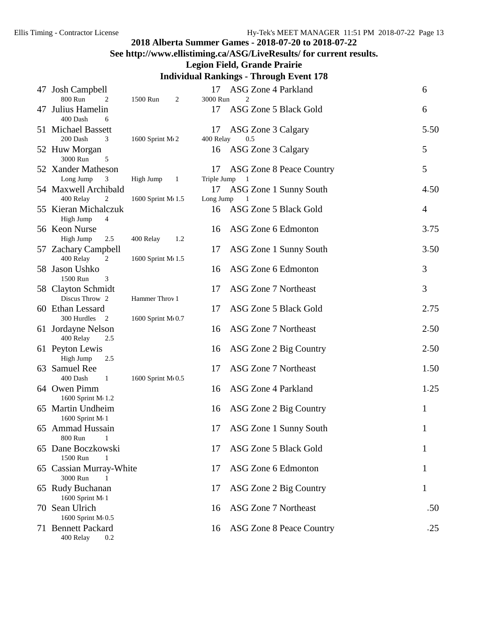### **See http://www.ellistiming.ca/ASG/LiveResults/ for current results.**

#### **Legion Field, Grande Prairie**

|    | 47 Josh Campbell                                    |                           | 17                | ASG Zone 4 Parkland                     | 6              |
|----|-----------------------------------------------------|---------------------------|-------------------|-----------------------------------------|----------------|
| 47 | 800 Run<br>$\overline{2}$<br>Julius Hamelin         | 1500 Run<br>2             | 3000 Run<br>17    | $\overline{c}$<br>ASG Zone 5 Black Gold | 6              |
|    | 400 Dash<br>6<br>51 Michael Bassett                 |                           | 17                | ASG Zone 3 Calgary                      | 5.50           |
|    | 3<br>200 Dash<br>52 Huw Morgan<br>3000 Run<br>5     | 1600 Sprint M(2)          | 400 Relay<br>16   | 0.5<br>ASG Zone 3 Calgary               | 5              |
|    | 52 Xander Matheson<br>Long Jump<br>3                | High Jump<br>$\mathbf{1}$ | 17<br>Triple Jump | ASG Zone 8 Peace Country                | 5              |
|    | 54 Maxwell Archibald<br>400 Relay<br>$\overline{c}$ | 1600 Sprint M(1.5)        | 17<br>Long Jump   | ASG Zone 1 Sunny South<br>-1            | 4.50           |
|    | 55 Kieran Michalczuk<br>High Jump<br>4              |                           | 16                | ASG Zone 5 Black Gold                   | $\overline{4}$ |
|    | 56 Keon Nurse<br>High Jump<br>2.5                   | 400 Relay<br>1.2          | 16                | ASG Zone 6 Edmonton                     | 3.75           |
|    | 57 Zachary Campbell<br>400 Relay<br>$\overline{c}$  | 1600 Sprint M(1.5)        | 17                | ASG Zone 1 Sunny South                  | 3.50           |
|    | 58 Jason Ushko<br>1500 Run<br>3                     |                           | 16                | ASG Zone 6 Edmonton                     | 3              |
|    | 58 Clayton Schmidt<br>Discus Throw 2                | Hammer Throv 1            | 17                | <b>ASG Zone 7 Northeast</b>             | 3              |
|    | 60 Ethan Lessard<br>300 Hurdles 2                   | 1600 Sprint M(0.7         | 17                | ASG Zone 5 Black Gold                   | 2.75           |
|    | 61 Jordayne Nelson<br>400 Relay<br>2.5              |                           | 16                | ASG Zone 7 Northeast                    | 2.50           |
|    | 61 Peyton Lewis<br>High Jump<br>2.5                 |                           | 16                | ASG Zone 2 Big Country                  | 2.50           |
|    | 63 Samuel Ree<br>400 Dash<br>$\mathbf{1}$           | 1600 Sprint M(0.5         | 17                | ASG Zone 7 Northeast                    | 1.50           |
|    | 64 Owen Pimm<br>1600 Sprint M(1.2)                  |                           | 16                | ASG Zone 4 Parkland                     | 1.25           |
|    | 65 Martin Undheim<br>1600 Sprint M(1                |                           | 16                | ASG Zone 2 Big Country                  | 1              |
|    | 65 Ammad Hussain<br>800 Run<br>1                    |                           | 17                | ASG Zone 1 Sunny South                  | $\mathbf{1}$   |
|    | 65 Dane Boczkowski<br>1500 Run                      |                           | 17                | ASG Zone 5 Black Gold                   |                |
|    | 65 Cassian Murray-White<br>3000 Run                 |                           | 17                | ASG Zone 6 Edmonton                     |                |
|    | 65 Rudy Buchanan<br>1600 Sprint M(1                 |                           | 17                | ASG Zone 2 Big Country                  | 1              |
|    | 70 Sean Ulrich<br>1600 Sprint M 0.5                 |                           | 16                | ASG Zone 7 Northeast                    | .50            |
|    | 71 Bennett Packard<br>400 Relay<br>0.2              |                           | 16                | ASG Zone 8 Peace Country                | .25            |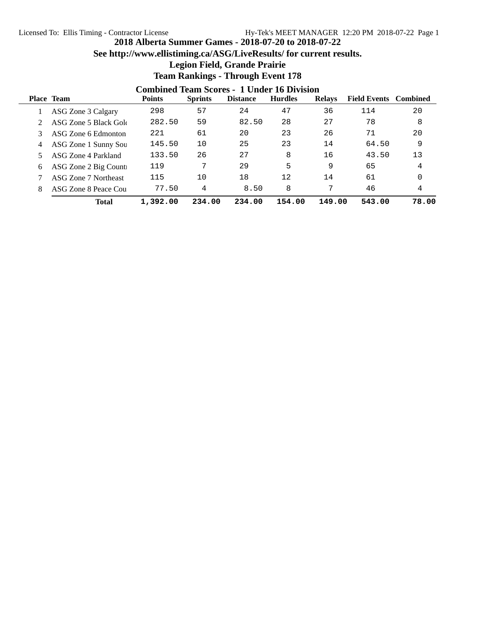### **See http://www.ellistiming.ca/ASG/LiveResults/ for current results.**

### **Legion Field, Grande Prairie**

|   | <b>Combined Team Scores - 1 Under 16 Division</b> |               |                |                 |                |               |                              |       |  |  |
|---|---------------------------------------------------|---------------|----------------|-----------------|----------------|---------------|------------------------------|-------|--|--|
|   | <b>Place Team</b>                                 | <b>Points</b> | <b>Sprints</b> | <b>Distance</b> | <b>Hurdles</b> | <b>Relays</b> | <b>Field Events</b> Combined |       |  |  |
|   | ASG Zone 3 Calgary                                | 298           | 57             | 24              | 47             | 36            | 114                          | 20    |  |  |
|   | ASG Zone 5 Black Gold                             | 282.50        | 59             | 82.50           | 28             | 27            | 78                           | 8     |  |  |
|   | ASG Zone 6 Edmonton                               | 221           | 61             | 20              | 23             | 26            | 71                           | 20    |  |  |
| 4 | ASG Zone 1 Sunny Sou                              | 145.50        | 10             | 25              | 23             | 14            | 64.50                        | 9     |  |  |
|   | ASG Zone 4 Parkland                               | 133.50        | 26             | 27              | 8              | 16            | 43.50                        | 13    |  |  |
| 6 | ASG Zone 2 Big Counti                             | 119           | 7              | 29              | 5              | 9             | 65                           | 4     |  |  |
|   | ASG Zone 7 Northeast                              | 115           | 10             | 18              | 12             | 14            | 61                           | 0     |  |  |
|   | ASG Zone 8 Peace Cou                              | 77.50         | 4              | 8.50            | 8              | 7             | 46                           | 4     |  |  |
|   | <b>Total</b>                                      | 1,392.00      | 234.00         | 234.00          | 154.00         | 149.00        | 543.00                       | 78.00 |  |  |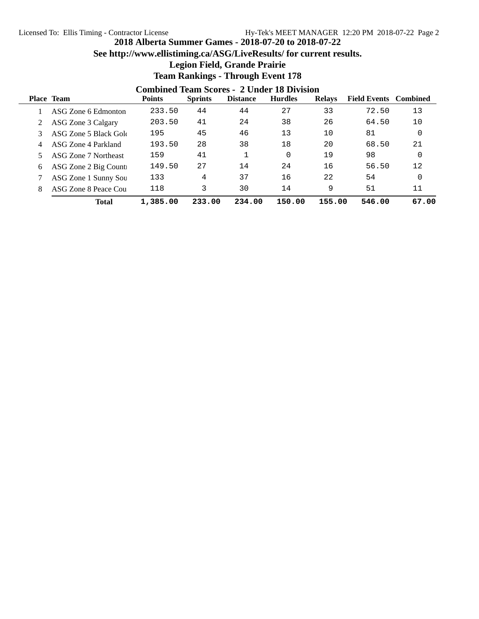### **See http://www.ellistiming.ca/ASG/LiveResults/ for current results.**

## **Legion Field, Grande Prairie**

|   | <b>Combined Team Scores - 2 Under 18 Division</b> |               |                |                 |                |               |                              |       |  |  |
|---|---------------------------------------------------|---------------|----------------|-----------------|----------------|---------------|------------------------------|-------|--|--|
|   | <b>Place Team</b>                                 | <b>Points</b> | <b>Sprints</b> | <b>Distance</b> | <b>Hurdles</b> | <b>Relays</b> | <b>Field Events</b> Combined |       |  |  |
|   | ASG Zone 6 Edmonton                               | 233.50        | 44             | 44              | 27             | 33            | 72.50                        | 13    |  |  |
|   | ASG Zone 3 Calgary                                | 203.50        | 41             | 24              | 38             | 26            | 64.50                        | 10    |  |  |
|   | ASG Zone 5 Black Gold                             | 195           | 45             | 46              | 13             | 10            | 81                           | 0     |  |  |
| 4 | ASG Zone 4 Parkland                               | 193.50        | 28             | 38              | 18             | 20            | 68.50                        | 21    |  |  |
|   | ASG Zone 7 Northeast                              | 159           | 41             |                 |                | 19            | 98                           | 0     |  |  |
| 6 | ASG Zone 2 Big Counti                             | 149.50        | 27             | 14              | 24             | 16            | 56.50                        | 12    |  |  |
|   | ASG Zone 1 Sunny Sou                              | 133           | 4              | 37              | 16             | 22            | 54                           | 0     |  |  |
|   | ASG Zone 8 Peace Cou                              | 118           | 3              | 30              | 14             | 9             | 51                           | 11    |  |  |
|   | <b>Total</b>                                      | 1,385.00      | 233.00         | 234.00          | 150.00         | 155.00        | 546.00                       | 67.00 |  |  |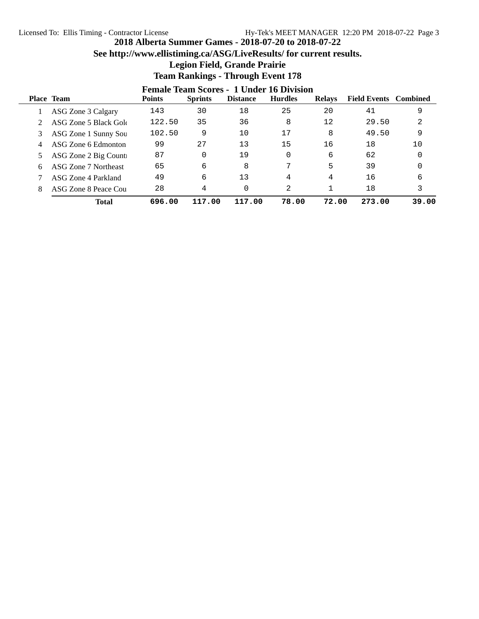### **See http://www.ellistiming.ca/ASG/LiveResults/ for current results.**

## **Legion Field, Grande Prairie**

|   | <b>Female Team Scores - 1 Under 16 Division</b> |               |                |                 |                |                   |                              |       |  |
|---|-------------------------------------------------|---------------|----------------|-----------------|----------------|-------------------|------------------------------|-------|--|
|   | <b>Place Team</b>                               | <b>Points</b> | <b>Sprints</b> | <b>Distance</b> | <b>Hurdles</b> | <b>Relays</b>     | <b>Field Events</b> Combined |       |  |
|   | ASG Zone 3 Calgary                              | 143           | 30             | 18              | 25             | 20                | 41                           | 9     |  |
|   | ASG Zone 5 Black Gold                           | 122.50        | 35             | 36              | 8              | $12 \overline{ }$ | 29.50                        | 2     |  |
|   | ASG Zone 1 Sunny Sou                            | 102.50        | 9              | 10              | 17             | 8                 | 49.50                        | 9     |  |
| 4 | ASG Zone 6 Edmonton                             | 99            | 27             | 13              | 15             | 16                | 18                           | 10    |  |
|   | ASG Zone 2 Big Counti                           | 87            | 0              | 19              |                | 6                 | 62                           |       |  |
| 6 | ASG Zone 7 Northeast                            | 65            | 6              | 8               | 7              | 5                 | 39                           |       |  |
|   | ASG Zone 4 Parkland                             | 49            | 6              | 13              | 4              | 4                 | 16                           | 6     |  |
|   | ASG Zone 8 Peace Cou                            | 28            | 4              | 0               | 2              |                   | 18                           | 3     |  |
|   | <b>Total</b>                                    | 696.00        | 117.00         | 117.00          | 78.00          | 72.00             | 273.00                       | 39.00 |  |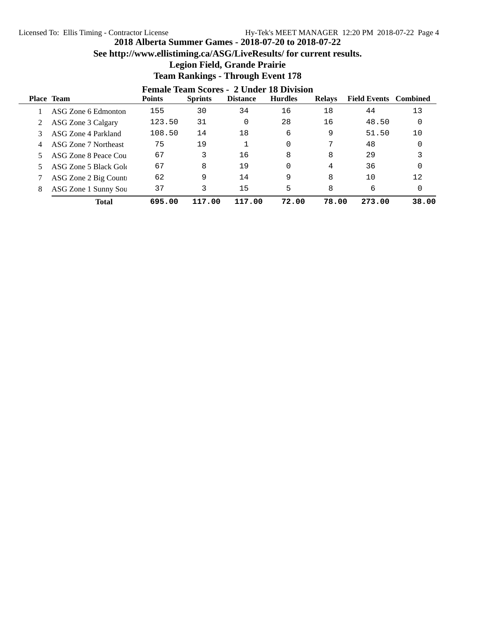### **See http://www.ellistiming.ca/ASG/LiveResults/ for current results.**

## **Legion Field, Grande Prairie**

|   | <b>Female Team Scores - 2 Under 18 Division</b> |               |                |                 |                |               |                              |          |  |
|---|-------------------------------------------------|---------------|----------------|-----------------|----------------|---------------|------------------------------|----------|--|
|   | <b>Place Team</b>                               | <b>Points</b> | <b>Sprints</b> | <b>Distance</b> | <b>Hurdles</b> | <b>Relays</b> | <b>Field Events</b> Combined |          |  |
|   | ASG Zone 6 Edmonton                             | 155           | 30             | 34              | 16             | 18            | 44                           | 13       |  |
|   | ASG Zone 3 Calgary                              | 123.50        | 31             | $\Omega$        | 28             | 16            | 48.50                        | $\Omega$ |  |
|   | ASG Zone 4 Parkland                             | 108.50        | 14             | 18              | 6              | 9             | 51.50                        | 10       |  |
| 4 | ASG Zone 7 Northeast                            | 75            | 19             |                 | 0              | 7             | 48                           |          |  |
|   | ASG Zone 8 Peace Cou                            | 67            | 3              | 16              | 8              | 8             | 29                           |          |  |
|   | ASG Zone 5 Black Gold                           | 67            | 8              | 19              | O              | 4             | 36                           |          |  |
|   | ASG Zone 2 Big Counti                           | 62            | 9              | 14              | 9              | 8             | 10                           | 12       |  |
| 8 | ASG Zone 1 Sunny Sou                            | 37            | 3              | 15              | 5              | 8             | 6                            | $\Omega$ |  |
|   | <b>Total</b>                                    | 695.00        | 117.00         | 117.00          | 72.00          | 78.00         | 273.00                       | 38.00    |  |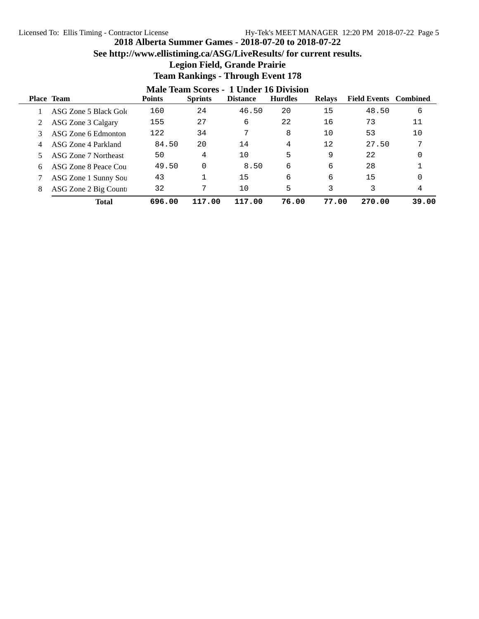### **See http://www.ellistiming.ca/ASG/LiveResults/ for current results.**

### **Legion Field, Grande Prairie**

|   | Male Team Scores - 1 Under 16 Division |               |                |                 |                |               |                              |       |  |
|---|----------------------------------------|---------------|----------------|-----------------|----------------|---------------|------------------------------|-------|--|
|   | Place Team                             | <b>Points</b> | <b>Sprints</b> | <b>Distance</b> | <b>Hurdles</b> | <b>Relays</b> | <b>Field Events</b> Combined |       |  |
|   | ASG Zone 5 Black Gold                  | 160           | 24             | 46.50           | 20             | 15            | 48.50                        | 6     |  |
|   | ASG Zone 3 Calgary                     | 155           | 27             | 6               | 22             | 16            | 73                           | 11    |  |
|   | ASG Zone 6 Edmonton                    | 122           | 34             | 7               | 8              | 10            | 53                           | 10    |  |
|   | ASG Zone 4 Parkland                    | 84.50         | 20             | 14              | 4              | 12            | 27.50                        | ヮ     |  |
|   | ASG Zone 7 Northeast                   | 50            | 4              | 10              | 5              | 9             | 22                           |       |  |
| 6 | ASG Zone 8 Peace Cou                   | 49.50         | $\Omega$       | 8.50            | 6              | 6             | 28                           |       |  |
|   | ASG Zone 1 Sunny Sou                   | 43            |                | 15              | 6              | 6             | 15                           |       |  |
| 8 | ASG Zone 2 Big Counti                  | 32            | 7              | 10              | 5              | 3             | 3                            | 4     |  |
|   | Total                                  | 696.00        | 117.00         | 117.00          | 76.00          | 77.00         | 270.00                       | 39.00 |  |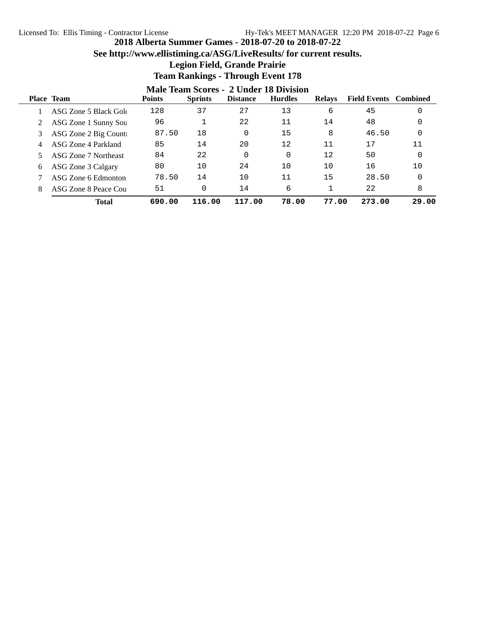### **See http://www.ellistiming.ca/ASG/LiveResults/ for current results.**

### **Legion Field, Grande Prairie**

|   | <b>Male Team Scores - 2 Under 18 Division</b> |               |                |                 |                |                   |                              |       |  |
|---|-----------------------------------------------|---------------|----------------|-----------------|----------------|-------------------|------------------------------|-------|--|
|   | <b>Place Team</b>                             | <b>Points</b> | <b>Sprints</b> | <b>Distance</b> | <b>Hurdles</b> | <b>Relays</b>     | <b>Field Events</b> Combined |       |  |
|   | ASG Zone 5 Black Gold                         | 128           | 37             | 27              | 13             | 6                 | 45                           |       |  |
|   | ASG Zone 1 Sunny Sou                          | 96            |                | 22              | 11             | 14                | 48                           |       |  |
|   | ASG Zone 2 Big Counti                         | 87.50         | 18             | 0               | 15             | 8                 | 46.50                        |       |  |
|   | ASG Zone 4 Parkland                           | 85            | 14             | 20              | 12             | 11                | 17                           | 11    |  |
|   | ASG Zone 7 Northeast                          | 84            | 22             | 0               | 0              | $12 \overline{ }$ | 50                           |       |  |
| 6 | ASG Zone 3 Calgary                            | 80            | 10             | 24              | 10             | 10                | 16                           | 10    |  |
|   | ASG Zone 6 Edmonton                           | 78.50         | 14             | 10              | 11             | 15                | 28.50                        |       |  |
|   | ASG Zone 8 Peace Cou                          | 51            | 0              | 14              | 6              |                   | 22                           | 8     |  |
|   | <b>Total</b>                                  | 690.00        | 116.00         | 117.00          | 78.00          | 77.00             | 273.00                       | 29.00 |  |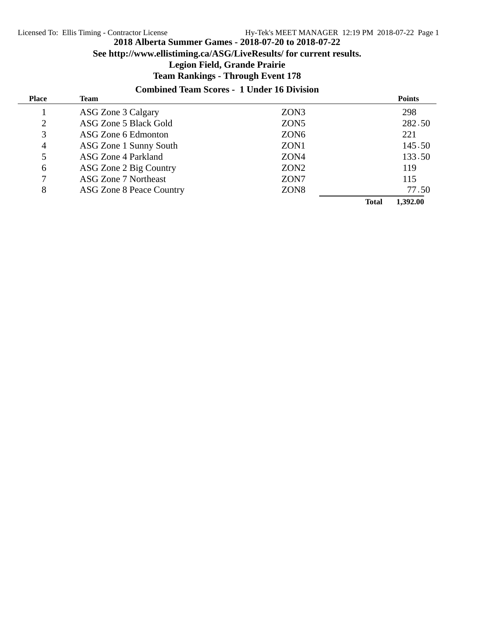**See http://www.ellistiming.ca/ASG/LiveResults/ for current results.**

#### **Legion Field, Grande Prairie**

### **Team Rankings - Through Event 178**

### **Combined Team Scores - 1 Under 16 Division**

| <b>Place</b>   | Team                            |                  |              | <b>Points</b> |
|----------------|---------------------------------|------------------|--------------|---------------|
|                | ASG Zone 3 Calgary              | ZON3             |              | 298           |
| 2              | ASG Zone 5 Black Gold           | ZON <sub>5</sub> |              | 282.50        |
| 3              | ASG Zone 6 Edmonton             | ZON <sub>6</sub> |              | 221           |
| $\overline{4}$ | ASG Zone 1 Sunny South          | ZON1             |              | 145.50        |
| 5              | ASG Zone 4 Parkland             | ZON4             |              | 133.50        |
| 6              | ASG Zone 2 Big Country          | ZON <sub>2</sub> |              | 119           |
| 7              | <b>ASG Zone 7 Northeast</b>     | ZON7             |              | 115           |
| 8              | <b>ASG Zone 8 Peace Country</b> | ZON <sub>8</sub> |              | 77.50         |
|                |                                 |                  | <b>Total</b> | 1.392.00      |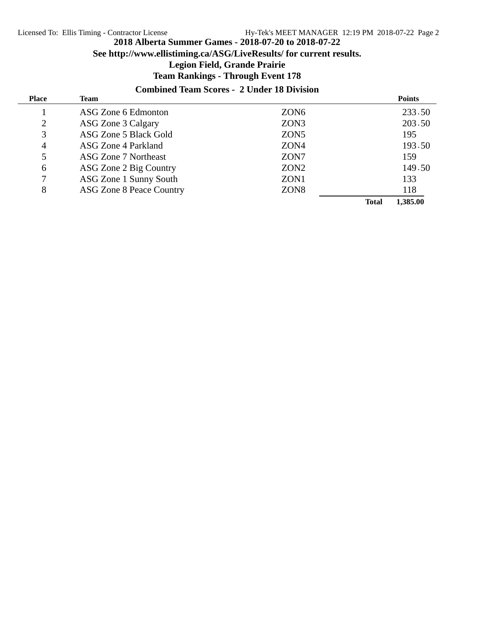**See http://www.ellistiming.ca/ASG/LiveResults/ for current results.**

### **Legion Field, Grande Prairie**

### **Team Rankings - Through Event 178**

### **Combined Team Scores - 2 Under 18 Division**

| <b>Place</b>   | Team                            |                  |              | <b>Points</b> |
|----------------|---------------------------------|------------------|--------------|---------------|
|                | ASG Zone 6 Edmonton             | ZON <sub>6</sub> |              | 233.50        |
| $\overline{2}$ | ASG Zone 3 Calgary              | ZON3             |              | 203.50        |
| 3              | ASG Zone 5 Black Gold           | ZON <sub>5</sub> |              | 195           |
| $\overline{4}$ | ASG Zone 4 Parkland             | ZON4             |              | 193.50        |
| 5              | ASG Zone 7 Northeast            | ZON7             |              | 159           |
| 6              | ASG Zone 2 Big Country          | ZON <sub>2</sub> |              | 149.50        |
| 7              | ASG Zone 1 Sunny South          | ZON1             |              | 133           |
| 8              | <b>ASG Zone 8 Peace Country</b> | ZON <sub>8</sub> |              | 118           |
|                |                                 |                  | <b>Total</b> | 1,385.00      |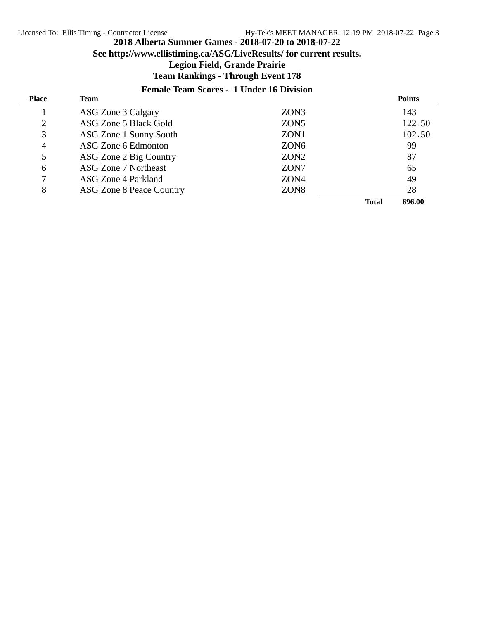**See http://www.ellistiming.ca/ASG/LiveResults/ for current results.**

#### **Legion Field, Grande Prairie**

### **Team Rankings - Through Event 178**

#### **Female Team Scores - 1 Under 16 Division**

| <b>Place</b>   | Team                            |                  |              | <b>Points</b> |
|----------------|---------------------------------|------------------|--------------|---------------|
|                | ASG Zone 3 Calgary              | ZON3             |              | 143           |
| 2              | ASG Zone 5 Black Gold           | ZON <sub>5</sub> |              | 122.50        |
| 3              | ASG Zone 1 Sunny South          | ZON1             |              | 102.50        |
| $\overline{4}$ | ASG Zone 6 Edmonton             | ZON <sub>6</sub> |              | 99            |
| 5              | ASG Zone 2 Big Country          | ZON <sub>2</sub> |              | 87            |
| 6              | ASG Zone 7 Northeast            | ZON7             |              | 65            |
|                | ASG Zone 4 Parkland             | ZON4             |              | 49            |
| 8              | <b>ASG Zone 8 Peace Country</b> | ZON <sub>8</sub> |              | 28            |
|                |                                 |                  | <b>Total</b> | 696.00        |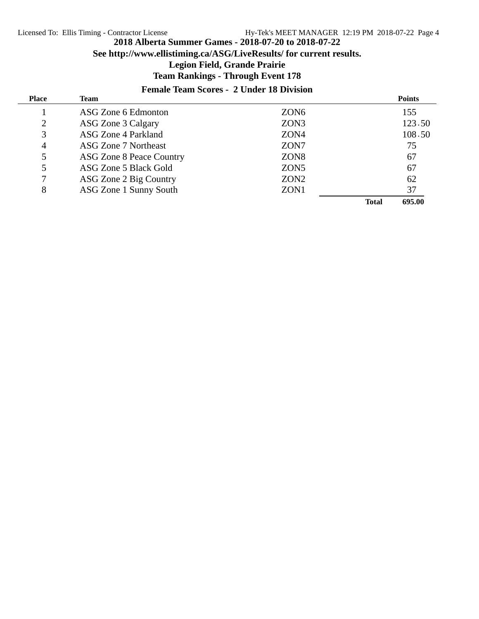**See http://www.ellistiming.ca/ASG/LiveResults/ for current results.**

#### **Legion Field, Grande Prairie**

### **Team Rankings - Through Event 178**

#### **Female Team Scores - 2 Under 18 Division**

| <b>Place</b> | Team                            |                  |              | <b>Points</b> |
|--------------|---------------------------------|------------------|--------------|---------------|
|              | ASG Zone 6 Edmonton             | ZON <sub>6</sub> |              | 155           |
| 2            | ASG Zone 3 Calgary              | ZON3             |              | 123.50        |
| 3            | ASG Zone 4 Parkland             | ZON4             |              | 108.50        |
| 4            | <b>ASG Zone 7 Northeast</b>     | ZON7             |              | 75            |
| 5            | <b>ASG Zone 8 Peace Country</b> | ZON <sub>8</sub> |              | 67            |
| 5            | ASG Zone 5 Black Gold           | ZON <sub>5</sub> |              | 67            |
|              | ASG Zone 2 Big Country          | ZON <sub>2</sub> |              | 62            |
| 8            | ASG Zone 1 Sunny South          | ZON1             |              | 37            |
|              |                                 |                  | <b>Total</b> | 695.00        |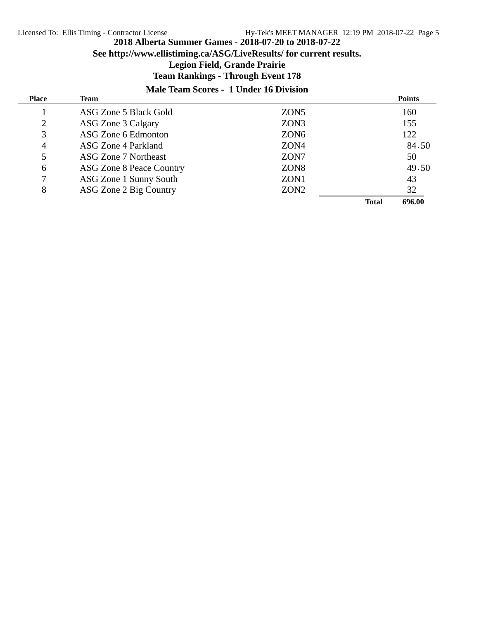**See http://www.ellistiming.ca/ASG/LiveResults/ for current results.**

### **Legion Field, Grande Prairie**

### **Team Rankings - Through Event 178**

#### **Male Team Scores - 1 Under 16 Division**

| <b>Place</b> | Team                            |                  |              | <b>Points</b> |
|--------------|---------------------------------|------------------|--------------|---------------|
|              | ASG Zone 5 Black Gold           | ZON <sub>5</sub> |              | 160           |
| 2            | ASG Zone 3 Calgary              | ZON3             |              | 155           |
| 3            | ASG Zone 6 Edmonton             | ZON <sub>6</sub> |              | 122           |
| 4            | ASG Zone 4 Parkland             | ZON4             |              | 84.50         |
| 5            | ASG Zone 7 Northeast            | ZON7             |              | 50            |
| 6            | <b>ASG Zone 8 Peace Country</b> | ZON <sub>8</sub> |              | 49.50         |
|              | ASG Zone 1 Sunny South          | ZON1             |              | 43            |
| 8            | ASG Zone 2 Big Country          | ZON <sub>2</sub> |              | 32            |
|              |                                 |                  | <b>Total</b> | 696.00        |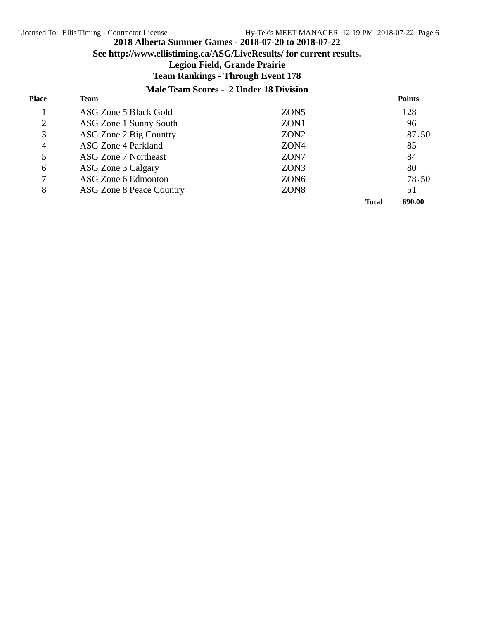**See http://www.ellistiming.ca/ASG/LiveResults/ for current results.**

#### **Legion Field, Grande Prairie**

### **Team Rankings - Through Event 178**

#### **Male Team Scores - 2 Under 18 Division**

| <b>Place</b>   | Team                     |                  |              | <b>Points</b> |
|----------------|--------------------------|------------------|--------------|---------------|
|                | ASG Zone 5 Black Gold    | ZON <sub>5</sub> |              | 128           |
| 2              | ASG Zone 1 Sunny South   | ZON <sub>1</sub> |              | 96            |
| 3              | ASG Zone 2 Big Country   | ZON <sub>2</sub> |              | 87.50         |
| $\overline{4}$ | ASG Zone 4 Parkland      | ZON4             |              | 85            |
| 5              | ASG Zone 7 Northeast     | ZON <sub>7</sub> |              | 84            |
| 6              | ASG Zone 3 Calgary       | ZON3             |              | 80            |
|                | ASG Zone 6 Edmonton      | ZON <sub>6</sub> |              | 78.50         |
| 8              | ASG Zone 8 Peace Country | ZON <sub>8</sub> |              | 51            |
|                |                          |                  | <b>Total</b> | 690.00        |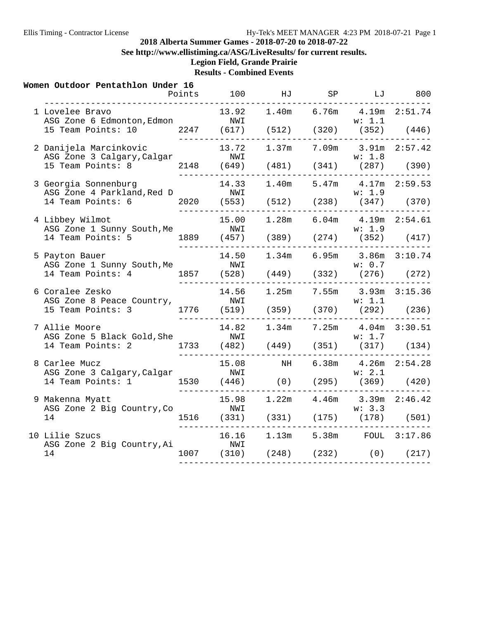**See http://www.ellistiming.ca/ASG/LiveResults/ for current results.**

# **Legion Field, Grande Prairie**

**Results - Combined Events**

| Women Outdoor Pentathlon Under 16                                                                                               |                                            |  | Points 100 HJ SP LJ 800                                                |  |
|---------------------------------------------------------------------------------------------------------------------------------|--------------------------------------------|--|------------------------------------------------------------------------|--|
| 1 Lovelee Bravo<br>ASG Zone 6 Edmonton, Edmon<br>15 Team Points: 10 2247 (617) (512) (320) (352) (446)                          | _________________                          |  | 13.92  1.40m  6.76m  4.19m  2:51.74                                    |  |
| 2 Danijela Marcinkovic                                                                                                          |                                            |  | 13.72   1.37m   7.09m   3.91m   2:57.42                                |  |
| 3 Georgia Sonnenburg<br>ASG Zone 4 Parkland, Red D<br>14 Team Points: 6 2020 (553) (512) (238) (347) (370)                      | <u> ------------------</u>                 |  | 14.33 1.40m 5.47m 4.17m 2:59.53<br>w: 1.9                              |  |
| 4 Libbey Wilmot<br>ASG Zone 1 Sunny South, Me<br>W: 1.9<br>14 Team Points: 5 1889 (457) (389) (274) (352) (417)                 |                                            |  | 15.00  1.28m  6.04m  4.19m  2:54.61                                    |  |
| 5 Payton Bauer<br>ASG Zone 1 Sunny South, Me<br>14 Team Points: 4 1857 (528) (449) (332) (276) (272)                            | -----------------                          |  | 14.50  1.34m  6.95m  3.86m  3:10.74                                    |  |
| 6 Coralee Zesko<br>ASG Zone 8 Peace Country,<br>15 Team Points: 3 1776 (519) (359) (370) (292) (236)                            | --------------------------                 |  | 14.56  1.25m  7.55m  3.93m  3:15.36                                    |  |
| 7 Allie Moore                                                                                                                   | -----------                                |  | 14.82  1.34m  7.25m  4.04m  3:30.51<br>--------------                  |  |
| 8 Carlee Mucz                                                                                                                   |                                            |  | 15.08 NH 6.38m 4.26m 2:54.28                                           |  |
| 9 Makenna Myatt<br>Makenna Myatt 15.98 1.22m 4.40m 3.32m 2.331<br>ASG Zone 2 Big Country, Co 1516 (331) (331) (175) (178) (501) |                                            |  | 15.98   1.22m   4.46m   3.39m   2:46.42<br>---------------             |  |
| 10 Lilie Szucs<br>ASG Zone 2 Big Country, Ai<br>14                                                                              | __________________<br>NWI<br>_____________ |  | 16.16  1.13m  5.38m  FOUL  3:17.86<br>1007 (310) (248) (232) (0) (217) |  |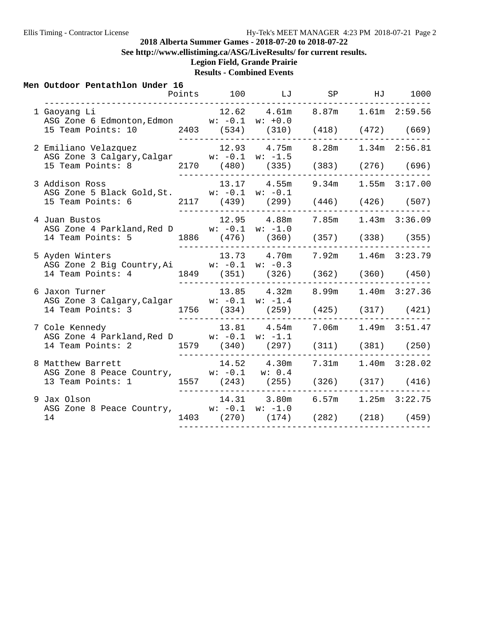**See http://www.ellistiming.ca/ASG/LiveResults/ for current results.**

# **Legion Field, Grande Prairie**

**Results - Combined Events**

#### **Men Outdoor Pentathlon Under 16**

|                                                                                                                                                            |  | Points 100 LJ                                                                | SP |                       | HJ 1000 |
|------------------------------------------------------------------------------------------------------------------------------------------------------------|--|------------------------------------------------------------------------------|----|-----------------------|---------|
| 1 Gaoyang Li<br>ASG Zone 6 Edmonton, Edmon $w: -0.1$ $w: +0.0$<br>15 Team Points: 10  2403 (534) (310) (418) (472) (669)                                   |  | $12.62$ $4.61m$ $8.87m$ $1.61m$ $2:59.56$                                    |    |                       |         |
| 2 Emiliano Velazquez 12.93 4.75m 8.28m 1.34m 2:56.81<br>ASG Zone 3 Calgary, Calgar w: -0.1 w: -1.5<br>15 Team Points: 8 2170 (480) (335) (383) (276) (696) |  | --------------------------------------                                       |    |                       |         |
| 3 Addison Ross<br>ASG Zone 5 Black Gold, St. W: -0.1 w: -0.1<br>15 Team Points: 6 2117 (439) (299) (446) (426) (507)                                       |  | $13.17$ $4.55m$ $9.34m$ $1.55m$ $3:17.00$<br>------------------------------- |    |                       |         |
| 4 Juan Bustos<br>ASG Zone 4 Parkland, Red D $w: -0.1 \quad w: -1.0$<br>14 Team Points: 5 1886 (476) (360) (357) (338) (355)                                |  | $12.95$ $4.88m$ $7.85m$ $1.43m$ $3:36.09$<br>_______________________________ |    |                       |         |
| 5 Ayden Winters<br>ASG Zone 2 Big Country, Ai w: -0.1 w: -0.3<br>14 Team Points: 4 1849 (351) (326) (362) (360) (450)                                      |  | 13.73 4.70m 7.92m 1.46m 3:23.79<br>--------------------------------          |    |                       |         |
| 6 Jaxon Turner<br>ASG Zone 3 Calgary, Calgar w: -0.1 w: -1.4<br>14 Team Points: 3 1756 (334) (259) (425) (317) (421)                                       |  | $13.85$ $4.32m$                                                              |    | 8.99m 1.40m 3:27.36   |         |
| 7 Cole Kennedy<br>ASG Zone 4 Parkland, Red D w: -0.1 w: -1.1<br>14 Team Points: 2 1579 (340) (297) (311) (381) (250)                                       |  | 13.81 4.54m                                                                  |    | 7.06m  1.49m  3:51.47 |         |
| 8 Matthew Barrett<br>ASG Zone 8 Peace Country, w: -0.1 w: 0.4<br>13 Team Points: 1 1557 (243) (255) (326) (317) (416)                                      |  | 14.52 4.30m                                                                  |    | 7.31m  1.40m  3:28.02 |         |
| 9 Jax Olson<br>ASG Zone 8 Peace Country, w: -0.1 w: -1.0<br>14                                                                                             |  | 14.31 3.80m 6.57m 1.25m 3:22.75<br>1403 (270) (174) (282) (218) (459)        |    |                       |         |
|                                                                                                                                                            |  |                                                                              |    |                       |         |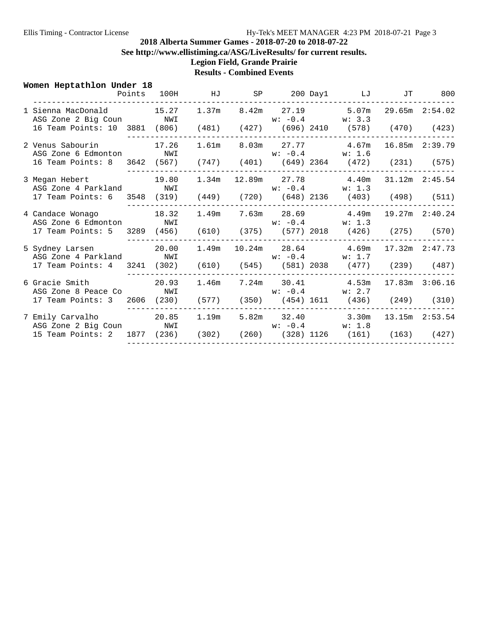**See http://www.ellistiming.ca/ASG/LiveResults/ for current results.**

**Legion Field, Grande Prairie**

## **Results - Combined Events**

| Women Heptathlon Under 18                                                                  |  | Points 100H HJ SP 200 Day1 LJ |                    |  |                                                              | JT | 800 |
|--------------------------------------------------------------------------------------------|--|-------------------------------|--------------------|--|--------------------------------------------------------------|----|-----|
|                                                                                            |  |                               |                    |  |                                                              |    |     |
| 1 Sienna MacDonald 15.27 1.37m 8.42m 27.19 5.07m 29.65m 2:54.02<br>ASG Zone 2 Big Coun NWI |  |                               |                    |  | $w: -0.4$ $w: 3.3$                                           |    |     |
| 16 Team Points: 10 3881 (806) (481) (427) (696) 2410 (578) (470) (423)                     |  |                               |                    |  | ----------------------------------                           |    |     |
| 2 Venus Sabourin 17.26<br>ASG Zone 6 Edmonton NWI                                          |  |                               |                    |  | 1.61m 8.03m 27.77 4.67m 16.85m 2:39.79<br>$w: -0.4$ $w: 1.6$ |    |     |
| 16 Team Points: 8 3642 (567) (747) (401) (649) 2364 (472) (231) (575)                      |  |                               |                    |  |                                                              |    |     |
| 3 Megan Hebert 19.80                                                                       |  | 1.34 <sub>m</sub>             |                    |  | 12.89m 27.78 4.40m 31.12m 2:45.54                            |    |     |
| ASG Zone 4 Parkland NWI                                                                    |  |                               |                    |  | $w: -0.4$ $w: 1.3$                                           |    |     |
| 17 Team Points: 6 3548 (319) (449) (720) (648) 2136 (403) (498) (511)                      |  |                               |                    |  |                                                              |    |     |
| 4 Candace Wonago 18.32                                                                     |  | 1.49m                         |                    |  | 7.63m 28.69 4.49m 19.27m 2:40.24                             |    |     |
| ASG Zone 6 Edmonton NWI                                                                    |  |                               |                    |  | $w: -0.4$ $w: 1.3$                                           |    |     |
| 17 Team Points: 5 3289 (456) (610) (375) (577) 2018 (426) (275) (570)                      |  |                               |                    |  |                                                              |    |     |
| 5 Sydney Larsen 20.00                                                                      |  | 1.49m                         |                    |  | 10.24m 28.64 4.69m 17.32m 2:47.73                            |    |     |
| ASG Zone 4 Parkland NWI                                                                    |  |                               | $w: -0.4$ $w: 1.7$ |  |                                                              |    |     |
| 17 Team Points: 4 3241 (302) (610) (545) (581) 2038 (477) (239) (487)                      |  |                               |                    |  |                                                              |    |     |
| 6 Gracie Smith 20.93                                                                       |  |                               |                    |  | $1.46m$ $7.24m$ $30.41$ $4.53m$ $17.83m$ $3:06.16$           |    |     |
| ASG Zone 8 Peace Co NWI                                                                    |  |                               |                    |  | $w: -0.4$ $w: 2.7$                                           |    |     |
| 17 Team Points: 3 2606 (230) (577) (350) (454) 1611 (436) (249) (310)                      |  |                               |                    |  |                                                              |    |     |
| ASG Zone 2 Big Coun NWI                                                                    |  |                               |                    |  | $w: -0.4$ $w: 1.8$                                           |    |     |
| 15 Team Points: 2 1877 (236) (302) (260) (328) 1126 (161) (163) (427)                      |  |                               |                    |  |                                                              |    |     |
|                                                                                            |  |                               |                    |  |                                                              |    |     |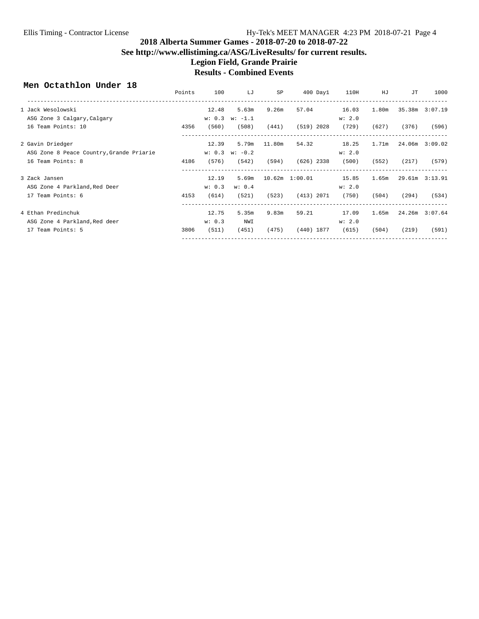#### **2018 Alberta Summer Games - 2018-07-20 to 2018-07-22 See http://www.ellistiming.ca/ASG/LiveResults/ for current results. Legion Field, Grande Prairie Results - Combined Events**

#### **Men Octathlon Under 18**

|                                          | Points | 100    | LJ               | SP     | $400$ Day $1$      | 110H   | HJ    | JТ    | 1000           |
|------------------------------------------|--------|--------|------------------|--------|--------------------|--------|-------|-------|----------------|
| 1 Jack Wesolowski                        |        | 12.48  | 5.63m            | 9.26m  | 57.04              | 16.03  | 1.80m |       | 35.38m 3:07.19 |
| ASG Zone 3 Calgary, Calgary              |        |        | $w: 0.3 w: -1.1$ |        |                    | w: 2.0 |       |       |                |
| 16 Team Points: 10                       | 4356   | (560)  | (508)            | (441)  | $(519)$ 2028       | (729)  | (627) | (376) | (596)          |
| 2 Gavin Driedger                         |        | 12.39  | 5.79m            | 11.80m | 54.32              | 18.25  | 1.71m |       | 24.06m 3:09.02 |
| ASG Zone 8 Peace Country, Grande Priarie |        | w: 0.3 | $w: -0.2$        |        |                    | w: 2.0 |       |       |                |
| 16 Team Points: 8                        | 4186   | (576)  | (542)            | (594)  | $(626)$ 2338       | (500)  | (552) | (217) | (579)          |
| 3 Zack Jansen                            |        | 12.19  | 5.69m            |        | $10.62m$ $1:00.01$ | 15.85  | 1.65m |       | 29.61m 3:13.91 |
| ASG Zone 4 Parkland, Red Deer            |        | w: 0.3 | w: 0.4           |        |                    | w: 2.0 |       |       |                |
| 17 Team Points: 6                        | 4153   | (614)  | (521)            | (523)  | (413) 2071         | (750)  | (504) | (294) | (534)          |
| 4 Ethan Predinchuk                       |        | 12.75  | 5.35m            | 9.83m  | 59.21              | 17.09  | 1.65m |       | 24.26m 3:07.64 |
| ASG Zone 4 Parkland, Red deer            |        | w: 0.3 | NWI              |        |                    | w: 2.0 |       |       |                |
| 17 Team Points: 5                        | 3806   | (511)  | (451)            | (475)  | (440) 1877         | (615)  | (504) | (219) | (591)          |
|                                          | ------ |        |                  |        |                    |        |       |       |                |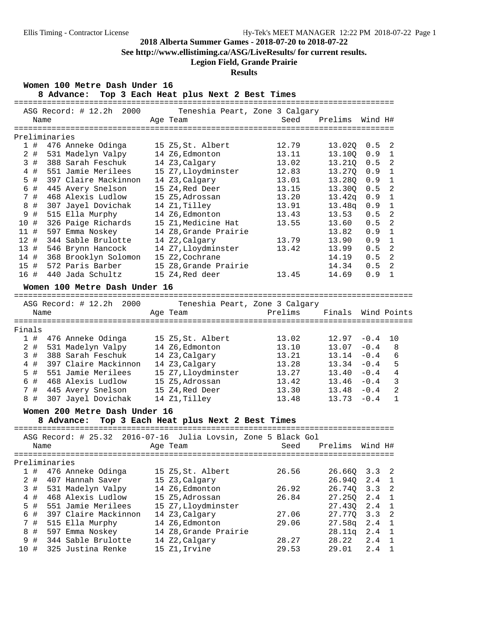**See http://www.ellistiming.ca/ASG/LiveResults/ for current results.**

## **Legion Field, Grande Prairie**

### **Results**

| Women 100 Metre Dash Under 16<br>8 Advance: Top 3 Each Heat plus Next 2 Best Times |                                                       |                              |         |                  |                |
|------------------------------------------------------------------------------------|-------------------------------------------------------|------------------------------|---------|------------------|----------------|
| ASG Record: # 12.2h 2000<br>Name                                                   | Teneshia Peart, Zone 3 Calgary<br>Age Team            | Seed Prelims                 |         | Wind H#          |                |
|                                                                                    |                                                       |                              |         |                  |                |
| Preliminaries                                                                      |                                                       |                              |         |                  |                |
| 1#<br>476 Anneke Odinga                                                            | 15 Z5, St. Albert                                     | 12.79                        | 13.02Q  | 0.5              | 2              |
| $2$ #<br>531 Madelyn Valpy                                                         | 14 Z6, Edmonton                                       | 13.11                        | 13.10Q  | 0.9              | $\overline{1}$ |
| 388 Sarah Feschuk<br>3#                                                            | 14 Z3, Calgary                                        | 13.02                        | 13.210  | 0.5              | $\overline{2}$ |
| $4$ #<br>551 Jamie Merilees                                                        | 15 Z7, Lloydminster                                   | 12.83                        | 13.27Q  | 0.9              | $\overline{1}$ |
| 5 #<br>397 Claire Mackinnon                                                        | 14 Z3, Calgary                                        | 13.01                        | 13.28Q  | 0.9              | $\mathbf{1}$   |
| 6 #<br>445 Avery Snelson                                                           | 15 Z4, Red Deer                                       | 13.15                        | 13.300  | 0.5              | $\overline{2}$ |
| 7#<br>468 Alexis Ludlow                                                            | 15 Z5, Adrossan                                       | 13.20                        | 13.42q  | 0.9              | $\overline{1}$ |
| 8 #<br>307 Jayel Dovichak                                                          | 14 Z1, Tilley                                         | 13.91                        | 13.48q  | 0.9              | $\overline{1}$ |
| 9 #<br>515 Ella Murphy                                                             | 14 Z6, Edmonton                                       | 13.43                        | 13.53   | 0.5              | $\overline{2}$ |
| 326 Paige Richards<br>10 #                                                         | 15 Z1, Medicine Hat                                   | 13.55                        | 13.60   | 0.5              | 2              |
| 597 Emma Noskey<br>11#                                                             | 14 Z8, Grande Prairie                                 |                              | 13.82   | 0.9              | $\overline{1}$ |
| 12#<br>344 Sable Brulotte                                                          | 14 Z2, Calgary                                        | 13.79                        | 13.90   | 0.9              | $\mathbf{1}$   |
| 13 # 546 Brynn Hancock                                                             | 14 Z7, Lloydminster                                   | 13.42                        | 13.99   | 0.5              | 2              |
| 14 # 368 Brooklyn Solomon                                                          | 15 Z2,Cochrane                                        |                              | 14.19   | 0.5              | $\overline{2}$ |
| 572 Paris Barber<br>15#                                                            | 15 Z8, Grande Prairie                                 |                              | 14.34   | 0.5              | 2              |
| 16 #<br>440 Jada Schultz                                                           | 15 Z4, Red deer                                       | 13.45                        | 14.69   | 0.9              | $\overline{1}$ |
| Women 100 Metre Dash Under 16                                                      |                                                       |                              |         |                  |                |
|                                                                                    |                                                       |                              |         |                  |                |
| ASG Record: # 12.2h 2000 Teneshia Peart, Zone 3 Calgary<br>Name                    | Age Team                                              | Prelims - Finals Wind Points |         |                  |                |
| Finals                                                                             |                                                       |                              |         |                  |                |
| 1 # 476 Anneke Odinga                                                              | 15 Z5, St. Albert                                     | 13.02                        | 12.97   | $-0.4$           | 10             |
| $2$ #<br>531 Madelyn Valpy                                                         | 14 Z6, Edmonton                                       | 13.10                        | 13.07   | $-0.4$           | 8              |
| 3#<br>388 Sarah Feschuk                                                            | 14 Z3, Calgary                                        | 13.21                        | 13.14   | $-0.4$           | 6              |
| 4#<br>397 Claire Mackinnon                                                         | 14 Z3, Calgary                                        | 13.28                        | 13.34   | $-0.4$           | 5              |
| $5$ #<br>551 Jamie Merilees                                                        | 15 Z7, Lloydminster                                   | 13.27                        | 13.40   | $-0.4$           | 4              |
|                                                                                    |                                                       |                              |         |                  |                |
| 468 Alexis Ludlow<br>6 #                                                           | 15 Z5, Adrossan                                       | 13.42                        | 13.46   | $-0.4$<br>$-0.4$ | 3              |
| 7 #<br>445 Avery Snelson 15 Z4, Red Deer                                           |                                                       | 13.30                        | 13.48   |                  | 2              |
| 8#<br>307 Jayel Dovichak                                                           | 14 Z1,Tilley                                          | 13.48                        | 13.73   | $-0.4$           | $\mathbf{1}$   |
| Women 200 Metre Dash Under 16<br>8 Advance: Top 3 Each Heat plus Next 2 Best Times |                                                       |                              |         |                  |                |
|                                                                                    |                                                       |                              |         |                  |                |
| ASG Record: $\#$ 25.32<br>Name                                                     | 2016-07-16 Julia Lovsin, Zone 5 Black Gol<br>Age Team | Seed                         | Prelims | Wind H#          |                |
|                                                                                    |                                                       |                              |         |                  |                |
| Preliminaries                                                                      |                                                       |                              |         |                  |                |
| 1#<br>476 Anneke Odinga                                                            | 15 Z5, St. Albert                                     | 26.56                        | 26.66Q  | 3.3              | 2              |
| $2$ #<br>407 Hannah Saver                                                          | 15 Z3, Calgary                                        |                              | 26.94Q  | 2.4              | $\mathbf{1}$   |
| 531 Madelyn Valpy<br>3 #                                                           | 14 Z6, Edmonton                                       | 26.92                        | 26.740  | 3.3              | 2              |
| 468 Alexis Ludlow<br>#<br>4                                                        | 15 Z5, Adrossan                                       | 26.84                        | 27.25Q  | 2.4              | 1              |
| 5<br>#<br>551 Jamie Merilees                                                       | 15 Z7, Lloydminster                                   |                              | 27.43Q  | 2.4              | $\mathbf{1}$   |
| 6 #<br>397 Claire Mackinnon                                                        | 14 Z3, Calgary                                        | 27.06                        | 27.77Q  | 3.3              | 2              |
| 7 #<br>515 Ella Murphy                                                             | 14 Z6, Edmonton                                       | 29.06                        | 27.58q  | 2.4              | $\mathbf{1}$   |
| $\#$<br>597 Emma Noskey<br>8                                                       | 14 Z8, Grande Prairie                                 |                              | 28.11q  | 2.4              | $\mathbf{1}$   |
| 344 Sable Brulotte<br>#<br>9                                                       | 14 Z2, Calgary                                        | 28.27                        | 28.22   | 2.4              | 1              |
| 325 Justina Renke<br>10 #                                                          | 15 Z1, Irvine                                         | 29.53                        | 29.01   | 2.4              | 1              |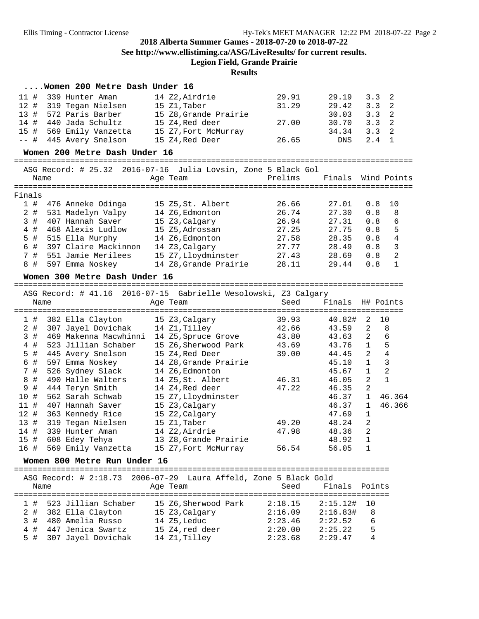**See http://www.ellistiming.ca/ASG/LiveResults/ for current results.**

**Legion Field, Grande Prairie**

#### **Results**

| Women 200 Metre Dash Under 16 |  |  |  |
|-------------------------------|--|--|--|
|-------------------------------|--|--|--|

| 12#<br>31.29<br>319 Tegan Nielsen<br>15 Z1, Taber<br>13#<br>572 Paris Barber<br>15 Z8, Grande Prairie<br>27.00<br>14#<br>440 Jada Schultz<br>15 Z4, Red deer<br>15#<br>569 Emily Vanzetta<br>15 Z7, Fort McMurray<br>$--$ #<br>445 Avery Snelson<br>15 Z4, Red Deer<br>26.65 | 29.19<br>29.42<br>30.03<br>30.70<br>34.34<br>DNS | 3.3<br>3.3<br>3.3<br>3.3<br>3.3<br>2.4 | 2<br>2<br>2<br>2<br>$\overline{2}$<br>$\mathbf{1}$ |
|------------------------------------------------------------------------------------------------------------------------------------------------------------------------------------------------------------------------------------------------------------------------------|--------------------------------------------------|----------------------------------------|----------------------------------------------------|
| Women 200 Metre Dash Under 16                                                                                                                                                                                                                                                |                                                  |                                        |                                                    |
| ASG Record: # 25.32 2016-07-16 Julia Lovsin, Zone 5 Black Gol                                                                                                                                                                                                                |                                                  |                                        |                                                    |
| Prelims<br>Age Team<br>Name                                                                                                                                                                                                                                                  | Finals                                           |                                        | Wind Points                                        |
|                                                                                                                                                                                                                                                                              |                                                  |                                        |                                                    |
| Finals                                                                                                                                                                                                                                                                       |                                                  |                                        |                                                    |
| 1#<br>476 Anneke Odinga<br>15 Z5, St. Albert<br>26.66                                                                                                                                                                                                                        | 27.01                                            | 0.8                                    | 10                                                 |
| $2$ #<br>14 Z6, Edmonton<br>26.74<br>531 Madelyn Valpy<br>407 Hannah Saver<br>15 Z3, Calgary<br>26.94                                                                                                                                                                        | 27.30<br>27.31                                   | 0.8<br>0.8                             | 8                                                  |
| 3#<br>468 Alexis Ludlow<br>27.25                                                                                                                                                                                                                                             | 27.75                                            | 0.8                                    | 6                                                  |
| $4$ #<br>15 Z5, Adrossan<br>$5$ #                                                                                                                                                                                                                                            | 28.35                                            | 0.8                                    | 5<br>4                                             |
| 515 Ella Murphy<br>14 Z6, Edmonton<br>27.58<br>6 #<br>397 Claire Mackinnon<br>14 Z3, Calgary<br>27.77                                                                                                                                                                        | 28.49                                            | 0.8                                    | 3                                                  |
| 7 #<br>551 Jamie Merilees<br>15 Z7, Lloydminster<br>27.43                                                                                                                                                                                                                    | 28.69                                            | 0.8                                    | $\overline{a}$                                     |
| 14 Z8, Grande Prairie<br>8 #<br>597 Emma Noskey<br>28.11                                                                                                                                                                                                                     | 29.44                                            | 0.8                                    | $\mathbf{1}$                                       |
|                                                                                                                                                                                                                                                                              |                                                  |                                        |                                                    |
| Women 300 Metre Dash Under 16                                                                                                                                                                                                                                                |                                                  |                                        |                                                    |
|                                                                                                                                                                                                                                                                              |                                                  |                                        |                                                    |
| ASG Record: # 41.16 2016-07-15 Gabrielle Wesolowski, Z3 Calgary<br>Name<br>Seed<br>Age Team                                                                                                                                                                                  | Finals H# Points                                 |                                        |                                                    |
|                                                                                                                                                                                                                                                                              |                                                  |                                        |                                                    |
| 382 Ella Clayton<br>15 Z3, Calgary<br>39.93<br>1#                                                                                                                                                                                                                            | 40.82#                                           | 2                                      | 10                                                 |
| 307 Jayel Dovichak<br>14 Z1,Tilley<br>42.66<br>2#                                                                                                                                                                                                                            | 43.59                                            | $\overline{a}$                         | 8                                                  |
| 3#<br>469 Makenna Macwhinni<br>14 Z5,Spruce Grove<br>43.80                                                                                                                                                                                                                   | 43.63                                            | $\overline{2}$                         | 6                                                  |
| $4$ #<br>523 Jillian Schaber<br>15 Z6,Sherwood Park<br>43.69                                                                                                                                                                                                                 | 43.76                                            | $\mathbf{1}$                           | 5                                                  |
| 5 #<br>445 Avery Snelson<br>15 Z4, Red Deer<br>39.00                                                                                                                                                                                                                         | 44.45                                            |                                        | $\bf 4$                                            |
|                                                                                                                                                                                                                                                                              |                                                  | $\overline{a}$                         |                                                    |
| 6 #<br>597 Emma Noskey<br>14 Z8, Grande Prairie                                                                                                                                                                                                                              | 45.10                                            | $\mathbf{1}$                           | 3                                                  |
| 7 #<br>526 Sydney Slack<br>14 Z6, Edmonton                                                                                                                                                                                                                                   | 45.67                                            | $\mathbf{1}$                           | 2                                                  |
| 490 Halle Walters<br>8 #<br>14 Z5, St. Albert<br>46.31                                                                                                                                                                                                                       | 46.05                                            | $\overline{a}$                         | $\mathbf{1}$                                       |
| 9 #<br>444 Teryn Smith<br>14 Z4, Red deer<br>47.22                                                                                                                                                                                                                           | 46.35                                            | 2                                      |                                                    |
| 10 #<br>562 Sarah Schwab<br>15 Z7, Lloydminster                                                                                                                                                                                                                              | 46.37                                            | $\mathbf{1}$                           | 46.364                                             |
| 11#<br>407 Hannah Saver<br>15 Z3, Calgary                                                                                                                                                                                                                                    | 46.37                                            | 1                                      | 46.366                                             |
| 12#<br>363 Kennedy Rice<br>15 Z2, Calgary                                                                                                                                                                                                                                    | 47.69                                            | 1                                      |                                                    |
| 13#<br>319 Tegan Nielsen<br>15 Z1, Taber<br>49.20                                                                                                                                                                                                                            | 48.24                                            | $\overline{a}$                         |                                                    |
| 339 Hunter Aman<br>14 Z2, Airdrie<br>14 #<br>47.98                                                                                                                                                                                                                           | 48.36                                            | $\overline{a}$                         |                                                    |
| 15 #<br>608 Edey Tehya<br>13 Z8, Grande Prairie                                                                                                                                                                                                                              | 48.92                                            | 1                                      |                                                    |
| 569 Emily Vanzetta<br>56.54<br>16 #<br>15 Z7, Fort McMurray                                                                                                                                                                                                                  | 56.05                                            | 1                                      |                                                    |
| Women 800 Metre Run Under 16                                                                                                                                                                                                                                                 |                                                  |                                        |                                                    |
| --------                                                                                                                                                                                                                                                                     |                                                  |                                        |                                                    |
| ASG Record: # 2:18.73<br>$2006 - 07 - 29$<br>Laura Affeld, Zone 5 Black Gold                                                                                                                                                                                                 |                                                  |                                        |                                                    |
| Seed<br>Name<br>Age Team                                                                                                                                                                                                                                                     | Finals                                           | Points                                 |                                                    |
| ==========                                                                                                                                                                                                                                                                   |                                                  | =====                                  |                                                    |
| 523 Jillian Schaber<br>15 Z6, Sherwood Park<br>1#<br>2:18.15                                                                                                                                                                                                                 | 2:15.12#                                         | 10                                     |                                                    |
| 382 Ella Clayton<br>15 Z3, Calgary<br>2:16.09<br>2#                                                                                                                                                                                                                          | 2:16.83#                                         | 8                                      |                                                    |
| 480 Amelia Russo<br>3 #<br>14 Z5, Leduc<br>2:23.46<br>447 Jenica Swartz<br>4 #<br>15 Z4, red deer<br>2:20.00                                                                                                                                                                 | 2:22.52<br>2:25.22                               | 6<br>5                                 |                                                    |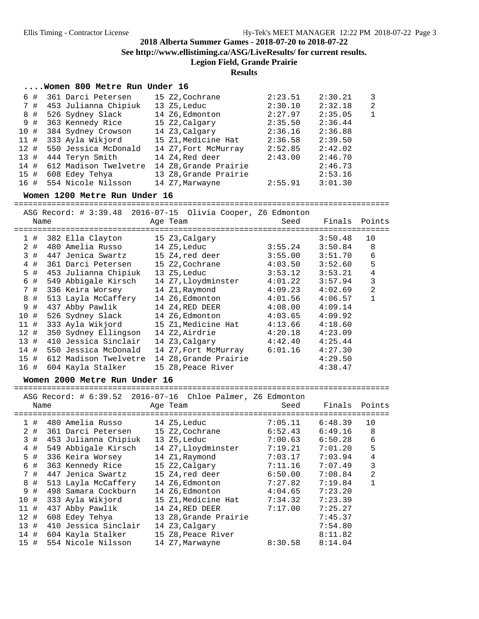#### **2018 Alberta Summer Games - 2018-07-20 to 2018-07-22 See http://www.ellistiming.ca/ASG/LiveResults/ for current results. Legion Field, Grande Prairie**

#### **Results**

#### **....Women 800 Metre Run Under 16**

| 6#   | 361 Darci Petersen    | 15 Z2, Cochrane       | 2:23.51 | 2:30.21 | 3              |
|------|-----------------------|-----------------------|---------|---------|----------------|
| 7#   | 453 Julianna Chipiuk  | 13 Z5,Leduc           | 2:30.10 | 2:32.18 | $\overline{2}$ |
| 8#   | 526 Sydney Slack      | 14 Z6, Edmonton       | 2:27.97 | 2:35.05 | $\mathbf{1}$   |
| 9#   | 363 Kennedy Rice      | 15 Z2, Calgary        | 2:35.50 | 2:36.44 |                |
| 10#  | 384 Sydney Crowson    | 14 Z3, Calgary        | 2:36.16 | 2:36.88 |                |
| 11#  | 333 Ayla Wikjord      | 15 Z1, Medicine Hat   | 2:36.58 | 2:39.50 |                |
| 12#  | 550 Jessica McDonald  | 14 Z7, Fort McMurray  | 2:52.85 | 2:42.02 |                |
| 13#  | 444 Teryn Smith       | 14 Z4, Red deer       | 2:43.00 | 2:46.70 |                |
| 14#  | 612 Madison Twelvetre | 14 Z8, Grande Prairie |         | 2:46.73 |                |
| 15#  | 608 Edey Tehya        | 13 Z8, Grande Prairie |         | 2:53.16 |                |
| 16 # | 554 Nicole Nilsson    | 14 Z7, Marwayne       | 2:55.91 | 3:01.30 |                |

#### **Women 1200 Metre Run Under 16**

================================================================================

|      | Name |                       | ASG Record: # 3:39.48 2016-07-15 Olivia Cooper, Z6 Edmonton<br>Age Team | Seed    | Finals Points |                |
|------|------|-----------------------|-------------------------------------------------------------------------|---------|---------------|----------------|
|      | 1#   | 382 Ella Clayton      | 15 Z3, Calgary                                                          |         | 3:50.48       | 10             |
|      | 2 #  | 480 Amelia Russo      | 14 Z5,Leduc                                                             | 3:55.24 | 3:50.84       | 8              |
|      | 3 #  | 447 Jenica Swartz     | 15 Z4,red deer                                                          | 3:55.00 | 3:51.70       | 6              |
| 4    | #    | 361 Darci Petersen    | 15 Z2,Cochrane                                                          | 4:03.50 | 3:52.60       | 5              |
| 5 #  |      | 453 Julianna Chipiuk  | 13 Z5, Leduc                                                            | 3:53.12 | 3:53.21       | 4              |
| 6#   |      | 549 Abbigale Kirsch   | 14 Z7, Lloydminster                                                     | 4:01.22 | 3:57.94       | 3              |
| 7#   |      | 336 Keira Worsey      | 14 Z1,Raymond                                                           | 4:09.23 | 4:02.69       | $\overline{2}$ |
| 8 #  |      | 513 Layla McCaffery   | 14 Z6,Edmonton                                                          | 4:01.56 | 4:06.57       |                |
| 9    | #    | 437 Abby Pawlik       | 14 Z4,RED DEER                                                          | 4:08.00 | 4:09.14       |                |
| 10 # |      | 526 Sydney Slack      | 14 Z6, Edmonton                                                         | 4:03.65 | 4:09.92       |                |
| 11#  |      | 333 Ayla Wikjord      | 15 Z1,Medicine Hat                                                      | 4:13.66 | 4:18.60       |                |
| 12#  |      | 350 Sydney Ellingson  | 14 Z2,Airdrie                                                           | 4:20.18 | 4:23.09       |                |
| 13#  |      | 410 Jessica Sinclair  | 14 Z3,Calgary                                                           | 4:42.40 | 4:25.44       |                |
| 14#  |      | 550 Jessica McDonald  | 14 Z7, Fort McMurray                                                    | 6:01.16 | 4:27.30       |                |
| 15#  |      | 612 Madison Twelvetre | 14 Z8, Grande Prairie                                                   |         | 4:29.50       |                |
| 16 # |      | 604 Kayla Stalker     | 15 Z8, Peace River                                                      |         | 4:38.47       |                |
|      |      |                       |                                                                         |         |               |                |

#### **Women 2000 Metre Run Under 16**

================================================================================ ASG Record: # 6:39.52 2016-07-16 Chloe Palmer, Z6 Edmonton

| Name |                      | Age Team              | Seed    | Finals  | Points |
|------|----------------------|-----------------------|---------|---------|--------|
| 1#   | 480 Amelia Russo     | 14 Z5, Leduc          | 7:05.11 | 6:48.39 | 10     |
| 2#   | 361 Darci Petersen   | 15 Z2, Cochrane       | 6:52.43 | 6:49.16 | 8      |
| 3#   | 453 Julianna Chipiuk | 13 Z5, Leduc          | 7:00.63 | 6:50.28 | 6      |
| 4#   | 549 Abbigale Kirsch  | 14 Z7, Lloydminster   | 7:19.21 | 7:01.20 | 5      |
| 5#   | 336 Keira Worsey     | 14 Z1, Raymond        | 7:03.17 | 7:03.94 | 4      |
| 6#   | 363 Kennedy Rice     | 15 Z2,Calgary         | 7:11.16 | 7:07.49 | 3      |
| 7#   | 447 Jenica Swartz    | 15 Z4,red deer        | 6:50.00 | 7:08.84 | 2      |
| 8 #  | 513 Layla McCaffery  | 14 Z6, Edmonton       | 7:27.82 | 7:19.84 |        |
| 9#   | 498 Samara Cockburn  | 14 Z6, Edmonton       | 4:04.65 | 7:23.20 |        |
| 10#  | 333 Ayla Wikjord     | 15 Z1, Medicine Hat   | 7:34.32 | 7:23.39 |        |
| 11#  | 437 Abby Pawlik      | 14 Z4,RED DEER        | 7:17.00 | 7:25.27 |        |
| 12#  | 608 Edey Tehya       | 13 Z8, Grande Prairie |         | 7:45.37 |        |
| 13#  | 410 Jessica Sinclair | 14 Z3, Calgary        |         | 7:54.80 |        |
| 14#  | 604 Kayla Stalker    | 15 Z8, Peace River    |         | 8:11.82 |        |
| 15#  | 554 Nicole Nilsson   | 14 Z7, Marwayne       | 8:30.58 | 8:14.04 |        |
|      |                      |                       |         |         |        |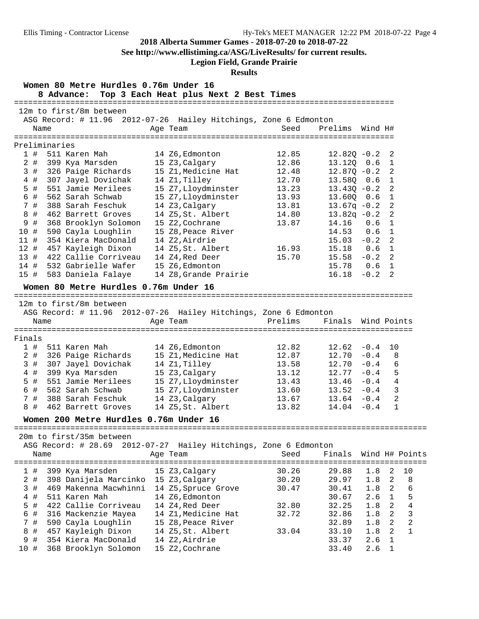**See http://www.ellistiming.ca/ASG/LiveResults/ for current results.**

### **Legion Field, Grande Prairie**

#### **Results**

| Women 80 Metre Hurdles 0.76m Under 16<br>Top 3 Each Heat plus Next 2 Best Times<br>8 Advance: |       |               |                                        |  |                                                                              |                             |                |             |                |                  |
|-----------------------------------------------------------------------------------------------|-------|---------------|----------------------------------------|--|------------------------------------------------------------------------------|-----------------------------|----------------|-------------|----------------|------------------|
|                                                                                               |       |               | 12m to first/8m between                |  |                                                                              |                             |                |             |                |                  |
|                                                                                               |       |               |                                        |  | ASG Record: # 11.96 2012-07-26 Hailey Hitchings, Zone 6 Edmonton             |                             |                |             |                |                  |
|                                                                                               | Name  |               |                                        |  | Age Team                                                                     | Seed                        | Prelims        | Wind H#     |                |                  |
|                                                                                               |       |               | ========================               |  |                                                                              |                             |                |             |                |                  |
|                                                                                               |       | Preliminaries |                                        |  |                                                                              |                             |                |             |                |                  |
|                                                                                               | 1#    |               | 511 Karen Mah                          |  | 14 Z6, Edmonton                                                              | 12.85                       | $12.82Q - 0.2$ |             | 2              |                  |
|                                                                                               | $2$ # |               | 399 Kya Marsden                        |  | 15 Z3, Calgary                                                               | 12.86                       | 13.12Q 0.6     |             | 1              |                  |
|                                                                                               | 3 #   |               | 326 Paige Richards                     |  | 15 Z1, Medicine Hat                                                          | 12.48                       | $12.870 - 0.2$ |             | 2              |                  |
|                                                                                               | 4#    |               | 307 Jayel Dovichak                     |  | 14 Z1, Tilley                                                                | 12.70                       | 13.58Q         | 0.6         | 1              |                  |
|                                                                                               | $5$ # |               | 551 Jamie Merilees                     |  | 15 Z7, Lloydminster                                                          | 13.23                       | $13.430 - 0.2$ |             | 2              |                  |
|                                                                                               | 6 #   |               | 562 Sarah Schwab                       |  | 15 Z7, Lloydminster                                                          | 13.93                       | $13.60Q$ 0.6   |             | $\mathbf{1}$   |                  |
|                                                                                               | 7 #   |               | 388 Sarah Feschuk                      |  | 14 Z3, Calgary                                                               | 13.81                       | $13.67q - 0.2$ |             | 2              |                  |
|                                                                                               | 8 #   |               | 462 Barrett Groves                     |  | 14 Z5,St. Albert                                                             | 14.80                       | $13.82q - 0.2$ |             | 2              |                  |
|                                                                                               | 9 #   |               | 368 Brooklyn Solomon                   |  | 15 Z2, Cochrane                                                              | 13.87                       | 14.16          | 0.6         | 1              |                  |
| 10 #                                                                                          |       |               | 590 Cayla Loughlin                     |  | 15 Z8, Peace River                                                           |                             | 14.53          | 0.6         | $\mathbf{1}$   |                  |
| 11#                                                                                           |       |               | 354 Kiera MacDonald                    |  | 14 Z2, Airdrie                                                               |                             | $15.03 - 0.2$  |             | 2              |                  |
| 12#                                                                                           |       |               | 457 Kayleigh Dixon                     |  | 14 Z5, St. Albert                                                            | 16.93                       | 15.18 0.6      |             | $\mathbf{1}$   |                  |
| 13#                                                                                           |       |               | 422 Callie Corriveau                   |  | 14 Z4, Red Deer                                                              | 15.70                       | $15.58 - 0.2$  |             | 2              |                  |
| 14#                                                                                           |       |               | 532 Gabrielle Wafer                    |  | 15 Z6, Edmonton                                                              |                             | 15.78 0.6      |             | $\mathbf 1$    |                  |
| 15 #                                                                                          |       |               | 583 Daniela Falaye                     |  | 14 Z8, Grande Prairie                                                        |                             | $16.18 - 0.2$  |             | 2              |                  |
|                                                                                               |       |               | Women 80 Metre Hurdles 0.76m Under 16  |  |                                                                              |                             |                |             |                |                  |
|                                                                                               |       |               |                                        |  |                                                                              |                             |                |             |                |                  |
|                                                                                               |       |               | 12m to first/8m between                |  |                                                                              |                             |                |             |                |                  |
|                                                                                               | Name  |               |                                        |  | ASG Record: # 11.96 2012-07-26 Hailey Hitchings, Zone 6 Edmonton<br>Age Team | Prelims                     | Finals         | Wind Points |                |                  |
|                                                                                               |       |               |                                        |  |                                                                              |                             |                |             |                |                  |
| Finals                                                                                        |       |               |                                        |  |                                                                              |                             |                |             |                |                  |
|                                                                                               | 1#    |               | 511 Karen Mah                          |  | 14 Z6, Edmonton                                                              | 12.82                       | $12.62 - 0.4$  |             | 10             |                  |
|                                                                                               | 2 #   |               | 326 Paige Richards                     |  | 15 Z1, Medicine Hat                                                          | 12.87                       | $12.70 - 0.4$  |             | 8              |                  |
|                                                                                               | 3 #   |               | 307 Jayel Dovichak                     |  | 14 Z1, Tilley                                                                | 13.58                       | 12.70          | $-0.4$      | 6              |                  |
|                                                                                               | $4$ # |               | 399 Kya Marsden                        |  | 15 Z3, Calgary                                                               | 13.12                       | $12.77 - 0.4$  |             | 5              |                  |
|                                                                                               | 5 #   |               | 551 Jamie Merilees                     |  | 15 Z7, Lloydminster                                                          | 13.43                       | $13.46 - 0.4$  |             | $\overline{4}$ |                  |
|                                                                                               | 6 #   |               | 562 Sarah Schwab                       |  | 15 Z7, Lloydminster                                                          | 13.60                       | $13.52 - 0.4$  |             | $\overline{3}$ |                  |
|                                                                                               | 7#    |               | 388 Sarah Feschuk                      |  | 14 Z3, Calgary                                                               | 13.67                       | $13.64 - 0.4$  |             | $\overline{a}$ |                  |
|                                                                                               | 8#    |               | 462 Barrett Groves                     |  | 14 Z5, St. Albert                                                            | 13.82                       | $14.04 - 0.4$  |             | $\mathbf{1}$   |                  |
|                                                                                               |       |               | Women 200 Metre Hurdles 0.76m Under 16 |  |                                                                              |                             |                |             |                |                  |
|                                                                                               |       |               |                                        |  |                                                                              |                             |                |             |                |                  |
|                                                                                               |       |               | 20m to first/35m between               |  |                                                                              |                             |                |             |                |                  |
|                                                                                               |       |               | ASG Record: # 28.69                    |  | 2012-07-27 Hailey Hitchings, Zone 6 Edmonton                                 |                             |                |             |                |                  |
|                                                                                               | Name  |               |                                        |  | Age Team                                                                     | Seed                        | Finals         |             |                | Wind H# Points   |
|                                                                                               |       |               |                                        |  |                                                                              | =========================== |                |             |                |                  |
| 1#                                                                                            |       |               | 399 Kya Marsden                        |  | 15 Z3, Calgary                                                               | 30.26                       | 29.88          | 1.8         | 2              | 10               |
|                                                                                               | 2 #   |               | 398 Danijela Marcinko                  |  | 15 Z3, Calgary                                                               | 30.20                       | 29.97          | 1.8         | 2              | 8                |
|                                                                                               | 3#    |               | 469 Makenna Macwhinni                  |  | 14 Z5, Spruce Grove                                                          | 30.47                       | 30.41          | 1.8         | 2              | б                |
|                                                                                               | 4 #   |               | 511 Karen Mah                          |  | 14 Z6, Edmonton                                                              |                             | 30.67          | 2.6         | $\mathbf{1}$   | 5                |
|                                                                                               | $5$ # |               | 422 Callie Corriveau                   |  | 14 Z4, Red Deer                                                              | 32.80                       | 32.25          | 1.8         | 2              | $\overline{4}$   |
| 6                                                                                             | #     |               | 316 Mackenzie Mayea                    |  | 14 Z1, Medicine Hat                                                          | 32.72                       | 32.86          | 1.8         | $\overline{a}$ | 3                |
|                                                                                               | 7 #   |               | 590 Cayla Loughlin                     |  | 15 Z8, Peace River                                                           |                             | 32.89          | 1.8         | $\overline{a}$ | $\boldsymbol{2}$ |
|                                                                                               | 8 #   |               | 457 Kayleigh Dixon                     |  | 14 Z5, St. Albert                                                            | 33.04                       | 33.10          | 1.8         | $\overline{2}$ | $\mathbf{1}$     |
|                                                                                               | 9 #   |               | 354 Kiera MacDonald                    |  | 14 Z2, Airdrie                                                               |                             | 33.37          | 2.6         | 1              |                  |
| 10 #                                                                                          |       |               | 368 Brooklyn Solomon                   |  | 15 Z2, Cochrane                                                              |                             | 33.40          | 2.6         | 1              |                  |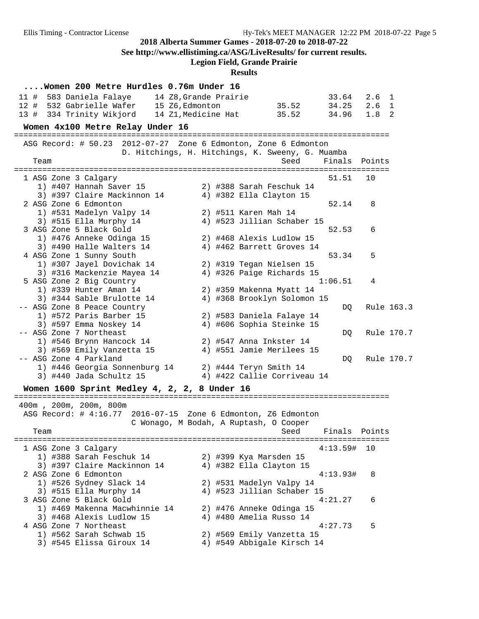**See http://www.ellistiming.ca/ASG/LiveResults/ for current results.**

### **Legion Field, Grande Prairie**

**Results**

| Women 200 Metre Hurdles 0.76m Under 16                          |                                         |                                                         |               |               |  |
|-----------------------------------------------------------------|-----------------------------------------|---------------------------------------------------------|---------------|---------------|--|
| 583 Daniela Falaye 14 Z8, Grande Prairie<br>11 #                |                                         |                                                         | 33.64         | $2.6 \quad 1$ |  |
| 12 # 532 Gabrielle Wafer 15 Z6, Edmonton                        |                                         | 35.52                                                   | 34.25         | $2.6 \quad 1$ |  |
| 13 # 334 Trinity Wikjord                                        | 14 Z1, Medicine Hat                     | 35.52                                                   | 34.96         | $1.8-2$       |  |
| Women 4x100 Metre Relay Under 16                                |                                         |                                                         |               |               |  |
| ASG Record: # 50.23 2012-07-27 Zone 6 Edmonton, Zone 6 Edmonton |                                         |                                                         |               |               |  |
| D. Hitchings, H. Hitchings, K. Sweeny, G. Muamba                |                                         |                                                         |               |               |  |
| Team                                                            |                                         | Seed                                                    | Finals        | Points        |  |
|                                                                 |                                         |                                                         |               |               |  |
| 1 ASG Zone 3 Calgary                                            |                                         |                                                         | 51.51         | 10            |  |
| 1) #407 Hannah Saver 15                                         |                                         | 2) #388 Sarah Feschuk 14                                |               |               |  |
| 3) #397 Claire Mackinnon 14                                     |                                         | 4) #382 Ella Clayton 15                                 |               |               |  |
| 2 ASG Zone 6 Edmonton                                           |                                         |                                                         | 52.14         | 8             |  |
| 1) #531 Madelyn Valpy 14                                        | 2) #511 Karen Mah 14                    |                                                         |               |               |  |
| 3) #515 Ella Murphy 14                                          |                                         | 4) #523 Jillian Schaber 15                              |               |               |  |
| 3 ASG Zone 5 Black Gold                                         |                                         |                                                         | 52.53         | 6             |  |
| 1) #476 Anneke Odinga 15                                        |                                         | 2) #468 Alexis Ludlow 15                                |               |               |  |
| 3) #490 Halle Walters 14                                        |                                         | 4) #462 Barrett Groves 14                               |               |               |  |
| 4 ASG Zone 1 Sunny South                                        |                                         |                                                         | 53.34         | 5             |  |
| 1) #307 Jayel Dovichak 14                                       |                                         | 2) #319 Tegan Nielsen 15                                |               |               |  |
| 3) #316 Mackenzie Mayea 14                                      |                                         | 4) #326 Paige Richards 15                               | 1:06.51       | 4             |  |
| 5 ASG Zone 2 Big Country<br>1) #339 Hunter Aman 14              |                                         |                                                         |               |               |  |
|                                                                 |                                         | 2) #359 Makenna Myatt 14<br>4) #368 Brooklyn Solomon 15 |               |               |  |
| 3) #344 Sable Brulotte 14<br>-- ASG Zone 8 Peace Country        |                                         |                                                         |               | Rule 163.3    |  |
| 1) #572 Paris Barber 15                                         |                                         | 2) #583 Daniela Falaye 14                               | DQ.           |               |  |
| 3) #597 Emma Noskey 14                                          |                                         | 4) #606 Sophia Steinke 15                               |               |               |  |
| -- ASG Zone 7 Northeast                                         |                                         |                                                         | DQ.           | Rule 170.7    |  |
| 1) #546 Brynn Hancock 14                                        |                                         | 2) #547 Anna Inkster 14                                 |               |               |  |
| 3) #569 Emily Vanzetta 15                                       |                                         | 4) #551 Jamie Merilees 15                               |               |               |  |
| -- ASG Zone 4 Parkland                                          |                                         |                                                         | DQ            | Rule 170.7    |  |
| 1) #446 Georgia Sonnenburg 14                                   |                                         | 2) #444 Teryn Smith 14                                  |               |               |  |
| 3) #440 Jada Schultz 15                                         |                                         | 4) #422 Callie Corriveau 14                             |               |               |  |
|                                                                 |                                         |                                                         |               |               |  |
| Women 1600 Sprint Medley 4, 2, 2, 8 Under 16                    |                                         |                                                         |               |               |  |
| 400m, 200m, 200m, 800m                                          |                                         |                                                         |               |               |  |
| ASG Record: # 4:16.77                                           | 2016-07-15 Zone 6 Edmonton, Z6 Edmonton |                                                         |               |               |  |
|                                                                 | C Wonago, M Bodah, A Ruptash, O Cooper  |                                                         |               |               |  |
| Team                                                            |                                         | Seed Finals Points                                      |               |               |  |
|                                                                 |                                         |                                                         |               |               |  |
| 1 ASG Zone 3 Calgary                                            |                                         |                                                         | $4:13.59#$ 10 |               |  |
| 1) #388 Sarah Feschuk 14                                        | 2) #399 Kya Marsden 15                  |                                                         |               |               |  |
| 3) #397 Claire Mackinnon 14                                     |                                         | 4) #382 Ella Clayton 15                                 |               |               |  |
| 2 ASG Zone 6 Edmonton                                           |                                         |                                                         | 4:13.93#      | 8             |  |
| 1) #526 Sydney Slack 14                                         |                                         | 2) #531 Madelyn Valpy 14                                |               |               |  |
| 3) #515 Ella Murphy 14                                          |                                         | 4) #523 Jillian Schaber 15                              |               |               |  |
| 3 ASG Zone 5 Black Gold                                         |                                         |                                                         | 4:21.27       | 6             |  |
| 1) #469 Makenna Macwhinnie 14                                   |                                         | 2) #476 Anneke Odinga 15                                |               |               |  |
| 3) #468 Alexis Ludlow 15                                        |                                         | 4) #480 Amelia Russo 14                                 |               |               |  |
| 4 ASG Zone 7 Northeast                                          |                                         |                                                         | 4:27.73       | 5             |  |
| 1) #562 Sarah Schwab 15                                         |                                         | 2) #569 Emily Vanzetta 15                               |               |               |  |
| 3) #545 Elissa Giroux 14                                        |                                         | 4) #549 Abbigale Kirsch 14                              |               |               |  |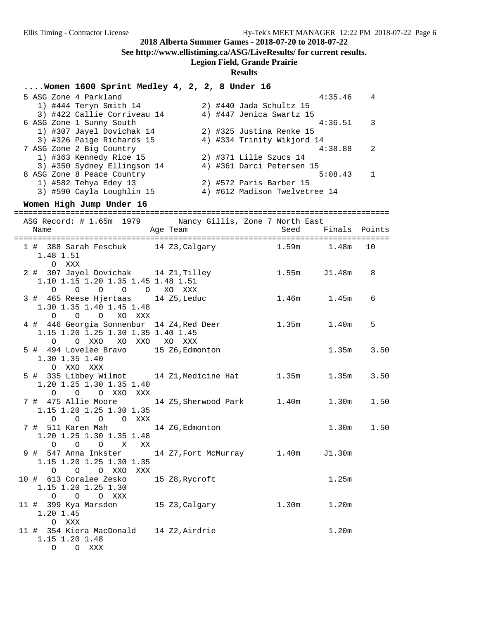**See http://www.ellistiming.ca/ASG/LiveResults/ for current results.**

## **Legion Field, Grande Prairie**

| Women 1600 Sprint Medley 4, 2, 2, 8 Under 16                      |                 |                        |                               |                   |             |
|-------------------------------------------------------------------|-----------------|------------------------|-------------------------------|-------------------|-------------|
| 5 ASG Zone 4 Parkland                                             |                 |                        |                               | 4:35.46           | 4           |
| 1) #444 Teryn Smith 14                                            |                 |                        | 2) #440 Jada Schultz 15       |                   |             |
| 3) #422 Callie Corriveau 14                                       |                 |                        | 4) #447 Jenica Swartz 15      |                   |             |
| 6 ASG Zone 1 Sunny South                                          |                 |                        |                               | 4:36.51           | 3           |
| 1) #307 Jayel Dovichak 14                                         |                 |                        | 2) #325 Justina Renke 15      |                   |             |
| 3) #326 Paige Richards 15<br>7 ASG Zone 2 Big Country             |                 |                        | 4) #334 Trinity Wikjord 14    | 4:38.88           | 2           |
| 1) #363 Kennedy Rice 15                                           |                 | 2) #371 Lilie Szucs 14 |                               |                   |             |
| 3) #350 Sydney Ellingson 14                                       |                 |                        | 4) #361 Darci Petersen 15     |                   |             |
| 8 ASG Zone 8 Peace Country                                        |                 |                        |                               | 5:08.43           | $\mathbf 1$ |
| 1) #582 Tehya Edey 13                                             |                 |                        | 2) #572 Paris Barber 15       |                   |             |
| 3) #590 Cayla Loughlin 15                                         |                 |                        | 4) #612 Madison Twelvetree 14 |                   |             |
| Women High Jump Under 16                                          |                 |                        |                               |                   |             |
|                                                                   |                 |                        |                               |                   |             |
| ASG Record: # 1.65m 1979 Nancy Gillis, Zone 7 North East          |                 |                        |                               |                   |             |
| Name                                                              | Age Team        |                        | Seed                          | Finals            | Points      |
|                                                                   |                 |                        |                               |                   |             |
| 1 # 388 Sarah Feschuk 14 Z3, Calgary                              |                 |                        |                               | 1.59m 1.48m       | 10          |
| 1.48 1.51                                                         |                 |                        |                               |                   |             |
| O XXX<br>2 # 307 Jayel Dovichak 14 Z1, Tilley                     |                 |                        | 1.55m                         | J1.48m            |             |
| 1.10 1.15 1.20 1.35 1.45 1.48 1.51                                |                 |                        |                               |                   | 8           |
| O O O XO XXX<br>$\overline{O}$<br>$\circ$                         |                 |                        |                               |                   |             |
| 3 # 465 Reese Hjertaas 14 Z5, Leduc                               |                 |                        |                               | 1.46m 1.45m       | 6           |
| 1.30 1.35 1.40 1.45 1.48                                          |                 |                        |                               |                   |             |
| $0\qquad 0$<br>XO XXX<br>$\circ$                                  |                 |                        |                               |                   |             |
| 4 # 446 Georgia Sonnenbur 14 Z4, Red Deer                         |                 |                        |                               | 1.35m 1.40m       | 5           |
| 1.15 1.20 1.25 1.30 1.35 1.40 1.45                                |                 |                        |                               |                   |             |
| O XXO<br>$\circ$                                                  | XO XXO XO XXX   |                        |                               |                   |             |
| 5 # 494 Lovelee Bravo                                             | 15 Z6, Edmonton |                        |                               | 1.35m             | 3.50        |
| 1.30 1.35 1.40                                                    |                 |                        |                               |                   |             |
| XXO XXX<br>$\circ$                                                |                 |                        |                               |                   |             |
| 5 # 335 Libbey Wilmot 14 Z1, Medicine Hat 1.35m                   |                 |                        |                               | 1.35m             | 3.50        |
| 1.20 1.25 1.30 1.35 1.40                                          |                 |                        |                               |                   |             |
| O XXO XXX<br>$\circ$<br>$\circ$                                   |                 |                        |                               |                   | 1.50        |
| 1.15 1.20 1.25 1.30 1.35                                          |                 |                        |                               |                   |             |
| O O XXX<br>$\circ$<br>$\circ$                                     |                 |                        |                               |                   |             |
| 7 # 511 Karen Mah                                                 | 14 Z6, Edmonton |                        |                               | 1.30m             | 1.50        |
| 1.20 1.25 1.30 1.35 1.48                                          |                 |                        |                               |                   |             |
| $\overline{O}$<br>$\overline{O}$<br>$\mathbf{X}$<br>$\circ$<br>ΧX |                 |                        |                               |                   |             |
| 9 # 547 Anna Inkster       14 Z7, Fort McMurray       1.40m       |                 |                        |                               | J1.30m            |             |
| 1.15 1.20 1.25 1.30 1.35                                          |                 |                        |                               |                   |             |
| O O O XXO XXX                                                     |                 |                        |                               |                   |             |
| 10 # 613 Coralee Zesko                                            | 15 Z8, Rycroft  |                        |                               | 1.25m             |             |
| 1.15 1.20 1.25 1.30                                               |                 |                        |                               |                   |             |
| $\circ$<br>O O XXX                                                |                 |                        |                               |                   |             |
| 11 # 399 Kya Marsden 15 Z3, Calgary                               |                 |                        | 1.30m                         | 1.20m             |             |
| 1.20 1.45                                                         |                 |                        |                               |                   |             |
| O XXX<br>11 # 354 Kiera MacDonald 14 Z2, Airdrie                  |                 |                        |                               | 1.20 <sub>m</sub> |             |
| 1.15 1.20 1.48                                                    |                 |                        |                               |                   |             |
| O O XXX                                                           |                 |                        |                               |                   |             |
|                                                                   |                 |                        |                               |                   |             |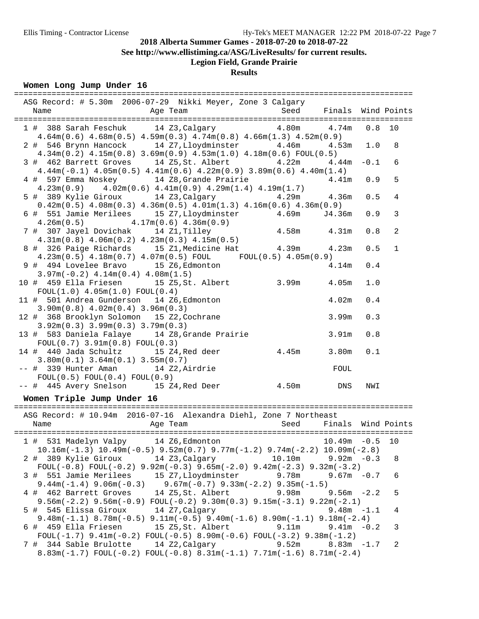**See http://www.ellistiming.ca/ASG/LiveResults/ for current results.**

# **Legion Field, Grande Prairie**

## **Results**

### **Women Long Jump Under 16**

| ASG Record: # 5.30m 2006-07-29 Nikki Meyer, Zone 3 Calgary                                                                                                                            |          |                |
|---------------------------------------------------------------------------------------------------------------------------------------------------------------------------------------|----------|----------------|
| Age Team                                                                                                                                                                              |          |                |
| 1 # 388 Sarah Feschuk 14 Z3, Calgary 4.80m 4.74m                                                                                                                                      | $0.8$ 10 |                |
| $4.64$ m $(0.6)$ $4.68$ m $(0.5)$ $4.59$ m $(0.3)$ $4.74$ m $(0.8)$ $4.66$ m $(1.3)$ $4.52$ m $(0.9)$                                                                                 |          |                |
| 2 # 546 Brynn Hancock 14 Z7, Lloydminster 4.46m 4.53m 1.0<br>$4.34m(0.2)$ $4.15m(0.8)$ $3.69m(0.9)$ $4.53m(1.0)$ $4.18m(0.6)$ FOUL $(0.5)$                                            |          | 8              |
| 3 # 462 Barrett Groves 14 Z5, St. Albert 4.22m 4.44m                                                                                                                                  | $-0.1$   | 6              |
| $4.44m(-0.1)$ $4.05m(0.5)$ $4.41m(0.6)$ $4.22m(0.9)$ $3.89m(0.6)$ $4.40m(1.4)$                                                                                                        |          |                |
| 4 # 597 Emma Noskey 14 Z8, Grande Prairie<br>4.41m<br>$4.23\text{m}(0.9)$ $4.02\text{m}(0.6)$ $4.41\text{m}(0.9)$ $4.29\text{m}(1.4)$ $4.19\text{m}(1.7)$                             | 0.9      | 5              |
| 5 # 389 Kylie Giroux 14 Z3, Calgary 4.29m 4.36m                                                                                                                                       | 0.5      | $\overline{4}$ |
| $0.42$ m $(0.5)$ $4.08$ m $(0.3)$ $4.36$ m $(0.5)$ $4.01$ m $(1.3)$ $4.16$ m $(0.6)$ $4.36$ m $(0.9)$                                                                                 |          |                |
| 6 # 551 Jamie Merilees 15 Z7, Lloydminster 4.69m<br>J4.36m                                                                                                                            | 0.9      | 3              |
| $4.26m(0.5)$ $4.17m(0.6)$ $4.36m(0.9)$                                                                                                                                                | 0.8      | $\overline{a}$ |
| 7 # 307 Jayel Dovichak 14 Z1, Tilley 4.58m 4.31m 4.31m 4.31m                                                                                                                          |          |                |
| 8 # 326 Paige Richards 15 Z1, Medicine Hat 4.39m 4.23m                                                                                                                                | 0.5      | $\mathbf 1$    |
| $4.23\text{m}(0.5)$ $4.18\text{m}(0.7)$ $4.07\text{m}(0.5)$ FOUL FOUL(0.5) $4.05\text{m}(0.9)$<br>9 # 494 Lovelee Bravo 15 Z6, Edmonton                                               | 0.4      |                |
| $4.14\mathrm{m}$<br>$3.97m(-0.2)$ 4.14m(0.4) 4.08m(1.5)                                                                                                                               |          |                |
| 10 # 459 Ella Friesen 15 Z5, St. Albert 3.99m 4.05m                                                                                                                                   | 1.0      |                |
| FOUL(1.0) 4.05m(1.0) FOUL(0.4)                                                                                                                                                        |          |                |
| 11 # 501 Andrea Gunderson 14 Z6, Edmonton<br>4.02m<br>$3.90m(0.8)$ 4.02m(0.4) 3.96m(0.3)                                                                                              | 0.4      |                |
| 12 # 368 Brooklyn Solomon 15 Z2, Cochrane<br>3.99m                                                                                                                                    | 0.3      |                |
| $3.92m(0.3)$ $3.99m(0.3)$ $3.79m(0.3)$                                                                                                                                                |          |                |
| 13 # 583 Daniela Falaye 14 Z8, Grande Prairie<br>3.91m<br>$FOUL(0.7)$ 3.91m(0.8) $FOUL(0.3)$                                                                                          | 0.8      |                |
| 14 # 440 Jada Schultz 15 Z4, Red deer 4.45m 3.80m                                                                                                                                     | 0.1      |                |
| $3.80m(0.1)$ $3.64m(0.1)$ $3.55m(0.7)$                                                                                                                                                |          |                |
| -- # 339 Hunter Aman 14 Z2, Airdrie<br>FOUL                                                                                                                                           |          |                |
| FOUL(0.5) FOUL(0.4) FOUL(0.9)<br>-- # 445 Avery Snelson 15 Z4, Red Deer 4.50m DNS                                                                                                     | NWI      |                |
| Women Triple Jump Under 16                                                                                                                                                            |          |                |
|                                                                                                                                                                                       |          |                |
| ASG Record: # 10.94m 2016-07-16 Alexandra Diehl, Zone 7 Northeast                                                                                                                     |          |                |
| Seed Finals Wind Points<br>Age Team<br>Name                                                                                                                                           |          |                |
| 1 # 531 Madelyn Valpy 14 Z6, Edmonton 10.49m -0.5 10                                                                                                                                  |          |                |
| $10.16m(-1.3)$ $10.49m(-0.5)$ $9.52m(0.7)$ $9.77m(-1.2)$ $9.74m(-2.2)$ $10.09m(-2.8)$                                                                                                 |          |                |
| 2 # 389 Kylie Giroux<br>14 Z3, Calgary<br>10.10m<br>$9.92m - 0.3$                                                                                                                     |          | 8              |
| FOUL(-0.8) FOUL(-0.2) $9.92m(-0.3)$ $9.65m(-2.0)$ $9.42m(-2.3)$ $9.32m(-3.2)$<br>15 Z7, Lloydminster 9.78m<br>3 # 551 Jamie Merilees<br>9.67m                                         | $-0.7$   | 6              |
| $9.44m(-1.4)$ $9.06m(-0.3)$ $9.67m(-0.7)$ $9.33m(-2.2)$ $9.35m(-1.5)$                                                                                                                 |          |                |
| 14 Z5, St. Albert<br>9.98m<br>4 # 462 Barrett Groves<br>$9.56m - 2.2$                                                                                                                 |          | 5              |
| $9.56m(-2.2)$ $9.56m(-0.9)$ $FOUL(-0.2)$ $9.30m(0.3)$ $9.15m(-3.1)$ $9.22m(-2.1)$<br>5 # 545 Elissa Giroux<br>9.48m                                                                   | $-1.1$   | 4              |
| 14 Z7, Calgary<br>$9.48m(-1.1)$ $8.78m(-0.5)$ $9.11m(-0.5)$ $9.40m(-1.6)$ $8.90m(-1.1)$ $9.18m(-2.4)$                                                                                 |          |                |
| 6 # 459 Ella Friesen<br>15 Z5,St. Albert<br>9.11m<br>$9.41m - 0.2$                                                                                                                    |          | 3              |
| FOUL(-1.7) $9.41m(-0.2)$ FOUL(-0.5) $8.90m(-0.6)$ FOUL(-3.2) $9.38m(-1.2)$                                                                                                            |          |                |
| 7 # 344 Sable Brulotte<br>14 Z2, Calgary<br>9.52m<br>$8.83m - 1.7$<br>$8.83\text{m}(-1.7)$ FOUL $(-0.2)$ FOUL $(-0.8)$ $8.31\text{m}(-1.1)$ $7.71\text{m}(-1.6)$ $8.71\text{m}(-2.4)$ |          | 2              |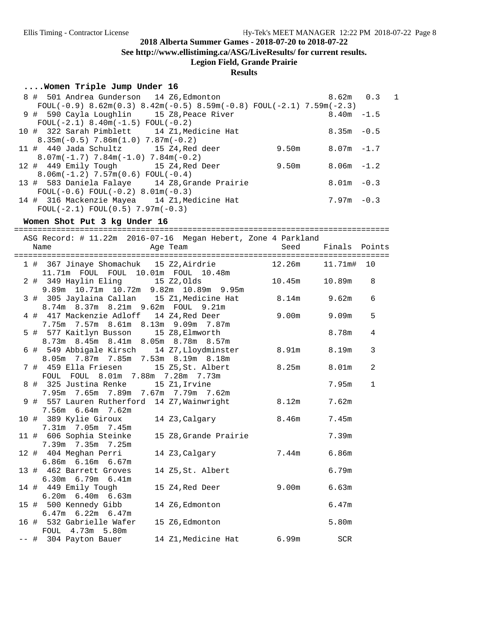**See http://www.ellistiming.ca/ASG/LiveResults/ for current results.**

**Legion Field, Grande Prairie**

## **Results**

### **....Women Triple Jump Under 16**

| 8 # 501 Andrea Gunderson 14 Z6, Edmonton                             |       | $8.62m$ 0.3   |  |
|----------------------------------------------------------------------|-------|---------------|--|
| FOUL(-0.9) 8.62m(0.3) 8.42m(-0.5) 8.59m(-0.8) FOUL(-2.1) 7.59m(-2.3) |       |               |  |
| 9 # 590 Cayla Loughlin 15 Z8, Peace River                            |       | $8.40m - 1.5$ |  |
| $FOUL(-2.1) 8.40m(-1.5) FOUL(-0.2)$                                  |       |               |  |
| 10 # 322 Sarah Pimblett 14 Z1, Medicine Hat                          |       | $8.35m - 0.5$ |  |
| $8.35m(-0.5)$ 7.86 $m(1.0)$ 7.87 $m(-0.2)$                           |       |               |  |
| 11 # 440 Jada Schultz 15 Z4, Red deer                                | 9.50m | $8.07m - 1.7$ |  |
| $8.07m(-1.7)$ 7.84m( $-1.0$ ) 7.84m( $-0.2$ )                        |       |               |  |
| 12 # 449 Emily Tough 15 Z4, Red Deer                                 | 9.50m | 8.06m -1.2    |  |
| $8.06m(-1.2)$ 7.57 $m(0.6)$ FOUL(-0.4)                               |       |               |  |
| 13 # 583 Daniela Falaye 14 Z8, Grande Prairie                        |       | $8.01m - 0.3$ |  |
| $FOUL(-0.6) FOUL(-0.2) 8.01m(-0.3)$                                  |       |               |  |
| 14 # 316 Mackenzie Mayea 14 Z1, Medicine Hat                         |       | $7.97m - 0.3$ |  |
| $FOUL(-2.1) FOUL(0.5) 7.97m(-0.3)$                                   |       |               |  |

### **Women Shot Put 3 kg Under 16**

================================================================================

|  | ASG Record: # 11.22m 2016-07-16 Megan Hebert, Zone 4 Parkland                                         |                                                                                                                                                                                                                                |                    |        |              |
|--|-------------------------------------------------------------------------------------------------------|--------------------------------------------------------------------------------------------------------------------------------------------------------------------------------------------------------------------------------|--------------------|--------|--------------|
|  | Name                                                                                                  | Age Team and the state of the state of the state of the state of the state of the state of the state of the state of the state of the state of the state of the state of the state of the state of the state of the state of t | Seed Finals Points |        |              |
|  |                                                                                                       |                                                                                                                                                                                                                                |                    |        |              |
|  | 1 # 367 Jinaye Shomachuk 15 Z2, Airdrie 12.26m 11.71m# 10<br>11.71m  FOUL  FOUL  10.01m  FOUL  10.48m |                                                                                                                                                                                                                                |                    |        |              |
|  | 2 # 349 Haylin Eling 15 Z2, Olds                                                                      |                                                                                                                                                                                                                                | 10.45m             | 10.89m | 8            |
|  | 9.89m 10.71m 10.72m 9.82m 10.89m 9.95m<br>3 # 305 Jaylaina Callan 15 Z1, Medicine Hat                 |                                                                                                                                                                                                                                | $8.14m$ 9.62m      |        | 6            |
|  | 8.74m 8.37m 8.21m 9.62m FOUL 9.21m<br>4 # 417 Mackenzie Adloff 14 Z4,Red Deer                         |                                                                                                                                                                                                                                | 9.00m 9.09m        |        | 5            |
|  | 7.75m 7.57m 8.61m 8.13m 9.09m 7.87m<br>5 # 577 Kaitlyn Busson 15 Z8, Elmworth                         |                                                                                                                                                                                                                                |                    | 8.78m  | 4            |
|  | 8.73m 8.45m 8.41m 8.05m 8.78m 8.57m<br>6 # 549 Abbigale Kirsch 14 Z7, Lloydminster 8.91m 8.19m        |                                                                                                                                                                                                                                |                    |        | 3            |
|  | 8.05m 7.87m 7.85m 7.53m 8.19m 8.18m<br>7 # 459 Ella Friesen 15 Z5, St. Albert                         |                                                                                                                                                                                                                                | 8.25m 8.01m        |        | 2            |
|  | FOUL FOUL 8.01m 7.88m 7.28m 7.73m<br>8 # 325 Justina Renke 15 Z1, Irvine                              |                                                                                                                                                                                                                                |                    | 7.95m  | $\mathbf{1}$ |
|  | 7.95m 7.65m 7.89m 7.67m 7.79m 7.62m<br>9 # 557 Lauren Rutherford 14 Z7, Wainwright 8.12m              |                                                                                                                                                                                                                                |                    | 7.62m  |              |
|  | 7.56m 6.64m 7.62m<br>10 # 389 Kylie Giroux 14 Z3, Calgary 8.46m 7.45m                                 |                                                                                                                                                                                                                                |                    |        |              |
|  | 7.31m 7.05m 7.45m<br>11 # 606 Sophia Steinke                                                          | 15 Z8, Grande Prairie                                                                                                                                                                                                          |                    | 7.39m  |              |
|  | 7.39m 7.35m 7.25m                                                                                     |                                                                                                                                                                                                                                |                    |        |              |
|  | 12 # 404 Meghan Perri<br>6.86m 6.16m 6.67m                                                            | 14 Z3, Calgary 7.44m 6.86m                                                                                                                                                                                                     |                    |        |              |
|  | 13 # 462 Barrett Groves<br>6.30m 6.79m 6.41m                                                          | 14 Z5, St. Albert                                                                                                                                                                                                              |                    | 6.79m  |              |
|  | 14 # 449 Emily Tough<br>$6.20m$ $6.40m$ $6.63m$                                                       | 15 Z4,Red Deer                                                                                                                                                                                                                 | $9.00m$ 6.63m      |        |              |
|  | 15 # 500 Kennedy Gibb<br>$6.47m$ $6.22m$ $6.47m$                                                      | 14 Z6, Edmonton                                                                                                                                                                                                                |                    | 6.47m  |              |
|  | 16 # 532 Gabrielle Wafer                                                                              | 15 Z6, Edmonton                                                                                                                                                                                                                |                    | 5.80m  |              |
|  | FOUL 4.73m 5.80m<br>-- # 304 Payton Bauer 14 Z1, Medicine Hat 6.99m SCR                               |                                                                                                                                                                                                                                |                    |        |              |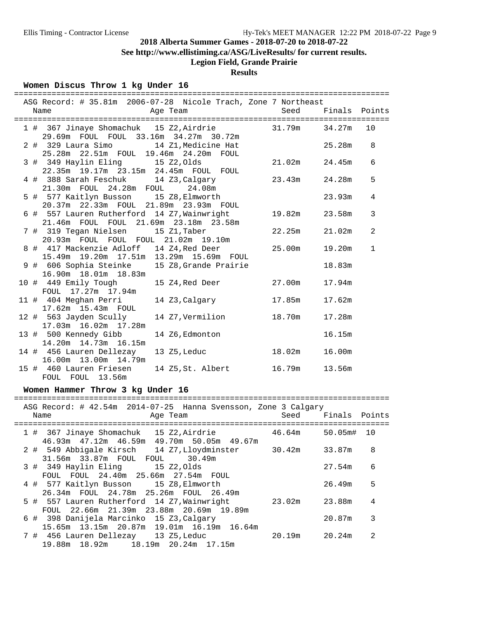**See http://www.ellistiming.ca/ASG/LiveResults/ for current results.**

# **Legion Field, Grande Prairie**

## **Results**

### **Women Discus Throw 1 kg Under 16**

19.88m 18.92m 18.19m 20.24m 17.15m

|     | ASG Record: # 35.81m  2006-07-28  Nicole Trach, Zone 7 Northeast<br>Age Team<br>Name                        | Seed               | Finals Points |                |
|-----|-------------------------------------------------------------------------------------------------------------|--------------------|---------------|----------------|
|     |                                                                                                             |                    |               |                |
|     | 1 # 367 Jinaye Shomachuk 15 Z2, Airdrie 31.79m<br>29.69m FOUL FOUL 33.16m 34.27m 30.72m                     |                    | 34.27m        | 10             |
|     | 2 # 329 Laura Simo<br>14 Z1, Medicine Hat<br>25.28m  22.51m  FOUL  19.46m  24.20m  FOUL                     |                    | 25.28m        | 8              |
|     | 3 # 349 Haylin Eling<br>15 Z2,01ds<br>22.35m 19.17m 23.15m 24.45m FOUL FOUL                                 | 21.02m             | 24.45m        | 6              |
|     | 4 # 388 Sarah Feschuk<br>14 Z3, Calgary<br>21.30m FOUL 24.28m FOUL 24.08m                                   | 23.43m             | 24.28m        | 5              |
|     | 5 # 577 Kaitlyn Busson 15 Z8, Elmworth<br>20.37m  22.33m  FOUL  21.89m  23.93m  FOUL                        |                    | 23.93m        | 4              |
|     | 6 # 557 Lauren Rutherford 14 Z7, Wainwright<br>21.46m FOUL FOUL 21.69m 23.18m 23.58m                        | 19.82m             | 23.58m        | 3              |
|     | 7 # 319 Tegan Nielsen       15 Z1,Taber<br>20.93m FOUL FOUL FOUL 21.02m 19.10m                              | 22.25m             | 21.02m        | $\overline{a}$ |
|     | 8 # 417 Mackenzie Adloff 14 Z4, Red Deer<br>15.49m  19.20m  17.51m  13.29m  15.69m  FOUL                    | 25.00m             | 19.20m        | $\mathbf{1}$   |
|     | 9 # 606 Sophia Steinke<br>15 Z8, Grande Prairie<br>16.90m  18.01m  18.83m                                   |                    | 18.83m        |                |
|     | 10 # 449 Emily Tough<br>15 Z4,Red Deer<br>FOUL 17.27m 17.94m                                                | 27.00m             | 17.94m        |                |
|     | 11 # 404 Meghan Perri<br>14 Z3, Calgary<br>17.62m  15.43m  FOUL                                             | 17.85m             | 17.62m        |                |
|     | 12 # 563 Jayden Scully<br>14 Z7, Vermilion<br>17.03m  16.02m  17.28m                                        | 18.70m             | 17.28m        |                |
|     | 13 # 500 Kennedy Gibb<br>14 Z6, Edmonton<br>14.20m  14.73m  16.15m                                          |                    | 16.15m        |                |
|     | 14 # 456 Lauren Dellezay<br>13 Z5, Leduc<br>16.00m  13.00m  14.79m                                          | 18.02m             | 16.00m        |                |
|     | 15 # 460 Lauren Friesen<br>14 Z5, St. Albert 16.79m<br>FOUL FOUL 13.56m                                     |                    | 13.56m        |                |
|     | Women Hammer Throw 3 kg Under 16                                                                            |                    |               |                |
|     |                                                                                                             |                    |               |                |
|     | ASG Record: # 42.54m 2014-07-25 Hanna Svensson, Zone 3 Calgary<br>Age Team<br>Name                          | Seed Finals Points |               |                |
|     | 1 # 367 Jinaye Shomachuk 15 Z2, Airdrie 46.64m 50.05m# 10<br>46.93m  47.12m  46.59m  49.70m  50.05m  49.67m |                    |               |                |
|     | 2 # 549 Abbigale Kirsch 14 Z7, Lloydminster<br>30.49m                                                       | 30.42m             | 33.87m        | 8              |
|     | 3 # 349 Haylin Eling<br>15 Z2, Olds<br>FOUL FOUL 24.40m 25.66m 27.54m FOUL                                  |                    | 27.54m        | 6              |
|     | 4 # 577 Kaitlyn Busson<br>15 Z8, Elmworth<br>26.34m FOUL 24.78m<br>25.26m FOUL<br>26.49m                    |                    | 26.49m        | 5              |
| 5 # | 557 Lauren Rutherford 14 Z7, Wainwright<br>22.66m 21.39m 23.88m 20.69m 19.89m<br>FOUL                       | 23.02m             | 23.88m        | 4              |
| 6 # | 398 Danijela Marcinko 15 Z3, Calgary<br>15.65m 13.15m 20.87m 19.01m 16.19m 16.64m                           |                    | 20.87m        | 3              |
| 7#  | 456 Lauren Dellezay 13 Z5, Leduc                                                                            | 20.19m             | 20.24m        | $\overline{a}$ |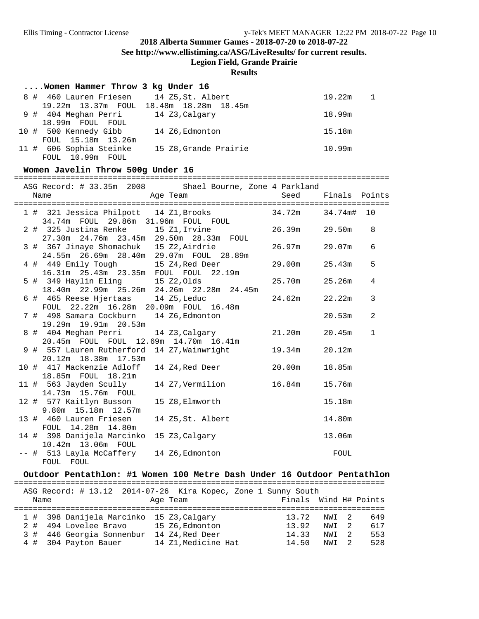**See http://www.ellistiming.ca/ASG/LiveResults/ for current results.**

**Legion Field, Grande Prairie**

#### **Results**

| Women Hammer Throw 3 kg Under 16         |                                         |                          |
|------------------------------------------|-----------------------------------------|--------------------------|
| 8 # 460 Lauren Friesen 14 Z5, St. Albert |                                         | 19.22m<br>$\overline{1}$ |
|                                          | 19.22m 13.37m FOUL 18.48m 18.28m 18.45m |                          |
| 9 # 404 Meghan Perri                     | 14 Z3,Calgary                           | 18.99m                   |
| 18.99m FOUL FOUL                         |                                         |                          |
| 10 # 500 Kennedy Gibb                    | 14 Z6, Edmonton                         | 15.18m                   |
| FOUL 15.18m 13.26m                       |                                         |                          |
| 11 # 606 Sophia Steinke                  | 15 Z8, Grande Prairie                   | 10.99m                   |
| FOUL 10.99m FOUL                         |                                         |                          |

### **Women Javelin Throw 500g Under 16**

|  |                                                                                                                                                                                                                                                                                                     |                                                                                                                                                                                                                                                                                                                                                                                                                                                                                                                                                                                                                               | 34.74m# 10                                                                                                                                                                                                                                                |                                                                                                                                                                                 |
|--|-----------------------------------------------------------------------------------------------------------------------------------------------------------------------------------------------------------------------------------------------------------------------------------------------------|-------------------------------------------------------------------------------------------------------------------------------------------------------------------------------------------------------------------------------------------------------------------------------------------------------------------------------------------------------------------------------------------------------------------------------------------------------------------------------------------------------------------------------------------------------------------------------------------------------------------------------|-----------------------------------------------------------------------------------------------------------------------------------------------------------------------------------------------------------------------------------------------------------|---------------------------------------------------------------------------------------------------------------------------------------------------------------------------------|
|  |                                                                                                                                                                                                                                                                                                     |                                                                                                                                                                                                                                                                                                                                                                                                                                                                                                                                                                                                                               | 29.50m                                                                                                                                                                                                                                                    | 8                                                                                                                                                                               |
|  |                                                                                                                                                                                                                                                                                                     |                                                                                                                                                                                                                                                                                                                                                                                                                                                                                                                                                                                                                               |                                                                                                                                                                                                                                                           | 6                                                                                                                                                                               |
|  |                                                                                                                                                                                                                                                                                                     |                                                                                                                                                                                                                                                                                                                                                                                                                                                                                                                                                                                                                               |                                                                                                                                                                                                                                                           | 5                                                                                                                                                                               |
|  |                                                                                                                                                                                                                                                                                                     |                                                                                                                                                                                                                                                                                                                                                                                                                                                                                                                                                                                                                               |                                                                                                                                                                                                                                                           | $\overline{4}$                                                                                                                                                                  |
|  |                                                                                                                                                                                                                                                                                                     |                                                                                                                                                                                                                                                                                                                                                                                                                                                                                                                                                                                                                               | 22.22m                                                                                                                                                                                                                                                    | $\mathfrak{Z}$                                                                                                                                                                  |
|  |                                                                                                                                                                                                                                                                                                     |                                                                                                                                                                                                                                                                                                                                                                                                                                                                                                                                                                                                                               | 20.53m                                                                                                                                                                                                                                                    | $\overline{a}$                                                                                                                                                                  |
|  |                                                                                                                                                                                                                                                                                                     |                                                                                                                                                                                                                                                                                                                                                                                                                                                                                                                                                                                                                               | 20.45m                                                                                                                                                                                                                                                    | $\mathbf{1}$                                                                                                                                                                    |
|  |                                                                                                                                                                                                                                                                                                     |                                                                                                                                                                                                                                                                                                                                                                                                                                                                                                                                                                                                                               |                                                                                                                                                                                                                                                           |                                                                                                                                                                                 |
|  |                                                                                                                                                                                                                                                                                                     | 20.00m                                                                                                                                                                                                                                                                                                                                                                                                                                                                                                                                                                                                                        | 18.85m                                                                                                                                                                                                                                                    |                                                                                                                                                                                 |
|  |                                                                                                                                                                                                                                                                                                     | 16.84m                                                                                                                                                                                                                                                                                                                                                                                                                                                                                                                                                                                                                        | 15.76m                                                                                                                                                                                                                                                    |                                                                                                                                                                                 |
|  |                                                                                                                                                                                                                                                                                                     |                                                                                                                                                                                                                                                                                                                                                                                                                                                                                                                                                                                                                               | 15.18m                                                                                                                                                                                                                                                    |                                                                                                                                                                                 |
|  |                                                                                                                                                                                                                                                                                                     |                                                                                                                                                                                                                                                                                                                                                                                                                                                                                                                                                                                                                               | 14.80m                                                                                                                                                                                                                                                    |                                                                                                                                                                                 |
|  |                                                                                                                                                                                                                                                                                                     |                                                                                                                                                                                                                                                                                                                                                                                                                                                                                                                                                                                                                               | 13.06m                                                                                                                                                                                                                                                    |                                                                                                                                                                                 |
|  |                                                                                                                                                                                                                                                                                                     |                                                                                                                                                                                                                                                                                                                                                                                                                                                                                                                                                                                                                               | FOUL                                                                                                                                                                                                                                                      |                                                                                                                                                                                 |
|  | Name<br>19.29m  19.91m  20.53m<br>20.12m 18.38m 17.53m<br>10 # 417 Mackenzie Adloff<br>18.85m FOUL 18.21m<br>14.73m 15.76m FOUL<br>12 # 577 Kaitlyn Busson<br>9.80m 15.18m 12.57m<br>13 # 460 Lauren Friesen<br>FOUL 14.28m 14.80m<br>14 # 398 Danijela Marcinko<br>10.42m 13.06m FOUL<br>FOUL FOUL | Age Team<br>34.74m FOUL 29.86m 31.96m FOUL FOUL<br>27.30m  24.76m  23.45m  29.50m  28.33m  FOUL<br>24.55m  26.69m  28.40m  29.07m  FOUL  28.89m<br>4 # 449 Emily Tough 15 Z4, Red Deer<br>16.31m  25.43m  23.35m  FOUL  FOUL  22.19m<br>18.40m  22.99m  25.26m  24.26m  22.28m  24.45m<br>6 # 465 Reese Hjertaas 14 Z5, Leduc<br>FOUL 22.22m 16.28m 20.09m FOUL 16.48m<br>7 # 498 Samara Cockburn 14 Z6, Edmonton<br>20.45m FOUL FOUL 12.69m 14.70m 16.41m<br>14 Z4,Red Deer<br>11 # 563 Jayden Scully 14 Z7, Vermilion<br>15 Z8, Elmworth<br>14 Z5, St. Albert<br>15 Z3, Calgary<br>-- # 513 Layla McCaffery 14 Z6, Edmonton | 1 # 321 Jessica Philpott 14 Z1, Brooks<br>2 # 325 Justina Renke 15 Z1, Irvine<br>3 # 367 Jinaye Shomachuk 15 Z2, Airdrie<br>5 # 349 Haylin Eling 15 Z2, Olds<br>8 # 404 Meghan Perri 14 Z3, Calgary 21.20m<br>9 # 557 Lauren Rutherford 14 Z7, Wainwright | ASG Record: # 33.35m 2008 Shael Bourne, Zone 4 Parkland<br>Seed Finals Points<br>34.72m<br>26.39m<br>26.97m 29.07m<br>29.00m 25.43m<br>25.70m 25.26m<br>24.62m<br>19.34m 20.12m |

#### **Outdoor Pentathlon: #1 Women 100 Metre Dash Under 16 Outdoor Pentathlon**

|      |                       |                           | ASG Record: # 13.12 2014-07-26 Kira Kopec, Zone 1 Sunny South |                       |       |     |
|------|-----------------------|---------------------------|---------------------------------------------------------------|-----------------------|-------|-----|
| Name |                       |                           | Age Team                                                      | Finals Wind H# Points |       |     |
|      |                       |                           |                                                               |                       |       |     |
|      |                       |                           | 1 # 398 Danijela Marcinko 15 Z3, Calgary                      | 13.72                 | NWI 2 | 649 |
|      | 2 # 494 Lovelee Bravo |                           | 15 Z6, Edmonton                                               | 13.92                 | NWI 2 | 617 |
|      |                       | 3 # 446 Georgia Sonnenbur | 14 Z4,Red Deer                                                | 14.33                 | NWI 2 | 553 |
|      | 4 # 304 Payton Bauer  |                           | 14 Z1. Medicine Hat                                           | 14.50                 | NWI   | 528 |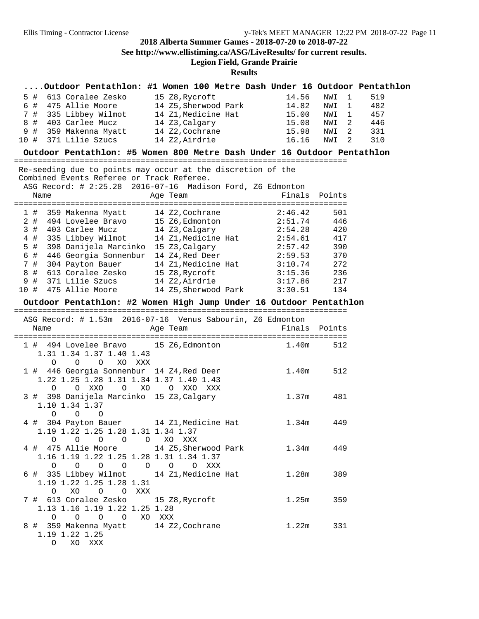## **2018 Alberta Summer Games - 2018-07-20 to 2018-07-22 See http://www.ellistiming.ca/ASG/LiveResults/ for current results. Legion Field, Grande Prairie**

|       |         | Outdoor Pentathlon: #1 Women 100 Metre Dash Under 16 Outdoor Pentathlon                                                                        |                |  |                    |                       |     |
|-------|---------|------------------------------------------------------------------------------------------------------------------------------------------------|----------------|--|--------------------|-----------------------|-----|
| 5 #   |         | 613 Coralee Zesko                                                                                                                              | 15 Z8, Rycroft |  | 14.56              | NWI<br>$\overline{1}$ | 519 |
| 6 #   |         | 475 Allie Moore<br>335 Libbey Wilmot 14 Z1, Medicine Hat 14.82<br>403 Carlee Mucz 14 Z3, Calgary 15.08<br>403 Carlee Mucz 14 Z3, Calgary 15.08 |                |  |                    | NWI<br>$\mathbf{1}$   | 482 |
| 7 #   |         |                                                                                                                                                |                |  |                    | NWI 1                 | 457 |
| 8 #   |         |                                                                                                                                                |                |  |                    | NWI 2                 | 446 |
| 9#    |         | 359 Makenna Myatt 14 Z2, Cochrane 15.98                                                                                                        |                |  |                    | NWI 2                 | 331 |
| 10 #  |         | 371 Lilie Szucs 14 Z2, Airdrie                                                                                                                 |                |  | 16.16              | NWI 2                 | 310 |
|       |         | Outdoor Pentathlon: #5 Women 800 Metre Dash Under 16 Outdoor Pentathlon                                                                        |                |  |                    |                       |     |
|       |         | Re-seeding due to points may occur at the discretion of the                                                                                    |                |  |                    |                       |     |
|       |         | Combined Events Referee or Track Referee.                                                                                                      |                |  |                    |                       |     |
|       |         | ASG Record: # 2:25.28 2016-07-16 Madison Ford, Z6 Edmonton                                                                                     |                |  |                    |                       |     |
|       | Name    |                                                                                                                                                | Age Team       |  |                    | Finals Points         |     |
|       |         |                                                                                                                                                |                |  |                    |                       |     |
| 1#    |         |                                                                                                                                                |                |  |                    | 501                   |     |
| 2#    |         |                                                                                                                                                |                |  |                    | 446                   |     |
| 3#    |         | 403 Carlee Mucz $14\,23$ , Calgary $2:54.28$                                                                                                   |                |  |                    | 420                   |     |
| $4$ # |         | 335 Libbey Wilmot 14 Z1, Medicine Hat 2:54.61                                                                                                  |                |  |                    | 417                   |     |
| 5 #   |         |                                                                                                                                                |                |  | 2:57.42<br>2:59.53 | 390                   |     |
| 6 #   |         | 398 Danijela Marcinko  15 Z3,Calgary<br>446 Georgia Sonnenbur  14 Z4,Red Deer                                                                  |                |  |                    | 370                   |     |
| 7#    |         | 304 Payton Bauer 14 Z1, Medicine Hat 3:10.74                                                                                                   |                |  |                    | 272                   |     |
| 8 #   |         | 613 Coralee Zesko $15\,28$ , Rycroft $3:15.36$                                                                                                 |                |  |                    | 236                   |     |
| 9 #   |         | 371 Lilie Szucs 14 Z2, Airdrie 3:17.86                                                                                                         |                |  |                    | 217                   |     |
| 10#   |         | 475 Allie Moore 14 Z5, Sherwood Park 3:30.51                                                                                                   |                |  |                    | 134                   |     |
|       |         | Outdoor Pentathlon: #2 Women High Jump Under 16 Outdoor Pentathlon                                                                             |                |  |                    |                       |     |
|       |         | ASG Record: # 1.53m 2016-07-16 Venus Sabourin, Z6 Edmonton                                                                                     |                |  |                    |                       |     |
|       | Name    |                                                                                                                                                | Age Team       |  |                    | Finals Points         |     |
|       |         |                                                                                                                                                |                |  |                    |                       |     |
|       |         | 1 # 494 Lovelee Bravo 15 Z6, Edmonton 1.40m                                                                                                    |                |  |                    | 512                   |     |
|       |         | 1.31 1.34 1.37 1.40 1.43                                                                                                                       |                |  |                    |                       |     |
|       | O       | $\circ$<br>$\circ$<br>XO XXX                                                                                                                   |                |  |                    |                       |     |
|       |         | 1 # 446 Georgia Sonnenbur 14 Z4, Red Deer 1.40m                                                                                                |                |  |                    | 512                   |     |
|       |         | 1.22 1.25 1.28 1.31 1.34 1.37 1.40 1.43                                                                                                        |                |  |                    |                       |     |
|       | O       | O XXO<br>O XO O XXO XXX                                                                                                                        |                |  |                    |                       |     |
|       | 3 #     | 398 Danijela Marcinko 15 Z3, Calgary                                                                                                           |                |  | 1.37 <sub>m</sub>  | 481                   |     |
|       |         | 1.10 1.34 1.37                                                                                                                                 |                |  |                    |                       |     |
|       | $\circ$ | $\circ$<br>$\circ$                                                                                                                             |                |  |                    |                       |     |
|       |         | 4 # 304 Payton Bauer 14 Z1, Medicine Hat                                                                                                       |                |  | 1.34m              | 449                   |     |
|       |         | 1.19 1.22 1.25 1.28 1.31 1.34 1.37                                                                                                             |                |  |                    |                       |     |
|       |         | 0 0 0 0 0 0 XO XXX<br>4 # 475 Allie Moore 14 Z5,Sherwood Park 1.34m                                                                            |                |  |                    |                       |     |
|       |         |                                                                                                                                                |                |  |                    | 449                   |     |
|       |         | 1.16 1.19 1.22 1.25 1.28 1.31 1.34 1.37                                                                                                        |                |  |                    |                       |     |
|       |         | 0 0 0 0 0 0 0 XXX                                                                                                                              |                |  |                    |                       |     |
|       |         | 6 # 335 Libbey Wilmot 14 Z1, Medicine Hat 1.28m                                                                                                |                |  |                    | 389                   |     |
|       |         | 1.19 1.22 1.25 1.28 1.31                                                                                                                       |                |  |                    |                       |     |
|       |         | O XO O O XXX                                                                                                                                   |                |  |                    |                       |     |
|       |         | 7 # 613 Coralee Zesko 15 Z8, Rycroft                                                                                                           |                |  |                    | 1.25m 359             |     |
|       |         | 1.13 1.16 1.19 1.22 1.25 1.28                                                                                                                  |                |  |                    |                       |     |
|       |         | 0 0 0 0 XO XXX<br>8 # 359 Makenna Myatt 14 Z2, Cochrane                                                                                        |                |  |                    | $1.22m$ 331           |     |
|       |         | 1.19 1.22 1.25                                                                                                                                 |                |  |                    |                       |     |
|       |         | O XO XXX                                                                                                                                       |                |  |                    |                       |     |
|       |         |                                                                                                                                                |                |  |                    |                       |     |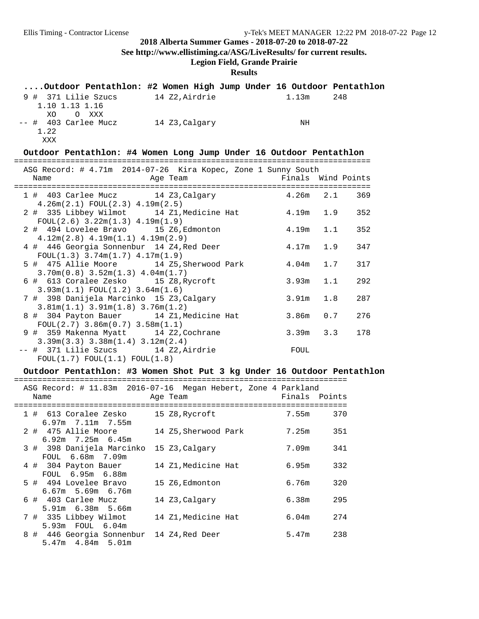**See http://www.ellistiming.ca/ASG/LiveResults/ for current results.**

## **Legion Field, Grande Prairie**

## **Results**

|                                                                                      | Outdoor Pentathlon: #2 Women High Jump Under 16 Outdoor Pentathlon |                    |            |
|--------------------------------------------------------------------------------------|--------------------------------------------------------------------|--------------------|------------|
| 1.10 1.13 1.16<br>XO<br>O XXX                                                        | 9 # 371 Lilie Szucs 14 Z2, Airdrie                                 | $1.13m$ 248        |            |
| -- # 403 Carlee Mucz 14 Z3, Calgary<br>1.22<br>XXX                                   |                                                                    | NH                 |            |
|                                                                                      | Outdoor Pentathlon: #4 Women Long Jump Under 16 Outdoor Pentathlon |                    |            |
| ASG Record: # 4.71m 2014-07-26 Kira Kopec, Zone 1 Sunny South                        |                                                                    |                    |            |
| Name                                                                                 | Age Team                                                           | Finals Wind Points |            |
| $4.26m(2.1)$ FOUL $(2.3)$ $4.19m(2.5)$                                               | 1 # 403 Carlee Mucz 14 Z3, Calgary 4.26m 2.1 369                   |                    |            |
| $FOUL(2.6)$ 3.22m(1.3) 4.19m(1.9)                                                    | 2 # 335 Libbey Wilmot 14 Z1, Medicine Hat 4.19m 1.9                |                    | 352        |
| 2 # 494 Lovelee Bravo 15 Z6, Edmonton<br>$4.12m(2.8)$ $4.19m(1.1)$ $4.19m(2.9)$      |                                                                    | 4.19m              | 1.1<br>352 |
| 4 # 446 Georgia Sonnenbur 14 Z4, Red Deer<br>$FOUL(1.3)$ 3.74m $(1.7)$ 4.17m $(1.9)$ |                                                                    | 4.17m              | 1.9<br>347 |
| $3.70m(0.8)$ $3.52m(1.3)$ $4.04m(1.7)$                                               | 5 # 475 Allie Moore 14 Z5, Sherwood Park                           | 4.04 <sub>m</sub>  | 1.7<br>317 |
| 6 # 613 Coralee Zesko 15 Z8, Rycroft<br>$3.93m(1.1)$ FOUL $(1.2)$ 3.64m $(1.6)$      |                                                                    | 3.93m              | 292<br>1.1 |
| 7 # 398 Danijela Marcinko 15 Z3, Calgary<br>$3.81m(1.1)$ $3.91m(1.8)$ $3.76m(1.2)$   |                                                                    | 3.91m              | 1.8<br>287 |
| 8 # 304 Payton Bauer 14 Z1, Medicine Hat<br>$FOUL(2.7)$ 3.86m $(0.7)$ 3.58m $(1.1)$  |                                                                    | 3.86m              | 0.7<br>276 |
| 9 # 359 Makenna Myatt 14 Z2, Cochrane<br>$3.39m(3.3)$ $3.38m(1.4)$ $3.12m(2.4)$      |                                                                    | $3.39m$ $3.3$      | 178        |
| -- # 371 Lilie Szucs 14 Z2, Airdrie<br>FOUL(1.7) FOUL(1.1) FOUL(1.8)                 |                                                                    | FOUL               |            |

## **Outdoor Pentathlon: #3 Women Shot Put 3 kg Under 16 Outdoor Pentathlon**

| ASG Record: # 11.83m  2016-07-16  Megan Hebert, Zone 4 Parkland<br>Finals Points<br>Name<br>Age Team<br>1 # 613 Coralee Zesko<br>370<br>15 Z8, Rycroft<br>7.55m<br>$6.97m$ $7.11m$ $7.55m$<br>2 # 475 Allie Moore<br>7.25m<br>351<br>14 Z5, Sherwood Park<br>$6.92m$ 7.25m $6.45m$<br>3 # 398 Danijela Marcinko<br>7.09m<br>341<br>15 Z3, Calgary<br>FOUL 6.68m 7.09m<br>332<br>14 Z1, Medicine Hat<br>6.95m<br>4 # 304 Payton Bauer<br>FOUL 6.95m 6.88m<br>320<br>6.76m<br>5 # 494 Lovelee Bravo<br>15 Z6, Edmonton<br>$6.67m$ 5.69m $6.76m$ |
|-----------------------------------------------------------------------------------------------------------------------------------------------------------------------------------------------------------------------------------------------------------------------------------------------------------------------------------------------------------------------------------------------------------------------------------------------------------------------------------------------------------------------------------------------|
|                                                                                                                                                                                                                                                                                                                                                                                                                                                                                                                                               |
|                                                                                                                                                                                                                                                                                                                                                                                                                                                                                                                                               |
|                                                                                                                                                                                                                                                                                                                                                                                                                                                                                                                                               |
|                                                                                                                                                                                                                                                                                                                                                                                                                                                                                                                                               |
|                                                                                                                                                                                                                                                                                                                                                                                                                                                                                                                                               |
|                                                                                                                                                                                                                                                                                                                                                                                                                                                                                                                                               |
|                                                                                                                                                                                                                                                                                                                                                                                                                                                                                                                                               |
|                                                                                                                                                                                                                                                                                                                                                                                                                                                                                                                                               |
|                                                                                                                                                                                                                                                                                                                                                                                                                                                                                                                                               |
|                                                                                                                                                                                                                                                                                                                                                                                                                                                                                                                                               |
|                                                                                                                                                                                                                                                                                                                                                                                                                                                                                                                                               |
|                                                                                                                                                                                                                                                                                                                                                                                                                                                                                                                                               |
|                                                                                                                                                                                                                                                                                                                                                                                                                                                                                                                                               |
| 295<br>$6$ # $403$ Carlee Mucz<br>6.38m<br>14 Z3, Calgary                                                                                                                                                                                                                                                                                                                                                                                                                                                                                     |
| 5.91m 6.38m 5.66m                                                                                                                                                                                                                                                                                                                                                                                                                                                                                                                             |
| 274<br>7 # 335 Libbey Wilmot<br>14 Z1, Medicine Hat<br>6.04m                                                                                                                                                                                                                                                                                                                                                                                                                                                                                  |
| 5.93m FOUL 6.04m                                                                                                                                                                                                                                                                                                                                                                                                                                                                                                                              |
| 8 # 446 Georgia Sonnenbur<br>238<br>5.47m<br>14 Z4,Red Deer                                                                                                                                                                                                                                                                                                                                                                                                                                                                                   |
| $5.47m$ $4.84m$ $5.01m$                                                                                                                                                                                                                                                                                                                                                                                                                                                                                                                       |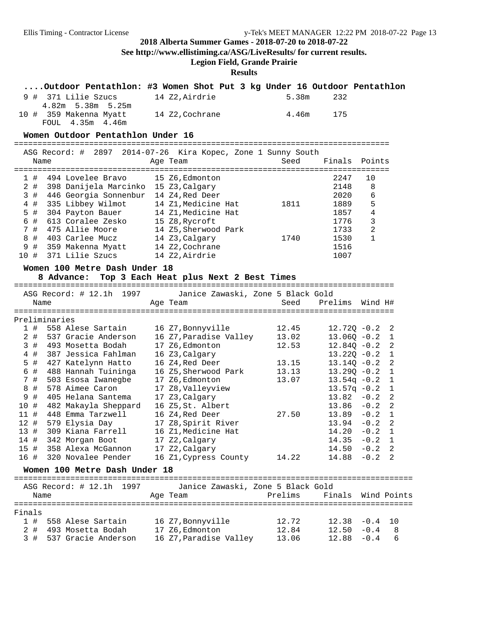**See http://www.ellistiming.ca/ASG/LiveResults/ for current results.**

**Legion Field, Grande Prairie**

### **Results**

| Outdoor Pentathlon: #3 Women Shot Put 3 kg Under 16 Outdoor Pentathlon |                |           |  |
|------------------------------------------------------------------------|----------------|-----------|--|
| 9 # 371 Lilie Szucs 14 Z2.Airdrie                                      |                | 5.38m 232 |  |
| 4.82m 5.38m 5.25m                                                      |                |           |  |
| 10 # 359 Makenna Myatt<br>FOUL 4.35m 4.46m                             | 14 Z2,Cochrane | 4.46m 175 |  |

#### **Women Outdoor Pentathlon Under 16**

================================================================================

|     | Name |                   |                       | ASG Record: # 2897 2014-07-26 Kira Kopec, Zone 1 Sunny South<br>Age Team |  | Seed | Finals Points |    |
|-----|------|-------------------|-----------------------|--------------------------------------------------------------------------|--|------|---------------|----|
|     |      |                   |                       |                                                                          |  |      |               |    |
|     | #    |                   | 494 Lovelee Bravo     | 15 Z6,Edmonton                                                           |  |      | 2247          | 10 |
| 2#  |      |                   | 398 Danijela Marcinko | 15 Z3, Calgary                                                           |  |      | 2148          | 8  |
| 3#  |      |                   | 446 Georgia Sonnenbur | 14 Z4,Red Deer                                                           |  |      | 2020          | 6  |
| 4#  |      | 335 Libbey Wilmot |                       | 14 Z1, Medicine Hat                                                      |  | 1811 | 1889          | 5  |
| 5#  |      | 304 Payton Bauer  |                       | 14 Z1, Medicine Hat                                                      |  |      | 1857          | 4  |
| 6 # |      | 613 Coralee Zesko |                       | 15 Z8, Rycroft                                                           |  |      | 1776          | 3  |
| 7#  |      | 475 Allie Moore   |                       | 14 Z5, Sherwood Park                                                     |  |      | 1733          | 2  |
| 8#  |      | 403 Carlee Mucz   |                       | 14 Z3, Calgary                                                           |  | 1740 | 1530          |    |
| 9#  |      | 359 Makenna Myatt |                       | 14 Z2, Cochrane                                                          |  |      | 1516          |    |
| 10# |      | 371 Lilie Szucs   |                       | 14 Z2.Airdrie                                                            |  |      | 1007          |    |
|     |      |                   |                       |                                                                          |  |      |               |    |

#### **Women 100 Metre Dash Under 18**

### **8 Advance: Top 3 Each Heat plus Next 2 Best Times**

=================================================================================

|     |      |               | ASG Record: # 12.1h 1997 | Janice Zawaski, Zone 5 Black Gold |       |                  |                |      |
|-----|------|---------------|--------------------------|-----------------------------------|-------|------------------|----------------|------|
|     | Name |               |                          | Age Team                          | Seed  | Prelims          | Wind H#        |      |
|     |      |               |                          |                                   |       |                  |                |      |
|     |      | Preliminaries |                          |                                   |       |                  |                |      |
|     | 1#   |               | 558 Alese Sartain        | 16 Z7,Bonnyville                  | 12.45 | $12.720 - 0.2$ 2 |                |      |
|     | 2#   |               | 537 Gracie Anderson      | 16 Z7, Paradise Valley            | 13.02 | $13.060 - 0.2$ 1 |                |      |
|     | 3#   |               | 493 Mosetta Bodah        | 17 Z6, Edmonton                   | 12.53 | $12.840 - 0.2$ 2 |                |      |
|     | 4#   |               | 387 Jessica Fahlman      | 16 Z3, Calgary                    |       | $13.220 - 0.2$ 1 |                |      |
|     | 5 #  |               | 427 Katelynn Hatto       | 16 Z4,Red Deer                    | 13.15 | $13.140 - 0.2$ 2 |                |      |
|     | 6 #  |               | 488 Hannah Tuininga      | 16 Z5, Sherwood Park              | 13.13 | $13.290 - 0.2$ 1 |                |      |
|     | 7#   |               | 503 Esosa Iwanegbe       | 17 Z6,Edmonton                    | 13.07 | $13.54q - 0.2$ 1 |                |      |
|     | 8 #  |               | 578 Aimee Caron          | 17 Z8, Valleyview                 |       | $13.57q - 0.2$ 1 |                |      |
|     | 9#   |               | 405 Helana Santema       | 17 Z3, Calgary                    |       | $13.82 - 0.2$ 2  |                |      |
|     | 10#  |               | 482 Makayla Sheppard     | 16 Z5, St. Albert                 |       | $13.86 - 0.2$ 2  |                |      |
|     | 11#  |               | 448 Emma Tarzwell        | 16 Z4,Red Deer                    | 27.50 | $13.89 - 0.2 1$  |                |      |
|     | 12#  |               | 579 Elysia Day           | 17 Z8, Spirit River               |       | 13.94            | $-0.2$ 2       |      |
| 13# |      |               | 309 Kiana Farrell        | 16 Z1, Medicine Hat               |       | 14.20            | $-0.2$ 1       |      |
|     | 14 # |               | 342 Morgan Boot          | 17 Z2, Calgary                    |       | 14.35            | $-0.2 \quad 1$ |      |
|     | 15#  |               | 358 Alexa McGannon       | 17 Z2, Calgary                    |       | 14.50            | $-0.2$ 2       |      |
|     | 16 # |               | 320 Novalee Pender       | 16 Z1, Cypress County             | 14.22 | 14.88            | $-0.2$         | - 2. |

#### **Women 100 Metre Dash Under 18**

=====================================================================================

|        | Name   | ASG Record: # 12.1h 1997 |  | Janice Zawaski, Zone 5 Black Gold<br>Age Team | Prelims | Finals Wind Points |     |
|--------|--------|--------------------------|--|-----------------------------------------------|---------|--------------------|-----|
| Finals |        |                          |  |                                               |         |                    |     |
|        |        | 1 # 558 Alese Sartain    |  | 16 Z7, Bonnyville                             | 12.72   | $12.38 - 0.4$ 10   |     |
|        | $2 \#$ | 493 Mosetta Bodah        |  | 17 Z6, Edmonton                               | 12.84   | $12.50 - 0.4$      | - 8 |
|        |        | 3 # 537 Gracie Anderson  |  | 16 Z7, Paradise Valley                        | 13.06   | $12.88 - 0.4$      | 6   |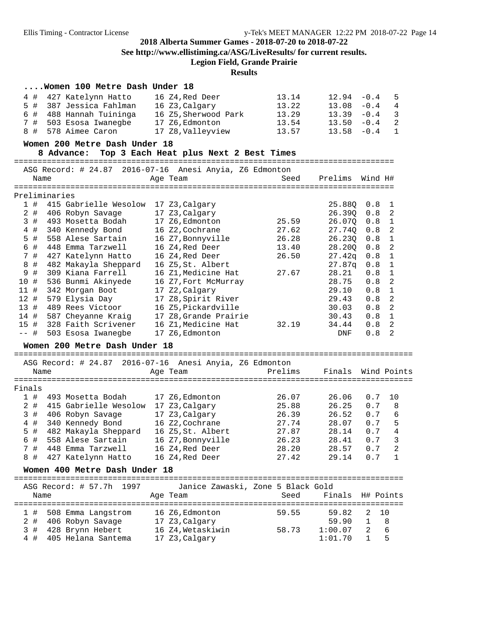**See http://www.ellistiming.ca/ASG/LiveResults/ for current results.**

**Legion Field, Grande Prairie**

|        |       |               | Women 100 Metre Dash Under 18                           |                                   |         |                  |         |                            |
|--------|-------|---------------|---------------------------------------------------------|-----------------------------------|---------|------------------|---------|----------------------------|
|        | 4#    |               | 427 Katelynn Hatto                                      | 16 Z4, Red Deer                   | 13.14   | 12.94            | $-0.4$  | 5                          |
|        | 5 #   |               | 387 Jessica Fahlman                                     | 16 Z3,Calgary                     | 13.22   | 13.08            | $-0.4$  | 4                          |
|        | 6#    |               | 488 Hannah Tuininga                                     | 16 Z5, Sherwood Park              | 13.29   | 13.39            | $-0.4$  | 3                          |
|        | 7#    |               | 503 Esosa Iwanegbe 17 Z6, Edmonton                      |                                   | 13.54   | 13.50            | $-0.4$  | 2                          |
|        | 8#    |               | 578 Aimee Caron                                         | 17 Z8, Valleyview                 | 13.57   | 13.58            | $-0.4$  | 1                          |
|        |       |               | Women 200 Metre Dash Under 18                           |                                   |         |                  |         |                            |
|        |       |               | 8 Advance: Top 3 Each Heat plus Next 2 Best Times       |                                   |         |                  |         |                            |
|        |       |               |                                                         |                                   |         |                  |         |                            |
|        |       |               | ASG Record: # 24.87 2016-07-16 Anesi Anyia, Z6 Edmonton |                                   |         |                  |         |                            |
|        | Name  |               |                                                         | Age Team                          | Seed    | Prelims          | Wind H# |                            |
|        |       |               |                                                         |                                   |         |                  |         |                            |
|        |       | Preliminaries |                                                         |                                   |         |                  |         |                            |
|        | 1#    |               | 415 Gabrielle Wesolow 17 Z3, Calgary                    |                                   |         | 25.88Q           | 0.8     | $\overline{1}$             |
|        | $2$ # |               | 406 Robyn Savage                                        | 17 Z3, Calgary                    |         | 26.39Q           | 0.8     | $\overline{\phantom{a}}$   |
|        | 3#    |               | 493 Mosetta Bodah                                       | 17 Z6, Edmonton                   | 25.59   | 26.07Q           | 0.8     | $\overline{1}$             |
|        | 4#    |               | 340 Kennedy Bond                                        | 16 Z2, Cochrane                   | 27.62   | 27.74Q           | 0.8     | $\overline{\phantom{0}}^2$ |
|        | 5 #   |               | 558 Alese Sartain                                       | 16 Z7, Bonnyville                 | 26.28   | 26.230           | 0.8     | $\overline{1}$             |
|        | 6 #   |               | 448 Emma Tarzwell                                       | 16 Z4, Red Deer                   | 13.40   | 28.20Q           | 0.8     | $\overline{a}$             |
|        | 7#    |               | 427 Katelynn Hatto                                      | 16 Z4, Red Deer                   | 26.50   | 27.42q           | 0.8     | $\mathbf{1}$               |
|        | 8 #   |               | 482 Makayla Sheppard                                    | 16 Z5, St. Albert                 |         | 27.87q           | 0.8     | $\mathbf{1}$               |
|        | 9 #   |               | 309 Kiana Farrell                                       | 16 Z1, Medicine Hat               | 27.67   | 28.21            | 0.8     | $\mathbf{1}$               |
| 10 #   |       |               | 536 Bunmi Akinyede                                      | 16 Z7, Fort McMurray              |         | 28.75            | 0.8     | 2                          |
| 11#    |       |               | 342 Morgan Boot                                         | 17 Z2, Calgary                    |         | 29.10            | 0.8     | $\mathbf{1}$               |
| 12#    |       |               | 579 Elysia Day                                          | 17 Z8, Spirit River               |         | 29.43            | 0.8     | $\overline{a}$             |
| 13#    |       |               | 489 Rees Victoor                                        | 16 Z5, Pickardville               |         | 30.03            | 0.8     | $\overline{2}$             |
| 14 #   |       |               | 587 Cheyanne Kraig                                      | 17 Z8, Grande Prairie             |         | 30.43            | 0.8     | $\mathbf{1}$               |
| 15#    |       |               | 328 Faith Scrivener                                     | 16 Z1, Medicine Hat               | 32.19   | 34.44            | 0.8     | $\overline{\phantom{0}}^2$ |
| $--$ # |       |               | 503 Esosa Iwanegbe                                      | 17 Z6, Edmonton                   |         | DNF              | 0.8     | 2                          |
|        |       |               | Women 200 Metre Dash Under 18                           |                                   |         |                  |         |                            |
|        |       |               |                                                         |                                   |         |                  |         |                            |
|        |       |               | ASG Record: # 24.87 2016-07-16 Anesi Anyia, Z6 Edmonton |                                   |         |                  |         |                            |
|        | Name  |               |                                                         | Age Team                          | Prelims | Finals           |         | Wind Points                |
|        |       |               |                                                         |                                   |         |                  |         |                            |
| Finals |       |               |                                                         |                                   |         |                  |         |                            |
|        | 1#    |               | 493 Mosetta Bodah                                       | 17 Z6,Edmonton                    | 26.07   | 26.06            | 0.7     | 10                         |
|        | $2$ # |               | 415 Gabrielle Wesolow 17 Z3,Calgary                     |                                   | 25.88   | 26.25            | 0.7     | 8                          |
|        | 3#    |               | 406 Robyn Savage                                        | 17 Z3, Calgary                    | 26.39   | 26.52            | 0.7     | 6                          |
|        | $4$ # |               | 340 Kennedy Bond                                        | 16 Z2, Cochrane                   | 27.74   | 28.07            | 0.7     | 5                          |
|        | 5 #   |               | 482 Makayla Sheppard                                    | 16 Z5,St. Albert                  | 27.87   | 28.14            | $0.7$   | 4                          |
|        | 6#    |               | 558 Alese Sartain                                       | 16 Z7, Bonnyville                 | 26.23   | 28.41            | 0.7     | 3                          |
|        | 7#    |               | 448 Emma Tarzwell                                       | 16 Z4, Red Deer                   | 28.20   | 28.57            | 0.7     | 2                          |
|        | 8#    |               | 427 Katelynn Hatto                                      | 16 Z4, Red Deer                   | 27.42   | 29.14            | 0.7     | 1                          |
|        |       |               |                                                         |                                   |         |                  |         |                            |
|        |       |               | Women 400 Metre Dash Under 18                           |                                   |         |                  |         |                            |
|        |       |               | ASG Record: # 57.7h 1997                                | Janice Zawaski, Zone 5 Black Gold |         |                  |         |                            |
|        | Name  |               |                                                         | Age Team                          | Seed    | Finals H# Points |         |                            |
|        |       |               |                                                         |                                   |         |                  |         |                            |
|        | 1#    |               | 508 Emma Langstrom                                      | 16 Z6, Edmonton                   | 59.55   | 59.82            | 2       | 10                         |
|        | 2 #   |               | 406 Robyn Savage                                        | 17 Z3, Calgary                    |         | 59.90            | 1       | 8                          |
|        | 3#    |               | 428 Brynn Hebert                                        | 16 Z4, Wetaskiwin                 | 58.73   | 1:00.07          | 2       | 6                          |
|        | 4 #   |               | 405 Helana Santema                                      | 17 Z3, Calgary                    |         | 1:01.70          | 1       | 5                          |
|        |       |               |                                                         |                                   |         |                  |         |                            |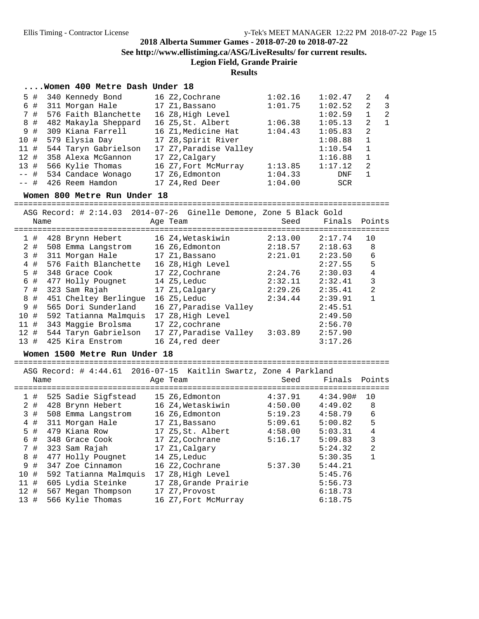**See http://www.ellistiming.ca/ASG/LiveResults/ for current results.**

**Legion Field, Grande Prairie**

#### **Results**

#### **....Women 400 Metre Dash Under 18**

|         | 5# | 340 Kennedy Bond        | 16 Z2,Cochrane         | 1:02.16 | 1:02.47 | 2            | $\overline{4}$           |
|---------|----|-------------------------|------------------------|---------|---------|--------------|--------------------------|
|         | 6# | 311 Morgan Hale         | 17 Z1,Bassano          | 1:01.75 | 1:02.52 | 2            | $\overline{\phantom{a}}$ |
|         | 7# | 576 Faith Blanchette    | 16 Z8, High Level      |         | 1:02.59 |              | -2                       |
|         | 8# | 482 Makayla Sheppard    | 16 Z5,St. Albert       | 1:06.38 | 1:05.13 | 2            | $\overline{1}$           |
|         | 9# | 309 Kiana Farrell       | 16 Z1, Medicine Hat    | 1:04.43 | 1:05.83 | -2           |                          |
| 10#     |    | 579 Elysia Day          | 17 Z8, Spirit River    |         | 1:08.88 | $\mathbf{1}$ |                          |
| 11#     |    | 544 Taryn Gabrielson    | 17 Z7, Paradise Valley |         | 1:10.54 | 1            |                          |
| 12#     |    | 358 Alexa McGannon      | 17 Z2, Calgary         |         | 1:16.88 | 1            |                          |
| 13#     |    | 566 Kylie Thomas        | 16 Z7, Fort McMurray   | 1:13.85 | 1:17.12 | -2           |                          |
|         |    | -- # 534 Candace Wonago | 17 Z6, Edmonton        | 1:04.33 | DNF     |              |                          |
| $---$ # |    | 426 Reem Hamdon         | 17 Z4,Red Deer         | 1:04.00 | SCR     |              |                          |
|         |    |                         |                        |         |         |              |                          |

#### **Women 800 Metre Run Under 18**

================================================================================ ASG Record: # 2:14.03 2014-07-26 Ginelle Demone, Zone 5 Black Gold Name Age Team Seed Finals Points ================================================================================ 1 # 428 Brynn Hebert 16 Z4,Wetaskiwin 2:13.00 2:17.74 10 2 # 508 Emma Langstrom 16 Z6,Edmonton 2:18.57 2:18.63 8 3 # 311 Morgan Hale 17 Z1,Bassano 2:21.01 2:23.50 6 4 # 576 Faith Blanchette 16 Z8, High Level 2:27.55 5 5 # 348 Grace Cook 17 Z2,Cochrane 2:24.76 2:30.03 4 6 # 477 Holly Pougnet 14 Z5,Leduc 2:32.11 2:32.41 3 7 # 323 Sam Rajah 17 Z1,Calgary 2:29.26 2:35.41 2 8 # 451 Cheltey Berlingue 16 Z5,Leduc 2:34.44 2:39.91 1 9 # 565 Dori Sunderland 16 Z7,Paradise Valley 2:45.51 10 # 592 Tatianna Malmquis 17 Z8,High Level 2:49.50 11 # 343 Maggie Brolsma 17 Z2,cochrane 2:56.70 12 # 544 Taryn Gabrielson 17 Z7,Paradise Valley 3:03.89 2:57.90 13 # 425 Kira Enstrom 16 Z4,red deer 3:17.26

#### **Women 1500 Metre Run Under 18**

================================================================================

ASG Record: # 4:44.61 2016-07-15 Kaitlin Swartz, Zone 4 Parkland

|     | Name |                       | Age Team              | Seed    | Finals   | Points         |
|-----|------|-----------------------|-----------------------|---------|----------|----------------|
|     | 1#   | 525 Sadie Sigfstead   | 15 Z6,Edmonton        | 4:37.91 | 4:34.90# | 10             |
|     | 2 #  | 428 Brynn Hebert      | 16 Z4, Wetaskiwin     | 4:50.00 | 4:49.02  | 8              |
|     | 3#   | 508 Emma Langstrom    | 16 Z6,Edmonton        | 5:19.23 | 4:58.79  | 6              |
|     | 4#   | 311 Morgan Hale       | 17 Z1,Bassano         | 5:09.61 | 5:00.82  | 5              |
|     | 5#   | 479 Kiana Row         | 17 Z5, St. Albert     | 4:58.00 | 5:03.31  | 4              |
|     | 6#   | 348 Grace Cook        | 17 Z2,Cochrane        | 5:16.17 | 5:09.83  | 3              |
|     | 7#   | 323 Sam Rajah         | 17 Z1, Calgary        |         | 5:24.32  | $\overline{2}$ |
|     | 8#   | 477 Holly Pougnet     | 14 Z5, Leduc          |         | 5:30.35  |                |
|     | 9#   | 347 Zoe Cinnamon      | 16 Z2,Cochrane        | 5:37.30 | 5:44.21  |                |
| 10# |      | 592 Tatianna Malmquis | 17 Z8, High Level     |         | 5:45.76  |                |
| 11# |      | 605 Lydia Steinke     | 17 Z8, Grande Prairie |         | 5:56.73  |                |
| 12# |      | 567 Megan Thompson    | 17 Z7, Provost        |         | 6:18.73  |                |
| 13# |      | 566 Kylie Thomas      | 16 Z7, Fort McMurray  |         | 6:18.75  |                |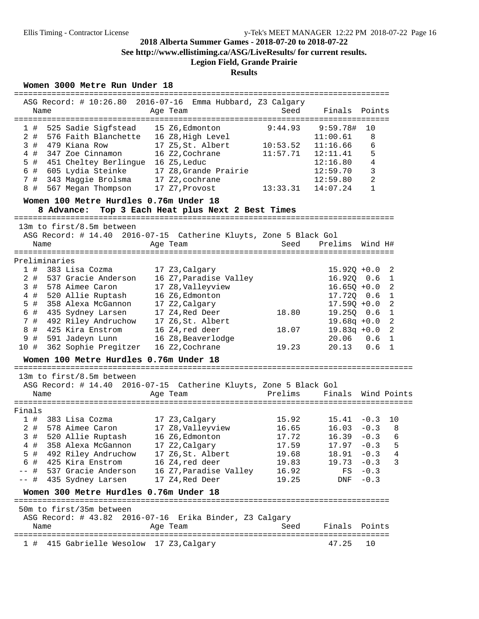**See http://www.ellistiming.ca/ASG/LiveResults/ for current results.**

## **Legion Field, Grande Prairie**

## **Results**

### **Women 3000 Metre Run Under 18**

|                                                                   |                                         |                                     | =========================== |                       |              |
|-------------------------------------------------------------------|-----------------------------------------|-------------------------------------|-----------------------------|-----------------------|--------------|
| ASG Record: # 10:26.80 2016-07-16 Emma Hubbard, Z3 Calgary        |                                         |                                     |                             |                       |              |
| Name                                                              | Age Team                                | Seed                                | Finals                      | Points                |              |
|                                                                   |                                         | -------------------------------     |                             |                       |              |
| 525 Sadie Sigfstead<br>1#                                         | 15 Z6, Edmonton                         | 9:44.93                             | 9:59.78#                    | 10                    |              |
| 2#<br>576 Faith Blanchette 16 Z8, High Level                      |                                         |                                     | 11:00.61                    | 8                     |              |
| 3#<br>479 Kiana Row                                               | 17 Z5, St. Albert                       | 10:53.52                            | 11:16.66                    | 6                     |              |
| 4#<br>347 Zoe Cinnamon                                            | 16 Z2, Cochrane                         | 11:57.71                            | 12:11.41                    | 5                     |              |
| 5 #<br>451 Cheltey Berlingue 16 Z5, Leduc                         |                                         |                                     | 12:16.80                    | 4                     |              |
| 6 #                                                               | 605 Lydia Steinke 17 Z8, Grande Prairie |                                     | 12:59.70                    | 3                     |              |
| 7#<br>343 Maggie Brolsma 17 Z2, cochrane                          |                                         |                                     | 12:59.80                    | 2                     |              |
| 567 Megan Thompson<br>8#                                          | 17 Z7, Provost                          | 13:33.31                            | 14:07.24                    | $\mathbf{1}$          |              |
| Women 100 Metre Hurdles 0.76m Under 18<br>8 Advance:              | Top 3 Each Heat plus Next 2 Best Times  |                                     |                             |                       |              |
|                                                                   |                                         |                                     |                             |                       |              |
| 13m to first/8.5m between                                         |                                         |                                     |                             |                       |              |
| ASG Record: # 14.40 2016-07-15 Catherine Kluyts, Zone 5 Black Gol |                                         |                                     |                             |                       |              |
| Name                                                              | Age Team                                | Seed                                | Prelims                     | Wind H#               |              |
| ===================<br>Preliminaries                              | =================                       | =================================== |                             |                       |              |
| 1#<br>383 Lisa Cozma                                              | 17 Z3, Calgary                          |                                     | $15.92Q + 0.0$              |                       | 2            |
| $2$ #<br>537 Gracie Anderson                                      | 16 Z7, Paradise Valley                  |                                     | $16.92Q$ 0.6                | $\overline{1}$        |              |
| 3#<br>578 Aimee Caron                                             | 17 Z8, Valleyview                       |                                     | $16.65Q + 0.0$              | $\overline{2}$        |              |
|                                                                   | 16 Z6, Edmonton                         |                                     | 17.720 0.6                  |                       |              |
| 4#<br>520 Allie Ruptash<br>$5$ #<br>358 Alexa McGannon            |                                         |                                     |                             | $\mathbf{1}$          |              |
| 6 #<br>435 Sydney Larsen                                          | 17 Z2, Calgary<br>17 Z4,Red Deer        | 18.80                               | $17.59Q + 0.0$<br>19.250    | 2<br>0.6              | $\mathbf{1}$ |
| 7#                                                                |                                         |                                     |                             |                       | 2            |
| 492 Riley Andruchow 17 Z6, St. Albert<br>8 #<br>425 Kira Enstrom  |                                         |                                     | $19.68q + 0.0$              |                       | 2            |
| 9#                                                                | 16 Z4, red deer                         | 18.07                               | $19.83q +0.0$<br>20.06      | 0.6<br>$\overline{1}$ |              |
| 591 Jadeyn Lunn<br>362 Sophie Pregitzer<br>10 #                   | 16 Z8, Beaverlodge<br>16 Z2, Cochrane   | 19.23                               | 20.13                       | 0.6<br>$\overline{1}$ |              |
|                                                                   |                                         |                                     |                             |                       |              |
| Women 100 Metre Hurdles 0.76m Under 18                            |                                         |                                     |                             |                       |              |
| 13m to first/8.5m between                                         |                                         |                                     |                             |                       |              |
| ASG Record: # 14.40 2016-07-15 Catherine Kluyts, Zone 5 Black Gol |                                         |                                     |                             |                       |              |
| Name                                                              | Age Team                                | Prelims                             | Finals                      | Wind Points           |              |
|                                                                   |                                         |                                     |                             |                       |              |
| Finals                                                            |                                         |                                     |                             |                       |              |
| 383 Lisa Cozma<br>1#                                              | 17 Z3, Calgary                          | 15.92                               | 15.41                       | $-0.3$                | 10           |
| 2 # 578 Aimee Caron                                               | 17 Z8,Valleyview                        | 16.65                               | 16.03                       | $-0.3$                | 8            |
| 3#<br>520 Allie Ruptash                                           | 16 Z6, Edmonton                         | 17.72                               | 16.39                       | $-0.3$                | 6            |
| 358 Alexa McGannon<br>4#                                          | 17 Z2, Calgary                          | 17.59                               | 17.97                       | $-0.3$                | 5            |
| 5<br>492 Riley Andruchow<br>- #                                   | 17 Z6, St. Albert                       | 19.68                               | 18.91                       | $-0.3$                | 4            |
| 6 #<br>425 Kira Enstrom                                           | 16 Z4, red deer                         | 19.83                               | 19.73                       | $-0.3$                | 3            |
| 537 Gracie Anderson<br>-- #                                       | 16 Z7, Paradise Valley                  | 16.92                               | FS                          | $-0.3$                |              |
| -- #<br>435 Sydney Larsen                                         | 17 Z4, Red Deer                         | 19.25                               | DNF                         | $-0.3$                |              |
| Women 300 Metre Hurdles 0.76m Under 18                            |                                         |                                     |                             |                       |              |
| 50m to first/35m between                                          |                                         |                                     |                             |                       |              |
| ASG Record: # 43.82 2016-07-16 Erika Binder, Z3 Calgary           |                                         |                                     |                             |                       |              |
| Name                                                              | Age Team                                | Seed                                | Finals                      | Points                |              |
|                                                                   |                                         |                                     |                             |                       |              |
| 415 Gabrielle Wesolow 17 Z3, Calgary<br>1#                        |                                         |                                     | 47.25                       | 10                    |              |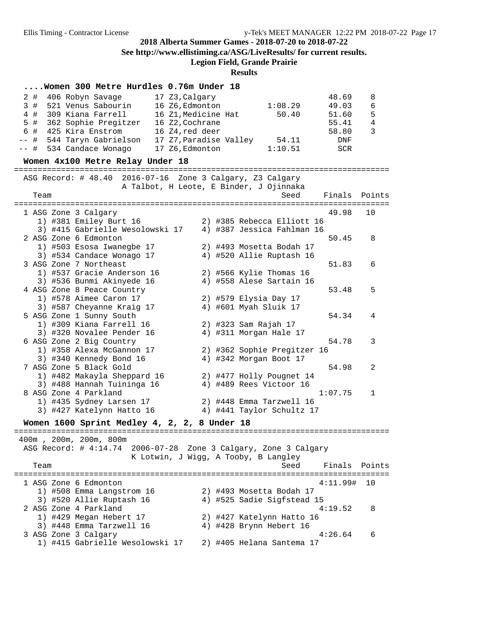**See http://www.ellistiming.ca/ASG/LiveResults/ for current results.**

**Legion Field, Grande Prairie**

**Results**

### **....Women 300 Metre Hurdles 0.76m Under 18**

|      |       | women 500 metre nurdies 0.70m onder 10                    |                                |         |              |
|------|-------|-----------------------------------------------------------|--------------------------------|---------|--------------|
| 2#   |       | 406 Robyn Savage<br>17 Z3, Calgary                        |                                | 48.69   | 8            |
| 3#   |       | 521 Venus Sabourin<br>16 Z6, Edmonton                     | 1:08.29                        | 49.03   | 6            |
|      | $4$ # | 309 Kiana Farrell<br>16 Z1, Medicine Hat                  | 50.40                          | 51.60   | 5            |
|      | $5$ # | 362 Sophie Pregitzer<br>16 Z2, Cochrane                   |                                | 55.41   | 4            |
| 6 #  |       | 425 Kira Enstrom<br>16 Z4, red deer                       |                                | 58.80   | 3            |
| -- # |       | 544 Taryn Gabrielson                                      | 17 Z7,Paradise Valley<br>54.11 | DNF     |              |
| -- # |       | 534 Candace Wonago<br>17 Z6, Edmonton                     | 1:10.51                        | SCR     |              |
|      |       |                                                           |                                |         |              |
|      |       | Women 4x100 Metre Relay Under 18                          |                                |         |              |
|      |       | ASG Record: # 48.40 2016-07-16 Zone 3 Calgary, Z3 Calgary |                                |         |              |
|      |       | A Talbot, H Leote, E Binder, J Ojinnaka                   |                                |         |              |
|      | Team  |                                                           | Seed                           | Finals  | Points       |
|      |       |                                                           |                                |         |              |
|      |       | 1 ASG Zone 3 Calgary                                      |                                | 49.98   | 10           |
|      |       | 1) #381 Emiley Burt 16                                    | 2) #385 Rebecca Elliott 16     |         |              |
|      |       | 3) #415 Gabrielle Wesolowski 17                           | 4) #387 Jessica Fahlman 16     |         |              |
|      |       | 2 ASG Zone 6 Edmonton                                     |                                | 50.45   | 8            |
|      |       | 1) #503 Esosa Iwanegbe 17                                 | 2) #493 Mosetta Bodah 17       |         |              |
|      |       | 3) #534 Candace Wonago 17                                 | 4) #520 Allie Ruptash 16       |         |              |
|      |       | 3 ASG Zone 7 Northeast                                    |                                | 51.83   | 6            |
|      |       | 1) #537 Gracie Anderson 16                                | 2) #566 Kylie Thomas 16        |         |              |
|      |       | 3) #536 Bunmi Akinyede 16                                 | 4) #558 Alese Sartain 16       |         |              |
|      |       | 4 ASG Zone 8 Peace Country                                |                                | 53.48   | 5            |
|      |       | 1) #578 Aimee Caron 17                                    | 2) #579 Elysia Day 17          |         |              |
|      |       | 3) #587 Cheyanne Kraig 17                                 | 4) #601 Myah Sluik 17          |         |              |
|      |       | 5 ASG Zone 1 Sunny South                                  |                                | 54.34   | 4            |
|      |       | 1) #309 Kiana Farrell 16                                  | 2) #323 Sam Rajah 17           |         |              |
|      |       | 3) #320 Novalee Pender 16                                 | 4) #311 Morgan Hale 17         |         |              |
|      |       | 6 ASG Zone 2 Big Country                                  |                                | 54.78   | 3            |
|      |       | 1) #358 Alexa McGannon 17                                 | 2) #362 Sophie Pregitzer 16    |         |              |
|      |       | 3) #340 Kennedy Bond 16                                   | 4) #342 Morgan Boot 17         |         |              |
|      |       | 7 ASG Zone 5 Black Gold                                   |                                | 54.98   | 2            |
|      |       | 1) #482 Makayla Sheppard 16                               | 2) #477 Holly Pougnet 14       |         |              |
|      |       | 3) #488 Hannah Tuininga 16                                | 4) #489 Rees Victoor 16        |         |              |
|      |       | 8 ASG Zone 4 Parkland                                     |                                | 1:07.75 | $\mathbf{1}$ |
|      |       | 1) #435 Sydney Larsen 17                                  | 2) #448 Emma Tarzwell 16       |         |              |
|      |       | 3) #427 Katelynn Hatto 16                                 | 4) #441 Taylor Schultz 17      |         |              |
|      |       |                                                           |                                |         |              |
|      |       | Women 1600 Sprint Medley 4, 2, 2, 8 Under 18              |                                |         |              |

 400m , 200m, 200m, 800m ASG Record: # 4:14.74 2006-07-28 Zone 3 Calgary, Zone 3 Calgary K Lotwin, J Wigg, A Tooby, B Langley Team Seed Finals Points ================================================================================ 1 ASG Zone 6 Edmonton 4:11.99# 10 1) #508 Emma Langstrom 16 2) #493 Mosetta Bodah 17 3) #520 Allie Ruptash 16 4) #525 Sadie Sigfstead 15 2 ASG Zone 4 Parkland 4:19.52 8 1) #429 Megan Hebert 17 2) #427 Katelynn Hatto 16 3) #448 Emma Tarzwell 16 4) #428 Brynn Hebert 16 3 ASG Zone 3 Calgary 4:26.64 6 1) #415 Gabrielle Wesolowski 17 2) #405 Helana Santema 17

================================================================================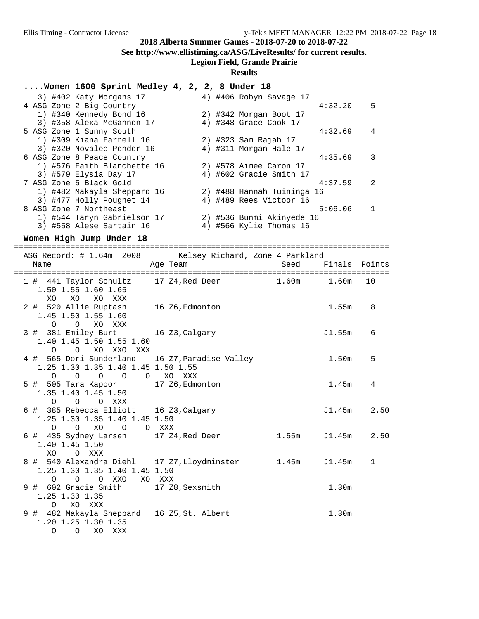**See http://www.ellistiming.ca/ASG/LiveResults/ for current results.**

#### **Legion Field, Grande Prairie**

#### **Results**

#### **....Women 1600 Sprint Medley 4, 2, 2, 8 Under 18**

|  | 3) #402 Katy Morgans 17     |  | 4) #406 Robyn Savage 17    |         |              |
|--|-----------------------------|--|----------------------------|---------|--------------|
|  | 4 ASG Zone 2 Big Country    |  |                            | 4:32.20 | 5            |
|  | 1) #340 Kennedy Bond 16     |  | 2) #342 Morgan Boot 17     |         |              |
|  | 3) #358 Alexa McGannon 17   |  | 4) #348 Grace Cook 17      |         |              |
|  | 5 ASG Zone 1 Sunny South    |  |                            | 4:32.69 | 4            |
|  | 1) #309 Kiana Farrell 16    |  | 2) #323 Sam Rajah 17       |         |              |
|  | 3) #320 Novalee Pender 16   |  | 4) #311 Morgan Hale 17     |         |              |
|  | 6 ASG Zone 8 Peace Country  |  |                            | 4:35.69 | 3            |
|  | 1) #576 Faith Blanchette 16 |  | 2) #578 Aimee Caron 17     |         |              |
|  | 3) #579 Elysia Day 17       |  | 4) #602 Gracie Smith 17    |         |              |
|  | 7 ASG Zone 5 Black Gold     |  |                            | 4:37.59 | 2            |
|  | 1) #482 Makayla Sheppard 16 |  | 2) #488 Hannah Tuininga 16 |         |              |
|  | 3) #477 Holly Pougnet 14    |  | 4) #489 Rees Victoor 16    |         |              |
|  | 8 ASG Zone 7 Northeast      |  |                            | 5:06.06 | $\mathbf{1}$ |
|  | 1) #544 Taryn Gabrielson 17 |  | 2) #536 Bunmi Akinyede 16  |         |              |
|  | 3) #558 Alese Sartain 16    |  | 4) #566 Kylie Thomas 16    |         |              |

#### **Women High Jump Under 18**

================================================================================ ASG Record: # 1.64m 2008 Kelsey Richard, Zone 4 Parkland Name Age Team Seed Finals Points ================================================================================ 1 # 441 Taylor Schultz 17 Z4, Red Deer 1.50 1.55 1.60 1.65 XO XO XO XXX 2 # 520 Allie Ruptash 16 Z6, Edmonton 1.55m 8 1.45 1.50 1.55 1.60 O O XO XXX 3 # 381 Emiley Burt 16 Z3, Calgary 10 11.55m 6 1.40 1.45 1.50 1.55 1.60 O O XO XXO XXX 4 # 565 Dori Sunderland 16 Z7, Paradise Valley 1.50m 5 1.25 1.30 1.35 1.40 1.45 1.50 1.55 O O O O O XO XXX 5 # 505 Tara Kapoor 17 Z6,Edmonton 1.45m 4 1.35 1.40 1.45 1.50 O O O XXX 6 # 385 Rebecca Elliott 16 Z3,Calgary J1.45m 2.50 1.25 1.30 1.35 1.40 1.45 1.50 O O XO O O XXX 6 # 435 Sydney Larsen 17 Z4,Red Deer 1.55m J1.45m 2.50 1.40 1.45 1.50 XO O XXX 8 # 540 Alexandra Diehl 17 Z7,Lloydminster 1.45m J1.45m 1 1.25 1.30 1.35 1.40 1.45 1.50 O O O XXO XO XXX 9 # 602 Gracie Smith 17 Z8,Sexsmith 1.30m 1.25 1.30 1.35 O XO XXX 9 # 482 Makayla Sheppard 16 Z5,St. Albert 1.30m 1.20 1.25 1.30 1.35 O O XO XXX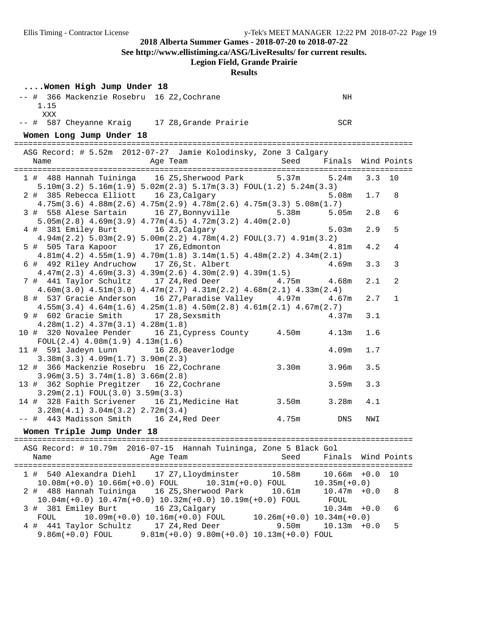**See http://www.ellistiming.ca/ASG/LiveResults/ for current results.**

## **Legion Field, Grande Prairie**

| Women High Jump Under 18                                                                                                    |                                                 |                                        |                    |          |    |
|-----------------------------------------------------------------------------------------------------------------------------|-------------------------------------------------|----------------------------------------|--------------------|----------|----|
| -- # 366 Mackenzie Rosebru 16 Z2, Cochrane                                                                                  |                                                 |                                        | NH                 |          |    |
| 1.15<br>XXX                                                                                                                 |                                                 |                                        |                    |          |    |
| -- # 587 Cheyanne Kraig 17 Z8, Grande Prairie                                                                               |                                                 | <b>SCR</b>                             |                    |          |    |
| Women Long Jump Under 18                                                                                                    |                                                 |                                        |                    |          |    |
| ASG Record: # 5.52m 2012-07-27 Jamie Kolodinsky, Zone 3 Calgary                                                             |                                                 |                                        |                    |          |    |
| Age Team<br>Name                                                                                                            |                                                 | Seed Finals Wind Points                |                    |          |    |
| 1 # 488 Hannah Tuininga 16 Z5, Sherwood Park 5.37m 5.24m                                                                    |                                                 |                                        |                    | $3.3$ 10 |    |
| $5.10m(3.2)$ $5.16m(1.9)$ $5.02m(2.3)$ $5.17m(3.3)$ $FOUL(1.2)$ $5.24m(3.3)$                                                |                                                 |                                        |                    |          |    |
| 2 # 385 Rebecca Elliott 16 Z3, Calgary                                                                                      |                                                 |                                        | 5.08m              | 1.7      | 8  |
| $4.75m(3.6)$ $4.88m(2.6)$ $4.75m(2.9)$ $4.78m(2.6)$ $4.75m(3.3)$ $5.08m(1.7)$                                               |                                                 |                                        |                    |          |    |
| 3 # 558 Alese Sartain 16 Z7, Bonnyville 5.38m 5.05m<br>$5.05m(2.8)$ 4.69 $m(3.9)$ 4.77 $m(4.5)$ 4.72 $m(3.2)$ 4.40 $m(2.0)$ |                                                 |                                        |                    | 2.8      | 6  |
| 4 # 381 Emiley Burt 16 Z3, Calgary                                                                                          |                                                 |                                        | 5.03m              | 2.9      | 5  |
| $4.94m(2.2)$ $5.03m(2.9)$ $5.00m(2.2)$ $4.78m(4.2)$ $FOUL(3.7)$ $4.91m(3.2)$                                                |                                                 |                                        |                    |          |    |
| 5 # 505 Tara Kapoor 17 Z6, Edmonton                                                                                         |                                                 |                                        | 4.81m              | 4.2      | 4  |
| $4.81m(4.2)$ $4.55m(1.9)$ $4.70m(1.8)$ $3.14m(1.5)$ $4.48m(2.2)$ $4.34m(2.1)$                                               |                                                 |                                        |                    |          |    |
| 6 # 492 Riley Andruchow 17 Z6, St. Albert<br>$4.47m(2.3)$ $4.69m(3.3)$ $4.39m(2.6)$ $4.30m(2.9)$ $4.39m(1.5)$               |                                                 |                                        | 4.69m              | 3.3      | 3  |
| 7 # 441 Taylor Schultz 17 Z4, Red Deer 4.75m 4.68m                                                                          |                                                 |                                        |                    | 2.1      | 2  |
| $4.60m(3.0)$ $4.51m(3.0)$ $4.47m(2.7)$ $4.31m(2.2)$ $4.68m(2.1)$ $4.33m(2.4)$                                               |                                                 |                                        |                    |          |    |
| 8 # 537 Gracie Anderson 16 Z7, Paradise Valley 4.97m 4.67m                                                                  |                                                 |                                        |                    | 2.7      | 1  |
| $4.55m(3.4)$ $4.64m(1.6)$ $4.25m(1.8)$ $4.50m(2.8)$ $4.61m(2.1)$ $4.67m(2.7)$                                               |                                                 |                                        |                    |          |    |
| 9 # 602 Gracie Smith 17 Z8, Sexsmith                                                                                        |                                                 |                                        | 4.37m              | 3.1      |    |
| $4.28m(1.2)$ $4.37m(3.1)$ $4.28m(1.8)$<br>10 # 320 Novalee Pender 16 Z1, Cypress County 4.50m 4.13m                         |                                                 |                                        |                    | 1.6      |    |
| $FOUL(2.4)$ 4.08m $(1.9)$ 4.13m $(1.6)$                                                                                     |                                                 |                                        |                    |          |    |
| 11 # 591 Jadeyn Lunn 16 Z8, Beaverlodge                                                                                     |                                                 |                                        | 4.09m              | 1.7      |    |
| $3.38m(3.3)$ 4.09 $m(1.7)$ 3.90 $m(2.3)$                                                                                    |                                                 |                                        |                    |          |    |
| 12 # 366 Mackenzie Rosebru 16 Z2, Cochrane 3.30m 3.96m                                                                      |                                                 |                                        |                    | 3.5      |    |
| $3.96m(3.5)$ $3.74m(1.8)$ $3.66m(2.8)$<br>13 # 362 Sophie Pregitzer 16 Z2, Cochrane                                         |                                                 |                                        | 3.59m              | 3.3      |    |
| 3.29m(2.1) FOUL(3.0) 3.59m(3.3)                                                                                             |                                                 |                                        |                    |          |    |
| 14 # 328 Faith Scrivener 16 Z1, Medicine Hat 3.50m 3.28m                                                                    |                                                 |                                        |                    | 4.1      |    |
| $3.28m(4.1)$ $3.04m(3.2)$ $2.72m(3.4)$                                                                                      |                                                 |                                        |                    |          |    |
| -- # 443 Madisson Smith 16 Z4, Red Deer 4.75m DNS                                                                           |                                                 |                                        |                    | NWI      |    |
| Women Triple Jump Under 18                                                                                                  |                                                 |                                        |                    |          |    |
| ASG Record: # 10.79m 2016-07-15 Hannah Tuininga, Zone 5 Black Gol                                                           |                                                 |                                        |                    |          |    |
| Name                                                                                                                        | Age Team                                        | Seed                                   | Finals Wind Points |          |    |
| 1 # 540 Alexandra Diehl 17 Z7, Lloydminster 10.58m 10.66m +0.0                                                              |                                                 |                                        |                    |          | 10 |
| $10.08\text{m}$ (+0.0) $10.66\text{m}$ (+0.0) FOUL $10.31\text{m}$ (+0.0) FOUL $10.35\text{m}$ (+0.0)                       |                                                 |                                        |                    |          |    |
| 2 # 488 Hannah Tuininga 16 Z5, Sherwood Park 10.61m                                                                         |                                                 |                                        | $10.47m + 0.0$     |          | 8  |
| $10.04m(+0.0)$ $10.47m(+0.0)$ $10.32m(+0.0)$ $10.19m(+0.0)$ FOUL                                                            |                                                 |                                        | FOUL               |          |    |
| 3 # 381 Emiley Burt                                                                                                         | 16 Z3,Calgary                                   |                                        | $10.34m + 0.0$     |          | 6  |
| FOUL<br>4 # 441 Taylor Schultz 17 Z4, Red Deer                                                                              | $10.09m(+0.0) 10.16m(+0.0)$ FOUL                | $10.26m(+0.0)$ $10.34m(+0.0)$<br>9.50m | $10.13m + 0.0$     |          | 5  |
| $9.86m(+0.0)$ FOUL                                                                                                          | $9.81m(+0.0)$ $9.80m(+0.0)$ $10.13m(+0.0)$ FOUL |                                        |                    |          |    |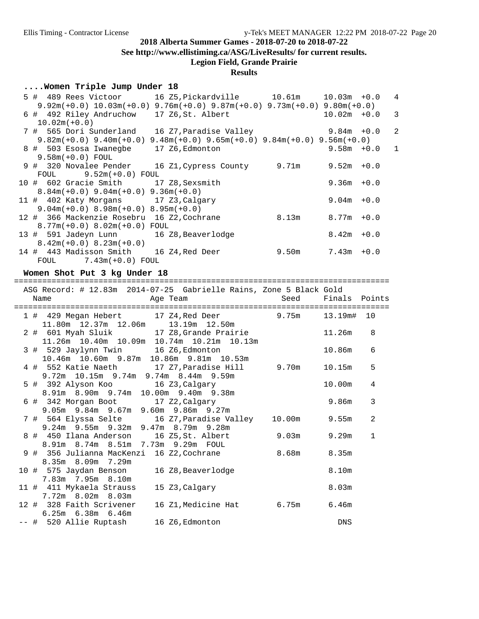**See http://www.ellistiming.ca/ASG/LiveResults/ for current results.**

#### **Legion Field, Grande Prairie**

### **Results**

#### **....Women Triple Jump Under 18**

| 5 # 489 Rees Victoor 16 Z5, Pickardville 10.61m 10.03m +0.0                          |                                                           |       |                | $\overline{4}$ |
|--------------------------------------------------------------------------------------|-----------------------------------------------------------|-------|----------------|----------------|
| $9.92m(+0.0)$ $10.03m(+0.0)$ $9.76m(+0.0)$ $9.87m(+0.0)$ $9.73m(+0.0)$ $9.80m(+0.0)$ |                                                           |       |                |                |
| 6 # 492 Riley Andruchow 17 Z6, St. Albert                                            |                                                           |       | $10.02m + 0.0$ | -3             |
| $10.02m(+0.0)$                                                                       |                                                           |       |                |                |
| 7 # 565 Dori Sunderland                                                              | 16 Z7,Paradise Valley                         9.84m  +0.0 |       |                | -2             |
| $9.82m(+0.0)$ $9.40m(+0.0)$ $9.48m(+0.0)$ $9.65m(+0.0)$ $9.84m(+0.0)$ $9.56m(+0.0)$  |                                                           |       |                |                |
| 8 # 503 Esosa Iwanegbe 17 Z6, Edmonton                                               |                                                           |       | $9.58m + 0.0$  | $\mathbf{1}$   |
| $9.58m(+0.0)$ FOUL                                                                   |                                                           |       |                |                |
| $9$ # 320 Novalee Pender 16 Z1, Cypress County $9.71$ m $9.52$ m +0.0                |                                                           |       |                |                |
| FOUL $9.52m(+0.0)$ FOUL                                                              |                                                           |       |                |                |
| 10 # 602 Gracie Smith 17 Z8, Sexsmith                                                |                                                           |       | $9.36m + 0.0$  |                |
| $8.84m(+0.0)$ 9.04m(+0.0) 9.36m(+0.0)                                                |                                                           |       |                |                |
| 11 # 402 Katy Morgans 17 Z3, Calgary                                                 |                                                           |       | $9.04m + 0.0$  |                |
| $9.04m(+0.0)$ 8.98 $m(+0.0)$ 8.95 $m(+0.0)$                                          |                                                           |       |                |                |
| 12 # 366 Mackenzie Rosebru 16 Z2, Cochrane                                           |                                                           | 8.13m | $8.77m + 0.0$  |                |
| $8.77m(+0.0)$ $8.02m(+0.0)$ FOUL                                                     |                                                           |       |                |                |
| 13 # 591 Jadeyn Lunn 16 Z8, Beaverlodge                                              |                                                           |       | $8.42m + 0.0$  |                |
| $8.42m(+0.0)$ $8.23m(+0.0)$                                                          |                                                           |       |                |                |
| 14 # 443 Madisson Smith 16 Z4, Red Deer                                              |                                                           | 9.50m | $7.43m + 0.0$  |                |
| $FOUL$ 7.43m( $+0.0$ ) $FOUL$                                                        |                                                           |       |                |                |

#### **Women Shot Put 3 kg Under 18**

================================================================================ ASG Record: # 12.83m 2014-07-25 Gabrielle Rains, Zone 5 Black Gold Name Age Team Seed Finals Points ================================================================================ 1 # 429 Megan Hebert 17 Z4,Red Deer 9.75m 13.19m# 10 11.80m 12.37m 12.06m 13.19m 12.50m 2 # 601 Myah Sluik 17 Z8,Grande Prairie 11.26m 8 11.26m 10.40m 10.09m 10.74m 10.21m 10.13m 3 # 529 Jaylynn Twin 16 Z6,Edmonton 10.86m 6 10.46m 10.60m 9.87m 10.86m 9.81m 10.53m 4 # 552 Katie Naeth 17 Z7,Paradise Hill 9.70m 10.15m 5 9.72m 10.15m 9.74m 9.74m 8.44m 9.59m 5 # 392 Alyson Koo 16 Z3,Calgary 10.00m 4 8.91m 8.90m 9.74m 10.00m 9.40m 9.38m 6 # 342 Morgan Boot 17 Z2,Calgary 9.86m 3 9.05m 9.84m 9.67m 9.60m 9.86m 9.27m 7 # 564 Elyssa Selte 16 Z7,Paradise Valley 10.00m 9.55m 2 9.24m 9.55m 9.32m 9.47m 8.79m 9.28m 8 # 450 Ilana Anderson 16 Z5,St. Albert 9.03m 9.29m 1 8.91m 8.74m 8.51m 7.73m 9.29m FOUL 9 # 356 Julianna MacKenzi 16 Z2, Cochrane  $8.68$ m 8.35m 8.35m 8.09m 7.29m 10 # 575 Jaydan Benson 16 Z8,Beaverlodge 8.10m 7.83m 7.95m 8.10m 11 # 411 Mykaela Strauss 15 Z3,Calgary 8.03m 7.72m 8.02m 8.03m 12 # 328 Faith Scrivener 16 Z1,Medicine Hat 6.75m 6.46m 6.25m 6.38m 6.46m -- # 520 Allie Ruptash 16 Z6,Edmonton DNS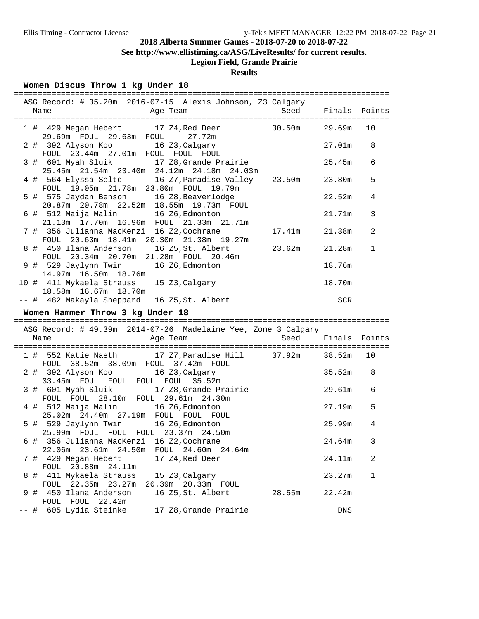**See http://www.ellistiming.ca/ASG/LiveResults/ for current results.**

## **Legion Field, Grande Prairie**

## **Results**

## **Women Discus Throw 1 kg Under 18**

| ASG Record: # 35.20m 2016-07-15 Alexis Johnson, Z3 Calgary<br>Age Team<br>Name                                | Seed               | Finals Points |                |
|---------------------------------------------------------------------------------------------------------------|--------------------|---------------|----------------|
| 1 # 429 Megan Hebert 17 Z4, Red Deer 30.50m<br>29.69m FOUL 29.63m FOUL 27.72m                                 |                    | 29.69m 10     |                |
| 2 # 392 Alyson Koo 16 Z3, Calgary<br>FOUL 23.44m 27.01m FOUL FOUL FOUL                                        |                    | 27.01m        | 8              |
| 3 # 601 Myah Sluik 17 Z8, Grande Prairie<br>$25.45m$ $21.54m$ $23.40m$ $24.12m$ $24.18m$ $24.03m$             |                    | 25.45m        | 6              |
| 4 # 564 Elyssa Selte 16 Z7, Paradise Valley 23.50m<br>FOUL 19.05m 21.78m 23.80m FOUL 19.79m                   |                    | 23.80m        | 5              |
| 5 # 575 Jaydan Benson 16 Z8, Beaverlodge<br>20.87m  20.78m  22.52m  18.55m  19.73m  FOUL                      |                    | 22.52m        | 4              |
| 6 # 512 Maija Malin 16 Z6, Edmonton<br>21.13m 17.70m 16.96m FOUL 21.33m 21.71m                                |                    | 21.71m        | 3              |
| 7 # 356 Julianna MacKenzi 16 Z2,Cochrane<br>FOUL 20.63m 18.41m 20.30m 21.38m 19.27m                           | 17.41m             | 21.38m        | $\overline{2}$ |
| 8 # 450 Ilana Anderson 16 Z5, St. Albert<br>FOUL 20.34m 20.70m 21.28m FOUL 20.46m                             | 23.62m             | 21.28m        | 1              |
| 9 # 529 Jaylynn Twin 16 Z6, Edmonton<br>14.97m  16.50m  18.76m                                                |                    | 18.76m        |                |
| 10 # 411 Mykaela Strauss 15 Z3, Calgary<br>18.58m  16.67m  18.70m                                             |                    | 18.70m        |                |
| -- # 482 Makayla Sheppard 16 Z5, St. Albert                                                                   |                    | <b>SCR</b>    |                |
| Women Hammer Throw 3 kg Under 18                                                                              |                    |               |                |
| ASG Record: # 49.39m 2014-07-26 Madelaine Yee, Zone 3 Calgary                                                 |                    |               |                |
| Name<br>Age Team                                                                                              | Seed Finals Points |               |                |
| 1 # 552 Katie Naeth 17 Z7, Paradise Hill 37.92m<br>FOUL 38.52m 38.09m FOUL 37.42m FOUL                        |                    | 38.52m        | 10             |
| 2 # 392 Alyson Koo 16 Z3, Calgary<br>33.45m FOUL FOUL FOUL FOUL 35.52m                                        |                    | 35.52m        | 8              |
| 3 # 601 Myah Sluik 17 Z8, Grande Prairie                                                                      |                    |               |                |
| FOUL FOUL 28.10m FOUL 29.61m 24.30m                                                                           |                    | 29.61m        | 6              |
| 4 # 512 Maija Malin 16 Z6, Edmonton<br>25.02m  24.40m  27.19m  FOUL  FOUL  FOUL                               |                    | 27.19m        | 5              |
| 5 # 529 Jaylynn Twin 16 Z6, Edmonton                                                                          |                    | 25.99m        | 4              |
| 25.99m FOUL FOUL FOUL 23.37m 24.50m<br>6 # 356 Julianna MacKenzi 16 Z2, Cochrane                              |                    | 24.64m        | $\mathbf{3}$   |
| 22.06m  23.61m  24.50m  FOUL  24.60m  24.64m<br>7 # 429 Megan Hebert<br>17 Z4, Red Deer<br>FOUL 20.88m 24.11m |                    | 24.11m        | 2              |
| 8 # 411 Mykaela Strauss<br>15 Z3, Calgary<br>FOUL 22.35m 23.27m<br>20.39m 20.33m FOUL                         |                    | 23.27m        | $\mathbf 1$    |
| 16 Z5, St. Albert<br>9 # 450 Ilana Anderson<br>FOUL FOUL 22.42m                                               | 28.55m             | 22.42m        |                |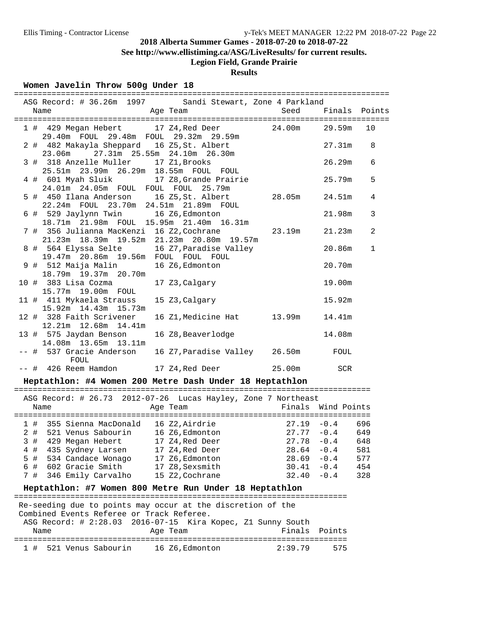**See http://www.ellistiming.ca/ASG/LiveResults/ for current results.**

# **Legion Field, Grande Prairie**

## **Results**

### **Women Javelin Throw 500g Under 18**

| ASG Record: # 36.26m 1997 Sandi Stewart, Zone 4 Parkland                                                                                                        |                                                                                                              |               |               |              |
|-----------------------------------------------------------------------------------------------------------------------------------------------------------------|--------------------------------------------------------------------------------------------------------------|---------------|---------------|--------------|
| Name<br>and the Magnetic Preasurer and Team                                                                                                                     |                                                                                                              | Seed          | Finals Points |              |
|                                                                                                                                                                 | 1 # 429 Megan Hebert 17 Z4, Red Deer 24.00m<br>29.40m FOUL 29.48m FOUL 29.32m 29.59m                         |               | 29.59m        | 10           |
| 2 # 482 Makayla Sheppard 16 Z5, St. Albert<br>23.06m  27.31m  25.55m  24.10m  26.30m                                                                            |                                                                                                              |               | 27.31m        | 8            |
| 3 # 318 Anzelle Muller 17 Z1, Brooks                                                                                                                            | 25.51m  23.99m  26.29m  18.55m  FOUL  FOUL                                                                   |               | 26.29m        | 6            |
| 4 # 601 Myah Sluik<br>24.01m  24.05m  FOUL  FOUL  FOUL  25.79m                                                                                                  | 17 Z8, Grande Prairie                                                                                        |               | 25.79m        | 5            |
| 5 # 450 Ilana Anderson                                                                                                                                          | 16 Z5, St. Albert<br>22.24m FOUL 23.70m 24.51m 21.89m FOUL                                                   | 28.05m        | 24.51m        | 4            |
| 6 # 529 Jaylynn Twin 16 Z6, Edmonton                                                                                                                            | 18.71m 21.98m FOUL 15.95m 21.40m 16.31m                                                                      |               | 21.98m        | 3            |
|                                                                                                                                                                 | 7 # 356 Julianna MacKenzi 16 Z2,Cochrane                 23.19m<br>21.23m 18.39m 19.52m 21.23m 20.80m 19.57m |               | 21.23m        | 2            |
| 8 # 564 Elyssa Selte<br>19.47m 20.86m 19.56m FOUL FOUL FOUL                                                                                                     | 16 Z7, Paradise Valley                                                                                       |               | 20.86m        | $\mathbf{1}$ |
| 9 # 512 Maija Malin<br>18.79m 19.37m 20.70m                                                                                                                     | 16 Z6, Edmonton                                                                                              |               | 20.70m        |              |
| 10 # 383 Lisa Cozma<br>15.77m 19.00m FOUL                                                                                                                       | 17 Z3, Calgary                                                                                               |               | 19.00m        |              |
| 11 # 411 Mykaela Strauss<br>15.92m  14.43m  15.73m                                                                                                              | 15 Z3, Calgary                                                                                               |               | 15.92m        |              |
| 12 # 328 Faith Scrivener<br>12.21m 12.68m 14.41m                                                                                                                | 16 Z1, Medicine Hat 13.99m                                                                                   |               | 14.41m        |              |
| 13 # 575 Jaydan Benson<br>14.08m  13.65m  13.11m                                                                                                                | 16 Z8, Beaverlodge                                                                                           |               | 14.08m        |              |
| -- # 537 Gracie Anderson<br>FOUL                                                                                                                                | 16 Z7, Paradise Valley 26.50m                                                                                |               | FOUL          |              |
| -- # 426 Reem Hamdon 17 24, Red Deer 25.00m<br>Heptathlon: #4 Women 200 Metre Dash Under 18 Heptathlon                                                          |                                                                                                              |               | SCR           |              |
|                                                                                                                                                                 |                                                                                                              |               |               |              |
| ASG Record: # 26.73 2012-07-26 Lucas Hayley, Zone 7 Northeast<br>Name                                                                                           | Age Team <b>Finals</b> Wind Points                                                                           |               |               |              |
|                                                                                                                                                                 |                                                                                                              |               |               |              |
|                                                                                                                                                                 | 1 # 355 Sienna MacDonald 16 Z2, Airdrie 27.19 -0.4<br>2 # 521 Venus Sabourin 16 Z6, Edmonton                 | $27.77 - 0.4$ |               | 696<br>649   |
| 3 # 429 Megan Hebert                                                                                                                                            | 17 Z4, Red Deer                                                                                              | $27.78 - 0.4$ |               | 648          |
| $4$ #                                                                                                                                                           | 17 Z4, Red Deer                                                                                              | 28.64         | $-0.4$        | 581          |
| 435 Sydney Larsen<br>534 Candace Wonago<br>5 #                                                                                                                  | 17 Z6, Edmonton                                                                                              | 28.69         | $-0.4$        | 577          |
| 602 Gracie Smith<br>6 #                                                                                                                                         | 17 Z8, Sexsmith                                                                                              | 30.41         | $-0.4$        | 454          |
| 7 #<br>346 Emily Carvalho                                                                                                                                       | 15 Z2, Cochrane                                                                                              | 32.40         | $-0.4$        | 328          |
| Heptathlon: #7 Women 800 Metre Run Under 18 Heptathlon                                                                                                          |                                                                                                              |               |               |              |
|                                                                                                                                                                 |                                                                                                              |               |               |              |
| Re-seeding due to points may occur at the discretion of the<br>Combined Events Referee or Track Referee.<br>$1.1$ $1.20$ $2.20$ $2.20$ $2.01$ $6.7$ $1.5$ $1.7$ |                                                                                                              |               |               |              |
|                                                                                                                                                                 |                                                                                                              |               |               |              |

|      |                        |          |                |  | ASG Record: $\#$ 2:28.03 2016-07-15 Kira Kopec, Z1 Sunny South |               |
|------|------------------------|----------|----------------|--|----------------------------------------------------------------|---------------|
| Name |                        | Age Team |                |  |                                                                | Finals Points |
|      |                        |          |                |  |                                                                |               |
|      | 1 # 521 Venus Sabourin |          | 16 Z6,Edmonton |  | 2:39.79                                                        | 575           |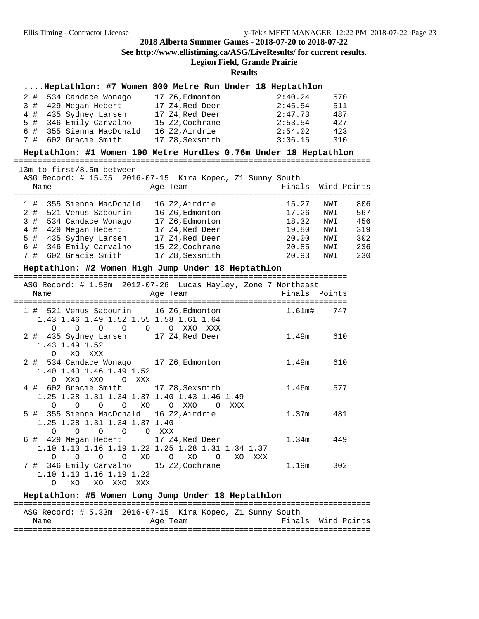## **2018 Alberta Summer Games - 2018-07-20 to 2018-07-22 See http://www.ellistiming.ca/ASG/LiveResults/ for current results.**

## **Legion Field, Grande Prairie**

**Results**

#### **....Heptathlon: #7 Women 800 Metre Run Under 18 Heptathlon**

|  | 2 # 534 Candace Wonago   | 17 Z6, Edmonton | 2:40.24 | 570 |
|--|--------------------------|-----------------|---------|-----|
|  | 3 # 429 Megan Hebert     | 17 Z4, Red Deer | 2:45.54 | 511 |
|  | 4 # 435 Sydney Larsen    | 17 Z4, Red Deer | 2:47.73 | 487 |
|  | 5 # 346 Emily Carvalho   | 15 Z2, Cochrane | 2:53.54 | 427 |
|  | 6 # 355 Sienna MacDonald | 16 Z2.Airdrie   | 2:54.02 | 423 |
|  | 7 # 602 Gracie Smith     | 17 Z8, Sexsmith | 3:06.16 | 310 |

#### **Heptathlon: #1 Women 100 Metre Hurdles 0.76m Under 18 Heptathlon**

============================================================================

#### 13m to first/8.5m between

|                                 |      |                                                                                                                                                             |                                                                                                                                             |       |                                                           | Wind Points |
|---------------------------------|------|-------------------------------------------------------------------------------------------------------------------------------------------------------------|---------------------------------------------------------------------------------------------------------------------------------------------|-------|-----------------------------------------------------------|-------------|
|                                 |      |                                                                                                                                                             |                                                                                                                                             | 15.27 | NWI                                                       | 806         |
|                                 |      |                                                                                                                                                             |                                                                                                                                             | 17.26 | NWI                                                       | 567         |
|                                 |      |                                                                                                                                                             |                                                                                                                                             | 18.32 | NWI                                                       | 456         |
|                                 |      |                                                                                                                                                             |                                                                                                                                             | 19.80 | NWI                                                       | 319         |
|                                 |      |                                                                                                                                                             |                                                                                                                                             | 20.00 | NWI                                                       | 302         |
|                                 |      |                                                                                                                                                             |                                                                                                                                             | 20.85 | NWI                                                       | 236         |
|                                 |      |                                                                                                                                                             |                                                                                                                                             | 20.93 | NWI                                                       | 230         |
| 1#<br>$2 \pm$<br>4#<br>5#<br>7# | Name | 355 Sienna MacDonald<br>521 Venus Sabourin<br>3 # 534 Candace Wonago<br>429 Megan Hebert<br>435 Sydney Larsen<br>6 # 346 Emily Carvalho<br>602 Gracie Smith | Age Team<br>16 Z2, Airdrie<br>16 Z6.Edmonton<br>17 Z6, Edmonton<br>17 Z4, Red Deer<br>17 Z4, Red Deer<br>15 Z2, Cochrane<br>17 Z8, Sexsmith |       | ASG Record: # 15.05 2016-07-15 Kira Kopec, Z1 Sunny South | Finals      |

### **Heptathlon: #2 Women High Jump Under 18 Heptathlon**

=======================================================================

|                                                                   | ASG Record: # 1.58m 2012-07-26 Lucas Hayley, Zone 7 Northeast |               |  |
|-------------------------------------------------------------------|---------------------------------------------------------------|---------------|--|
| Name                                                              | Age Team                                                      | Finals Points |  |
|                                                                   |                                                               |               |  |
| 1 # 521 Venus Sabourin 16 Z6, Edmonton                            |                                                               | 1.61m# 747    |  |
| 1.43 1.46 1.49 1.52 1.55 1.58 1.61 1.64                           |                                                               |               |  |
| 0 0 0 0 0 0 XXO XXX                                               |                                                               |               |  |
| 2 # 435 Sydney Larsen 17 Z4, Red Deer                             |                                                               | 1.49m 610     |  |
| 1.43 1.49 1.52                                                    |                                                               |               |  |
| O XO XXX                                                          |                                                               |               |  |
| 2 # 534 Candace Wonago 17 Z6, Edmonton                            |                                                               | 1.49m 610     |  |
| 1.40 1.43 1.46 1.49 1.52                                          |                                                               |               |  |
| O XXO XXO O XXX                                                   |                                                               |               |  |
| 4 # 602 Gracie Smith 17 Z8, Sexsmith                              |                                                               | 1.46m 577     |  |
| 1.25 1.28 1.31 1.34 1.37 1.40 1.43 1.46 1.49                      |                                                               |               |  |
| 0 0 0 0 XO 0 XXO 0 XXX                                            |                                                               |               |  |
| 5 # 355 Sienna MacDonald 16 Z2,Airdrie                            |                                                               | $1.37m$ 481   |  |
| 1.25 1.28 1.31 1.34 1.37 1.40                                     |                                                               |               |  |
| $\Omega$<br>O XXX<br>$\overline{O}$<br>$\overline{O}$<br>$\Omega$ |                                                               |               |  |
| 6 # 429 Megan Hebert 17 Z4, Red Deer                              |                                                               | 1.34m 449     |  |
|                                                                   | 1.10 1.13 1.16 1.19 1.22 1.25 1.28 1.31 1.34 1.37             |               |  |
| 0 0 0 0 XO 0 XO 0                                                 | XO<br>XXX                                                     |               |  |
| 7 # 346 Emily Carvalho     15 Z2,Cochrane                         |                                                               | 1.19m 302     |  |
| 1.10 1.13 1.16 1.19 1.22                                          |                                                               |               |  |
| $\Omega$<br>XO XO XXO XXX                                         |                                                               |               |  |
|                                                                   |                                                               |               |  |

#### **Heptathlon: #5 Women Long Jump Under 18 Heptathlon**

|      |  | ASG Record: # 5.33m 2016-07-15 Kira Kopec, Z1 Sunny South |  |  |                    |  |
|------|--|-----------------------------------------------------------|--|--|--------------------|--|
| Name |  | Age Team                                                  |  |  | Finals Wind Points |  |
|      |  |                                                           |  |  |                    |  |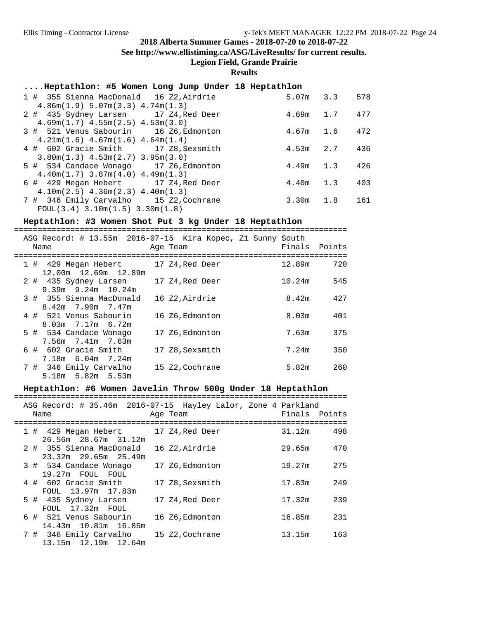**See http://www.ellistiming.ca/ASG/LiveResults/ for current results.**

**Legion Field, Grande Prairie**

## **Results**

| Heptathlon: #5 Women Long Jump Under 18 Heptathlon     |               |     |
|--------------------------------------------------------|---------------|-----|
| 1 # 355 Sienna MacDonald 16 Z2, Airdrie                | $5.07m$ $3.3$ | 578 |
| 4.86m(1.9) 5.07m(3.3) 4.74m(1.3)                       |               |     |
| 2 # 435 Sydney Larsen 17 Z4, Red Deer                  | $4.69m$ 1.7   | 477 |
| $4.69$ m $(1.7)$ $4.55$ m $(2.5)$ $4.53$ m $(3.0)$     |               |     |
| 3 # 521 Venus Sabourin 16 Z6, Edmonton                 | $4.67m$ 1.6   | 472 |
| $4.21m(1.6)$ $4.67m(1.6)$ $4.64m(1.4)$                 |               |     |
| 4 # 602 Gracie Smith 17 Z8, Sexsmith                   | $4.53m$ 2.7   | 436 |
| $3.80m(1.3)$ 4.53m $(2.7)$ 3.95m $(3.0)$               |               |     |
| 5 # 534 Candace Wonago 17 Z6, Edmonton                 | $4.49m$ 1.3   | 426 |
| $4.40m(1.7)$ $3.87m(4.0)$ $4.49m(1.3)$                 |               |     |
| 6 # 429 Megan Hebert 17 Z4, Red Deer                   | $4.40m$ 1.3   | 403 |
| $4.10m(2.5)$ $4.36m(2.3)$ $4.40m(1.3)$                 |               |     |
| 7 # 346 Emily Carvalho 15 Z2, Cochrane                 | $3.30m$ 1.8   | 161 |
| $FOUL(3.4)$ 3.10m $(1.5)$ 3.30m $(1.8)$                |               |     |
|                                                        |               |     |
| Heptathlon: #3 Women Shot Put 3 kg Under 18 Heptathlon |               |     |

|  | ASG Record: # 13.55m 2016-07-15 Kira Kopec, Z1 Sunny South<br>Name | Age Team        |  | Finals | Points |
|--|--------------------------------------------------------------------|-----------------|--|--------|--------|
|  |                                                                    |                 |  |        |        |
|  | 1 # 429 Megan Hebert<br>12.00m  12.69m  12.89m                     | 17 Z4,Red Deer  |  | 12.89m | 720    |
|  | 2 # 435 Sydney Larsen                                              | 17 Z4,Red Deer  |  | 10.24m | 545    |
|  | $9.39m$ $9.24m$ $10.24m$<br>3 # 355 Sienna MacDonald               | 16 Z2, Airdrie  |  | 8.42m  | 427    |
|  | $8.42m$ 7.90m 7.47m                                                |                 |  |        |        |
|  | 4 # 521 Venus Sabourin                                             | 16 Z6, Edmonton |  | 8.03m  | 401    |
|  | $8.03m$ $7.17m$ $6.72m$                                            |                 |  |        |        |
|  | 5 # 534 Candace Wonago                                             | 17 Z6, Edmonton |  | 7.63m  | 375    |
|  | 7.56m 7.41m 7.63m                                                  |                 |  |        |        |
|  | $6$ # $602$ Gracie Smith                                           | 17 Z8, Sexsmith |  | 7.24m  | 350    |
|  | 7.18m 6.04m 7.24m                                                  |                 |  |        |        |
|  | 7 # 346 Emily Carvalho<br>5.18m 5.82m 5.53m                        | 15 Z2, Cochrane |  | 5.82m  | 260    |
|  |                                                                    |                 |  |        |        |

## **Heptathlon: #6 Women Javelin Throw 500g Under 18 Heptathlon**

| ASG Record: # 35.46m 2016-07-15 Hayley Lalor, Zone 4 Parkland<br>Name                    | Age Team |                 | Finals Points |     |
|------------------------------------------------------------------------------------------|----------|-----------------|---------------|-----|
| ------------------------<br>1 # 429 Megan Hebert 17 Z4, Red Deer<br>26.56m 28.67m 31.12m |          |                 | 31.12m        | 498 |
| 2 # 355 Sienna MacDonald<br>23.32m 29.65m 25.49m                                         |          | 16 Z2.Airdrie   | 29.65m        | 470 |
| 3 # 534 Candace Wonago<br>19.27m FOUL FOUL                                               |          | 17 Z6, Edmonton | 19.27m        | 275 |
| 4 # 602 Gracie Smith<br>FOUL 13.97m 17.83m                                               |          | 17 Z8, Sexsmith | 17.83m        | 249 |
| 5 # 435 Sydney Larsen<br>FOUL 17.32m FOUL                                                |          | 17 Z4,Red Deer  | 17.32m        | 239 |
| 6 # 521 Venus Sabourin<br>14.43m 10.81m 16.85m                                           |          | 16 Z6, Edmonton | 16.85m        | 231 |
| 7 # 346 Emily Carvalho<br>13.15m 12.19m 12.64m                                           |          | 15 Z2, Cochrane | 13.15m        | 163 |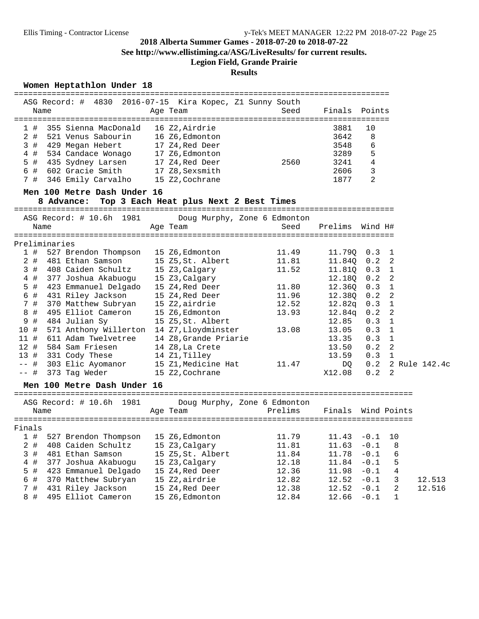**See http://www.ellistiming.ca/ASG/LiveResults/ for current results.**

# **Legion Field, Grande Prairie**

## **Results**

### **Women Heptathlon Under 18**

|                   |      | ASG Record: # 4830 2016-07-15 Kira Kopec, Z1 Sunny South |                       |                              |                |                                  |                |                   |
|-------------------|------|----------------------------------------------------------|-----------------------|------------------------------|----------------|----------------------------------|----------------|-------------------|
|                   | Name |                                                          | Age Team              | Seed                         | Finals Points  |                                  |                |                   |
|                   |      |                                                          |                       |                              |                |                                  |                |                   |
| 1#                |      | 355 Sienna MacDonald                                     | 16 Z2, Airdrie        |                              | 3881           | 10                               |                |                   |
| 2#                |      | 521 Venus Sabourin                                       | 16 Z6,Edmonton        |                              | 3642           | 8                                |                |                   |
| 3#                |      | 429 Megan Hebert                                         | 17 Z4, Red Deer       |                              | 3548           | 6                                |                |                   |
| 4#                |      | 534 Candace Wonago                                       | 17 Z6, Edmonton       |                              | 3289           | 5                                |                |                   |
| 5 #               |      | 435 Sydney Larsen                                        | 17 Z4, Red Deer       | 2560                         | 3241           | 4                                |                |                   |
|                   |      | 6 # 602 Gracie Smith                                     | 17 Z8, Sexsmith       |                              | 2606           | 3                                |                |                   |
|                   |      | 7 # 346 Emily Carvalho                                   | 15 Z2, Cochrane       |                              | 1877           | $\overline{2}$                   |                |                   |
|                   |      | Men 100 Metre Dash Under 16                              |                       |                              |                |                                  |                |                   |
|                   |      | 8 Advance: Top 3 Each Heat plus Next 2 Best Times        |                       |                              |                |                                  |                |                   |
|                   |      |                                                          |                       |                              |                |                                  |                |                   |
|                   |      | ASG Record: # 10.6h 1981                                 |                       | Doug Murphy, Zone 6 Edmonton |                |                                  |                |                   |
|                   | Name |                                                          | Age Team              | Seed                         | Prelims        | Wind H#                          |                |                   |
|                   |      |                                                          |                       |                              |                |                                  |                |                   |
| Preliminaries     |      |                                                          |                       |                              |                |                                  |                |                   |
| 1#                |      | 527 Brendon Thompson                                     | 15 Z6,Edmonton        | 11.49                        | 11.79Q 0.3 1   |                                  |                |                   |
| $2$ #             |      | 481 Ethan Samson                                         | 15 Z5, St. Albert     | 11.81                        | 11.84Q 0.2 2   |                                  |                |                   |
| 3#                |      | 408 Caiden Schultz                                       | 15 Z3, Calgary        | 11.52                        | 11.81Q 0.3 1   |                                  |                |                   |
| $4$ #             |      | 377 Joshua Akabuogu                                      | 15 Z3, Calgary        |                              | 12.18Q 0.2 2   |                                  |                |                   |
| 5 #               |      | 423 Emmanuel Delgado                                     | 15 Z4,Red Deer        | 11.80                        | 12.36Q 0.3 1   |                                  |                |                   |
| 6 #               |      | 431 Riley Jackson                                        | 15 Z4, Red Deer       | 11.96                        | 12.380 0.2 2   |                                  |                |                   |
| 7#                |      | 370 Matthew Subryan                                      | 15 Z2,airdrie         | 12.52                        | $12.82q$ 0.3 1 |                                  |                |                   |
| 8<br>#            |      | 495 Elliot Cameron                                       | 15 Z6, Edmonton       | 13.93                        | $12.84q$ 0.2 2 |                                  |                |                   |
| 9<br>#            |      | 484 Julian Sy                                            | 15 Z5, St. Albert     |                              | 12.85          | $0.3 \quad 1$                    |                |                   |
| 10#               |      | 571 Anthony Willerton 14 Z7, Lloydminster                |                       | 13.08                        | 13.05          | $0.3 \quad 1$                    |                |                   |
|                   |      | 11 # 611 Adam Twelvetree                                 | 14 Z8, Grande Priarie |                              | 13.35          | $0.3 \quad 1$                    |                |                   |
|                   |      | 12 # 584 Sam Friesen                                     | 14 Z8, La Crete       |                              | 13.50          | 0.2                              | $\overline{2}$ |                   |
|                   |      |                                                          |                       |                              |                |                                  |                |                   |
|                   |      | 13 # 331 Cody These                                      | 14 Z1, Tilley         |                              | 13.59          | $0.3 \quad 1$                    |                |                   |
| -- #              |      | 303 Elic Ayomanor                                        | 15 Z1,Medicine Hat    | 11.47                        | DQ             |                                  |                | 0.2 2 Rule 142.4c |
| -- #              |      | 373 Tag Weder                                            | 15 Z2, Cochrane       |                              | X12.08         | 0.2                              | 2              |                   |
|                   |      | Men 100 Metre Dash Under 16                              |                       |                              |                |                                  |                |                   |
|                   |      | ASG Record: # 10.6h 1981                                 |                       | Doug Murphy, Zone 6 Edmonton |                |                                  |                |                   |
|                   | Name |                                                          | Age Team              | Prelims                      | Finals         |                                  | Wind Points    |                   |
|                   |      |                                                          |                       |                              |                |                                  |                |                   |
| Finals            |      |                                                          |                       |                              |                |                                  |                |                   |
| 1#                |      | 527 Brendon Thompson                                     | 15 Z6, Edmonton       | 11.79                        | 11.43          | $-0.1$                           | 10             |                   |
| $2$ #             |      | 408 Caiden Schultz                                       | 15 Z3, Calgary        | 11.81                        | 11.63          | $-0.1$                           | 8              |                   |
| $\mathbf{3}$<br># |      | 481 Ethan Samson                                         | 15 Z5, St. Albert     | 11.84                        | 11.78          | $-0.1$                           | 6              |                   |
| 4 #               |      | 377 Joshua Akabuogu                                      | 15 Z3, Calgary        | 12.18                        | 11.84          | $-0.1$                           | 5              |                   |
| 5 #               |      | 423 Emmanuel Delgado                                     | 15 Z4, Red Deer       | 12.36                        | 11.98          | $-0.1$                           | 4              |                   |
| б<br>#            |      | 370 Matthew Subryan                                      | 15 Z2, airdrie        | 12.82                        | 12.52          | $\textcolor{red}{\mathbf{-0.1}}$ | 3              | 12.513            |
| 7#                |      | 431 Riley Jackson                                        | 15 Z4, Red Deer       | 12.38                        | 12.52          | $-0.1$                           | 2              | 12.516            |
| 8#                |      | 495 Elliot Cameron                                       | 15 Z6, Edmonton       | 12.84                        | 12.66          | $-0.1$                           | $\mathbf 1$    |                   |
|                   |      |                                                          |                       |                              |                |                                  |                |                   |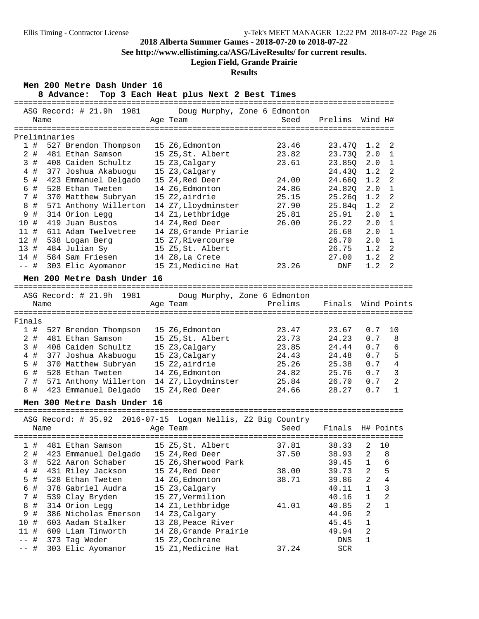### **2018-07-22**

| 2018 Alberta Summer Games - 2018-07-20 to 2018-07-22<br>See http://www.ellistiming.ca/ASG/LiveResults/ for current results.<br><b>Legion Field, Grande Prairie</b><br><b>Results</b>                                                                                                                                                                                                                                                                                                                        |                                                                                                                                                                                                                                                                                    |                                                                                        |                                                                                                                                           |                                                                                                                                                                                                                                                                |  |  |  |  |  |
|-------------------------------------------------------------------------------------------------------------------------------------------------------------------------------------------------------------------------------------------------------------------------------------------------------------------------------------------------------------------------------------------------------------------------------------------------------------------------------------------------------------|------------------------------------------------------------------------------------------------------------------------------------------------------------------------------------------------------------------------------------------------------------------------------------|----------------------------------------------------------------------------------------|-------------------------------------------------------------------------------------------------------------------------------------------|----------------------------------------------------------------------------------------------------------------------------------------------------------------------------------------------------------------------------------------------------------------|--|--|--|--|--|
| Men 200 Metre Dash Under 16<br>8 Advance: Top 3 Each Heat plus Next 2 Best Times                                                                                                                                                                                                                                                                                                                                                                                                                            |                                                                                                                                                                                                                                                                                    |                                                                                        |                                                                                                                                           |                                                                                                                                                                                                                                                                |  |  |  |  |  |
| ASG Record: # 21.9h 1981<br>Name                                                                                                                                                                                                                                                                                                                                                                                                                                                                            | Age Team                                                                                                                                                                                                                                                                           | Doug Murphy, Zone 6 Edmonton<br>Seed                                                   | Prelims                                                                                                                                   | Wind H#                                                                                                                                                                                                                                                        |  |  |  |  |  |
| Preliminaries<br>1#<br>527 Brendon Thompson<br>2#<br>481 Ethan Samson<br>3#<br>408 Caiden Schultz<br>4#<br>377 Joshua Akabuogu<br>5 #<br>423 Emmanuel Delgado<br>528 Ethan Tweten<br>6 #<br>7#<br>370 Matthew Subryan<br>$\,8\,$<br>#<br>571 Anthony Willerton 14 Z7, Lloydminster<br>9<br>#<br>314 Orion Legg<br>419 Juan Bustos<br>10 #<br>11#<br>611 Adam Twelvetree<br>12 # 538 Logan Berg<br>13 # 484 Julian Sy<br>584 Sam Friesen<br>14 #<br>303 Elic Ayomanor<br>-- #<br>Men 200 Metre Dash Under 16 | 15 Z6, Edmonton<br>15 Z5, St. Albert<br>15 Z3, Calgary<br>15 Z3, Calgary<br>15 Z4,Red Deer<br>14 Z6, Edmonton<br>15 Z2,airdrie<br>14 Z1, Lethbridge<br>14 Z4, Red Deer<br>14 Z8, Grande Priarie<br>15 Z7, Rivercourse<br>15 Z5,St. Albert<br>14 Z8,La Crete<br>15 Z1, Medicine Hat | 23.46<br>23.82<br>23.61<br>24.00<br>24.86<br>25.15<br>27.90<br>25.81<br>26.00<br>23.26 | 23.470<br>23.73Q<br>23.85Q<br>24.43Q<br>24.660<br>24.820<br>25.26q<br>25.84q<br>25.91<br>26.22<br>26.68<br>26.70<br>26.75<br>27.00<br>DNF | 1.2<br>2<br>2.0<br>$\mathbf{1}$<br>2.0<br>$\mathbf{1}$<br>1.2<br>2<br>1.2<br>2<br>$\mathbf 1$<br>2.0<br>2<br>1.2<br>$\overline{a}$<br>1.2<br>2.0<br>$\mathbf{1}$<br>2.0<br>$\mathbf{1}$<br>2.0<br>1<br>2.0<br>$\mathbf{1}$<br>2<br>1.2<br>1.2<br>2<br>1.2<br>2 |  |  |  |  |  |
| ASG Record: # 21.9h 1981<br>Name                                                                                                                                                                                                                                                                                                                                                                                                                                                                            | Age Team                                                                                                                                                                                                                                                                           | Doug Murphy, Zone 6 Edmonton<br>Prelims                                                |                                                                                                                                           | Finals Wind Points                                                                                                                                                                                                                                             |  |  |  |  |  |
| Finals<br>527 Brendon Thompson<br>1#<br>2#<br>481 Ethan Samson<br>3#<br>408 Caiden Schultz<br>377 Joshua Akabuogu<br>$4$ #<br>$5$ #<br>370 Matthew Subryan<br>6 #<br>528 Ethan Tweten<br>7 #<br>571 Anthony Willerton 14 Z7, Lloydminster<br>8 #<br>423 Emmanuel Delgado                                                                                                                                                                                                                                    | 15 Z6, Edmonton<br>15 Z5, St. Albert<br>15 Z3, Calgary<br>15 Z3, Calgary<br>15 Z2, airdrie<br>14 Z6, Edmonton<br>15 Z4, Red Deer                                                                                                                                                   | 23.47<br>23.73<br>23.85<br>24.43<br>25.26<br>24.82<br>25.84<br>24.66                   | 23.67<br>24.23<br>24.44<br>24.48<br>25.38<br>25.76<br>26.70<br>28.27                                                                      | 0.7<br>10<br>0.7<br>8<br>0.7<br>6<br>5<br>0.7<br>0.7<br>4<br>3<br>0.7<br>$\overline{a}$<br>0.7<br>0.7<br>$\mathbf 1$                                                                                                                                           |  |  |  |  |  |
| Men 300 Metre Dash Under 16                                                                                                                                                                                                                                                                                                                                                                                                                                                                                 |                                                                                                                                                                                                                                                                                    |                                                                                        |                                                                                                                                           |                                                                                                                                                                                                                                                                |  |  |  |  |  |

===================================================================================

|        |      |                      | ASG Record: # 35.92 2016-07-15 Logan Nellis, Z2 Big Country |       |                  |                |                |
|--------|------|----------------------|-------------------------------------------------------------|-------|------------------|----------------|----------------|
|        | Name |                      | Age Team                                                    | Seed  | Finals H# Points |                |                |
|        |      |                      |                                                             |       |                  |                |                |
| 1#     |      | 481 Ethan Samson     | 15 Z5,St. Albert                                            | 37.81 | 38.33            | 2              | 10             |
| 2 #    |      | 423 Emmanuel Delgado | 15 Z4,Red Deer                                              | 37.50 | 38.93            | 2              | 8              |
| 3#     |      | 522 Aaron Schaber    | 15 Z6, Sherwood Park                                        |       | 39.45            | $\mathbf{1}$   | 6              |
| 4#     |      | 431 Riley Jackson    | 15 Z4,Red Deer                                              | 38.00 | 39.73            | 2              | 5              |
| 5#     |      | 528 Ethan Tweten     | 14 Z6,Edmonton                                              | 38.71 | 39.86            | 2              | 4              |
| 6#     |      | 378 Gabriel Audra    | 15 Z3, Calgary                                              |       | 40.11            | $\mathbf{1}$   | 3              |
| 7#     |      | 539 Clay Bryden      | 15 Z7, Vermilion                                            |       | 40.16            | $\mathbf{1}$   | $\mathfrak{D}$ |
| 8#     |      | 314 Orion Legg       | 14 Z1,Lethbridge                                            | 41.01 | 40.85            | 2              | $\mathbf{1}$   |
| 9#     |      | 386 Nicholas Emerson | 14 Z3, Calgary                                              |       | 44.96            | $\overline{2}$ |                |
| 10#    |      | 603 Aadam Stalker    | 13 Z8, Peace River                                          |       | 45.45            | $\mathbf{1}$   |                |
| 11#    |      | 609 Liam Tinworth    | 14 Z8, Grande Prairie                                       |       | 49.94            | 2              |                |
| $--$ # |      | 373 Tag Weder        | 15 Z2, Cochrane                                             |       | DNS              |                |                |
| $--$ # |      | 303 Elic Ayomanor    | 15 Z1, Medicine Hat                                         | 37.24 | <b>SCR</b>       |                |                |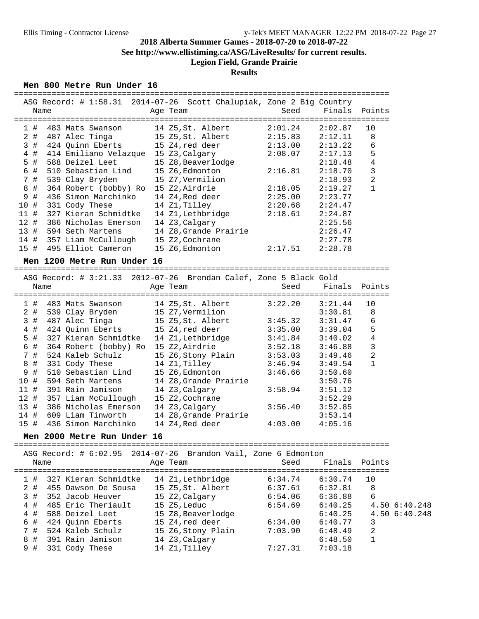**See http://www.ellistiming.ca/ASG/LiveResults/ for current results.**

# **Legion Field, Grande Prairie**

## **Results**

#### **Men 800 Metre Run Under 16**

|        | ASG Record: # 1:58.31 2014-07-26 Scott Chalupiak, Zone 2 Big Country |                       |                   |         |               |  |
|--------|----------------------------------------------------------------------|-----------------------|-------------------|---------|---------------|--|
|        | Name                                                                 | Age Team              | Seed              | Finals  | Points        |  |
| 1#     | 483 Mats Swanson                                                     | 14 Z5, St. Albert     | 2:01.24           | 2:02.87 | 10            |  |
| $2$ #  | 487 Alec Tinga                                                       | 15 Z5, St. Albert     | 2:15.83           | 2:12.11 | 8             |  |
| 3#     | 424 Quinn Eberts                                                     | 15 Z4, red deer       | 2:13.00           | 2:13.22 | 6             |  |
| $4$ #  | 414 Emiliano Velazque 15 Z3, Calgary                                 |                       | 2:08.07           | 2:17.13 | 5             |  |
| $5$ #  | 588 Deizel Leet                                                      | 15 Z8, Beaverlodge    |                   | 2:18.48 | 4             |  |
| 6 #    | 510 Sebastian Lind                                                   | 15 Z6, Edmonton       | 2:16.81           | 2:18.70 | $\mathbf{3}$  |  |
| 7 #    | 539 Clay Bryden                                                      | 15 Z7, Vermilion      |                   | 2:18.93 | 2             |  |
| 8 #    | 364 Robert (bobby) Ro 15 Z2, Airdrie                                 |                       | 2:18.05           | 2:19.27 | $\mathbf{1}$  |  |
| 9 #    | 436 Simon Marchinko                                                  | 14 Z4, Red deer       | 2:25.00           | 2:23.77 |               |  |
| 10 #   | 331 Cody These                                                       | 14 Z1, Tilley         | 2:20.68           | 2:24.47 |               |  |
| $11$ # | 327 Kieran Schmidtke                                                 | 14 Z1,Lethbridge      | 2:18.61           | 2:24.87 |               |  |
| 12#    | 386 Nicholas Emerson                                                 | 14 Z3, Calgary        |                   | 2:25.56 |               |  |
| 13#    | 594 Seth Martens                                                     | 14 Z8, Grande Prairie |                   | 2:26.47 |               |  |
| 14 #   | 357 Liam McCullough                                                  | 15 Z2, Cochrane       |                   | 2:27.78 |               |  |
| 15 #   | 495 Elliot Cameron                                                   | 15 Z6, Edmonton       | 2:17.51           | 2:28.78 |               |  |
|        |                                                                      |                       |                   |         |               |  |
|        | Men 1200 Metre Run Under 16                                          |                       |                   |         |               |  |
|        |                                                                      |                       |                   |         |               |  |
|        | ASG Record: # 3:21.33 2012-07-26 Brendan Calef, Zone 5 Black Gold    |                       |                   |         |               |  |
|        | Name                                                                 | Age Team              | Seed              | Finals  | Points        |  |
| 1#     | 483 Mats Swanson                                                     | 14 Z5, St. Albert     | 3:22.20           | 3:21.44 | 10            |  |
| $2$ #  | 539 Clay Bryden                                                      | 15 Z7,Vermilion       |                   | 3:30.81 | 8             |  |
| 3#     | 487 Alec Tinga                                                       | 15 Z5,St. Albert      | 3:45.32           | 3:31.47 | 6             |  |
| $4$ #  | 424 Quinn Eberts                                                     | 15 Z4,red deer        | 3:35.00           | 3:39.04 | 5             |  |
| $5$ #  | 327 Kieran Schmidtke 14 Z1, Lethbridge                               |                       | 3:41.84           | 3:40.02 | 4             |  |
| 6 #    | 364 Robert (bobby) Ro 15 Z2, Airdrie                                 |                       | 3:52.18           | 3:46.88 | 3             |  |
| 7 #    | 524 Kaleb Schulz                                                     | 15 Z6,Stony Plain     | 3:53.03           | 3:49.46 | 2             |  |
| 8 #    | 331 Cody These                                                       | 14 Z1, Tilley         | 3:46.94           | 3:49.54 | $\mathbf{1}$  |  |
| 9 #    | 510 Sebastian Lind                                                   | 15 Z6, Edmonton       | 3:46.66           | 3:50.60 |               |  |
| 10 #   | 594 Seth Martens                                                     | 14 Z8, Grande Prairie |                   | 3:50.76 |               |  |
| $11$ # | 391 Rain Jamison                                                     | 14 Z3, Calgary        | 3:58.94           | 3:51.12 |               |  |
| 12#    | 357 Liam McCullough                                                  | 15 Z2, Cochrane       |                   | 3:52.29 |               |  |
| 13#    | 386 Nicholas Emerson                                                 | 14 Z3, Calgary        | 3:56.40           | 3:52.85 |               |  |
| 14 #   | 609 Liam Tinworth                                                    | 14 Z8.Grande Prairie  |                   | 3:53.14 |               |  |
| 15#    | 436 Simon Marchinko                                                  | 14 Z4, Red deer       | 4:03.00           | 4:05.16 |               |  |
|        |                                                                      |                       |                   |         |               |  |
|        | Men 2000 Metre Run Under 16<br>=================                     |                       |                   |         |               |  |
|        | ASG Record: $\# 6:02.95$ 2014-07-26 Brandon Vail, Zone 6 Edmonton    |                       |                   |         |               |  |
|        | Name                                                                 | Age Team              | Seed              | Finals  | Points        |  |
|        | ===================                                                  |                       | ================= |         | ===========   |  |
| 1#     | 327 Kieran Schmidtke                                                 | 14 Z1, Lethbridge     | 6:34.74           | 6:30.74 | 10            |  |
| $2$ #  | 455 Dawson De Sousa                                                  | 15 Z5, St. Albert     | 6:37.61           | 6:32.81 | $\,8\,$       |  |
| 3#     | 352 Jacob Heuver                                                     | 15 Z2, Calgary        | 6:54.06           | 6:36.88 | 6             |  |
| $4$ #  | 485 Eric Theriault                                                   | 15 Z5, Leduc          | 6:54.69           | 6:40.25 | 4.50 6:40.248 |  |
| $4$ #  | 588 Deizel Leet                                                      | 15 Z8, Beaverlodge    |                   | 6:40.25 | 4.50 6:40.248 |  |
| 6 #    | 424 Quinn Eberts                                                     | 15 Z4, red deer       | 6:34.00           | 6:40.77 | 3             |  |
| 7#     | 524 Kaleb Schulz                                                     | 15 Z6, Stony Plain    | 7:03.90           | 6:48.49 | $\sqrt{2}$    |  |
| 8 #    | 391 Rain Jamison                                                     | 14 Z3, Calgary        |                   | 6:48.50 | $\mathbf{1}$  |  |
| 9 #    | 331 Cody These                                                       | 14 Z1, Tilley         | 7:27.31           | 7:03.18 |               |  |
|        |                                                                      |                       |                   |         |               |  |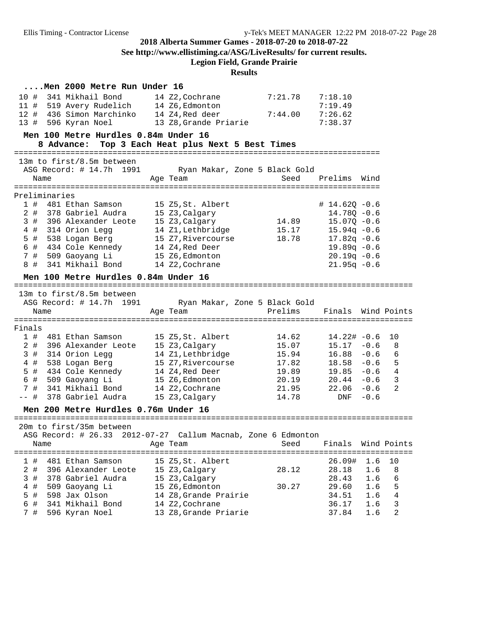**See http://www.ellistiming.ca/ASG/LiveResults/ for current results.**

**Legion Field, Grande Prairie**

|        | Men 2000 Metre Run Under 16          |                                                               |         |                    |                         |
|--------|--------------------------------------|---------------------------------------------------------------|---------|--------------------|-------------------------|
| 10 #   | 341 Mikhail Bond                     | 14 Z2, Cochrane                                               | 7:21.78 | 7:18.10            |                         |
| 11#    | 519 Avery Rudelich 14 Z6, Edmonton   |                                                               |         | 7:19.49            |                         |
| 12#    | 436 Simon Marchinko                  | 14 Z4,Red deer                                                | 7:44.00 | 7:26.62            |                         |
| 13#    | 596 Kyran Noel                       | 13 Z8, Grande Priarie                                         |         | 7:38.37            |                         |
|        | Men 100 Metre Hurdles 0.84m Under 16 |                                                               |         |                    |                         |
|        | 8 Advance:                           | Top 3 Each Heat plus Next 5 Best Times                        |         |                    |                         |
|        |                                      |                                                               |         |                    |                         |
|        | 13m to first/8.5m between            |                                                               |         |                    |                         |
|        | ASG Record: # 14.7h 1991             | Ryan Makar, Zone 5 Black Gold                                 |         |                    |                         |
|        | Name                                 | Age Team                                                      | Seed    | Prelims Wind       |                         |
|        |                                      |                                                               |         |                    |                         |
|        | Preliminaries                        |                                                               |         |                    |                         |
| 1#     | 481 Ethan Samson                     | 15 Z5, St. Albert                                             |         | $# 14.62Q - 0.6$   |                         |
| 2#     | 378 Gabriel Audra                    | 15 Z3, Calgary                                                |         | $14.78Q - 0.6$     |                         |
| 3#     | 396 Alexander Leote                  | 15 Z3, Calgary                                                | 14.89   | $15.07Q - 0.6$     |                         |
| 4 #    | 314 Orion Legg                       | 14 Z1, Lethbridge                                             | 15.17   | $15.94q - 0.6$     |                         |
| $5$ #  | 538 Logan Berg                       | 15 Z7, Rivercourse                                            | 18.78   | $17.82q - 0.6$     |                         |
| 6 #    | 434 Cole Kennedy                     | 14 Z4, Red Deer                                               |         | $19.89q - 0.6$     |                         |
| 7#     | 509 Gaoyang Li                       | 15 Z6, Edmonton                                               |         | $20.19q - 0.6$     |                         |
| 8 #    | 341 Mikhail Bond                     | 14 Z2, Cochrane                                               |         | $21.95q - 0.6$     |                         |
|        | Men 100 Metre Hurdles 0.84m Under 16 |                                                               |         |                    |                         |
|        |                                      |                                                               |         |                    |                         |
|        | 13m to first/8.5m between            |                                                               |         |                    |                         |
|        | ASG Record: # 14.7h 1991             | Ryan Makar, Zone 5 Black Gold                                 |         |                    |                         |
|        | Name                                 | Age Team                                                      | Prelims | Finals Wind Points |                         |
|        |                                      |                                                               |         |                    |                         |
| Finals |                                      |                                                               |         |                    |                         |
|        |                                      |                                                               |         |                    |                         |
| 1#     | 481 Ethan Samson                     | 15 Z5, St. Albert                                             | 14.62   | $14.22# -0.6$      | 10                      |
| $2$ #  | 396 Alexander Leote                  | 15 Z3, Calgary                                                | 15.07   | $15.17 - 0.6$      | 8                       |
| 3#     | 314 Orion Legg                       | 14 Z1, Lethbridge                                             | 15.94   | $16.88 - 0.6$      | 6                       |
| $4$ #  | 538 Logan Berg                       | 15 Z7, Rivercourse                                            | 17.82   | $18.58 - 0.6$      | $-5$                    |
| 5 #    | 434 Cole Kennedy                     | 14 Z4, Red Deer                                               | 19.89   | $19.85 - 0.6$ 4    |                         |
| 6 #    | 509 Gaoyang Li                       | 15 Z6, Edmonton                                               | 20.19   | $20.44 - 0.6$      | $\overline{\mathbf{3}}$ |
| 7#     | 341 Mikhail Bond                     | 14 Z2, Cochrane                                               | 21.95   | $22.06 - 0.6$      | 2                       |
| -- #   | 378 Gabriel Audra                    | 15 Z3, Calgary                                                | 14.78   | $DNF - 0.6$        |                         |
|        | Men 200 Metre Hurdles 0.76m Under 16 |                                                               |         |                    |                         |
|        | 20m to first/35m between             |                                                               |         |                    |                         |
|        |                                      |                                                               |         |                    |                         |
|        |                                      | ASG Record: # 26.33 2012-07-27 Callum Macnab, Zone 6 Edmonton |         | Finals             |                         |
|        | Name                                 | Age Team<br>============================                      | Seed    | Wind Points        |                         |
| 1#     | 481 Ethan Samson                     | 15 Z5, St. Albert                                             |         | 26.09#<br>1.6      | 10                      |
| $2$ #  | 396 Alexander Leote                  | 15 Z3, Calgary                                                | 28.12   | 28.18<br>1.6       | 8                       |
| 3#     | 378 Gabriel Audra                    | 15 Z3, Calgary                                                |         | 28.43<br>1.6       | 6                       |
| $4$ #  | 509 Gaoyang Li                       | 15 Z6, Edmonton                                               | 30.27   | 29.60<br>1.6       | 5                       |
| 5 #    | 598 Jax Olson                        | 14 Z8, Grande Prairie                                         |         | 34.51<br>1.6       | 4                       |
| 6 #    | 341 Mikhail Bond                     | 14 Z2, Cochrane                                               |         | 36.17<br>1.6       | 3                       |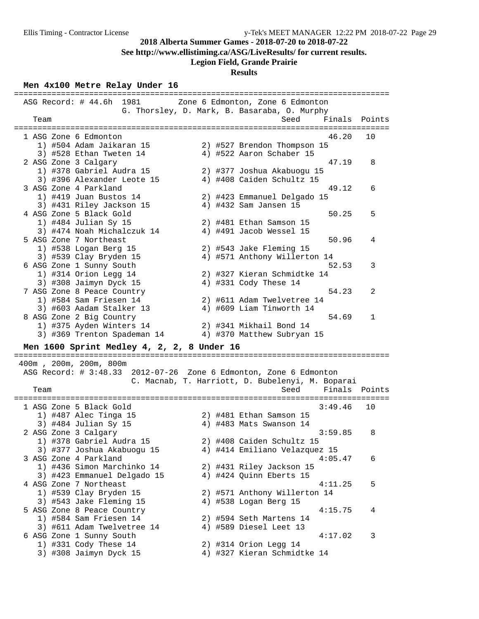**See http://www.ellistiming.ca/ASG/LiveResults/ for current results.**

## **Legion Field, Grande Prairie**

## **Results**

## **Men 4x100 Metre Relay Under 16**

|                                                   | ASG Record: # 44.6h 1981 Zone 6 Edmonton, Zone 6 Edmonton                |
|---------------------------------------------------|--------------------------------------------------------------------------|
| Team                                              | G. Thorsley, D. Mark, B. Basaraba, O. Murphy<br>Finals<br>Seed<br>Points |
|                                                   | ===============================                                          |
| 1 ASG Zone 6 Edmonton<br>1) #504 Adam Jaikaran 15 | 46.20<br>10<br>2) #527 Brendon Thompson 15                               |
| 3) #528 Ethan Tweten 14                           | 4) #522 Aaron Schaber 15                                                 |
| 2 ASG Zone 3 Calgary                              | 47.19<br>8                                                               |
| 1) #378 Gabriel Audra 15                          | 2) #377 Joshua Akabuogu 15                                               |
| 3) #396 Alexander Leote 15                        | 4) #408 Caiden Schultz 15                                                |
| 3 ASG Zone 4 Parkland                             | 49.12<br>6                                                               |
| 1) #419 Juan Bustos 14                            | 2) #423 Emmanuel Delgado 15                                              |
| 3) #431 Riley Jackson 15                          | 4) #432 Sam Jansen 15                                                    |
| 4 ASG Zone 5 Black Gold                           | 50.25<br>5                                                               |
| 1) #484 Julian Sy 15                              | 2) #481 Ethan Samson 15                                                  |
| 3) #474 Noah Michalczuk 14                        | 4) #491 Jacob Wessel 15                                                  |
| 5 ASG Zone 7 Northeast                            | 50.96<br>4                                                               |
| 1) #538 Logan Berg 15                             | 2) #543 Jake Fleming 15                                                  |
| 3) #539 Clay Bryden 15                            | 4) #571 Anthony Willerton 14                                             |
| 6 ASG Zone 1 Sunny South                          | 52.53<br>3                                                               |
| 1) #314 Orion Legg 14                             | 2) #327 Kieran Schmidtke 14                                              |
| 3) #308 Jaimyn Dyck 15                            | 4) #331 Cody These 14                                                    |
| 7 ASG Zone 8 Peace Country                        | 54.23<br>2                                                               |
| 1) #584 Sam Friesen 14                            | 2) #611 Adam Twelvetree 14                                               |
| 3) #603 Aadam Stalker 13                          | 4) #609 Liam Tinworth 14                                                 |
| 8 ASG Zone 2 Big Country                          | 54.69<br>$\mathbf 1$                                                     |
| 1) #375 Ayden Winters 14                          | 2) #341 Mikhail Bond 14                                                  |
| 3) #369 Trenton Spademan 14                       | 4) #370 Matthew Subryan 15                                               |
|                                                   |                                                                          |
| Men 1600 Sprint Medley 4, 2, 2, 8 Under 16        |                                                                          |
| 400m, 200m, 200m, 800m                            |                                                                          |
|                                                   | ASG Record: # 3:48.33 2012-07-26 Zone 6 Edmonton, Zone 6 Edmonton        |
|                                                   | C. Macnab, T. Harriott, D. Bubelenyi, M. Boparai                         |
| Team                                              | Finals Points<br>Seed                                                    |
|                                                   | ==============================                                           |
| 1 ASG Zone 5 Black Gold                           | 3:49.46<br>10                                                            |
| 1) #487 Alec Tinga 15                             | 2) #481 Ethan Samson 15                                                  |
| 3) #484 Julian Sy 15                              | 4) #483 Mats Swanson 14                                                  |
| 2 ASG Zone 3 Calgary                              | 3:59.85<br>8                                                             |
| 1) #378 Gabriel Audra 15                          | 2) #408 Caiden Schultz 15                                                |
| 3) #377 Joshua Akabuogu 15                        | 4) #414 Emiliano Velazquez 15                                            |
| 3 ASG Zone 4 Parkland                             | 4:05.47<br>6                                                             |
| 1) #436 Simon Marchinko 14                        | 2) #431 Riley Jackson 15                                                 |
| 3) #423 Emmanuel Delgado 15                       | 4) #424 Quinn Eberts 15                                                  |
| 4 ASG Zone 7 Northeast                            | 5<br>4:11.25                                                             |
| 1) #539 Clay Bryden 15                            | 2) #571 Anthony Willerton 14                                             |
| 3) #543 Jake Fleming 15                           | 4) #538 Logan Berg 15                                                    |
| 5 ASG Zone 8 Peace Country                        | 4:15.75<br>4                                                             |
| 1) #584 Sam Friesen 14                            | 2) #594 Seth Martens 14                                                  |
| 3) #611 Adam Twelvetree 14                        | 4) #589 Diesel Leet 13                                                   |
| 6 ASG Zone 1 Sunny South                          | 4:17.02<br>3                                                             |
| 1) #331 Cody These 14                             | 2) #314 Orion Legg 14                                                    |
| 3) #308 Jaimyn Dyck 15                            | 4) #327 Kieran Schmidtke 14                                              |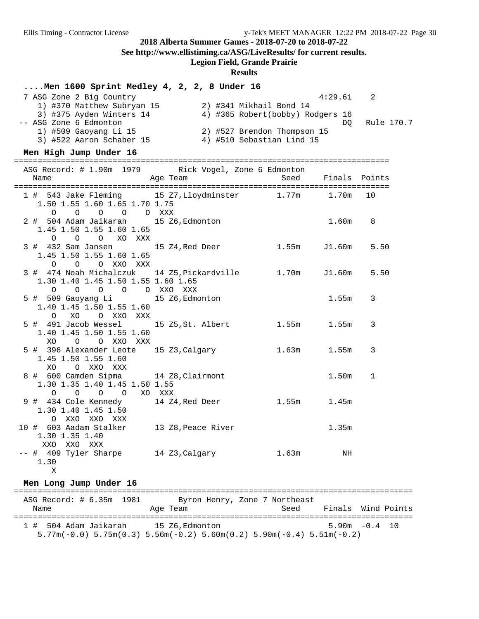**See http://www.ellistiming.ca/ASG/LiveResults/ for current results.**

## **Legion Field, Grande Prairie**

### **Results**

## **....Men 1600 Sprint Medley 4, 2, 2, 8 Under 16**

|  | 7 ASG Zone 2 Big Country   |  | 4:29.61                          |    | -2         |
|--|----------------------------|--|----------------------------------|----|------------|
|  | 1) #370 Matthew Subryan 15 |  | 2) #341 Mikhail Bond 14          |    |            |
|  | 3) #375 Ayden Winters 14   |  | 4) #365 Robert(bobby) Rodgers 16 |    |            |
|  | -- ASG Zone 6 Edmonton     |  |                                  | DO | Rule 170.7 |
|  | 1) #509 Gaoyang Li 15      |  | 2) #527 Brendon Thompson 15      |    |            |
|  | 3) #522 Aaron Schaber 15   |  | 4) #510 Sebastian Lind 15        |    |            |

### **Men High Jump Under 16**

| ASG Record: # 1.90m 1979 Rick Vogel, Zone 6 Edmonton<br>Name                                                             | Age Team and Seed Finals Points |           |                |
|--------------------------------------------------------------------------------------------------------------------------|---------------------------------|-----------|----------------|
| 1 # 543 Jake Fleming 15 Z7, Lloydminster 1.77m 1.70m 10<br>1.50 1.55 1.60 1.65 1.70 1.75<br>0 0 0 0 0 XXX                |                                 |           |                |
| 2 # 504 Adam Jaikaran 15 Z6, Edmonton<br>1.45 1.50 1.55 1.60 1.65<br>O O O XO XXX                                        |                                 | $1.60m$ 8 |                |
| 3 # 432 Sam Jansen 15 24, Red Deer 1.55m J1.60m 5.50<br>1.45 1.50 1.55 1.60 1.65<br>O O O XXO XXX                        |                                 |           |                |
| 3 # 474 Noah Michalczuk 14 Z5, Pickardville 1.70m J1.60m 5.50<br>1.30 1.40 1.45 1.50 1.55 1.60 1.65<br>0 0 0 0 0 XXO XXX |                                 |           |                |
| 5 # 509 Gaoyang Li 15 Z6, Edmonton<br>1.40 1.45 1.50 1.55 1.60<br>O XO O XXO XXX                                         |                                 | 1.55m     | $\overline{3}$ |
| 5 # 491 Jacob Wessel 15 Z5, St. Albert 1.55m 1.55m<br>1.40 1.45 1.50 1.55 1.60<br>XO O O XXO XXX                         |                                 |           | 3              |
| 5 # 396 Alexander Leote 15 Z3, Calgary 1.63m 1.55m<br>1.45 1.50 1.55 1.60<br>XO OXXOXXX                                  |                                 |           | 3              |
| 8 # 600 Camden Sipma 14 Z8, Clairmont<br>1.30 1.35 1.40 1.45 1.50 1.55<br>0 0 0 0 XO XXX                                 |                                 | 1.50m     | $\mathbf{1}$   |
| 9 # 434 Cole Kennedy 14 Z4, Red Deer 1.55m 1.45m<br>1.30 1.40 1.45 1.50<br>O XXO XXO XXX                                 |                                 |           |                |
| 10 # 603 Aadam Stalker 13 Z8, Peace River<br>1.30 1.35 1.40<br>XXO XXO XXX                                               |                                 | 1.35m     |                |
| -- # 409 Tyler Sharpe 14 Z3, Calgary 1.63m NH<br>1.30                                                                    |                                 |           |                |

#### X

## **Men Long Jump Under 16**

| ASG Record: # 6.35m 1981<br>Name | Age Team                                                                                                  | Byron Henry, Zone 7 Northeast<br>Seed | Finals Wind Points |  |
|----------------------------------|-----------------------------------------------------------------------------------------------------------|---------------------------------------|--------------------|--|
| 1 # 504 Adam Jaikaran            | 15 Z6.Edmonton<br>$5.77$ m(-0.0) $5.75$ m(0.3) $5.56$ m(-0.2) $5.60$ m(0.2) $5.90$ m(-0.4) $5.51$ m(-0.2) |                                       | $5.90m - 0.4$ 10   |  |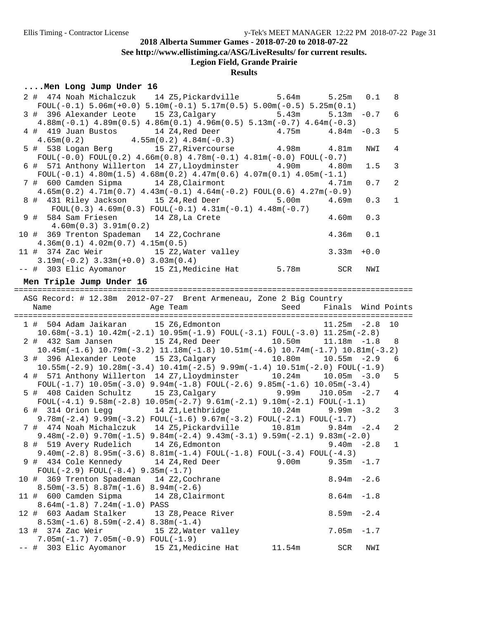**See http://www.ellistiming.ca/ASG/LiveResults/ for current results.**

## **Legion Field, Grande Prairie**

## **Results**

## **....Men Long Jump Under 16**

|                                                                                                                                                       | 2 # 474 Noah Michalczuk 14 Z5, Pickardville 5.64m         |                    | 5.25m              | 0.1    | 8              |
|-------------------------------------------------------------------------------------------------------------------------------------------------------|-----------------------------------------------------------|--------------------|--------------------|--------|----------------|
| FOUL(-0.1) $5.06m(+0.0)$ $5.10m(-0.1)$ $5.17m(0.5)$ $5.00m(-0.5)$ $5.25m(0.1)$                                                                        |                                                           |                    |                    |        |                |
| 3 # 396 Alexander Leote 15 Z3, Calgary                                                                                                                |                                                           | 5.43m              | 5.13m              | $-0.7$ | 6              |
| $4.88m(-0.1)$ $4.89m(0.5)$ $4.86m(0.1)$ $4.96m(0.5)$ $5.13m(-0.7)$ $4.64m(-0.3)$                                                                      |                                                           |                    |                    |        |                |
|                                                                                                                                                       |                                                           |                    | 4.84m              | $-0.3$ | 5              |
| 4 # 419 Juan Bustos 14 24, Red Deer 4.75m 4.84m<br>4.65m(0.2) 4.55m(0.2) 4.84m(-0.3) 4.98m 4.81m<br>5 # 538 Logan Berg 15 27, Rivercourse 4.98m 4.81m |                                                           |                    |                    |        |                |
|                                                                                                                                                       |                                                           |                    |                    | NWI    | 4              |
| FOUL $(-0.0)$ FOUL $(0.2)$ 4.66m $(0.8)$ 4.78m $(-0.1)$ 4.81m $(-0.0)$ FOUL $(-0.7)$                                                                  |                                                           |                    |                    |        |                |
| 6 # 571 Anthony Willerton 14 Z7, Lloydminster 4.90m                                                                                                   |                                                           |                    | 4.80m              | 1.5    | 3              |
| FOUL(-0.1) $4.80m(1.5)$ $4.68m(0.2)$ $4.47m(0.6)$ $4.07m(0.1)$ $4.05m(-1.1)$                                                                          |                                                           |                    |                    |        |                |
| 7 # 600 Camden Sipma 14 Z8, Clairmont                                                                                                                 |                                                           |                    |                    |        | 2              |
|                                                                                                                                                       |                                                           |                    | 4.71m              | 0.7    |                |
| $4.65m(0.2)$ $4.71m(0.7)$ $4.43m(-0.1)$ $4.64m(-0.2)$ $FOUL(0.6)$ $4.27m(-0.9)$                                                                       |                                                           |                    |                    |        |                |
| 8 # 431 Riley Jackson 15 Z4, Red Deer                                                                                                                 |                                                           | 5.00m              | 4.69m              | 0.3    | $\mathbf 1$    |
|                                                                                                                                                       | $FOUT(0.3) 4.69m(0.3) FOUT(-0.1) 4.31m(-0.1) 4.48m(-0.7)$ |                    |                    |        |                |
| 9 # 584 Sam Friesen 14 Z8, La Crete                                                                                                                   |                                                           |                    | 4.60m              | 0.3    |                |
| $4.60m(0.3)$ $3.91m(0.2)$                                                                                                                             |                                                           |                    |                    |        |                |
| 10 # 369 Trenton Spademan 14 Z2, Cochrane                                                                                                             |                                                           |                    |                    | 0.1    |                |
| $4.36m(0.1)$ $4.02m(0.7)$ $4.15m(0.5)$                                                                                                                |                                                           |                    |                    |        |                |
| 11 # 374 Zac Weir 15 Z2, Water valley                                                                                                                 |                                                           | $4.36m$<br>$3.33m$ |                    | $+0.0$ |                |
| $3.19m(-0.2)$ $3.33m(+0.0)$ $3.03m(0.4)$                                                                                                              |                                                           |                    |                    |        |                |
| -- # 303 Elic Ayomanor 15 Z1, Medicine Hat 5.78m SCR                                                                                                  |                                                           |                    |                    | NWI    |                |
|                                                                                                                                                       |                                                           |                    |                    |        |                |
| Men Triple Jump Under 16                                                                                                                              |                                                           |                    |                    |        |                |
|                                                                                                                                                       |                                                           |                    |                    |        |                |
| ASG Record: # 12.38m 2012-07-27 Brent Armeneau, Zone 2 Big Country                                                                                    |                                                           |                    |                    |        |                |
|                                                                                                                                                       |                                                           | Seed               | Finals Wind Points |        |                |
|                                                                                                                                                       |                                                           |                    |                    |        |                |
|                                                                                                                                                       |                                                           |                    |                    |        |                |
| 1 # 504 Adam Jaikaran 15 Z6, Edmonton                                                                                                                 |                                                           |                    | $11.25m - 2.8$     |        | 10             |
| $10.68$ m $(-3.1)$ $10.42$ m $(-2.1)$ $10.95$ m $(-1.9)$ FOUL $(-3.1)$ FOUL $(-3.0)$ $11.25$ m $(-2.8)$                                               |                                                           |                    |                    |        |                |
| 2 # 432 Sam Jansen 15 24, Red Deer 10.50m 11.18m -1.8                                                                                                 |                                                           |                    |                    |        | 8              |
| $10.45m(-1.6)$ $10.79m(-3.2)$ $11.18m(-1.8)$ $10.51m(-4.6)$ $10.74m(-1.7)$ $10.81m(-3.2)$                                                             |                                                           |                    |                    |        |                |
| 3 # 396 Alexander Leote 15 Z3, Calgary 10.80m                                                                                                         |                                                           |                    | $10.55m - 2.9$     |        | 6              |
| $10.55m(-2.9)$ $10.28m(-3.4)$ $10.41m(-2.5)$ $9.99m(-1.4)$ $10.51m(-2.0)$ $FOUL(-1.9)$                                                                |                                                           |                    |                    |        |                |
|                                                                                                                                                       |                                                           |                    |                    |        | 5              |
| 4 # 571 Anthony Willerton 14 Z7, Lloydminster 10.24m 10.05m -3.0                                                                                      |                                                           |                    |                    |        |                |
| FOUL(-1.7) $10.05m(-3.0)$ $9.94m(-1.8)$ FOUL(-2.6) $9.85m(-1.6)$ $10.05m(-3.4)$                                                                       |                                                           |                    | $J10.05m - 2.7$    |        | 4              |
| 5 # 408 Caiden Schultz 15 Z3, Calgary 9.99m                                                                                                           |                                                           |                    |                    |        |                |
| FOUL(-4.1) $9.58m(-2.8) 10.05m(-2.7) 9.61m(-2.1) 9.10m(-2.1) F0UL(-1.1)$                                                                              |                                                           |                    |                    |        |                |
| 6 # 314 Orion Legg 14 Z1, Lethbridge 10.24m                                                                                                           |                                                           |                    | $9.99m - 3.2$      |        | 3              |
| $9.78m(-2.4)$ $9.99m(-3.2)$ $FOUL(-1.6)$ $9.67m(-3.2)$ $FOUL(-2.1)$ $FOUL(-1.7)$                                                                      |                                                           |                    |                    |        |                |
| 7 # 474 Noah Michalczuk 14 Z5, Pickardville 10.81m                                                                                                    |                                                           |                    | $9.84m - 2.4$      |        | $\overline{a}$ |
| $9.48m(-2.0)$ $9.70m(-1.5)$ $9.84m(-2.4)$ $9.43m(-3.1)$ $9.59m(-2.1)$ $9.83m(-2.0)$                                                                   |                                                           |                    |                    |        |                |
| 8 # 519 Avery Rudelich 14 Z6, Edmonton 1 0 0.40m -2.8                                                                                                 |                                                           |                    |                    |        | $\overline{1}$ |
| $9.40m(-2.8)$ 8.95 $m(-3.6)$ 8.81 $m(-1.4)$ FOUL $(-1.8)$ FOUL $(-3.4)$ FOUL $(-4.3)$                                                                 |                                                           |                    |                    |        |                |
| 9 # 434 Cole Kennedy                                                                                                                                  | 14 Z4,Red Deer                                            | 9.00 <sub>m</sub>  | 9.35m              | $-1.7$ |                |
| $FOUL(-2.9) FOUL(-8.4) 9.35m(-1.7)$                                                                                                                   |                                                           |                    |                    |        |                |
| 10 # 369 Trenton Spademan 14 Z2, Cochrane                                                                                                             |                                                           |                    | 8.94m              | $-2.6$ |                |
| $8.50m(-3.5)$ $8.87m(-1.6)$ $8.94m(-2.6)$                                                                                                             |                                                           |                    |                    |        |                |
| 11 # 600 Camden Sipma 14 Z8, Clairmont                                                                                                                |                                                           |                    | 8.64m              | $-1.8$ |                |
| $8.64m(-1.8)$ 7.24m( $-1.0$ ) PASS                                                                                                                    |                                                           |                    |                    |        |                |
| 12 # 603 Aadam Stalker                                                                                                                                | 13 Z8,Peace River                                         |                    | 8.59m              | $-2.4$ |                |
|                                                                                                                                                       |                                                           |                    |                    |        |                |
| $8.53m(-1.6) 8.59m(-2.4) 8.38m(-1.4)$                                                                                                                 |                                                           |                    |                    |        |                |
| 13 # 374 Zac Weir                                                                                                                                     | 15 Z2, Water valley                                       |                    | 7.05m              | $-1.7$ |                |
| $7.05m(-1.7) 7.05m(-0.9) F0UL(-1.9)$<br>-- # 303 Elic Ayomanor 15 Z1, Medicine Hat                                                                    |                                                           | 11.54m             | SCR                | NWI    |                |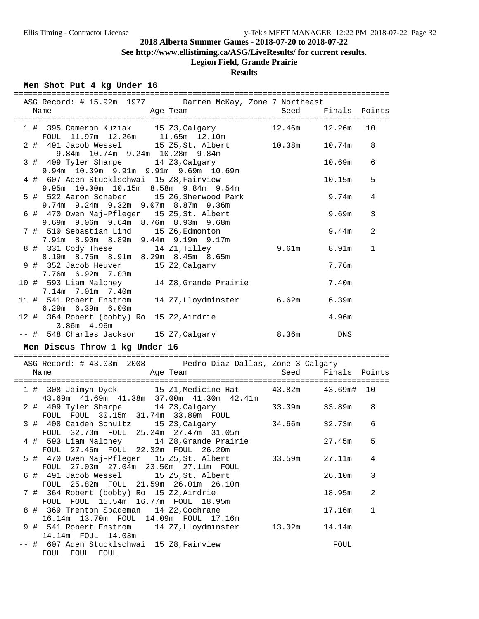**See http://www.ellistiming.ca/ASG/LiveResults/ for current results.**

# **Legion Field, Grande Prairie**

## **Results**

## **Men Shot Put 4 kg Under 16**

|  | ASG Record: # 15.92m 1977 Darren McKay, Zone 7 Northeast                                                    |        |                       |                |
|--|-------------------------------------------------------------------------------------------------------------|--------|-----------------------|----------------|
|  | 1 # 395 Cameron Kuziak 15 Z3, Calgary<br>FOUL 11.97m 12.26m 11.65m 12.10m                                   | 12.46m | 12.26m                | 10             |
|  | 2 # 491 Jacob Wessel 15 Z5, St. Albert 10.38m<br>9.84m 10.74m 9.24m 10.28m 9.84m                            |        | 10.74m                | 8              |
|  | 3 # 409 Tyler Sharpe 14 Z3, Calgary<br>9.94m 10.39m 9.91m 9.91m 9.69m 10.69m                                |        | 10.69m                | 6              |
|  | 4 # 607 Aden Stucklschwai 15 Z8, Fairview<br>9.95m 10.00m 10.15m 8.58m 9.84m 9.54m                          |        | 10.15m                | 5              |
|  | 5 # 522 Aaron Schaber 15 Z6, Sherwood Park<br>9.74m 9.24m 9.32m 9.07m 8.87m 9.36m                           |        | 9.74m                 | 4              |
|  | 6 # 470 Owen Maj-Pfleger 15 Z5, St. Albert<br>9.69m 9.06m 9.64m 8.76m 8.93m 9.68m                           |        | 9.69m                 | 3              |
|  | 7 # 510 Sebastian Lind 15 Z6, Edmonton<br>7.91m 8.90m 8.89m 9.44m 9.19m 9.17m                               |        | 9.44m                 | $\overline{2}$ |
|  | 8 # 331 Cody These 14 Z1, Tilley<br>8.19m 8.75m 8.91m 8.29m 8.45m 8.65m                                     |        | $9.61m$ $8.91m$       | $\mathbf{1}$   |
|  | 9 # 352 Jacob Heuver<br>15 Z2, Calgary<br>7.76m 6.92m 7.03m                                                 |        | 7.76m                 |                |
|  | 10 # 593 Liam Maloney 14 Z8, Grande Prairie<br>7.14m 7.01m 7.40m                                            |        | 7.40m                 |                |
|  | 11 # 541 Robert Enstrom<br>14 Z7, Lloydminster 6.62m 6.39m<br>6.29m 6.39m 6.00m                             |        |                       |                |
|  | 12 # 364 Robert (bobby) Ro 15 Z2, Airdrie<br>3.86m 4.96m                                                    |        | 4.96m                 |                |
|  | -- # 548 Charles Jackson 15 Z7, Calgary<br>8.36m<br>Men Discus Throw 1 kg Under 16                          |        | <b>Example 19</b> DNS |                |
|  |                                                                                                             |        |                       |                |
|  | ASG Record: # 43.03m 2008 Pedro Diaz Dallas, Zone 3 Calgary<br>Name<br>Age Team Seed                        |        | Finals Points         |                |
|  |                                                                                                             |        |                       |                |
|  | 1 # 308 Jaimyn Dyck 15 Z1, Medicine Hat 43.82m 43.69m# 10<br>43.69m  41.69m  41.38m  37.00m  41.30m  42.41m |        |                       |                |
|  | 2 # 409 Tyler Sharpe 14 Z3, Calgary 33.39m 33.89m<br>FOUL FOUL 30.15m 31.74m 33.89m FOUL                    |        |                       | 8              |
|  | 3 # 408 Caiden Schultz 15 Z3, Calgary<br>FOUL 32.73m FOUL 25.24m 27.47m 31.05m                              |        | 34.66m 32.73m         | 6              |
|  | 4 # 593 Liam Maloney 14 Z8, Grande Prairie<br>FOUL 27.45m FOUL 22.32m FOUL 26.20m                           |        | 27.45m                | 5              |
|  | 5 # 470 Owen Maj-Pfleger 15 Z5, St. Albert<br>FOUL 27.03m 27.04m 23.50m 27.11m FOUL                         | 33.59m | 27.11m                | 4              |
|  | 6 # 491 Jacob Wessel<br>15 Z5, St. Albert<br>FOUL 25.82m FOUL 21.59m 26.01m 26.10m                          |        | 26.10m                | 3              |
|  | 7 # 364 Robert (bobby) Ro 15 Z2, Airdrie<br>FOUL FOUL 15.54m 16.77m FOUL 18.95m                             |        | 18.95m                | 2              |
|  | 8 # 369 Trenton Spademan 14 Z2, Cochrane<br>16.14m  13.70m  FOUL  14.09m  FOUL  17.16m                      |        | 17.16m                | $\mathbf 1$    |
|  | 9 # 541 Robert Enstrom<br>14 Z7, Lloydminster<br>14.14m FOUL 14.03m                                         | 13.02m | 14.14m                |                |
|  | -- # 607 Aden Stucklschwai 15 Z8, Fairview<br>FOUL FOUL FOUL                                                |        | FOUL                  |                |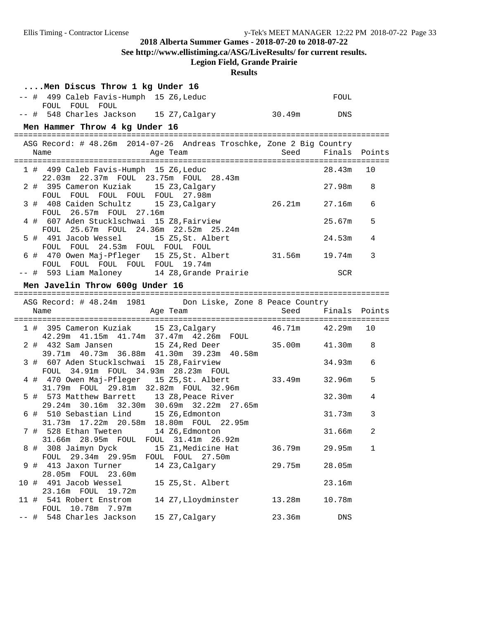**See http://www.ellistiming.ca/ASG/LiveResults/ for current results.**

## **Legion Field, Grande Prairie**

|      |    | Men Discus Throw 1 kg Under 16                                                                      |              |               |    |
|------|----|-----------------------------------------------------------------------------------------------------|--------------|---------------|----|
|      |    | -- # 499 Caleb Favis-Humph 15 Z6, Leduc<br>FOUL FOUL FOUL                                           |              | FOUL          |    |
|      |    | -- # 548 Charles Jackson 15 Z7, Calgary                                                             | $30.49m$ DNS |               |    |
|      |    | Men Hammer Throw 4 kg Under 16                                                                      |              |               |    |
|      |    |                                                                                                     |              |               |    |
|      |    | ASG Record: # 48.26m 2014-07-26 Andreas Troschke, Zone 2 Big Country<br>Name                        |              |               |    |
|      |    | 1 # 499 Caleb Favis-Humph 15 Z6, Leduc<br>22.03m  22.37m  FOUL  23.75m  FOUL  28.43m                |              | 28.43m        | 10 |
|      |    | 2 # 395 Cameron Kuziak 15 Z3, Calgary<br>FOUL FOUL FOUL FOUL FOUL 27.98m                            |              | 27.98m        | 8  |
|      |    | 3 # 408 Caiden Schultz 15 Z3, Calgary 26.21m<br>FOUL 26.57m FOUL 27.16m                             |              | 27.16m        | 6  |
|      |    | 4 # 607 Aden Stucklschwai 15 Z8, Fairview<br>FOUL 25.67m FOUL 24.36m 22.52m 25.24m                  |              | 25.67m        | 5  |
|      |    | 5 # 491 Jacob Wessel 15 Z5, St. Albert<br>FOUL FOUL 24.53m FOUL FOUL FOUL                           |              | 24.53m        | 4  |
|      |    | 6 # 470 Owen Maj-Pfleger 15 Z5, St. Albert 31.56m 19.74m<br>FOUL FOUL FOUL FOUL FOUL 19.74m         |              |               | 3  |
|      |    | -- # 593 Liam Maloney 14 Z8, Grande Prairie                                                         |              | SCR           |    |
|      |    | Men Javelin Throw 600g Under 16                                                                     |              |               |    |
|      |    | ASG Record: # 48.24m 1981 Don Liske, Zone 8 Peace Country                                           |              |               |    |
|      |    | Age Team<br>Name                                                                                    | Seed         | Finals Points |    |
|      |    |                                                                                                     |              |               |    |
|      |    | 1 # 395 Cameron Kuziak 15 Z3, Calgary 46.71m 42.29m<br>42.29m  41.15m  41.74m  37.47m  42.26m  FOUL |              |               | 10 |
|      |    | 2 # 432 Sam Jansen 15 24, Red Deer 35.00m 41.30m<br>39.71m 40.73m 36.88m 41.30m 39.23m 40.58m       |              |               | 8  |
|      |    | 3 # 607 Aden Stucklschwai 15 Z8, Fairview<br>FOUL 34.91m FOUL 34.93m 28.23m FOUL                    |              | 34.93m        | 6  |
|      |    | 4 # 470 Owen Maj-Pfleger 15 Z5, St. Albert<br>31.79m FOUL 29.81m 32.82m FOUL 32.96m                 | 33.49m       | 32.96m        | 5  |
|      |    | 5 # 573 Matthew Barrett 13 Z8, Peace River<br>29.24m 30.16m 32.30m 30.69m 32.22m 27.65m             |              | 32.30m        | 4  |
|      |    | 6 # 510 Sebastian Lind 15 Z6, Edmonton<br>31.73m 17.22m 20.58m 18.80m FOUL 22.95m                   |              | 31.73m        | 3  |
|      |    | 7 # 528 Ethan Tweten 14 Z6, Edmonton<br>31.66m 28.95m FOUL<br>FOUL 31.41m 26.92m                    |              | 31.66m        | 2  |
|      |    | 15 Z1, Medicine Hat<br>8 # 308 Jaimyn Dyck<br>29.34m 29.95m<br>FOUL FOUL<br>27.50m<br>FOUL          | 36.79m       | 29.95m        | 1  |
|      | 9# | 14 Z3, Calgary<br>413 Jaxon Turner<br>28.05m FOUL<br>23.60m                                         | 29.75m       | 28.05m        |    |
| 10 # |    | 491 Jacob Wessel<br>15 Z5, St. Albert<br>23.16m FOUL 19.72m                                         |              | 23.16m        |    |
| 11 # |    | 14 Z7, Lloydminster<br>541 Robert Enstrom<br>10.78m 7.97m<br>FOUL                                   | 13.28m       | 10.78m        |    |
| -- # |    | 548 Charles Jackson<br>15 Z7, Calgary                                                               | 23.36m       | DNS           |    |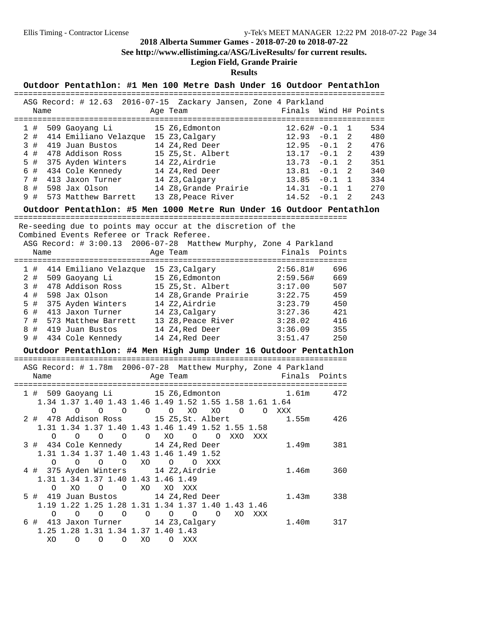**See http://www.ellistiming.ca/ASG/LiveResults/ for current results.**

## **Legion Field, Grande Prairie**

| Outdoor Pentathlon: #1 Men 100 Metre Dash Under 16 Outdoor Pentathlon                         |                    |                                                       |
|-----------------------------------------------------------------------------------------------|--------------------|-------------------------------------------------------|
| ASG Record: # 12.63 2016-07-15 Zackary Jansen, Zone 4 Parkland                                |                    |                                                       |
| Name<br>Age Team                                                                              |                    | Finals Wind H# Points                                 |
|                                                                                               |                    |                                                       |
| 15 Z6, Edmonton 12.62# -0.1<br>509 Gaoyang Li<br>1#                                           |                    | $\mathbf{1}$<br>534                                   |
| 414 Emiliano Velazque 15 Z3, Calgary<br>$2 \#$                                                | 12.93              | $-0.1$<br>2<br>480                                    |
| 3#<br>419 Juan Bustos 14 Z4, Red Deer<br>4#                                                   | 12.95              | $-0.1$<br>2<br>476<br>$\overline{a}$<br>$-0.1$<br>439 |
| 478 Addison Ross<br>15 Z5, St. Albert<br>$5$ #                                                | 13.17<br>13.73     | $\overline{a}$<br>$-0.1$<br>351                       |
| 375 Ayden Winters 14 Z2, Airdrie<br>434 Cole Kennedy 14 Z4, Red Dee:<br>6 #<br>14 Z4,Red Deer | 13.81              | 2<br>340<br>$-0.1$                                    |
| 413 Jaxon Turner 14 Z3, Calgary<br>7#                                                         | 13.85              | $-0.1$<br>1<br>334                                    |
| 598 Jax Olson<br>14 Z8, Grande Prairie<br>8 #                                                 | 14.31              | $\mathbf{1}$<br>270<br>$-0.1$                         |
| 9#<br>573 Matthew Barrett 13 Z8, Peace River                                                  | 14.52              | $-0.1$<br>2<br>243                                    |
| Outdoor Pentathlon: #5 Men 1000 Metre Run Under 16 Outdoor Pentathlon                         |                    |                                                       |
| Re-seeding due to points may occur at the discretion of the                                   |                    |                                                       |
| Combined Events Referee or Track Referee.                                                     |                    |                                                       |
| ASG Record: # 3:00.13 2006-07-28 Matthew Murphy, Zone 4 Parkland                              |                    |                                                       |
| Name<br>Age Team                                                                              | Finals Points      |                                                       |
| 1 # 414 Emiliano Velazque 15 Z3, Calgary 2:56.81#                                             |                    | 696                                                   |
| 509 Gaoyang Li 15 Z6, Edmonton<br>$2$ #                                                       | 2:59.56#           | 669                                                   |
| 478 Addison Ross 15 Z5, St. Albert 3:17.00<br>3#                                              |                    | 507                                                   |
| 4#<br>598 Jax Olson<br>14 Z8, Grande Prairie 3:22.75                                          |                    | 459                                                   |
| $5$ #<br>375 Ayden Winters 14 Z2, Airdrie                                                     | 3:23.79            | 450                                                   |
| 6 #<br>413 Jaxon Turner<br>14 Z3, Calgary<br>573 Matthew Barrett 13 Z8, Peace River           | 3:27.36            | 421                                                   |
| 7#<br>14 Z4, Red Deer<br>8#<br>419 Juan Bustos                                                | 3:28.02<br>3:36.09 | 416<br>355                                            |
| 9#<br>434 Cole Kennedy 14 Z4, Red Deer                                                        | 3:51.47            | 250                                                   |
|                                                                                               |                    |                                                       |
| Outdoor Pentathlon: #4 Men High Jump Under 16 Outdoor Pentathlon                              |                    |                                                       |
| ASG Record: # 1.78m 2006-07-28 Matthew Murphy, Zone 4 Parkland                                |                    |                                                       |
| Age Team<br>Name                                                                              | Finals Points      |                                                       |
| 1 # 509 Gaoyang Li 15 Z6, Edmonton                                                            | 1.61m              | 472                                                   |
| 1.34 1.37 1.40 1.43 1.46 1.49 1.52 1.55 1.58 1.61 1.64                                        |                    |                                                       |
| $O$ $O$ $O$ $O$ $XO$<br>XO<br>O O XXX<br>$\Omega$<br>$\Omega$                                 |                    |                                                       |
| 2 # 478 Addison Ross 15 Z5, St. Albert                                                        | 1.55m              | 426                                                   |
| 1.31 1.34 1.37 1.40 1.43 1.46 1.49 1.52 1.55 1.58                                             |                    |                                                       |
| 0 0 0 0 0 0 XO 0 0 XXO XXX                                                                    |                    |                                                       |
| 3 # 434 Cole Kennedy 14 Z4, Red Deer                                                          | 1.49m 381          |                                                       |
| 1.31 1.34 1.37 1.40 1.43 1.46 1.49 1.52<br>0 0 0 0 XO 0 0 XXX                                 |                    |                                                       |
| 4 # 375 Ayden Winters 14 Z2, Airdrie                                                          | 1.46m              | 360                                                   |
| 1.31 1.34 1.37 1.40 1.43 1.46 1.49                                                            |                    |                                                       |
| O XO O O XO XO XXX                                                                            |                    |                                                       |
| 5 # 419 Juan Bustos 14 Z4, Red Deer                                                           | 1.43m              | 338                                                   |
| 1.19 1.22 1.25 1.28 1.31 1.34 1.37 1.40 1.43 1.46                                             |                    |                                                       |
| 0 0 0 0 0 0 0 0 0 XO XXX                                                                      |                    |                                                       |
| 6 # 413 Jaxon Turner 14 Z3, Calgary                                                           | 1.40m 317          |                                                       |
| 1.25 1.28 1.31 1.34 1.37 1.40 1.43<br>XO<br>O O O XO O XXX                                    |                    |                                                       |
|                                                                                               |                    |                                                       |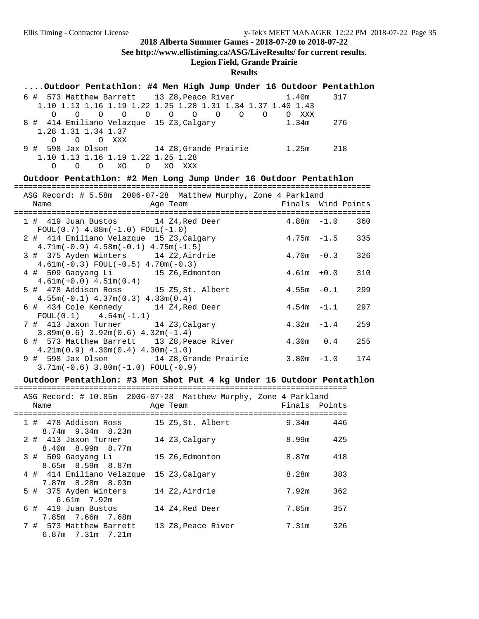**See http://www.ellistiming.ca/ASG/LiveResults/ for current results.**

## **Legion Field, Grande Prairie**

## **Results**

| Outdoor Pentathlon: #4 Men High Jump Under 16 Outdoor Pentathlon |                     |          |       |       |                     |  |
|------------------------------------------------------------------|---------------------|----------|-------|-------|---------------------|--|
| 6 # 573 Matthew Barrett 13 Z8, Peace River 1.40m                 |                     |          |       |       | 317                 |  |
| 1.10 1.13 1.16 1.19 1.22 1.25 1.28 1.31 1.34 1.37 1.40 1.43      |                     |          |       |       |                     |  |
| $\Omega$                                                         | 0 0 0 0 0 0 0 0 0 0 |          |       | O XXX |                     |  |
| 8 # 414 Emiliano Velazque 15 Z3, Calgary                         |                     |          | 1.34m |       | 276                 |  |
| 1.28 1.31 1.34 1.37                                              |                     |          |       |       |                     |  |
| O OXXX<br>$\Omega$                                               |                     |          |       |       |                     |  |
| 9 # 598 Jax Olson 14 Z8, Grande Prairie 1.25m 218                |                     |          |       |       |                     |  |
| 1.10 1.13 1.16 1.19 1.22 1.25 1.28                               |                     |          |       |       |                     |  |
| O O XO<br>$\Omega$                                               |                     | O XO XXX |       |       |                     |  |
| Outdoor Pentathlon: #2 Men Long Jump Under 16 Outdoor Pentathlon |                     |          |       |       |                     |  |
|                                                                  |                     |          |       |       |                     |  |
| ASG Record: # 5.58m 2006-07-28 Matthew Murphy, Zone 4 Parkland   |                     |          |       |       |                     |  |
| Name                                                             |                     | Age Team |       |       | Finals Wind Points  |  |
|                                                                  |                     |          |       |       |                     |  |
| 1 # 419 Juan Bustos 14 Z4, Red Deer                              |                     |          |       |       | $4.88$ m $-1.0$ 360 |  |
| $FOIII.(0 7) 4 88m(-1 0) FOIII.(1 0)$                            |                     |          |       |       |                     |  |

| $FOUL(0.7)$ 4.88m( $-1.0$ ) $FOUL(-1.0)$            |                   |               |     |
|-----------------------------------------------------|-------------------|---------------|-----|
| 2 # 414 Emiliano Velazque 15 Z3, Calgary            |                   | $4.75m - 1.5$ | 335 |
| $4.71m(-0.9)$ $4.58m(-0.1)$ $4.75m(-1.5)$           |                   |               |     |
| 3 # 375 Ayden Winters 14 Z2, Airdrie                | $4.70m - 0.3$     |               | 326 |
| $4.61m(-0.3)$ FOUL $(-0.5)$ $4.70m(-0.3)$           |                   |               |     |
| 4 # 509 Gaoyang Li 15 Z6, Edmonton                  | $4.61m + 0.0$     |               | 310 |
| $4.61m(+0.0)$ $4.51m(0.4)$                          |                   |               |     |
| 5 # 478 Addison Ross 15 Z5, St. Albert              | $4.55m - 0.1$     |               | 299 |
| $4.55m(-0.1)$ $4.37m(0.3)$ $4.33m(0.4)$             |                   |               |     |
| 6 # 434 Cole Kennedy 14 Z4, Red Deer                | $4.54m - 1.1$     |               | 297 |
| $FOUL(0.1)$ 4.54m( $-1.1$ )                         |                   |               |     |
| 7 # 413 Jaxon Turner 14 Z3, Calgary                 | $4.32m - 1.4$     |               | 259 |
| $3.89$ m $(0.6)$ $3.92$ m $(0.6)$ $4.32$ m $(-1.4)$ |                   |               |     |
| 8 # 573 Matthew Barrett 13 Z8, Peace River          | $4.30m$ 0.4       |               | 255 |
| $4.21m(0.9)$ $4.30m(0.4)$ $4.30m(-1.0)$             |                   |               |     |
| 9 # 598 Jax Olson 14 Z8, Grande Prairie             | $3.80m - 1.0$ 174 |               |     |
| $3.71m(-0.6)$ 3.80m( $-1.0$ ) FOUL( $-0.9$ )        |                   |               |     |
|                                                     |                   |               |     |

### **Outdoor Pentathlon: #3 Men Shot Put 4 kg Under 16 Outdoor Pentathlon**

=======================================================================

|  | ASG Record: # 10.85m 2006-07-28 Matthew Murphy, Zone 4 Parkland |                    |               |     |
|--|-----------------------------------------------------------------|--------------------|---------------|-----|
|  | Name                                                            | Age Team           | Finals Points |     |
|  |                                                                 |                    |               |     |
|  | 1 # 478 Addison Ross                                            | 15 Z5,St. Albert   | 9.34m         | 446 |
|  | 8.74m 9.34m 8.23m                                               |                    |               |     |
|  | 2 # 413 Jaxon Turner                                            | 14 Z3, Calgary     | 8.99m         | 425 |
|  | 8.40m 8.99m 8.77m                                               |                    |               |     |
|  | 3 # 509 Gaoyang Li                                              | 15 Z6, Edmonton    | 8.87m         | 418 |
|  | $8.65m$ $8.59m$ $8.87m$                                         |                    |               |     |
|  | 4 # 414 Emiliano Velazque                                       | 15 Z3, Calgary     | 8.28m         | 383 |
|  | $7.87m$ $8.28m$ $8.03m$                                         |                    |               |     |
|  |                                                                 | 14 Z2, Airdrie     | 7.92m         | 362 |
|  | 5 # 375 Ayden Winters                                           |                    |               |     |
|  | $6.61m$ 7.92m                                                   |                    |               |     |
|  | 6 # 419 Juan Bustos                                             | 14 Z4, Red Deer    | 7.85m         | 357 |
|  | 7.85m 7.66m 7.68m                                               |                    |               |     |
|  | 7 # 573 Matthew Barrett                                         | 13 Z8, Peace River | 7.31m         | 326 |
|  | 6.87m 7.31m 7.21m                                               |                    |               |     |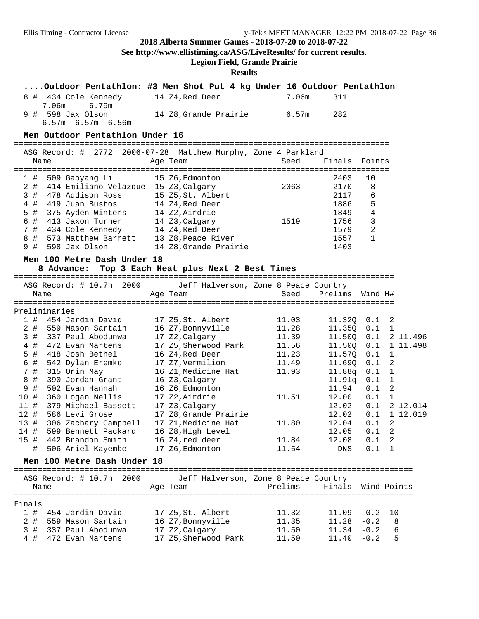**See http://www.ellistiming.ca/ASG/LiveResults/ for current results.**

**Legion Field, Grande Prairie**

|        | Outdoor Pentathlon: #3 Men Shot Put 4 kg Under 16 Outdoor Pentathlon |                                      |         |               |                         |    |                |
|--------|----------------------------------------------------------------------|--------------------------------------|---------|---------------|-------------------------|----|----------------|
|        | 8 # 434 Cole Kennedy                                                 | 14 Z4, Red Deer                      | 7.06m   | 311           |                         |    |                |
|        | 7.06m<br>6.79m<br>9 # 598 Jax Olson                                  | 14 Z8, Grande Prairie                | 6.57m   | 282           |                         |    |                |
|        | 6.57m 6.57m 6.56m                                                    |                                      |         |               |                         |    |                |
|        | Men Outdoor Pentathlon Under 16                                      |                                      |         |               |                         |    |                |
|        | ASG Record: # 2772 2006-07-28 Matthew Murphy, Zone 4 Parkland        |                                      |         |               |                         |    |                |
|        | Name                                                                 | Age Team                             | Seed    | Finals Points |                         |    |                |
|        |                                                                      |                                      |         |               |                         |    |                |
| 1#     | 509 Gaoyang Li                                                       | 15 Z6, Edmonton                      |         | 2403          | 10                      |    |                |
| $2$ #  | 414 Emiliano Velazque 15 Z3, Calgary                                 |                                      | 2063    | 2170          | 8                       |    |                |
| 3#     | 478 Addison Ross                                                     | 15 Z5, St. Albert                    |         | 2117          | 6                       |    |                |
| $4$ #  | 419 Juan Bustos                                                      | 14 Z4,Red Deer                       |         | 1886          | 5                       |    |                |
| 5 #    | 375 Ayden Winters                                                    | 14 Z2, Airdrie                       |         | 1849          | $\overline{4}$          |    |                |
| 6 #    | 413 Jaxon Turner                                                     | 14 Z3, Calgary                       | 1519    | 1756          | $\overline{\mathbf{3}}$ |    |                |
| 7#     | 434 Cole Kennedy                                                     | 14 Z4, Red Deer                      |         | 1579          | 2                       |    |                |
| 8 #    | 573 Matthew Barrett 13 Z8, Peace River                               |                                      |         | 1557          | $\mathbf{1}$            |    |                |
| 9#     | 598 Jax Olson                                                        | 14 Z8, Grande Prairie                |         | 1403          |                         |    |                |
|        | Men 100 Metre Dash Under 18                                          |                                      |         |               |                         |    |                |
|        | 8 Advance: Top 3 Each Heat plus Next 2 Best Times                    |                                      |         |               |                         |    |                |
|        |                                                                      |                                      |         |               |                         |    |                |
|        | ASG Record: # 10.7h 2000                                             | Jeff Halverson, Zone 8 Peace Country |         |               |                         |    |                |
|        | Name                                                                 | Age Team                             | Seed    | Prelims       | Wind H#                 |    |                |
|        |                                                                      |                                      |         |               |                         |    |                |
|        | Preliminaries                                                        |                                      |         |               |                         |    |                |
|        | 1 # 454 Jardin David                                                 | 17 Z5, St. Albert                    | 11.03   | 11.32Q 0.1 2  |                         |    |                |
| 2#     | 559 Mason Sartain                                                    | 16 Z7, Bonnyville                    | 11.28   | 11.35Q        | $0.1 \quad 1$           |    |                |
| 3#     | 337 Paul Abodunwa                                                    | 17 Z2, Calgary                       | 11.39   | 11.50Q        |                         |    | $0.1$ 2 11.496 |
| $4$ #  | 472 Evan Martens                                                     | 17 Z5, Sherwood Park                 | 11.56   | 11.50Q        | 0.1                     |    | 1 11.498       |
| 5 #    | 418 Josh Bethel                                                      | 16 Z4, Red Deer                      | 11.23   | 11.57Q        | 0.1                     | 1  |                |
| 6 #    | 542 Dylan Eremko                                                     | 17 Z7, Vermilion                     | 11.49   | 11.690        | 0.1                     | 2  |                |
| 7#     | 315 Orin May                                                         | 16 Z1,Medicine Hat                   | 11.93   | 11.88q        | 0.1                     | 1  |                |
| 8 #    | 390 Jordan Grant                                                     | 16 Z3, Calgary                       |         | 11.91q        | 0.1                     | 1  |                |
| 9 #    | 502 Evan Hannah                                                      | 16 Z6, Edmonton                      |         | 11.94         | 0.1                     | -2 |                |
| 10 #   | 360 Logan Nellis                                                     | 17 Z2, Airdrie                       | 11.51   | 12.00         | 0.1                     | 1  |                |
| 11#    | 379 Michael Bassett                                                  | 17 Z3, Calgary                       |         | 12.02         | 0.1                     |    | 2 12.014       |
| 12#    | 586 Levi Grose                                                       | 17 Z8, Grande Prairie                |         | 12.02         | 0.1                     |    | 1 12.019       |
| 13#    | 306 Zachary Campbell                                                 | 17 Z1, Medicine Hat                  | 11.80   | 12.04         | 0.1                     | 2  |                |
|        | 14 # 599 Bennett Packard 16 Z8, High Level                           |                                      |         | 12.05         | $0.1 \quad 2$           |    |                |
|        | 15 # 442 Brandon Smith                                               | 16 Z4,red deer                       | 11.84   | 12.08         | $0.1 \quad 2$           |    |                |
|        | -- # 506 Ariel Kayembe 17 Z6, Edmonton                               |                                      | 11.54   | DNS           | $0.1 \quad 1$           |    |                |
|        | Men 100 Metre Dash Under 18                                          |                                      |         |               |                         |    |                |
|        | ASG Record: # 10.7h 2000                                             | Jeff Halverson, Zone 8 Peace Country |         |               |                         |    |                |
|        |                                                                      |                                      |         | Finals        | Wind Points             |    |                |
|        | Name                                                                 | Age Team                             | Prelims |               |                         |    |                |
| Finals |                                                                      |                                      |         |               |                         |    |                |
|        | 1 # 454 Jardin David                                                 | 17 Z5, St. Albert                    | 11.32   | $11.09 - 0.2$ |                         | 10 |                |
| $2$ #  | 559 Mason Sartain                                                    | 16 Z7, Bonnyville                    | 11.35   | $11.28 - 0.2$ |                         | 8  |                |
| 3#     | 337 Paul Abodunwa                                                    | 17 Z2, Calgary                       | 11.50   | 11.34         | $-0.2$                  | 6  |                |
| 4#     | 472 Evan Martens                                                     | 17 Z5, Sherwood Park                 | 11.50   | $11.40 - 0.2$ |                         | 5  |                |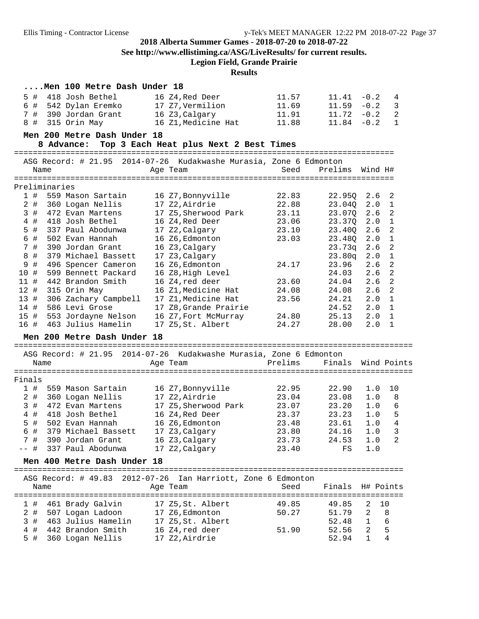**See http://www.ellistiming.ca/ASG/LiveResults/ for current results.**

**Legion Field, Grande Prairie**

|              |               | Men 100 Metre Dash Under 18               |                                                                    |                |                    |                |                     |
|--------------|---------------|-------------------------------------------|--------------------------------------------------------------------|----------------|--------------------|----------------|---------------------|
| 5 #          |               | 418 Josh Bethel                           | 16 Z4, Red Deer                                                    | 11.57          | 11.41              | $-0.2$         | 4                   |
| 6 #          |               | 542 Dylan Eremko                          | 17 Z7,Vermilion                                                    | 11.69          | 11.59              | $-0.2$         | 3                   |
| 7#           |               | 390 Jordan Grant                          | 16 Z3, Calgary                                                     | 11.91          | 11.72              | $-0.2$         | $\overline{a}$      |
| 8#           |               | 315 Orin May                              | 16 Z1, Medicine Hat                                                | 11.88          | 11.84              | $-0.2$         | 1                   |
|              |               |                                           |                                                                    |                |                    |                |                     |
|              |               | Men 200 Metre Dash Under 18<br>8 Advance: | Top 3 Each Heat plus Next 2 Best Times                             |                |                    |                |                     |
|              |               |                                           |                                                                    |                |                    |                |                     |
|              |               |                                           | ASG Record: # 21.95 2014-07-26 Kudakwashe Murasia, Zone 6 Edmonton |                |                    |                |                     |
|              | Name          |                                           | Age Team                                                           | Seed           | Prelims Wind H#    |                |                     |
|              |               |                                           |                                                                    |                |                    |                |                     |
|              | Preliminaries |                                           |                                                                    |                |                    |                |                     |
| 1#           |               | 559 Mason Sartain                         | 16 Z7, Bonnyville                                                  | 22.83          | 22.95Q             | 2.6            | 2                   |
| $2$ #        |               | 360 Logan Nellis                          | 17 Z2, Airdrie                                                     | 22.88          | 23.04Q             | 2.0            | $\mathbf{1}$        |
| 3#           |               | 472 Evan Martens<br>418 Josh Bethel       | 17 Z5, Sherwood Park                                               | 23.11          | 23.07Q             | 2.6            | 2<br>$\overline{1}$ |
| $4$ #<br>5 # |               | 337 Paul Abodunwa                         | 16 Z4, Red Deer                                                    | 23.06<br>23.10 | 23.37Q             | 2.0<br>2.6     | 2                   |
| 6 #          |               | 502 Evan Hannah                           | 17 Z2, Calgary<br>16 Z6, Edmonton                                  | 23.03          | 23.40Q<br>23.480   | 2.0            | $\overline{1}$      |
| 7#           |               | 390 Jordan Grant                          |                                                                    |                |                    | 2.6            | 2                   |
| 8 #          |               | 379 Michael Bassett                       | 16 Z3, Calgary<br>17 Z3, Calgary                                   |                | 23.73q<br>23.80q   | 2.0            | 1                   |
| 9 #          |               | 496 Spencer Cameron                       | 16 Z6, Edmonton                                                    | 24.17          | 23.96              | 2.6            | 2                   |
| 10#          |               | 599 Bennett Packard                       | 16 Z8, High Level                                                  |                | 24.03              | 2.6            | 2                   |
| 11#          |               | 442 Brandon Smith                         | 16 Z4, red deer                                                    | 23.60          | 24.04              | 2.6            | 2                   |
| 12#          |               | 315 Orin May                              | 16 Z1, Medicine Hat                                                | 24.08          | 24.08              | 2.6            | 2                   |
| 13#          |               | 306 Zachary Campbell                      | 17 Z1, Medicine Hat                                                | 23.56          | 24.21              | 2.0            | $\mathbf{1}$        |
| 14#          |               | 586 Levi Grose                            | 17 Z8, Grande Prairie                                              |                | 24.52              | 2.0            | $\overline{1}$      |
| 15#          |               | 553 Jordayne Nelson                       | 16 Z7, Fort McMurray                                               | 24.80          | 25.13              | 2.0            | $\overline{1}$      |
| 16 #         |               | 463 Julius Hamelin                        | 17 Z5, St. Albert                                                  | 24.27          | 28.00              | 2.0            | $\mathbf{1}$        |
|              |               |                                           |                                                                    |                |                    |                |                     |
|              |               | Men 200 Metre Dash Under 18               |                                                                    |                |                    |                |                     |
|              |               |                                           | ASG Record: # 21.95 2014-07-26 Kudakwashe Murasia, Zone 6 Edmonton |                |                    |                |                     |
|              | Name          |                                           | Age Team                                                           | Prelims        | Finals Wind Points |                |                     |
|              |               |                                           |                                                                    |                |                    |                |                     |
| Finals       |               |                                           |                                                                    |                |                    |                |                     |
| 1#           |               | 559 Mason Sartain                         | 16 Z7, Bonnyville                                                  | 22.95          | 22.90              | 1.0            | 10                  |
| $2$ #        |               | 360 Logan Nellis                          | 17 Z2, Airdrie                                                     | 23.04          | 23.08              | 1.0            | 8                   |
| 3#           |               | 472 Evan Martens                          | 17 Z5,Sherwood Park                                                | 23.07          | 23.20              | 1.0            | 6                   |
| 4 #          |               | 418 Josh Bethel                           | 16 Z4, Red Deer                                                    | 23.37          | 23.23              | 1.0            | 5                   |
| 5 #          |               | 502 Evan Hannah                           | 16 Z6, Edmonton                                                    | 23.48          | 23.61              | 1.0            | 4                   |
| 6 #          |               | 379 Michael Bassett                       | 17 Z3, Calgary                                                     | 23.80          | 24.16              | 1.0            | 3                   |
|              |               | 7 # 390 Jordan Grant                      | 16 Z3, Calgary                                                     | 23.73          | 24.53              | 1.0            | 2                   |
|              |               | -- # 337 Paul Abodunwa 17 Z2, Calgary     |                                                                    | 23.40          | FS                 | 1.0            |                     |
|              |               | Men 400 Metre Dash Under 18               |                                                                    |                |                    |                |                     |
|              |               |                                           |                                                                    |                |                    |                |                     |
|              |               |                                           | ASG Record: # 49.83 2012-07-26 Ian Harriott, Zone 6 Edmonton       |                |                    |                |                     |
|              | Name          |                                           | Age Team                                                           | Seed           | Finals H# Points   |                |                     |
|              |               |                                           |                                                                    |                |                    |                |                     |
| 1#           |               | 461 Brady Galvin                          | 17 Z5, St. Albert                                                  | 49.85          | 49.85              | 2              | 10                  |
| 2 #          |               | 507 Logan Ladoon                          | 17 Z6, Edmonton                                                    | 50.27          | 51.79              | 2              | $\,8\,$             |
| 3#           |               | 463 Julius Hamelin                        | 17 Z5, St. Albert                                                  |                | 52.48              | $\mathbf 1$    | 6                   |
| 4#<br>$5$ #  |               | 442 Brandon Smith                         | 16 Z4, red deer                                                    | 51.90          | 52.56              | $\overline{2}$ | 5                   |
|              |               | 360 Logan Nellis                          | 17 Z2, Airdrie                                                     |                | 52.94              | 1              | 4                   |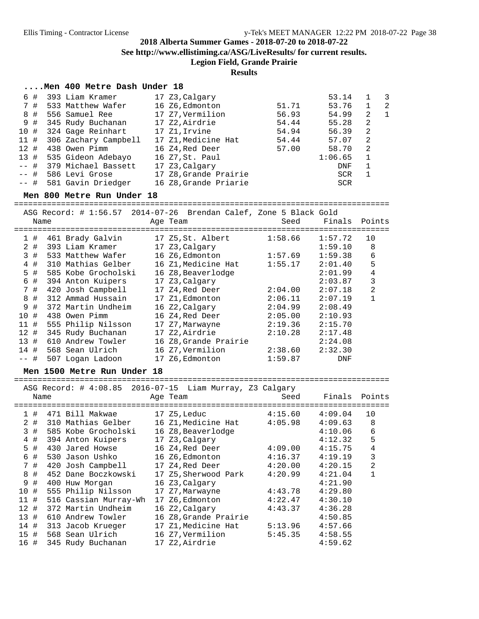**See http://www.ellistiming.ca/ASG/LiveResults/ for current results.**

**Legion Field, Grande Prairie**

## **Results**

#### **....Men 400 Metre Dash Under 18**

| 6#     | 393 Liam Kramer          | 17 Z3, Calgary        |       | 53.14      |    | $\mathcal{R}$  |
|--------|--------------------------|-----------------------|-------|------------|----|----------------|
| 7#     | 533 Matthew Wafer        | 16 Z6,Edmonton        | 51.71 | 53.76      |    | -2             |
| 8#     | 556 Samuel Ree           | 17 Z7, Vermilion      | 56.93 | 54.99      | 2  | $\overline{1}$ |
| 9#     | 345 Rudy Buchanan        | 17 Z2,Airdrie         | 54.44 | 55.28      | -2 |                |
| 10#    | 324 Gage Reinhart        | 17 Z1,Irvine          | 54.94 | 56.39      | 2  |                |
| 11#    | 306 Zachary Campbell     | 17 Z1, Medicine Hat   | 54.44 | 57.07      | 2  |                |
| 12#    | 438 Owen Pimm            | 16 Z4,Red Deer        | 57.00 | 58.70      | -2 |                |
| 13 #   | 535 Gideon Adebayo       | 16 Z7, St. Paul       |       | 1:06.65    | 1  |                |
|        | -- # 379 Michael Bassett | 17 Z3, Calgary        |       | <b>DNF</b> |    |                |
| $--$ # | 586 Levi Grose           | 17 Z8, Grande Prairie |       | SCR        |    |                |
|        | -- # 581 Gavin Driedger  | 16 Z8, Grande Priarie |       | <b>SCR</b> |    |                |

#### **Men 800 Metre Run Under 18**

================================================================================  $\text{Cord}:$  # 1:56.57 2014-07-26 Brendan Calef, Zone 5 Black Gold

|      | Name |                     | ASG Record: # 1:56.5/ $2014 - 07 - 26$ Brendan Calef, zone 5 Black Gold<br>Age Team | Seed    | Finals  | Points         |
|------|------|---------------------|-------------------------------------------------------------------------------------|---------|---------|----------------|
| 1#   |      | 461 Brady Galvin    | 17 Z5,St. Albert                                                                    | 1:58.66 | 1:57.72 | 10             |
| 2#   |      | 393 Liam Kramer     | 17 Z3, Calgary                                                                      |         | 1:59.10 | 8              |
| 3#   |      | 533 Matthew Wafer   | 16 Z6, Edmonton                                                                     | 1:57.69 | 1:59.38 | 6              |
| 4#   |      | 310 Mathias Gelber  | 16 Z1, Medicine Hat                                                                 | 1:55.17 | 2:01.40 | 5              |
| 5 #  |      | 585 Kobe Grocholski | 16 Z8, Beaverlodge                                                                  |         | 2:01.99 | 4              |
| 6 #  |      | 394 Anton Kuipers   | 17 Z3, Calgary                                                                      |         | 2:03.87 | 3              |
| 7 #  |      | 420 Josh Campbell   | 17 Z4,Red Deer                                                                      | 2:04.00 | 2:07.18 | $\overline{2}$ |
| 8#   |      | 312 Ammad Hussain   | 17 Z1, Edmonton                                                                     | 2:06.11 | 2:07.19 |                |
| 9#   |      | 372 Martin Undheim  | 16 Z2,Calgary                                                                       | 2:04.99 | 2:08.49 |                |
| 10#  |      | 438 Owen Pimm       | 16 Z4,Red Deer                                                                      | 2:05.00 | 2:10.93 |                |
| 11#  |      | 555 Philip Nilsson  | 17 Z7,Marwayne                                                                      | 2:19.36 | 2:15.70 |                |
| 12#  |      | 345 Rudy Buchanan   | 17 Z2,Airdrie                                                                       | 2:10.28 | 2:17.48 |                |
| 13#  |      | 610 Andrew Towler   | 16 Z8, Grande Prairie                                                               |         | 2:24.08 |                |
| 14#  |      | 568 Sean Ulrich     | 16 Z7, Vermilion                                                                    | 2:38.60 | 2:32.30 |                |
| -- # |      | 507 Logan Ladoon    | 17 Z6, Edmonton                                                                     | 1:59.87 | DNF     |                |
|      |      |                     |                                                                                     |         |         |                |

#### **Men 1500 Metre Run Under 18**

================================================================================ ASG Record: # 4:08.85 2016-07-15 Liam Murray, Z3 Calgary

|      | Name  |                       | Age Team<br>----------- | Seed    | Finals  | Points |
|------|-------|-----------------------|-------------------------|---------|---------|--------|
|      | 1#    | 471 Bill Makwae       | 17 Z5,Leduc             | 4:15.60 | 4:09.04 | 10     |
|      | 2#    | 310 Mathias Gelber    | 16 Z1, Medicine Hat     | 4:05.98 | 4:09.63 | 8      |
|      | 3#    | 585 Kobe Grocholski   | 16 Z8, Beaverlodge      |         | 4:10.06 | 6      |
|      | $4$ # | 394 Anton Kuipers     | 17 Z3, Calgary          |         | 4:12.32 | 5      |
|      | 5#    | 430 Jared Howse       | 16 Z4, Red Deer         | 4:09.00 | 4:15.75 | 4      |
| 6    | #     | 530 Jason Ushko       | 16 Z6, Edmonton         | 4:16.37 | 4:19.19 | 3      |
|      | 7#    | 420 Josh Campbell     | 17 Z4, Red Deer         | 4:20.00 | 4:20.15 | 2      |
|      | 8#    | 452 Dane Boczkowski   | 17 Z5, Sherwood Park    | 4:20.99 | 4:21.04 |        |
| 9    | #     | 400 Huw Morgan        | 16 Z3, Calgary          |         | 4:21.90 |        |
| 10#  |       | 555 Philip Nilsson    | 17 Z7, Marwayne         | 4:43.78 | 4:29.80 |        |
| 11#  |       | 516 Cassian Murray-Wh | 17 Z6, Edmonton         | 4:22.47 | 4:30.10 |        |
| 12#  |       | 372 Martin Undheim    | 16 Z2, Calgary          | 4:43.37 | 4:36.28 |        |
| 13#  |       | 610 Andrew Towler     | 16 Z8, Grande Prairie   |         | 4:50.85 |        |
| 14#  |       | 313 Jacob Krueger     | 17 Z1, Medicine Hat     | 5:13.96 | 4:57.66 |        |
| 15#  |       | 568 Sean Ulrich       | 16 Z7,Vermilion         | 5:45.35 | 4:58.55 |        |
| 16 # |       | 345 Rudy Buchanan     | 17 Z2, Airdrie          |         | 4:59.62 |        |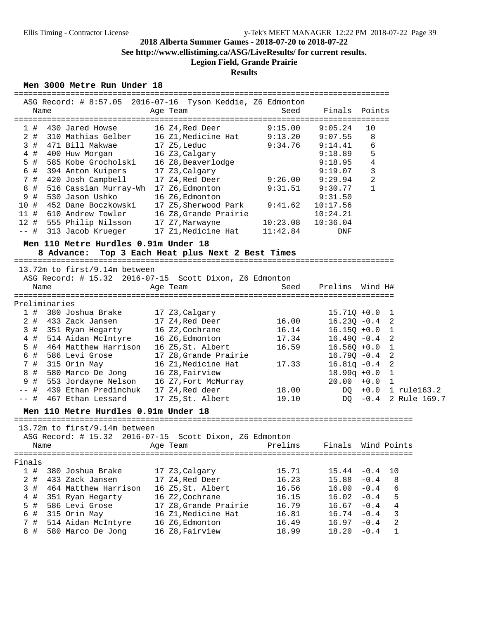## **2018 Alberta Summer Games - 2018-07-20 to 2018-07-22 See http://www.ellistiming.ca/ASG/LiveResults/ for current results.**

# **Legion Field, Grande Prairie**

## **Results**

### **Men 3000 Metre Run Under 18**

| Name          |                                                    | ASG Record: # 8:57.05 2016-07-16 Tyson Keddie, Z6 Edmonton<br>Age Team | ==================================<br>Seed | Finals Points                   |                  |                    |
|---------------|----------------------------------------------------|------------------------------------------------------------------------|--------------------------------------------|---------------------------------|------------------|--------------------|
| 1#            | 430 Jared Howse                                    | 16 Z4, Red Deer                                                        | 9:15.00                                    | 9:05.24                         | 10               |                    |
| $2$ #         | 310 Mathias Gelber                                 | 16 Z1, Medicine Hat                                                    | 9:13.20                                    | 9:07.55                         | 8                |                    |
| 3#            | 471 Bill Makwae                                    | 17 Z5, Leduc                                                           | 9:34.76                                    | 9:14.41                         | 6                |                    |
| $4$ #         | 400 Huw Morgan                                     | 16 Z3, Calgary                                                         |                                            | 9:18.89                         | 5                |                    |
| $5$ #         | 585 Kobe Grocholski                                | 16 Z8, Beaverlodge                                                     |                                            | 9:18.95                         | 4                |                    |
| 6 #           | 394 Anton Kuipers                                  | 17 Z3, Calgary                                                         |                                            | 9:19.07                         | 3                |                    |
| 7 #           | 420 Josh Campbell                                  | 17 Z4, Red Deer                                                        | 9:26.00                                    | 9:29.94                         | 2                |                    |
| 8<br>#        | 516 Cassian Murray-Wh 17 Z6, Edmonton              |                                                                        | 9:31.51                                    | 9:30.77                         | $\mathbf{1}$     |                    |
| 9<br>#        | 530 Jason Ushko                                    | 16 Z6, Edmonton                                                        |                                            | 9:31.50                         |                  |                    |
| 10 #          | 452 Dane Boczkowski<br>11 # 610 Andrew Towler      | 17 Z5,Sherwood Park                                                    | 9:41.62                                    | 10:17.56                        |                  |                    |
|               | 12 # 555 Philip Nilsson                            | 16 Z8, Grande Prairie<br>17 Z7, Marwayne                               | 10:23.08                                   | 10:24.21<br>10:36.04            |                  |                    |
| -- 井          | 313 Jacob Krueger                                  | 17 Z1, Medicine Hat                                                    | 11:42.84                                   | DNF                             |                  |                    |
|               |                                                    |                                                                        |                                            |                                 |                  |                    |
|               | Men 110 Metre Hurdles 0.91m Under 18<br>8 Advance: | Top 3 Each Heat plus Next 2 Best Times                                 |                                            |                                 |                  |                    |
|               | 13.72m to first/9.14m between                      |                                                                        |                                            |                                 |                  |                    |
|               |                                                    | ASG Record: # 15.32 2016-07-15 Scott Dixon, Z6 Edmonton                |                                            |                                 |                  |                    |
| Name          |                                                    | Age Team                                                               | Seed                                       | Prelims                         | Wind H#          |                    |
|               |                                                    |                                                                        |                                            |                                 |                  |                    |
| Preliminaries |                                                    |                                                                        |                                            |                                 |                  |                    |
| 1#            | 380 Joshua Brake                                   | 17 Z3, Calgary                                                         |                                            | $15.71Q + 0.0$                  |                  | 1                  |
| $2$ #         | 433 Zack Jansen                                    | 17 Z4, Red Deer                                                        | 16.00                                      | $16.23Q - 0.4$                  |                  | 2                  |
| 3#            | 351 Ryan Hegarty                                   | 16 Z2, Cochrane                                                        | 16.14                                      | $16.15Q + 0.0$                  |                  | 1                  |
| 4#            | 514 Aidan McIntyre                                 | 16 Z6, Edmonton                                                        | 17.34                                      | $16.49Q - 0.4$                  |                  | 2                  |
| 5 #           | 464 Matthew Harrison                               | 16 Z5, St. Albert                                                      | 16.59                                      | $16.56Q + 0.0$                  |                  | 1                  |
| 6 #<br>7 #    | 586 Levi Grose                                     | 17 Z8, Grande Prairie                                                  | 17.33                                      | $16.79Q - 0.4$                  |                  | 2                  |
| 8 #           | 315 Orin May<br>580 Marco De Jong                  | 16 Z1, Medicine Hat<br>16 Z8, Fairview                                 |                                            | $16.81q - 0.4$<br>$18.99q +0.0$ |                  | 2<br>1             |
| 9<br>#        | 553 Jordayne Nelson                                | 16 Z7, Fort McMurray                                                   |                                            | $20.00 + 0.0$                   |                  | 1                  |
| -- #          | 439 Ethan Predinchuk                               | 17 Z4, Red deer                                                        | 18.00                                      |                                 | $DQ + 0.0$       | 1 rule163.2        |
| —— #          | 467 Ethan Lessard                                  | 17 Z5,St. Albert                                                       | 19.10                                      |                                 | $DO -0.4$        | 2 Rule 169.7       |
|               |                                                    |                                                                        |                                            |                                 |                  |                    |
|               | Men 110 Metre Hurdles 0.91m Under 18               |                                                                        |                                            |                                 |                  |                    |
|               | 13.72m to first/9.14m between                      |                                                                        |                                            |                                 |                  |                    |
|               |                                                    | ASG Record: # 15.32 2016-07-15 Scott Dixon, Z6 Edmonton                |                                            |                                 |                  |                    |
| Name          |                                                    | Age Team                                                               | Prelims                                    | Finals                          |                  | Wind Points        |
|               |                                                    |                                                                        |                                            |                                 |                  | ================== |
|               |                                                    |                                                                        |                                            |                                 |                  |                    |
|               |                                                    |                                                                        |                                            |                                 |                  |                    |
| 1#            | 380 Joshua Brake                                   | 17 Z3, Calgary                                                         | 15.71                                      | 15.44                           | $-0.4$           | 10                 |
| 2#            | 433 Zack Jansen                                    | 17 Z4, Red Deer                                                        | 16.23                                      | 15.88                           | $-0.4$           | 8                  |
| 3#            | 464 Matthew Harrison                               | 16 Z5, St. Albert                                                      | 16.56                                      | 16.00                           | $-0.4$           | 6                  |
| Finals<br>4 # | 351 Ryan Hegarty                                   | 16 Z2, Cochrane                                                        | 16.15                                      | 16.02                           | $-0.4$           | 5                  |
| 5 #           | 586 Levi Grose                                     | 17 Z8, Grande Prairie                                                  | 16.79                                      | 16.67                           | $-0.4$           | 4                  |
| 6 #<br>7 #    | 315 Orin May<br>514 Aidan McIntyre                 | 16 Z1, Medicine Hat<br>16 Z6, Edmonton                                 | 16.81<br>16.49                             | 16.74<br>16.97                  | $-0.4$<br>$-0.4$ | 3<br>2             |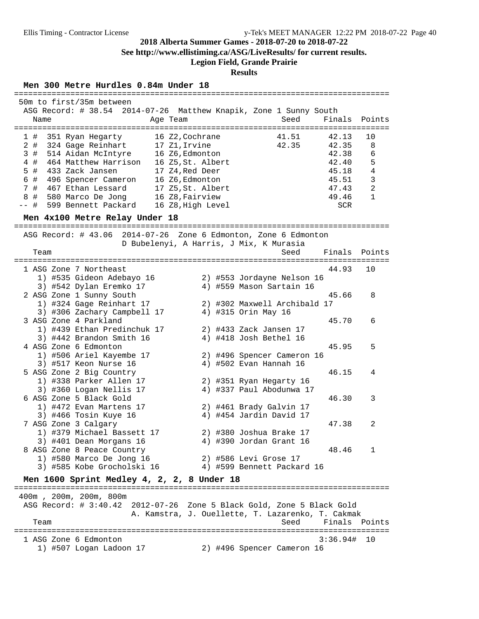**See http://www.ellistiming.ca/ASG/LiveResults/ for current results.**

## **Legion Field, Grande Prairie**

#### **Results**

================================================================================

#### **Men 300 Metre Hurdles 0.84m Under 18**

| 50m to first/35m between                                          |                                                   |                                       |               |                |
|-------------------------------------------------------------------|---------------------------------------------------|---------------------------------------|---------------|----------------|
| ASG Record: # 38.54 2014-07-26 Matthew Knapik, Zone 1 Sunny South |                                                   | Seed                                  | Finals        |                |
| Name                                                              | Age Team                                          |                                       |               | Points         |
| 351 Ryan Hegarty<br>1 #                                           | 16 Z2, Cochrane                                   | 41.51                                 | 42.13         | 10             |
| $2$ #<br>324 Gage Reinhart                                        | 17 Z1, Irvine                                     | 42.35                                 | 42.35         | 8              |
| 3#<br>514 Aidan McIntyre                                          | 16 Z6, Edmonton                                   |                                       | 42.38         | 6              |
| 464 Matthew Harrison<br>4#                                        | 16 Z5, St. Albert                                 |                                       | 42.40         | 5              |
| $5$ #<br>433 Zack Jansen                                          | 17 Z4, Red Deer                                   |                                       | 45.18         | 4              |
| 6 # 496 Spencer Cameron                                           |                                                   |                                       | 45.51         | 3              |
|                                                                   | 16 Z6, Edmonton                                   |                                       |               | $\overline{2}$ |
| 7 # 467 Ethan Lessard<br>8#                                       | 17 Z5, St. Albert                                 |                                       | 47.43         | $\mathbf{1}$   |
| 580 Marco De Jong                                                 | 16 Z8, Fairview                                   |                                       | 49.46         |                |
| $--$ #<br>599 Bennett Packard                                     | 16 Z8, High Level                                 |                                       | SCR           |                |
| Men 4x100 Metre Relay Under 18                                    |                                                   |                                       |               |                |
| ASG Record: # 43.06 2014-07-26 Zone 6 Edmonton, Zone 6 Edmonton   |                                                   |                                       |               |                |
|                                                                   | D Bubelenyi, A Harris, J Mix, K Murasia           |                                       |               |                |
| Team                                                              |                                                   | Seed                                  | Finals Points |                |
|                                                                   |                                                   |                                       |               |                |
| 1 ASG Zone 7 Northeast                                            |                                                   |                                       | 44.93         | 10             |
| 1) #535 Gideon Adebayo 16                                         |                                                   | 2) #553 Jordayne Nelson 16            |               |                |
| 3) #542 Dylan Eremko 17                                           |                                                   | 4) #559 Mason Sartain 16              |               |                |
| 2 ASG Zone 1 Sunny South                                          |                                                   |                                       | 45.66         | 8              |
| 1) #324 Gage Reinhart 17                                          |                                                   | 2) #302 Maxwell Archibald 17          |               |                |
| 3) #306 Zachary Campbell 17                                       |                                                   | 4) #315 Orin May 16                   |               |                |
| 3 ASG Zone 4 Parkland                                             |                                                   |                                       | 45.70         | 6              |
| 1) #439 Ethan Predinchuk 17                                       |                                                   | 2) #433 Zack Jansen 17                |               |                |
| 3) #442 Brandon Smith 16                                          |                                                   | 4) #418 Josh Bethel 16                |               |                |
| 4 ASG Zone 6 Edmonton                                             |                                                   |                                       | 45.95         | 5              |
| 1) #506 Ariel Kayembe 17                                          |                                                   | 2) #496 Spencer Cameron 16            |               |                |
| 3) #517 Keon Nurse 16                                             |                                                   | 4) #502 Evan Hannah 16                |               |                |
| 5 ASG Zone 2 Big Country                                          |                                                   |                                       | 46.15         | 4              |
| 1) #338 Parker Allen 17                                           |                                                   |                                       |               |                |
|                                                                   |                                                   | 2) #351 Ryan Hegarty 16               |               |                |
| 3) #360 Logan Nellis 17<br>6 ASG Zone 5 Black Gold                |                                                   | 4) #337 Paul Abodunwa 17              | 46.30         | 3              |
|                                                                   |                                                   |                                       |               |                |
| 1) #472 Evan Martens 17                                           |                                                   | 2) #461 Brady Galvin 17               |               |                |
| 3) #466 Tosin Kuye 16                                             |                                                   | 4) #454 Jardin David 17               |               |                |
| 7 ASG Zone 3 Calgary                                              |                                                   |                                       | 47.38         | 2              |
| 1) #379 Michael Bassett 17                                        |                                                   | 2) #380 Joshua Brake 17               |               |                |
| 3) #401 Dean Morgans 16                                           |                                                   | 4) #390 Jordan Grant 16               |               |                |
| 8 ASG Zone 8 Peace Country                                        |                                                   |                                       | 48.46         | 1              |
| 1) #580 Marco De Jong 16                                          |                                                   | 2) #586 Levi Grose 17                 |               |                |
| 3) #585 Kobe Grocholski 16                                        |                                                   | 4) #599 Bennett Packard 16            |               |                |
| Men 1600 Sprint Medley 4, 2, 2, 8 Under 18                        |                                                   |                                       |               |                |
| 400m, 200m, 200m, 800m                                            |                                                   |                                       |               |                |
| ASG Record: $\#$ 3:40.42                                          | 2012-07-26 Zone 5 Black Gold, Zone 5 Black Gold   |                                       |               |                |
|                                                                   | A. Kamstra, J. Ouellette, T. Lazarenko, T. Cakmak |                                       |               |                |
|                                                                   |                                                   |                                       | Finals        |                |
| Team                                                              |                                                   | Seed<br>============================= |               | Points         |
| 1 ASG Zone 6 Edmonton                                             |                                                   |                                       | 3:36.94#      | - 10           |

1) #507 Logan Ladoon 17 2) #496 Spencer Cameron 16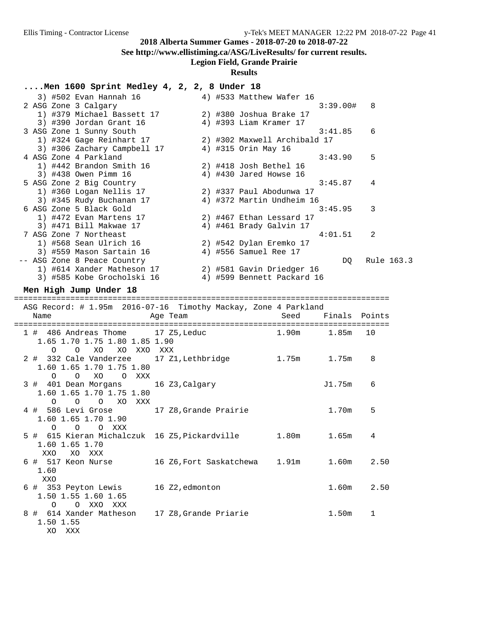**See http://www.ellistiming.ca/ASG/LiveResults/ for current results.**

## **Legion Field, Grande Prairie**

### **Results**

## **....Men 1600 Sprint Medley 4, 2, 2, 8 Under 18**

| Men love sprinc mealey $\pm$ , $\lambda$ , $\lambda$ , o under lo |                        |                              |               |            |  |
|-------------------------------------------------------------------|------------------------|------------------------------|---------------|------------|--|
| 3) #502 Evan Hannah 16                                            |                        | 4) #533 Matthew Wafer 16     |               |            |  |
| 2 ASG Zone 3 Calgary                                              |                        |                              | 3:39.00#      | 8          |  |
| 1) #379 Michael Bassett 17                                        |                        | 2) #380 Joshua Brake 17      |               |            |  |
| 3) #390 Jordan Grant 16                                           |                        | 4) #393 Liam Kramer 17       |               |            |  |
| 3 ASG Zone 1 Sunny South                                          |                        |                              | 3:41.85       | 6          |  |
| 1) #324 Gage Reinhart 17                                          |                        | 2) #302 Maxwell Archibald 17 |               |            |  |
| 3) #306 Zachary Campbell 17                                       |                        | 4) #315 Orin May 16          |               |            |  |
| 4 ASG Zone 4 Parkland                                             |                        |                              | 3:43.90       | 5          |  |
| 1) #442 Brandon Smith 16                                          |                        | 2) #418 Josh Bethel 16       |               |            |  |
| 3) #438 Owen Pimm 16                                              |                        | 4) #430 Jared Howse 16       |               |            |  |
| 5 ASG Zone 2 Big Country                                          |                        |                              | 3:45.87       | 4          |  |
| 1) #360 Logan Nellis 17                                           |                        | 2) #337 Paul Abodunwa 17     |               |            |  |
| 3) #345 Rudy Buchanan 17                                          |                        | 4) #372 Martin Undheim 16    |               | 3          |  |
| 6 ASG Zone 5 Black Gold<br>1) #472 Evan Martens 17                |                        | 2) #467 Ethan Lessard 17     | 3:45.95       |            |  |
| 3) #471 Bill Makwae 17                                            |                        | 4) #461 Brady Galvin 17      |               |            |  |
| 7 ASG Zone 7 Northeast                                            |                        |                              | 4:01.51       | 2          |  |
| 1) #568 Sean Ulrich 16                                            |                        | 2) #542 Dylan Eremko 17      |               |            |  |
| 3) #559 Mason Sartain 16                                          |                        | 4) #556 Samuel Ree 17        |               |            |  |
| -- ASG Zone 8 Peace Country                                       |                        |                              | DQ            | Rule 163.3 |  |
| 1) #614 Xander Matheson 17                                        |                        | 2) #581 Gavin Driedger 16    |               |            |  |
| 3) #585 Kobe Grocholski 16                                        |                        | 4) #599 Bennett Packard 16   |               |            |  |
| Men High Jump Under 18                                            |                        |                              |               |            |  |
|                                                                   |                        |                              |               |            |  |
| ASG Record: # 1.95m 2016-07-16 Timothy Mackay, Zone 4 Parkland    |                        |                              |               |            |  |
| Name                                                              | Age Team               | Seed                         | Finals Points |            |  |
|                                                                   |                        |                              |               |            |  |
| 1 # 486 Andreas Thome 17 Z5, Leduc 1.90m                          |                        |                              | 1.85m         | 10         |  |
| 1.65 1.70 1.75 1.80 1.85 1.90                                     |                        |                              |               |            |  |
| 0 XO XO XXO XXX<br>$\circ$                                        |                        |                              |               |            |  |
| 2 # 332 Cale Vanderzee 17 Z1, Lethbridge 1.75m 1.75m              |                        |                              |               | 8          |  |
| 1.60 1.65 1.70 1.75 1.80                                          |                        |                              |               |            |  |
| O XO O XXX<br>$\Omega$                                            |                        |                              |               |            |  |
| 3 # 401 Dean Morgans 16 Z3, Calgary                               |                        |                              | J1.75m        | 6          |  |
| 1.60 1.65 1.70 1.75 1.80                                          |                        |                              |               |            |  |
| $\circ$<br>O XO XXX<br>$\circ$                                    |                        |                              |               |            |  |
| 4 # 586 Levi Grose 17 Z8, Grande Prairie                          |                        |                              | 1.70m         | 5          |  |
| 1.60 1.65 1.70 1.90                                               |                        |                              |               |            |  |
| $\overline{O}$<br>O XXX<br>O                                      |                        |                              |               |            |  |
| 5 # 615 Kieran Michalczuk 16 Z5, Pickardville 1.80m               |                        |                              | 1.65m         | 4          |  |
| 1.60 1.65 1.70<br>XO XXX                                          |                        |                              |               |            |  |
| XXO<br>6 # 517 Keon Nurse                                         | 16 Z6,Fort Saskatchewa | 1.91m                        | 1.60m         | 2.50       |  |
|                                                                   |                        |                              |               |            |  |

 XXO 6 # 353 Peyton Lewis 16 Z2,edmonton 1.60m 2.50 1.50 1.55 1.60 1.65 O O XXO XXX 8 # 614 Xander Matheson 17 Z8, Grande Priarie 1.50m 1

1.50 1.55

1.60

XO XXX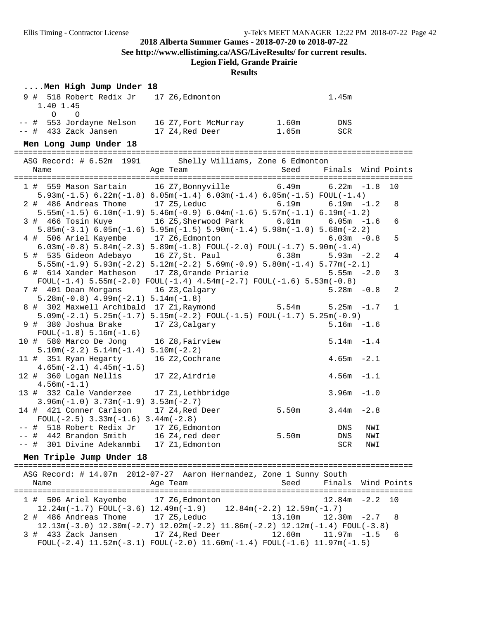**See http://www.ellistiming.ca/ASG/LiveResults/ for current results.**

## **Legion Field, Grande Prairie**

### **Results**

### **....Men High Jump Under 18**

| 9 # 518 Robert Redix Jr<br>1.40 1.45 | 17 Z6,Edmonton       | 1.45m        |  |
|--------------------------------------|----------------------|--------------|--|
|                                      |                      |              |  |
|                                      |                      |              |  |
| -- # 553 Jordayne Nelson             | 16 Z7, Fort McMurray | 1.60m<br>DNS |  |
| $--$ # 433 Zack Jansen               | 17 Z4, Red Deer      | 1.65m<br>SCR |  |
| Men Long Jump Under 18               |                      |              |  |
|                                      |                      |              |  |

| ASG Record: # 6.52m 1991 Shelly Williams, Zone 6 Edmonton |                                                                                                                    |               |                    |     |              |
|-----------------------------------------------------------|--------------------------------------------------------------------------------------------------------------------|---------------|--------------------|-----|--------------|
| Age Team<br>Name                                          |                                                                                                                    | Seed          | Finals Wind Points |     |              |
| 1 # 559 Mason Sartain 16 Z7, Bonnyville 6.49m 6.22m -1.8  |                                                                                                                    |               |                    |     | 10           |
|                                                           | $5.93m(-1.5)$ 6.22 $m(-1.8)$ 6.05 $m(-1.4)$ 6.03 $m(-1.4)$ 6.05 $m(-1.5)$ FOUL(-1.4)                               |               |                    |     |              |
| 2 # 486 Andreas Thome 17 Z5, Leduc 6.19m                  |                                                                                                                    |               | $6.19m - 1.2$      |     | 8            |
|                                                           | $5.55m(-1.5)$ 6.10m(-1.9) $5.46m(-0.9)$ 6.04m(-1.6) $5.57m(-1.1)$ 6.19m(-1.2)                                      |               |                    |     |              |
| 3 # 466 Tosin Kuye 16 Z5, Sherwood Park 6.01m 6.05m -1.6  |                                                                                                                    |               |                    |     | 6            |
|                                                           | $5.85m(-3.1)$ $6.05m(-1.6)$ $5.95m(-1.5)$ $5.90m(-1.4)$ $5.98m(-1.0)$ $5.68m(-2.2)$                                |               |                    |     |              |
| 4 # 506 Ariel Kayembe 17 Z6, Edmonton                     |                                                                                                                    |               | $6.03m - 0.8$      |     | 5            |
|                                                           | $6.03\text{m}(-0.8)$ 5.84 $\text{m}(-2.3)$ 5.89 $\text{m}(-1.8)$ FOUL $(-2.0)$ FOUL $(-1.7)$ 5.90 $\text{m}(-1.4)$ |               |                    |     |              |
| 5 # 535 Gideon Adebayo 16 Z7,St. Paul 6.38m               |                                                                                                                    |               | $5.93m - 2.2$      |     | 4            |
|                                                           | $5.55m(-1.9)$ $5.93m(-2.2)$ $5.12m(-2.2)$ $5.69m(-0.9)$ $5.80m(-1.4)$ $5.77m(-2.1)$                                |               |                    |     |              |
| 6 # 614 Xander Matheson 17 Z8, Grande Priarie             |                                                                                                                    |               | $5.55m - 2.0$      |     | 3            |
|                                                           | $FOUL(-1.4) 5.55m(-2.0) FOUL(-1.4) 4.54m(-2.7) FOUL(-1.6) 5.53m(-0.8)$                                             |               |                    |     |              |
| 7 # 401 Dean Morgans 16 Z3, Calgary                       |                                                                                                                    |               | $5.28m - 0.8$      |     | 2            |
| $5.28m(-0.8)$ 4.99m( $-2.1$ ) $5.14m(-1.8)$               |                                                                                                                    |               |                    |     |              |
| 8 # 302 Maxwell Archibald 17 Z1, Raymond 5.54m            |                                                                                                                    |               | $5.25m - 1.7$      |     | $\mathbf{1}$ |
|                                                           | $5.09m(-2.1)$ $5.25m(-1.7)$ $5.15m(-2.2)$ $FOUL(-1.5)$ $FOUL(-1.7)$ $5.25m(-0.9)$                                  |               |                    |     |              |
| 9 # 380 Joshua Brake 17 Z3, Calgary                       |                                                                                                                    |               | $5.16m - 1.6$      |     |              |
| $FOUL(-1.8) 5.16m(-1.6)$                                  |                                                                                                                    |               |                    |     |              |
| 10 # 580 Marco De Jong 16 Z8, Fairview                    |                                                                                                                    |               | $5.14m - 1.4$      |     |              |
| $5.10m(-2.2) 5.14m(-1.4) 5.10m(-2.2)$                     |                                                                                                                    |               |                    |     |              |
| 11 # 351 Ryan Hegarty 16 Z2, Cochrane                     |                                                                                                                    |               | $4.65m - 2.1$      |     |              |
| $4.65m(-2.1)$ $4.45m(-1.5)$                               |                                                                                                                    |               |                    |     |              |
| 12 # 360 Logan Nellis 17 Z2, Airdrie                      |                                                                                                                    | $4.56m - 1.1$ |                    |     |              |
| $4.56m(-1.1)$                                             |                                                                                                                    |               |                    |     |              |
| 13 # 332 Cale Vanderzee 17 Z1, Lethbridge                 |                                                                                                                    |               | $3.96m - 1.0$      |     |              |
| $3.96m(-1.0)$ $3.73m(-1.9)$ $3.53m(-2.7)$                 |                                                                                                                    |               |                    |     |              |
| 14 # 421 Conner Carlson 17 Z4, Red Deer 5.50m 3.44m -2.8  |                                                                                                                    |               |                    |     |              |
| $FOUL(-2.5)$ 3.33m( $-1.6$ ) 3.44m( $-2.8$ )              |                                                                                                                    |               |                    |     |              |
| -- # 518 Robert Redix Jr 17 Z6, Edmonton                  |                                                                                                                    |               | DNS                | NWI |              |
| -- # 442 Brandon Smith 16 Z4, red deer                    |                                                                                                                    | 5.50m         | DNS                | NWI |              |
| -- # 301 Divine Adekanmbi 17 Z1, Edmonton                 |                                                                                                                    |               | SCR                | NWI |              |

### **Men Triple Jump Under 18**

| Name                                  | ASG Record: # 14.07m 2012-07-27 Aaron Hernandez, Zone 1 Sunny South<br>Age Team                                                           |                            |                   | Seed Finals Wind Points |
|---------------------------------------|-------------------------------------------------------------------------------------------------------------------------------------------|----------------------------|-------------------|-------------------------|
| 1 # 506 Ariel Kayembe 17 Z6, Edmonton | $12.24m(-1.7)$ FOUL $(-3.6)$ $12.49m(-1.9)$ $12.84m(-2.2)$ $12.59m(-1.7)$                                                                 |                            | $12.84m - 2.2$ 10 |                         |
| 2 # 486 Andreas Thome                 | 17 Z5.Leduc<br>$12.13m(-3.0)$ $12.30m(-2.7)$ $12.02m(-2.2)$ $11.86m(-2.2)$ $12.12m(-1.4)$ $F\text{OUL}(-3.8)$                             | $13.10m$ $12.30m$ $-2.7$ 8 |                   |                         |
|                                       | 3 # 433 Zack Jansen 17 Z4, Red Deer 12.60m 11.97m -1.5 6<br>FOUL(-2.4) $11.52m(-3.1)$ FOUL(-2.0) $11.60m(-1.4)$ FOUL(-1.6) $11.97m(-1.5)$ |                            |                   |                         |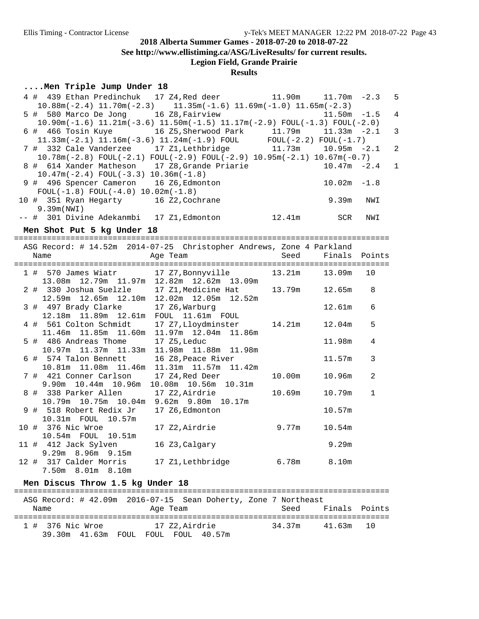**See http://www.ellistiming.ca/ASG/LiveResults/ for current results.**

# **Legion Field, Grande Prairie**

### **Results**

### **....Men Triple Jump Under 18**

| 4 # 439 Ethan Predinchuk 17 Z4, Red deer 11.90m                                          |                                                |        | $11.70m - 2.3$ |                | 5              |
|------------------------------------------------------------------------------------------|------------------------------------------------|--------|----------------|----------------|----------------|
| $10.88$ m(-2.4) $11.70$ m(-2.3) $11.35$ m(-1.6) $11.69$ m(-1.0) $11.65$ m(-2.3)          |                                                |        |                |                |                |
| 5 # 580 Marco De Jong 16 Z8, Fairview                                                    |                                                |        | 11.50m         | $-1.5$         | $\overline{4}$ |
| $10.90m(-1.6)$ $11.21m(-3.6)$ $11.50m(-1.5)$ $11.17m(-2.9)$ $FOUL(-1.3)$ $FOUL(-2.0)$    |                                                |        |                |                |                |
| 6 # 466 Tosin Kuye 16 Z5, Sherwood Park 11.79m                                           |                                                |        | $11.33m - 2.1$ |                | 3              |
| 11.33m(-2.1) 11.16m(-3.6) 11.24m(-1.9) FOUL FOUL(-2.2) FOUL(-1.7)                        |                                                |        |                |                |                |
| 7 # 332 Cale Vanderzee 17 Z1, Lethbridge                                                 |                                                | 11.73m | $10.95m - 2.1$ |                | $\overline{a}$ |
| $10.78m(-2.8)$ FOUL $(-2.1)$ FOUL $(-2.9)$ FOUL $(-2.9)$ 10.95 $m(-2.1)$ 10.67 $m(-0.7)$ |                                                |        |                |                |                |
| 8 # 614 Xander Matheson 17 Z8, Grande Priarie                                            |                                                |        | $10.47m - 2.4$ |                | 1              |
| $10.47m(-2.4)$ FOUL $(-3.3)$ $10.36m(-1.8)$                                              |                                                |        |                |                |                |
| 9 # 496 Spencer Cameron 16 Z6, Edmonton                                                  |                                                |        | $10.02m - 1.8$ |                |                |
| $FOUL(-1.8) FOUL(-4.0) 10.02m(-1.8)$                                                     |                                                |        |                |                |                |
| 10 # 351 Ryan Hegarty 16 Z2, Cochrane                                                    |                                                |        | 9.39m          | NWI            |                |
| 9.39m (NWI)                                                                              |                                                |        |                |                |                |
| -- # 301 Divine Adekanmbi 17 Z1, Edmonton                                                |                                                | 12.41m | SCR            | NWI            |                |
| Men Shot Put 5 kg Under 18                                                               |                                                |        |                |                |                |
|                                                                                          |                                                |        |                |                |                |
| ASG Record: # 14.52m 2014-07-25 Christopher Andrews, Zone 4 Parkland                     |                                                |        |                |                |                |
| Name                                                                                     | Age Team                                       | Seed   | Finals         | Points         |                |
|                                                                                          |                                                |        |                |                |                |
| 1 # 570 James Wiatr 17 Z7, Bonnyville                                                    |                                                | 13.21m | 13.09m         | 10             |                |
|                                                                                          | 13.08m  12.79m  11.97m  12.82m  12.62m  13.09m |        |                |                |                |
| 2 # 330 Joshua Suelzle 17 Z1, Medicine Hat                                               |                                                | 13.79m | 12.65m         | 8              |                |
|                                                                                          | 12.59m  12.65m  12.10m  12.02m  12.05m  12.52m |        |                |                |                |
| 3 # 497 Brady Clarke 17 Z6, Warburg<br>12.18m 11.89m 12.61m FOUL 11.61m FOUL             |                                                |        | 12.61m         | 6              |                |
|                                                                                          |                                                |        |                |                |                |
| 4 # 561 Colton Schmidt                                                                   | 17 Z7, Lloydminster                            | 14.21m | 12.04m         | 5              |                |
|                                                                                          | 11.46m  11.85m  11.60m  11.97m  12.04m  11.86m |        |                |                |                |
| 5 # 486 Andreas Thome                                                                    | 17 Z5, Leduc                                   |        | 11.98m         | 4              |                |
| 10.97m  11.37m  11.33m                                                                   | 11.98m  11.88m  11.98m                         |        |                |                |                |
| 6 # 574 Talon Bennett                                                                    | 16 Z8, Peace River                             |        | 11.57m         | 3              |                |
| 10.81m  11.08m  11.46m                                                                   | 11.31m  11.57m  11.42m                         |        |                |                |                |
| 7 # 421 Conner Carlson                                                                   | 17 Z4,Red Deer                                 | 10.00m | 10.96m         | $\overline{a}$ |                |
| 9.90m 10.44m 10.96m                                                                      | 10.08m  10.56m  10.31m                         |        |                |                |                |
| 8 # 338 Parker Allen                                                                     | 17 Z2, Airdrie                                 | 10.69m | 10.79m         | $\mathbf{1}$   |                |
| 10.79m 10.75m 10.04m 9.62m 9.80m 10.17m                                                  |                                                |        |                |                |                |
| 9 # 518 Robert Redix Jr                                                                  | 17 Z6, Edmonton                                |        | 10.57m         |                |                |
| 10.31m FOUL 10.57m                                                                       |                                                |        |                |                |                |
| 10 # 376 Nic Wroe                                                                        | 17 Z2, Airdrie                                 | 9.77m  | 10.54m         |                |                |
| $10.54m$ FOUL<br>10.51m                                                                  |                                                |        |                |                |                |
| 11 # 412 Jack Sylven                                                                     | 16 Z3, Calgary                                 |        | 9.29m          |                |                |
| 9.29m 8.96m 9.15m                                                                        |                                                |        |                |                |                |
| 12 # 317 Calder Morris                                                                   | 17 Z1, Lethbridge                              | 6.78m  | 8.10m          |                |                |
| 7.50m 8.01m 8.10m                                                                        |                                                |        |                |                |                |

### **Men Discus Throw 1.5 kg Under 18**

| Name                              | ASG Record: # 42.09m  2016-07-15  Sean Doherty, Zone 7 Northeast<br>Age Team | Seed   | Finals Points |  |
|-----------------------------------|------------------------------------------------------------------------------|--------|---------------|--|
| 1 # 376 Nic Wroe<br>39.30m 41.63m | 17 Z2.Airdrie<br>FOIII, FOIII, 40.57m<br>FOIJI.                              | 34.37m | 41.63m 10     |  |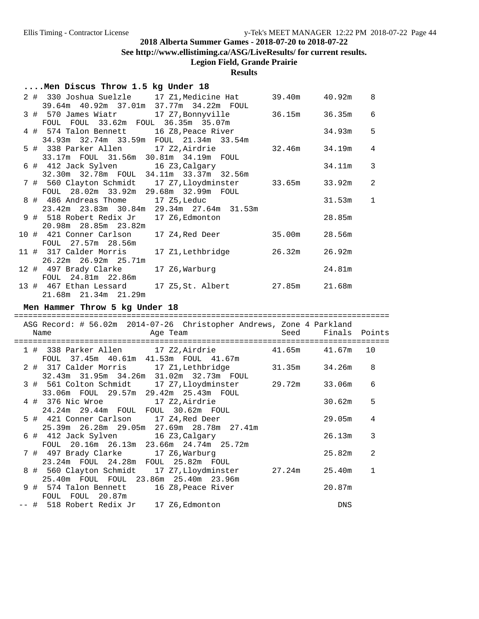**See http://www.ellistiming.ca/ASG/LiveResults/ for current results.**

**Legion Field, Grande Prairie**

### **Results**

| Men Discus Throw 1.5 kg Under 18                                                                                       |                                    |              |
|------------------------------------------------------------------------------------------------------------------------|------------------------------------|--------------|
| 2 # 330 Joshua Suelzle 17 Z1, Medicine Hat 39.40m 40.92m<br>39.64m 40.92m 37.01m 37.77m 34.22m FOUL                    |                                    | 8            |
|                                                                                                                        |                                    | 6            |
| FOUL FOUL 33.62m FOUL 36.35m 35.07m<br>4 # 574 Talon Bennett 16 Z8, Peace River                                        | 34.93m                             | 5            |
| 34.93m 32.74m 33.59m FOUL 21.34m 33.54m<br>5 # 338 Parker Allen 17 Z2, Airdrie                                         | $32.46m$ $34.19m$                  | 4            |
| 33.17m FOUL 31.56m 30.81m 34.19m FOUL<br>6 # 412 Jack Sylven 16 Z3, Calgary<br>32.30m 32.78m FOUL 34.11m 33.37m 32.56m | 34.11m                             | 3            |
| 7 # 560 Clayton Schmidt 17 Z7, Lloydminster 33.65m 33.92m<br>FOUL 28.02m 33.92m 29.68m 32.99m FOUL                     |                                    | 2            |
| 8 # 486 Andreas Thome 17 Z5, Leduc<br>23.42m 23.83m 30.84m 29.34m 27.64m 31.53m                                        | 31.53m                             | $\mathbf{1}$ |
| 9 # 518 Robert Redix Jr 17 Z6, Edmonton<br>20.98m 28.85m 23.82m                                                        | 28.85m                             |              |
| 10 # 421 Conner Carlson<br>FOUL 27.57m 28.56m                                                                          | 17 Z4, Red Deer 35.00m<br>28.56m   |              |
| 11 # 317 Calder Morris<br>$26.22m$ $26.92m$ $25.71m$                                                                   | 17 Z1, Lethbridge 26.32m<br>26.92m |              |
| 12 # 497 Brady Clarke<br>17 Z6, Warburg<br>FOUL 24.81m 22.86m                                                          | 24.81m                             |              |
| 13 # 467 Ethan Lessard 17 Z5, St. Albert 27.85m 21.68m<br>21.68m 21.34m 21.29m                                         |                                    |              |
| Men Hammer Throw 5 kg Under 18<br>==================================                                                   |                                    |              |
| ASG Record: # 56.02m 2014-07-26 Christopher Andrews, Zone 4 Parkland<br>Name<br>Age Team                               | Seed<br>Finals Points              |              |
|                                                                                                                        |                                    |              |

| 1 # 338 Parker Allen                     | 17 Z2,Airdrie                                    | 41.65m | 41.67m | 10           |
|------------------------------------------|--------------------------------------------------|--------|--------|--------------|
| FOUL 37.45m 40.61m 41.53m FOUL 41.67m    | 2 # 317 Calder Morris 17 Z1,Lethbridge           | 31.35m | 34.26m | 8            |
|                                          | 32.43m 31.95m 34.26m 31.02m 32.73m FOUL          |        |        |              |
|                                          | 3 # 561 Colton Schmidt 17 Z7,Lloydminster 29.72m |        | 33.06m | 6            |
| 33.06m FOUL 29.57m 29.42m 25.43m FOUL    |                                                  |        |        |              |
| 4 # 376 Nic Wroe                         | 17 Z2,Airdrie                                    |        | 30.62m | 5            |
| 24.24m  29.44m  FOUL  FOUL  30.62m  FOUL |                                                  |        |        |              |
| 5 # 421 Conner Carlson 17 Z4, Red Deer   |                                                  |        | 29.05m | 4            |
|                                          | 25.39m  26.28m  29.05m  27.69m  28.78m  27.41m   |        |        |              |
| 6 # 412 Jack Sylven 16 Z3, Calgary       |                                                  |        | 26.13m | 3            |
|                                          | FOUL 20.16m 26.13m 23.66m 24.74m 25.72m          |        |        |              |
| 7 # 497 Brady Clarke 17 Z6, Warburg      |                                                  |        | 25.82m | 2            |
| 23.24m FOUL 24.28m FOUL 25.82m FOUL      |                                                  |        |        |              |
|                                          | 8 # 560 Clayton Schmidt 17 Z7, Lloydminster      | 27.24m | 25.40m | $\mathbf{1}$ |
| 25.40m FOUL FOUL 23.86m 25.40m 23.96m    |                                                  |        |        |              |
| 9 # 574 Talon Bennett                    | 16 Z8,Peace River                                |        | 20.87m |              |
| FOUL FOUL 20.87m                         |                                                  |        |        |              |
| -- # 518 Robert Redix Jr 17 Z6,Edmonton  |                                                  |        | DNS    |              |
|                                          |                                                  |        |        |              |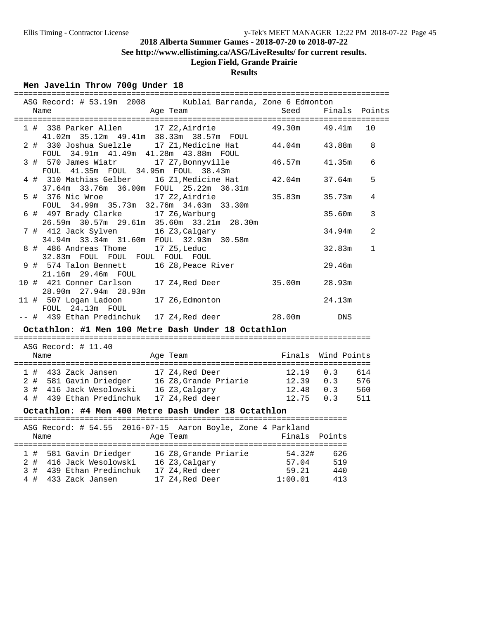**See http://www.ellistiming.ca/ASG/LiveResults/ for current results.**

# **Legion Field, Grande Prairie**

## **Results**

#### **Men Javelin Throw 700g Under 18**

| ASG Record: # 53.19m 2008 Kublai Barranda, Zone 6 Edmonton<br>Age Team<br>Name                                 | Seed               | Finals Points |              |
|----------------------------------------------------------------------------------------------------------------|--------------------|---------------|--------------|
| 1 # 338 Parker Allen 17 Z2, Airdrie                                                                            | 49.30m             | 49.41m        | 10           |
| 41.02m 35.12m 49.41m 38.33m 38.57m FOUL                                                                        |                    |               |              |
| 2 # 330 Joshua Suelzle 17 Z1, Medicine Hat 44.04m 43.88m                                                       |                    |               | 8            |
| FOUL 34.91m 41.49m 41.28m 43.88m FOUL                                                                          |                    |               |              |
| 3 # 570 James Wiatr 17 Z7, Bonnyville                                                                          | 46.57m             | 41.35m        | 6            |
| FOUL 41.35m FOUL 34.95m FOUL 38.43m<br>16 Z1, Medicine Hat 42.04m<br>4 # 310 Mathias Gelber                    |                    | 37.64m        | 5            |
| 37.64m   33.76m   36.00m   FOUL   25.22m   36.31m                                                              |                    |               |              |
| 17 Z2, Airdrie<br>5 # 376 Nic Wroe                                                                             | 35.83m             | 35.73m        | 4            |
| FOUL 34.99m 35.73m 32.76m 34.63m 33.30m                                                                        |                    |               |              |
| 6 # 497 Brady Clarke 17 Z6, Warburg                                                                            |                    | 35.60m        | 3            |
| 26.59m 30.57m 29.61m 35.60m 33.21m 28.30m<br>7 # 412 Jack Sylven 16 Z3, Calgary                                |                    | 34.94m        | 2            |
| 34.94m 33.34m 31.60m FOUL 32.93m 30.58m                                                                        |                    |               |              |
| 8 # 486 Andreas Thome<br>17 Z5, Leduc                                                                          |                    | 32.83m        | $\mathbf{1}$ |
| 32.83m FOUL FOUL FOUL FOUL FOUL                                                                                |                    |               |              |
| 9 # 574 Talon Bennett<br>16 Z8, Peace River                                                                    |                    | 29.46m        |              |
| 21.16m  29.46m  FOUL                                                                                           |                    |               |              |
| 10 # 421 Conner Carlson<br>17 Z4, Red Deer 35.00m<br>28.90m  27.94m  28.93m                                    |                    | 28.93m        |              |
| 11 # 507 Logan Ladoon<br>17 Z6, Edmonton                                                                       |                    | 24.13m        |              |
| FOUL 24.13m FOUL                                                                                               |                    |               |              |
| -- # 439 Ethan Predinchuk 17 Z4, Red deer 28.00m DNS                                                           |                    |               |              |
| Octathlon: #1 Men 100 Metre Dash Under 18 Octathlon                                                            |                    |               |              |
| ASG Record: # 11.40                                                                                            |                    |               |              |
| Name<br>Age Team                                                                                               | Finals Wind Points |               |              |
|                                                                                                                |                    |               |              |
| 1 # 433 Zack Jansen 17 Z4, Red Deer                                                                            | 12.19 0.3          | 614           |              |
| 2 # 581 Gavin Driedger 16 Z8, Grande Priarie 12.39 0.3 576                                                     |                    |               |              |
| 3 # 416 Jack Wesolowski 16 Z3, Calgary 12.48 0.3 560<br>4 # 439 Ethan Predinchuk 17 Z4, Red deer 12.75 0.3 511 |                    |               |              |
|                                                                                                                |                    |               |              |
| Octathlon: #4 Men 400 Metre Dash Under 18 Octathlon                                                            |                    |               |              |
| ASG Record: # 54.55 2016-07-15 Aaron Boyle, Zone 4 Parkland                                                    |                    |               |              |
| Age Team<br>Name                                                                                               | Finals Points      |               |              |
|                                                                                                                |                    |               |              |
| 1 # 581 Gavin Driedger 16 Z8, Grande Priarie 54.32#                                                            |                    | 626           |              |
| 2 # 416 Jack Wesolowski 16 Z3, Calgary 57.04                                                                   |                    | 519           |              |
| 439 Ethan Predinchuk 17 Z4, Red deer<br>3#                                                                     | 59.21              | 440           |              |

4 # 433 Zack Jansen 17 Z4,Red Deer 1:00.01 413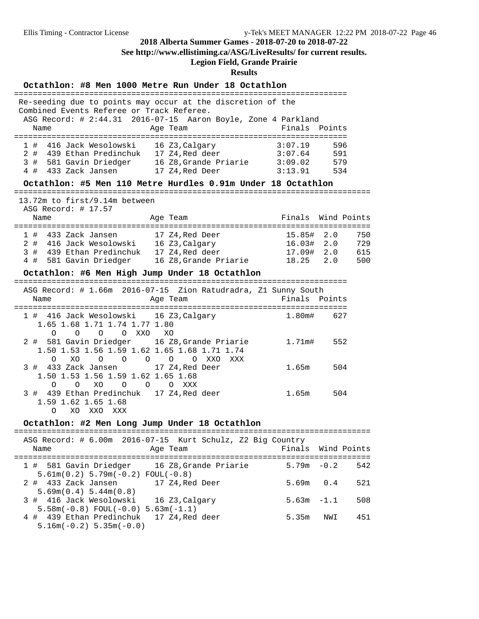**See http://www.ellistiming.ca/ASG/LiveResults/ for current results.**

# **Legion Field, Grande Prairie**

### **Results**

| Octathlon: #8 Men 1000 Metre Run Under 18 Octathlon                                                                                                                                                            |                                    |                          |                          |
|----------------------------------------------------------------------------------------------------------------------------------------------------------------------------------------------------------------|------------------------------------|--------------------------|--------------------------|
| Re-seeding due to points may occur at the discretion of the<br>Combined Events Referee or Track Referee.<br>ASG Record: # 2:44.31 2016-07-15 Aaron Boyle, Zone 4 Parkland                                      |                                    |                          |                          |
| Name<br>Age Team                                                                                                                                                                                               | Finals Points                      |                          |                          |
| 1 # 416 Jack Wesolowski 16 Z3, Calgary<br>3:07.19<br>3:07.64<br>2 # 439 Ethan Predinchuk 17 Z4, Red deer<br>3 # 581 Gavin Driedger<br>$16Z8$ , Grande Priarie $3:09.02$<br>4 # 433 Zack Jansen 17 Z4, Red Deer | 3:13.91                            | 596<br>591<br>579<br>534 |                          |
| Octathlon: #5 Men 110 Metre Hurdles 0.91m Under 18 Octathlon<br>===================================                                                                                                            |                                    |                          |                          |
| 13.72m to first/9.14m between<br>ASG Record: $\#$ 17.57<br>Name<br>Age Team                                                                                                                                    | Finals                             | Wind Points              |                          |
| 1 # 433 Zack Jansen<br>17 Z4, Red Deer<br>2 # 416 Jack Wesolowski 16 Z3, Calgary<br>3#<br>439 Ethan Predinchuk 17 Z4, Red deer<br>4 # 581 Gavin Driedger<br>16 Z8, Grande Priarie 18.25 2.0                    | 15.85#<br>16.03# 2.0<br>17.09# 2.0 | 2.0                      | 750<br>729<br>615<br>500 |
| Octathlon: #6 Men High Jump Under 18 Octathlon                                                                                                                                                                 |                                    |                          |                          |
| ASG Record: # 1.66m 2016-07-15 Zion Ratudradra, Z1 Sunny South<br>Age Team<br>Name                                                                                                                             | Finals                             | Points                   |                          |
| 1 # 416 Jack Wesolowski 16 Z3, Calgary<br>1.65 1.68 1.71 1.74 1.77 1.80<br>$\Omega$<br>O XXO XO<br>$\Omega$<br>$\Omega$                                                                                        | 1.80m#                             | 627                      |                          |
| 2 # 581 Gavin Driedger 16 Z8, Grande Priarie<br>1.50 1.53 1.56 1.59 1.62 1.65 1.68 1.71 1.74<br>$\circ$<br>$\circ$<br>O<br>XO<br>$\circ$<br>$\circ$<br>$\circ$<br>XXO<br>XXX                                   | 1.71m#                             | 552                      |                          |
| 3 # 433 Zack Jansen 17 Z4, Red Deer<br>1.50 1.53 1.56 1.59 1.62 1.65 1.68<br>O O O XXX<br>O<br>XO.<br>$\circ$                                                                                                  | 1.65m                              | 504                      |                          |
| 3 # 439 Ethan Predinchuk 17 Z4, Red deer<br>1.59 1.62 1.65 1.68<br>XO.<br>XXO<br>$\Omega$<br>XXX                                                                                                               | 1.65m                              | 504                      |                          |
| Octathlon: #2 Men Long Jump Under 18 Octathlon                                                                                                                                                                 |                                    |                          |                          |
| ASG Record: # 6.00m 2016-07-15 Kurt Schulz, Z2 Big Country<br>Name<br>Age Team                                                                                                                                 | Finals                             | Wind Points              |                          |
| 1 # 581 Gavin Driedger 16 Z8, Grande Priarie                                                                                                                                                                   | $5.79m - 0.2$                      |                          | 542                      |
| $5.61m(0.2) 5.79m(-0.2) F0UL(-0.8)$<br>2 # 433 Zack Jansen<br>17 Z4, Red Deer                                                                                                                                  | 5.69m                              | 0.4                      | 521                      |
| 5.69m(0.4) 5.44m(0.8)<br>3 # 416 Jack Wesolowski<br>16 Z3, Calgary                                                                                                                                             | 5.63m                              | $-1.1$                   | 508                      |
| $5.58m(-0.8)$ FOUL $(-0.0)$ $5.63m(-1.1)$<br>4 # 439 Ethan Predinchuk<br>17 Z4, Red deer<br>$5.16m(-0.2) 5.35m(-0.0)$                                                                                          | 5.35 <sub>m</sub>                  | NWI                      | 451                      |